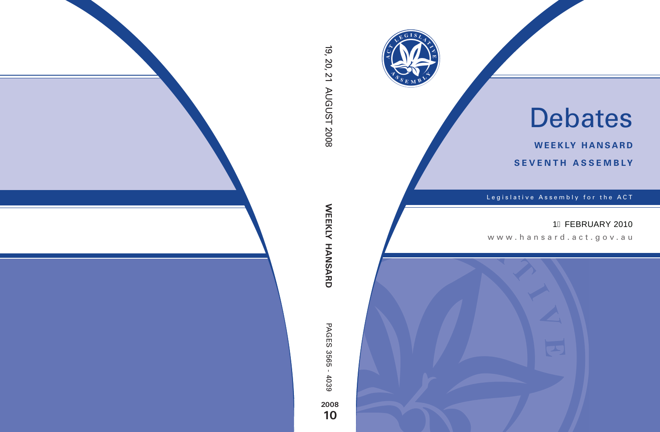

# Debates

**weekly hansard seventh asseMBly**

Legislative Assembly for the ACT

## 1€ FEBRUARY 2010

www .hansard.act.gov.au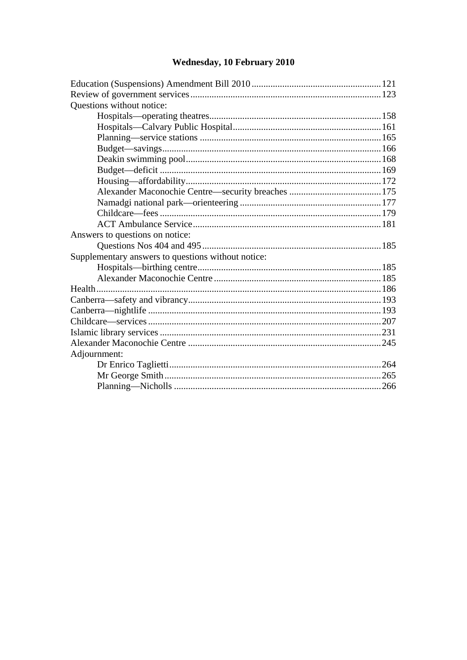## Wednesday, 10 February 2010

| Questions without notice:                          |  |
|----------------------------------------------------|--|
|                                                    |  |
|                                                    |  |
|                                                    |  |
|                                                    |  |
|                                                    |  |
|                                                    |  |
|                                                    |  |
|                                                    |  |
|                                                    |  |
|                                                    |  |
|                                                    |  |
| Answers to questions on notice:                    |  |
|                                                    |  |
| Supplementary answers to questions without notice: |  |
|                                                    |  |
|                                                    |  |
|                                                    |  |
|                                                    |  |
|                                                    |  |
|                                                    |  |
|                                                    |  |
|                                                    |  |
| Adjournment:                                       |  |
|                                                    |  |
|                                                    |  |
|                                                    |  |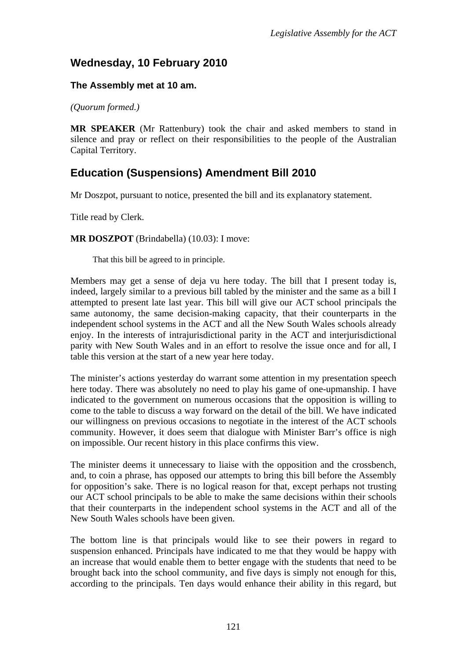## **Wednesday, 10 February 2010**

#### **The Assembly met at 10 am.**

*(Quorum formed.)*

**MR SPEAKER** (Mr Rattenbury) took the chair and asked members to stand in silence and pray or reflect on their responsibilities to the people of the Australian Capital Territory.

## <span id="page-3-0"></span>**Education (Suspensions) Amendment Bill 2010**

Mr Doszpot, pursuant to notice, presented the bill and its explanatory statement.

Title read by Clerk.

**MR DOSZPOT** (Brindabella) (10.03): I move:

That this bill be agreed to in principle.

Members may get a sense of deja vu here today. The bill that I present today is, indeed, largely similar to a previous bill tabled by the minister and the same as a bill I attempted to present late last year. This bill will give our ACT school principals the same autonomy, the same decision-making capacity, that their counterparts in the independent school systems in the ACT and all the New South Wales schools already enjoy. In the interests of intrajurisdictional parity in the ACT and interjurisdictional parity with New South Wales and in an effort to resolve the issue once and for all, I table this version at the start of a new year here today.

The minister's actions yesterday do warrant some attention in my presentation speech here today. There was absolutely no need to play his game of one-upmanship. I have indicated to the government on numerous occasions that the opposition is willing to come to the table to discuss a way forward on the detail of the bill. We have indicated our willingness on previous occasions to negotiate in the interest of the ACT schools community. However, it does seem that dialogue with Minister Barr's office is nigh on impossible. Our recent history in this place confirms this view.

The minister deems it unnecessary to liaise with the opposition and the crossbench, and, to coin a phrase, has opposed our attempts to bring this bill before the Assembly for opposition's sake. There is no logical reason for that, except perhaps not trusting our ACT school principals to be able to make the same decisions within their schools that their counterparts in the independent school systems in the ACT and all of the New South Wales schools have been given.

The bottom line is that principals would like to see their powers in regard to suspension enhanced. Principals have indicated to me that they would be happy with an increase that would enable them to better engage with the students that need to be brought back into the school community, and five days is simply not enough for this, according to the principals. Ten days would enhance their ability in this regard, but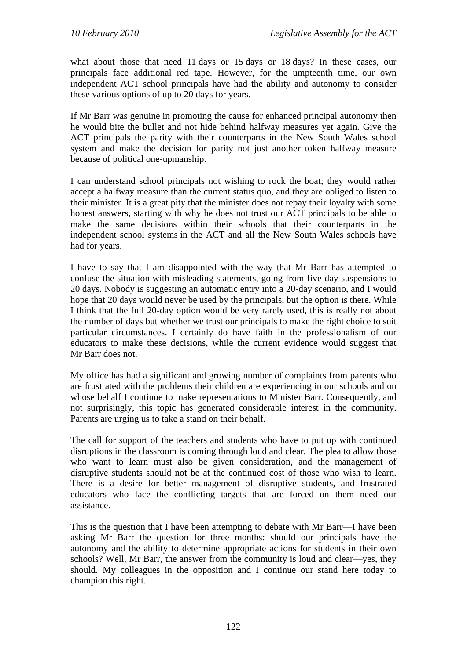what about those that need 11 days or 15 days or 18 days? In these cases, our principals face additional red tape. However, for the umpteenth time, our own independent ACT school principals have had the ability and autonomy to consider these various options of up to 20 days for years.

If Mr Barr was genuine in promoting the cause for enhanced principal autonomy then he would bite the bullet and not hide behind halfway measures yet again. Give the ACT principals the parity with their counterparts in the New South Wales school system and make the decision for parity not just another token halfway measure because of political one-upmanship.

I can understand school principals not wishing to rock the boat; they would rather accept a halfway measure than the current status quo, and they are obliged to listen to their minister. It is a great pity that the minister does not repay their loyalty with some honest answers, starting with why he does not trust our ACT principals to be able to make the same decisions within their schools that their counterparts in the independent school systems in the ACT and all the New South Wales schools have had for years.

I have to say that I am disappointed with the way that Mr Barr has attempted to confuse the situation with misleading statements, going from five-day suspensions to 20 days. Nobody is suggesting an automatic entry into a 20-day scenario, and I would hope that 20 days would never be used by the principals, but the option is there. While I think that the full 20-day option would be very rarely used, this is really not about the number of days but whether we trust our principals to make the right choice to suit particular circumstances. I certainly do have faith in the professionalism of our educators to make these decisions, while the current evidence would suggest that Mr Barr does not.

My office has had a significant and growing number of complaints from parents who are frustrated with the problems their children are experiencing in our schools and on whose behalf I continue to make representations to Minister Barr. Consequently, and not surprisingly, this topic has generated considerable interest in the community. Parents are urging us to take a stand on their behalf.

The call for support of the teachers and students who have to put up with continued disruptions in the classroom is coming through loud and clear. The plea to allow those who want to learn must also be given consideration, and the management of disruptive students should not be at the continued cost of those who wish to learn. There is a desire for better management of disruptive students, and frustrated educators who face the conflicting targets that are forced on them need our assistance.

This is the question that I have been attempting to debate with Mr Barr—I have been asking Mr Barr the question for three months: should our principals have the autonomy and the ability to determine appropriate actions for students in their own schools? Well, Mr Barr, the answer from the community is loud and clear—yes, they should. My colleagues in the opposition and I continue our stand here today to champion this right.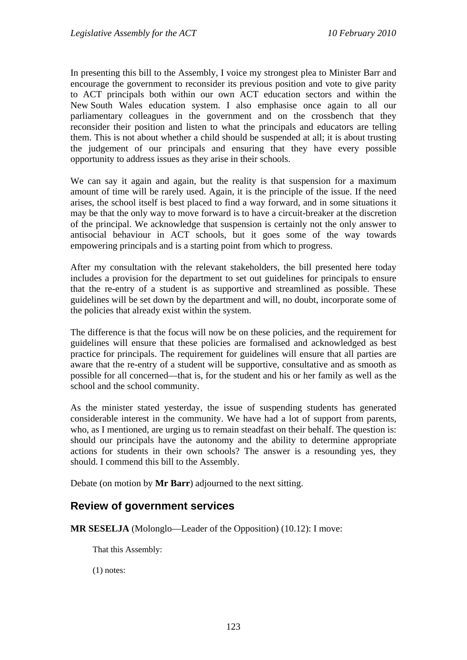In presenting this bill to the Assembly, I voice my strongest plea to Minister Barr and encourage the government to reconsider its previous position and vote to give parity to ACT principals both within our own ACT education sectors and within the New South Wales education system. I also emphasise once again to all our parliamentary colleagues in the government and on the crossbench that they reconsider their position and listen to what the principals and educators are telling them. This is not about whether a child should be suspended at all; it is about trusting the judgement of our principals and ensuring that they have every possible opportunity to address issues as they arise in their schools.

We can say it again and again, but the reality is that suspension for a maximum amount of time will be rarely used. Again, it is the principle of the issue. If the need arises, the school itself is best placed to find a way forward, and in some situations it may be that the only way to move forward is to have a circuit-breaker at the discretion of the principal. We acknowledge that suspension is certainly not the only answer to antisocial behaviour in ACT schools, but it goes some of the way towards empowering principals and is a starting point from which to progress.

After my consultation with the relevant stakeholders, the bill presented here today includes a provision for the department to set out guidelines for principals to ensure that the re-entry of a student is as supportive and streamlined as possible. These guidelines will be set down by the department and will, no doubt, incorporate some of the policies that already exist within the system.

The difference is that the focus will now be on these policies, and the requirement for guidelines will ensure that these policies are formalised and acknowledged as best practice for principals. The requirement for guidelines will ensure that all parties are aware that the re-entry of a student will be supportive, consultative and as smooth as possible for all concerned—that is, for the student and his or her family as well as the school and the school community.

As the minister stated yesterday, the issue of suspending students has generated considerable interest in the community. We have had a lot of support from parents, who, as I mentioned, are urging us to remain steadfast on their behalf. The question is: should our principals have the autonomy and the ability to determine appropriate actions for students in their own schools? The answer is a resounding yes, they should. I commend this bill to the Assembly.

Debate (on motion by **Mr Barr**) adjourned to the next sitting.

### <span id="page-5-0"></span>**Review of government services**

**MR SESELJA** (Molonglo—Leader of the Opposition) (10.12): I move:

That this Assembly:

(1) notes: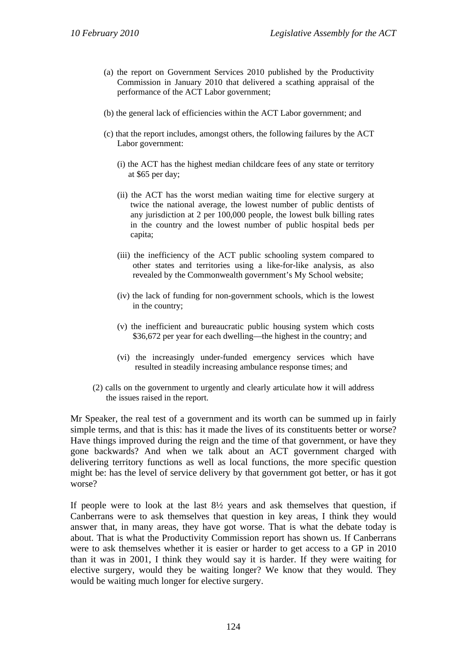- (a) the report on Government Services 2010 published by the Productivity Commission in January 2010 that delivered a scathing appraisal of the performance of the ACT Labor government;
- (b) the general lack of efficiencies within the ACT Labor government; and
- (c) that the report includes, amongst others, the following failures by the ACT Labor government:
	- (i) the ACT has the highest median childcare fees of any state or territory at \$65 per day;
	- (ii) the ACT has the worst median waiting time for elective surgery at twice the national average, the lowest number of public dentists of any jurisdiction at 2 per 100,000 people, the lowest bulk billing rates in the country and the lowest number of public hospital beds per capita;
	- (iii) the inefficiency of the ACT public schooling system compared to other states and territories using a like-for-like analysis, as also revealed by the Commonwealth government's My School website;
	- (iv) the lack of funding for non-government schools, which is the lowest in the country;
	- (v) the inefficient and bureaucratic public housing system which costs \$36,672 per year for each dwelling—the highest in the country; and
	- (vi) the increasingly under-funded emergency services which have resulted in steadily increasing ambulance response times; and
- (2) calls on the government to urgently and clearly articulate how it will address the issues raised in the report.

Mr Speaker, the real test of a government and its worth can be summed up in fairly simple terms, and that is this: has it made the lives of its constituents better or worse? Have things improved during the reign and the time of that government, or have they gone backwards? And when we talk about an ACT government charged with delivering territory functions as well as local functions, the more specific question might be: has the level of service delivery by that government got better, or has it got worse?

If people were to look at the last  $8\frac{1}{2}$  years and ask themselves that question, if Canberrans were to ask themselves that question in key areas, I think they would answer that, in many areas, they have got worse. That is what the debate today is about. That is what the Productivity Commission report has shown us. If Canberrans were to ask themselves whether it is easier or harder to get access to a GP in 2010 than it was in 2001, I think they would say it is harder. If they were waiting for elective surgery, would they be waiting longer? We know that they would. They would be waiting much longer for elective surgery.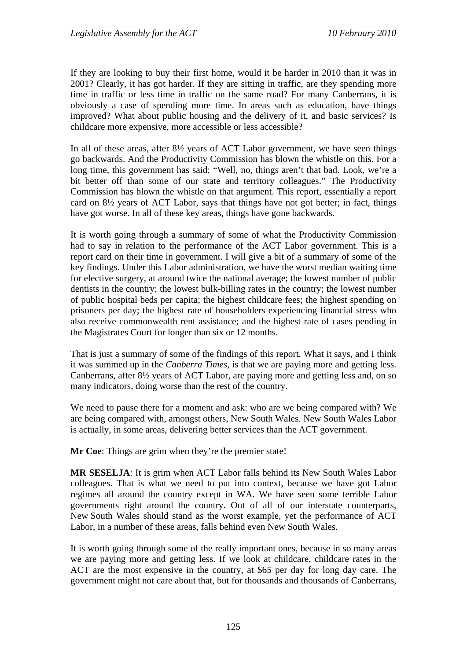If they are looking to buy their first home, would it be harder in 2010 than it was in 2001? Clearly, it has got harder. If they are sitting in traffic, are they spending more time in traffic or less time in traffic on the same road? For many Canberrans, it is obviously a case of spending more time. In areas such as education, have things improved? What about public housing and the delivery of it, and basic services? Is childcare more expensive, more accessible or less accessible?

In all of these areas, after 8½ years of ACT Labor government, we have seen things go backwards. And the Productivity Commission has blown the whistle on this. For a long time, this government has said: "Well, no, things aren't that bad. Look, we're a bit better off than some of our state and territory colleagues." The Productivity Commission has blown the whistle on that argument. This report, essentially a report card on 8½ years of ACT Labor, says that things have not got better; in fact, things have got worse. In all of these key areas, things have gone backwards.

It is worth going through a summary of some of what the Productivity Commission had to say in relation to the performance of the ACT Labor government. This is a report card on their time in government. I will give a bit of a summary of some of the key findings. Under this Labor administration, we have the worst median waiting time for elective surgery, at around twice the national average; the lowest number of public dentists in the country; the lowest bulk-billing rates in the country; the lowest number of public hospital beds per capita; the highest childcare fees; the highest spending on prisoners per day; the highest rate of householders experiencing financial stress who also receive commonwealth rent assistance; and the highest rate of cases pending in the Magistrates Court for longer than six or 12 months.

That is just a summary of some of the findings of this report. What it says, and I think it was summed up in the *Canberra Times*, is that we are paying more and getting less. Canberrans, after 8½ years of ACT Labor, are paying more and getting less and, on so many indicators, doing worse than the rest of the country.

We need to pause there for a moment and ask: who are we being compared with? We are being compared with, amongst others, New South Wales. New South Wales Labor is actually, in some areas, delivering better services than the ACT government.

**Mr Coe**: Things are grim when they're the premier state!

**MR SESELJA**: It is grim when ACT Labor falls behind its New South Wales Labor colleagues. That is what we need to put into context, because we have got Labor regimes all around the country except in WA. We have seen some terrible Labor governments right around the country. Out of all of our interstate counterparts, New South Wales should stand as the worst example, yet the performance of ACT Labor, in a number of these areas, falls behind even New South Wales.

It is worth going through some of the really important ones, because in so many areas we are paying more and getting less. If we look at childcare, childcare rates in the ACT are the most expensive in the country, at \$65 per day for long day care. The government might not care about that, but for thousands and thousands of Canberrans,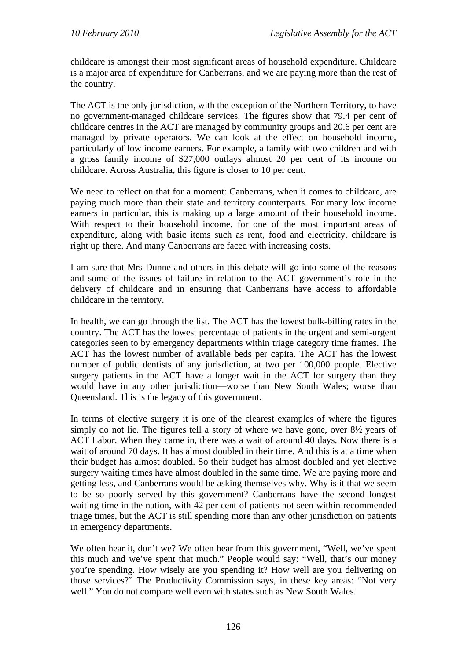childcare is amongst their most significant areas of household expenditure. Childcare is a major area of expenditure for Canberrans, and we are paying more than the rest of the country.

The ACT is the only jurisdiction, with the exception of the Northern Territory, to have no government-managed childcare services. The figures show that 79.4 per cent of childcare centres in the ACT are managed by community groups and 20.6 per cent are managed by private operators. We can look at the effect on household income, particularly of low income earners. For example, a family with two children and with a gross family income of \$27,000 outlays almost 20 per cent of its income on childcare. Across Australia, this figure is closer to 10 per cent.

We need to reflect on that for a moment: Canberrans, when it comes to childcare, are paying much more than their state and territory counterparts. For many low income earners in particular, this is making up a large amount of their household income. With respect to their household income, for one of the most important areas of expenditure, along with basic items such as rent, food and electricity, childcare is right up there. And many Canberrans are faced with increasing costs.

I am sure that Mrs Dunne and others in this debate will go into some of the reasons and some of the issues of failure in relation to the ACT government's role in the delivery of childcare and in ensuring that Canberrans have access to affordable childcare in the territory.

In health, we can go through the list. The ACT has the lowest bulk-billing rates in the country. The ACT has the lowest percentage of patients in the urgent and semi-urgent categories seen to by emergency departments within triage category time frames. The ACT has the lowest number of available beds per capita. The ACT has the lowest number of public dentists of any jurisdiction, at two per 100,000 people. Elective surgery patients in the ACT have a longer wait in the ACT for surgery than they would have in any other jurisdiction—worse than New South Wales; worse than Queensland. This is the legacy of this government.

In terms of elective surgery it is one of the clearest examples of where the figures simply do not lie. The figures tell a story of where we have gone, over 8½ years of ACT Labor. When they came in, there was a wait of around 40 days. Now there is a wait of around 70 days. It has almost doubled in their time. And this is at a time when their budget has almost doubled. So their budget has almost doubled and yet elective surgery waiting times have almost doubled in the same time. We are paying more and getting less, and Canberrans would be asking themselves why. Why is it that we seem to be so poorly served by this government? Canberrans have the second longest waiting time in the nation, with 42 per cent of patients not seen within recommended triage times, but the ACT is still spending more than any other jurisdiction on patients in emergency departments.

We often hear it, don't we? We often hear from this government, "Well, we've spent this much and we've spent that much." People would say: "Well, that's our money you're spending. How wisely are you spending it? How well are you delivering on those services?" The Productivity Commission says, in these key areas: "Not very well." You do not compare well even with states such as New South Wales.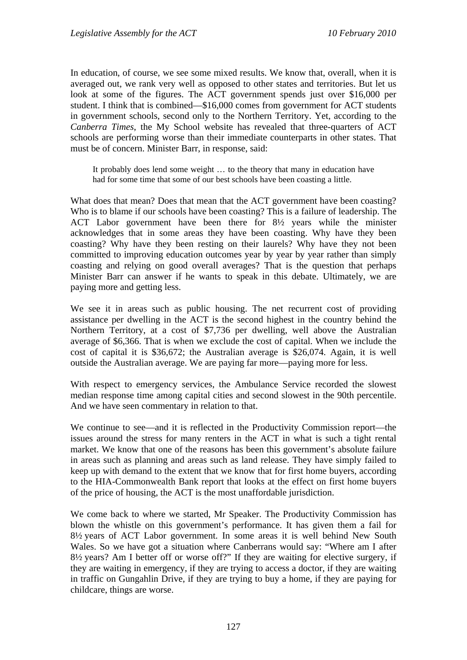In education, of course, we see some mixed results. We know that, overall, when it is averaged out, we rank very well as opposed to other states and territories. But let us look at some of the figures. The ACT government spends just over \$16,000 per student. I think that is combined—\$16,000 comes from government for ACT students in government schools, second only to the Northern Territory. Yet, according to the *Canberra Times*, the My School website has revealed that three-quarters of ACT schools are performing worse than their immediate counterparts in other states. That must be of concern. Minister Barr, in response, said:

It probably does lend some weight … to the theory that many in education have had for some time that some of our best schools have been coasting a little.

What does that mean? Does that mean that the ACT government have been coasting? Who is to blame if our schools have been coasting? This is a failure of leadership. The ACT Labor government have been there for 8½ years while the minister acknowledges that in some areas they have been coasting. Why have they been coasting? Why have they been resting on their laurels? Why have they not been committed to improving education outcomes year by year by year rather than simply coasting and relying on good overall averages? That is the question that perhaps Minister Barr can answer if he wants to speak in this debate. Ultimately, we are paying more and getting less.

We see it in areas such as public housing. The net recurrent cost of providing assistance per dwelling in the ACT is the second highest in the country behind the Northern Territory, at a cost of \$7,736 per dwelling, well above the Australian average of \$6,366. That is when we exclude the cost of capital. When we include the cost of capital it is \$36,672; the Australian average is \$26,074. Again, it is well outside the Australian average. We are paying far more—paying more for less.

With respect to emergency services, the Ambulance Service recorded the slowest median response time among capital cities and second slowest in the 90th percentile. And we have seen commentary in relation to that.

We continue to see—and it is reflected in the Productivity Commission report—the issues around the stress for many renters in the ACT in what is such a tight rental market. We know that one of the reasons has been this government's absolute failure in areas such as planning and areas such as land release. They have simply failed to keep up with demand to the extent that we know that for first home buyers, according to the HIA-Commonwealth Bank report that looks at the effect on first home buyers of the price of housing, the ACT is the most unaffordable jurisdiction.

We come back to where we started, Mr Speaker. The Productivity Commission has blown the whistle on this government's performance. It has given them a fail for 8½ years of ACT Labor government. In some areas it is well behind New South Wales. So we have got a situation where Canberrans would say: "Where am I after 8½ years? Am I better off or worse off?" If they are waiting for elective surgery, if they are waiting in emergency, if they are trying to access a doctor, if they are waiting in traffic on Gungahlin Drive, if they are trying to buy a home, if they are paying for childcare, things are worse.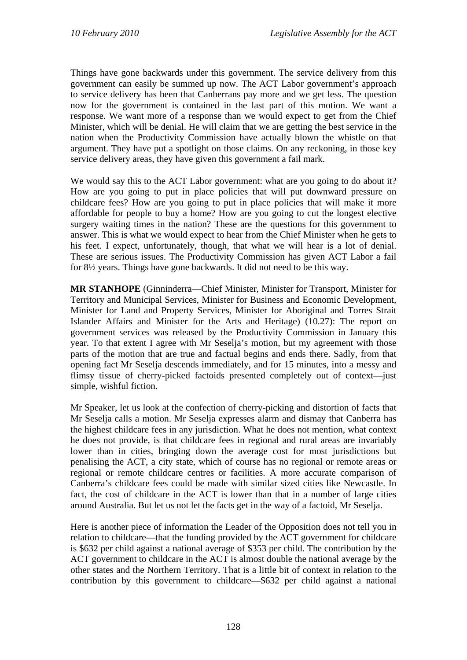Things have gone backwards under this government. The service delivery from this government can easily be summed up now. The ACT Labor government's approach to service delivery has been that Canberrans pay more and we get less. The question now for the government is contained in the last part of this motion. We want a response. We want more of a response than we would expect to get from the Chief Minister, which will be denial. He will claim that we are getting the best service in the nation when the Productivity Commission have actually blown the whistle on that argument. They have put a spotlight on those claims. On any reckoning, in those key service delivery areas, they have given this government a fail mark.

We would say this to the ACT Labor government: what are you going to do about it? How are you going to put in place policies that will put downward pressure on childcare fees? How are you going to put in place policies that will make it more affordable for people to buy a home? How are you going to cut the longest elective surgery waiting times in the nation? These are the questions for this government to answer. This is what we would expect to hear from the Chief Minister when he gets to his feet. I expect, unfortunately, though, that what we will hear is a lot of denial. These are serious issues. The Productivity Commission has given ACT Labor a fail for 8½ years. Things have gone backwards. It did not need to be this way.

**MR STANHOPE** (Ginninderra—Chief Minister, Minister for Transport, Minister for Territory and Municipal Services, Minister for Business and Economic Development, Minister for Land and Property Services, Minister for Aboriginal and Torres Strait Islander Affairs and Minister for the Arts and Heritage) (10.27): The report on government services was released by the Productivity Commission in January this year. To that extent I agree with Mr Seselja's motion, but my agreement with those parts of the motion that are true and factual begins and ends there. Sadly, from that opening fact Mr Seselja descends immediately, and for 15 minutes, into a messy and flimsy tissue of cherry-picked factoids presented completely out of context—just simple, wishful fiction.

Mr Speaker, let us look at the confection of cherry-picking and distortion of facts that Mr Seselja calls a motion. Mr Seselja expresses alarm and dismay that Canberra has the highest childcare fees in any jurisdiction. What he does not mention, what context he does not provide, is that childcare fees in regional and rural areas are invariably lower than in cities, bringing down the average cost for most jurisdictions but penalising the ACT, a city state, which of course has no regional or remote areas or regional or remote childcare centres or facilities. A more accurate comparison of Canberra's childcare fees could be made with similar sized cities like Newcastle. In fact, the cost of childcare in the ACT is lower than that in a number of large cities around Australia. But let us not let the facts get in the way of a factoid, Mr Seselja.

Here is another piece of information the Leader of the Opposition does not tell you in relation to childcare—that the funding provided by the ACT government for childcare is \$632 per child against a national average of \$353 per child. The contribution by the ACT government to childcare in the ACT is almost double the national average by the other states and the Northern Territory. That is a little bit of context in relation to the contribution by this government to childcare—\$632 per child against a national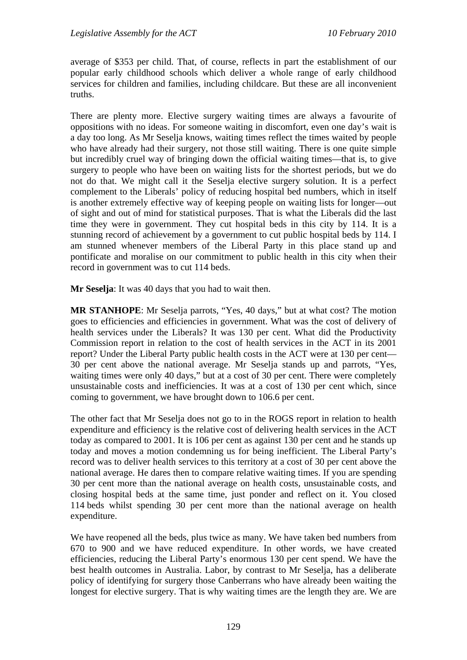average of \$353 per child. That, of course, reflects in part the establishment of our popular early childhood schools which deliver a whole range of early childhood services for children and families, including childcare. But these are all inconvenient truths.

There are plenty more. Elective surgery waiting times are always a favourite of oppositions with no ideas. For someone waiting in discomfort, even one day's wait is a day too long. As Mr Seselja knows, waiting times reflect the times waited by people who have already had their surgery, not those still waiting. There is one quite simple but incredibly cruel way of bringing down the official waiting times—that is, to give surgery to people who have been on waiting lists for the shortest periods, but we do not do that. We might call it the Seselja elective surgery solution. It is a perfect complement to the Liberals' policy of reducing hospital bed numbers, which in itself is another extremely effective way of keeping people on waiting lists for longer—out of sight and out of mind for statistical purposes. That is what the Liberals did the last time they were in government. They cut hospital beds in this city by 114. It is a stunning record of achievement by a government to cut public hospital beds by 114. I am stunned whenever members of the Liberal Party in this place stand up and pontificate and moralise on our commitment to public health in this city when their record in government was to cut 114 beds.

**Mr Seselja**: It was 40 days that you had to wait then.

**MR STANHOPE**: Mr Seselja parrots, "Yes, 40 days," but at what cost? The motion goes to efficiencies and efficiencies in government. What was the cost of delivery of health services under the Liberals? It was 130 per cent. What did the Productivity Commission report in relation to the cost of health services in the ACT in its 2001 report? Under the Liberal Party public health costs in the ACT were at 130 per cent— 30 per cent above the national average. Mr Seselja stands up and parrots, "Yes, waiting times were only 40 days," but at a cost of 30 per cent. There were completely unsustainable costs and inefficiencies. It was at a cost of 130 per cent which, since coming to government, we have brought down to 106.6 per cent.

The other fact that Mr Seselja does not go to in the ROGS report in relation to health expenditure and efficiency is the relative cost of delivering health services in the ACT today as compared to 2001. It is 106 per cent as against 130 per cent and he stands up today and moves a motion condemning us for being inefficient. The Liberal Party's record was to deliver health services to this territory at a cost of 30 per cent above the national average. He dares then to compare relative waiting times. If you are spending 30 per cent more than the national average on health costs, unsustainable costs, and closing hospital beds at the same time, just ponder and reflect on it. You closed 114 beds whilst spending 30 per cent more than the national average on health expenditure.

We have reopened all the beds, plus twice as many. We have taken bed numbers from 670 to 900 and we have reduced expenditure. In other words, we have created efficiencies, reducing the Liberal Party's enormous 130 per cent spend. We have the best health outcomes in Australia. Labor, by contrast to Mr Seselja, has a deliberate policy of identifying for surgery those Canberrans who have already been waiting the longest for elective surgery. That is why waiting times are the length they are. We are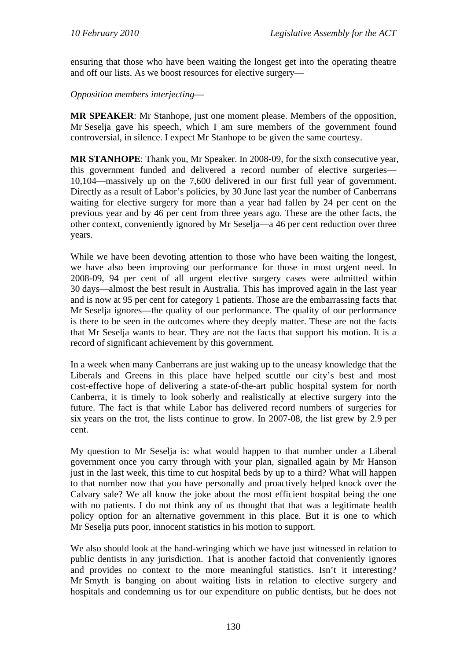ensuring that those who have been waiting the longest get into the operating theatre and off our lists. As we boost resources for elective surgery—

*Opposition members interjecting*—

**MR SPEAKER**: Mr Stanhope, just one moment please. Members of the opposition, Mr Seselja gave his speech, which I am sure members of the government found controversial, in silence. I expect Mr Stanhope to be given the same courtesy.

**MR STANHOPE**: Thank you, Mr Speaker. In 2008-09, for the sixth consecutive year, this government funded and delivered a record number of elective surgeries— 10,104—massively up on the 7,600 delivered in our first full year of government. Directly as a result of Labor's policies, by 30 June last year the number of Canberrans waiting for elective surgery for more than a year had fallen by 24 per cent on the previous year and by 46 per cent from three years ago. These are the other facts, the other context, conveniently ignored by Mr Seselja—a 46 per cent reduction over three years.

While we have been devoting attention to those who have been waiting the longest, we have also been improving our performance for those in most urgent need. In 2008-09, 94 per cent of all urgent elective surgery cases were admitted within 30 days—almost the best result in Australia. This has improved again in the last year and is now at 95 per cent for category 1 patients. Those are the embarrassing facts that Mr Seselja ignores—the quality of our performance. The quality of our performance is there to be seen in the outcomes where they deeply matter. These are not the facts that Mr Seselja wants to hear. They are not the facts that support his motion. It is a record of significant achievement by this government.

In a week when many Canberrans are just waking up to the uneasy knowledge that the Liberals and Greens in this place have helped scuttle our city's best and most cost-effective hope of delivering a state-of-the-art public hospital system for north Canberra, it is timely to look soberly and realistically at elective surgery into the future. The fact is that while Labor has delivered record numbers of surgeries for six years on the trot, the lists continue to grow. In 2007-08, the list grew by 2.9 per cent.

My question to Mr Seselja is: what would happen to that number under a Liberal government once you carry through with your plan, signalled again by Mr Hanson just in the last week, this time to cut hospital beds by up to a third? What will happen to that number now that you have personally and proactively helped knock over the Calvary sale? We all know the joke about the most efficient hospital being the one with no patients. I do not think any of us thought that that was a legitimate health policy option for an alternative government in this place. But it is one to which Mr Seselja puts poor, innocent statistics in his motion to support.

We also should look at the hand-wringing which we have just witnessed in relation to public dentists in any jurisdiction. That is another factoid that conveniently ignores and provides no context to the more meaningful statistics. Isn't it interesting? Mr Smyth is banging on about waiting lists in relation to elective surgery and hospitals and condemning us for our expenditure on public dentists, but he does not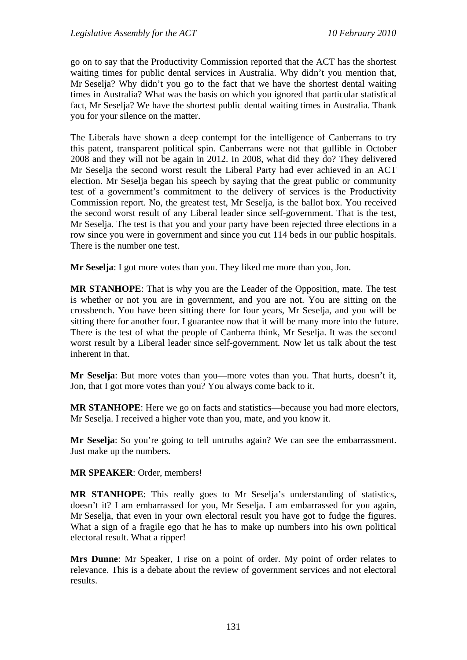go on to say that the Productivity Commission reported that the ACT has the shortest waiting times for public dental services in Australia. Why didn't you mention that, Mr Seselja? Why didn't you go to the fact that we have the shortest dental waiting times in Australia? What was the basis on which you ignored that particular statistical fact, Mr Seselja? We have the shortest public dental waiting times in Australia. Thank you for your silence on the matter.

The Liberals have shown a deep contempt for the intelligence of Canberrans to try this patent, transparent political spin. Canberrans were not that gullible in October 2008 and they will not be again in 2012. In 2008, what did they do? They delivered Mr Seselja the second worst result the Liberal Party had ever achieved in an ACT election. Mr Seselja began his speech by saying that the great public or community test of a government's commitment to the delivery of services is the Productivity Commission report. No, the greatest test, Mr Seselja, is the ballot box. You received the second worst result of any Liberal leader since self-government. That is the test, Mr Seselja. The test is that you and your party have been rejected three elections in a row since you were in government and since you cut 114 beds in our public hospitals. There is the number one test.

**Mr Seselja**: I got more votes than you. They liked me more than you, Jon.

**MR STANHOPE**: That is why you are the Leader of the Opposition, mate. The test is whether or not you are in government, and you are not. You are sitting on the crossbench. You have been sitting there for four years, Mr Seselja, and you will be sitting there for another four. I guarantee now that it will be many more into the future. There is the test of what the people of Canberra think, Mr Seselja. It was the second worst result by a Liberal leader since self-government. Now let us talk about the test inherent in that.

**Mr Seselja**: But more votes than you—more votes than you. That hurts, doesn't it, Jon, that I got more votes than you? You always come back to it.

**MR STANHOPE**: Here we go on facts and statistics—because you had more electors, Mr Seselja. I received a higher vote than you, mate, and you know it.

**Mr Seselja**: So you're going to tell untruths again? We can see the embarrassment. Just make up the numbers.

#### **MR SPEAKER**: Order, members!

**MR STANHOPE**: This really goes to Mr Seselja's understanding of statistics, doesn't it? I am embarrassed for you, Mr Seselja. I am embarrassed for you again, Mr Seselja, that even in your own electoral result you have got to fudge the figures. What a sign of a fragile ego that he has to make up numbers into his own political electoral result. What a ripper!

**Mrs Dunne**: Mr Speaker, I rise on a point of order. My point of order relates to relevance. This is a debate about the review of government services and not electoral results.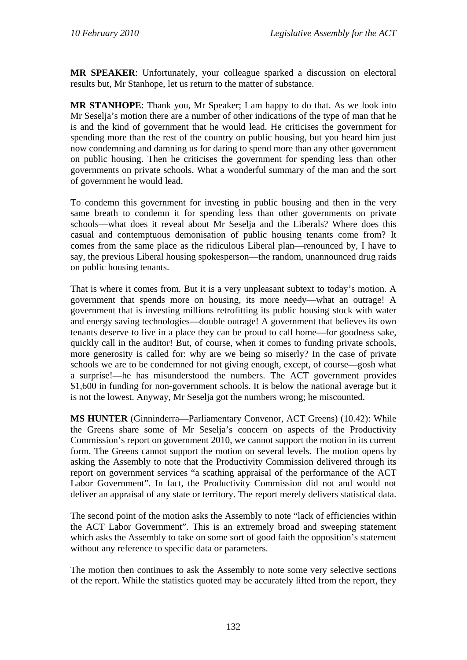**MR SPEAKER**: Unfortunately, your colleague sparked a discussion on electoral results but, Mr Stanhope, let us return to the matter of substance.

**MR STANHOPE**: Thank you, Mr Speaker; I am happy to do that. As we look into Mr Seselja's motion there are a number of other indications of the type of man that he is and the kind of government that he would lead. He criticises the government for spending more than the rest of the country on public housing, but you heard him just now condemning and damning us for daring to spend more than any other government on public housing. Then he criticises the government for spending less than other governments on private schools. What a wonderful summary of the man and the sort of government he would lead.

To condemn this government for investing in public housing and then in the very same breath to condemn it for spending less than other governments on private schools—what does it reveal about Mr Seselja and the Liberals? Where does this casual and contemptuous demonisation of public housing tenants come from? It comes from the same place as the ridiculous Liberal plan—renounced by, I have to say, the previous Liberal housing spokesperson—the random, unannounced drug raids on public housing tenants.

That is where it comes from. But it is a very unpleasant subtext to today's motion. A government that spends more on housing, its more needy—what an outrage! A government that is investing millions retrofitting its public housing stock with water and energy saving technologies—double outrage! A government that believes its own tenants deserve to live in a place they can be proud to call home—for goodness sake, quickly call in the auditor! But, of course, when it comes to funding private schools, more generosity is called for: why are we being so miserly? In the case of private schools we are to be condemned for not giving enough, except, of course—gosh what a surprise!—he has misunderstood the numbers. The ACT government provides \$1,600 in funding for non-government schools. It is below the national average but it is not the lowest. Anyway, Mr Seselja got the numbers wrong; he miscounted.

**MS HUNTER** (Ginninderra—Parliamentary Convenor, ACT Greens) (10.42): While the Greens share some of Mr Seselja's concern on aspects of the Productivity Commission's report on government 2010, we cannot support the motion in its current form. The Greens cannot support the motion on several levels. The motion opens by asking the Assembly to note that the Productivity Commission delivered through its report on government services "a scathing appraisal of the performance of the ACT Labor Government". In fact, the Productivity Commission did not and would not deliver an appraisal of any state or territory. The report merely delivers statistical data.

The second point of the motion asks the Assembly to note "lack of efficiencies within the ACT Labor Government". This is an extremely broad and sweeping statement which asks the Assembly to take on some sort of good faith the opposition's statement without any reference to specific data or parameters.

The motion then continues to ask the Assembly to note some very selective sections of the report. While the statistics quoted may be accurately lifted from the report, they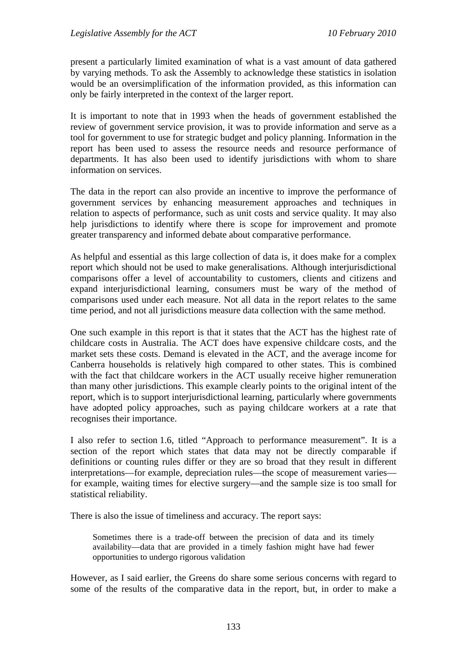present a particularly limited examination of what is a vast amount of data gathered by varying methods. To ask the Assembly to acknowledge these statistics in isolation would be an oversimplification of the information provided, as this information can only be fairly interpreted in the context of the larger report.

It is important to note that in 1993 when the heads of government established the review of government service provision, it was to provide information and serve as a tool for government to use for strategic budget and policy planning. Information in the report has been used to assess the resource needs and resource performance of departments. It has also been used to identify jurisdictions with whom to share information on services.

The data in the report can also provide an incentive to improve the performance of government services by enhancing measurement approaches and techniques in relation to aspects of performance, such as unit costs and service quality. It may also help jurisdictions to identify where there is scope for improvement and promote greater transparency and informed debate about comparative performance.

As helpful and essential as this large collection of data is, it does make for a complex report which should not be used to make generalisations. Although interjurisdictional comparisons offer a level of accountability to customers, clients and citizens and expand interjurisdictional learning, consumers must be wary of the method of comparisons used under each measure. Not all data in the report relates to the same time period, and not all jurisdictions measure data collection with the same method.

One such example in this report is that it states that the ACT has the highest rate of childcare costs in Australia. The ACT does have expensive childcare costs, and the market sets these costs. Demand is elevated in the ACT, and the average income for Canberra households is relatively high compared to other states. This is combined with the fact that childcare workers in the ACT usually receive higher remuneration than many other jurisdictions. This example clearly points to the original intent of the report, which is to support interjurisdictional learning, particularly where governments have adopted policy approaches, such as paying childcare workers at a rate that recognises their importance.

I also refer to section 1.6, titled "Approach to performance measurement". It is a section of the report which states that data may not be directly comparable if definitions or counting rules differ or they are so broad that they result in different interpretations—for example, depreciation rules—the scope of measurement varies for example, waiting times for elective surgery—and the sample size is too small for statistical reliability.

There is also the issue of timeliness and accuracy. The report says:

Sometimes there is a trade-off between the precision of data and its timely availability—data that are provided in a timely fashion might have had fewer opportunities to undergo rigorous validation

However, as I said earlier, the Greens do share some serious concerns with regard to some of the results of the comparative data in the report, but, in order to make a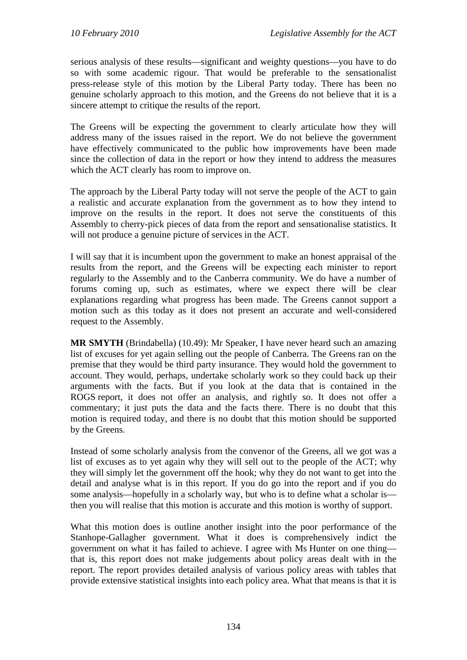serious analysis of these results—significant and weighty questions—you have to do so with some academic rigour. That would be preferable to the sensationalist press-release style of this motion by the Liberal Party today. There has been no genuine scholarly approach to this motion, and the Greens do not believe that it is a sincere attempt to critique the results of the report.

The Greens will be expecting the government to clearly articulate how they will address many of the issues raised in the report. We do not believe the government have effectively communicated to the public how improvements have been made since the collection of data in the report or how they intend to address the measures which the ACT clearly has room to improve on.

The approach by the Liberal Party today will not serve the people of the ACT to gain a realistic and accurate explanation from the government as to how they intend to improve on the results in the report. It does not serve the constituents of this Assembly to cherry-pick pieces of data from the report and sensationalise statistics. It will not produce a genuine picture of services in the ACT.

I will say that it is incumbent upon the government to make an honest appraisal of the results from the report, and the Greens will be expecting each minister to report regularly to the Assembly and to the Canberra community. We do have a number of forums coming up, such as estimates, where we expect there will be clear explanations regarding what progress has been made. The Greens cannot support a motion such as this today as it does not present an accurate and well-considered request to the Assembly.

**MR SMYTH** (Brindabella) (10.49): Mr Speaker, I have never heard such an amazing list of excuses for yet again selling out the people of Canberra. The Greens ran on the premise that they would be third party insurance. They would hold the government to account. They would, perhaps, undertake scholarly work so they could back up their arguments with the facts. But if you look at the data that is contained in the ROGS report, it does not offer an analysis, and rightly so. It does not offer a commentary; it just puts the data and the facts there. There is no doubt that this motion is required today, and there is no doubt that this motion should be supported by the Greens.

Instead of some scholarly analysis from the convenor of the Greens, all we got was a list of excuses as to yet again why they will sell out to the people of the ACT; why they will simply let the government off the hook; why they do not want to get into the detail and analyse what is in this report. If you do go into the report and if you do some analysis—hopefully in a scholarly way, but who is to define what a scholar is then you will realise that this motion is accurate and this motion is worthy of support.

What this motion does is outline another insight into the poor performance of the Stanhope-Gallagher government. What it does is comprehensively indict the government on what it has failed to achieve. I agree with Ms Hunter on one thing that is, this report does not make judgements about policy areas dealt with in the report. The report provides detailed analysis of various policy areas with tables that provide extensive statistical insights into each policy area. What that means is that it is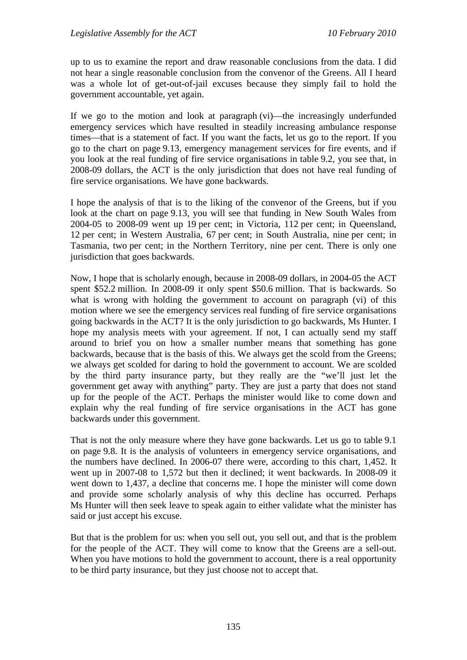up to us to examine the report and draw reasonable conclusions from the data. I did not hear a single reasonable conclusion from the convenor of the Greens. All I heard was a whole lot of get-out-of-jail excuses because they simply fail to hold the government accountable, yet again.

If we go to the motion and look at paragraph (vi)—the increasingly underfunded emergency services which have resulted in steadily increasing ambulance response times—that is a statement of fact. If you want the facts, let us go to the report. If you go to the chart on page 9.13, emergency management services for fire events, and if you look at the real funding of fire service organisations in table 9.2, you see that, in 2008-09 dollars, the ACT is the only jurisdiction that does not have real funding of fire service organisations. We have gone backwards.

I hope the analysis of that is to the liking of the convenor of the Greens, but if you look at the chart on page 9.13, you will see that funding in New South Wales from 2004-05 to 2008-09 went up 19 per cent; in Victoria, 112 per cent; in Queensland, 12 per cent; in Western Australia, 67 per cent; in South Australia, nine per cent; in Tasmania, two per cent; in the Northern Territory, nine per cent. There is only one jurisdiction that goes backwards.

Now, I hope that is scholarly enough, because in 2008-09 dollars, in 2004-05 the ACT spent \$52.2 million. In 2008-09 it only spent \$50.6 million. That is backwards. So what is wrong with holding the government to account on paragraph (vi) of this motion where we see the emergency services real funding of fire service organisations going backwards in the ACT? It is the only jurisdiction to go backwards, Ms Hunter. I hope my analysis meets with your agreement. If not, I can actually send my staff around to brief you on how a smaller number means that something has gone backwards, because that is the basis of this. We always get the scold from the Greens; we always get scolded for daring to hold the government to account. We are scolded by the third party insurance party, but they really are the "we'll just let the government get away with anything" party. They are just a party that does not stand up for the people of the ACT. Perhaps the minister would like to come down and explain why the real funding of fire service organisations in the ACT has gone backwards under this government.

That is not the only measure where they have gone backwards. Let us go to table 9.1 on page 9.8. It is the analysis of volunteers in emergency service organisations, and the numbers have declined. In 2006-07 there were, according to this chart, 1,452. It went up in 2007-08 to 1,572 but then it declined; it went backwards. In 2008-09 it went down to 1,437, a decline that concerns me. I hope the minister will come down and provide some scholarly analysis of why this decline has occurred. Perhaps Ms Hunter will then seek leave to speak again to either validate what the minister has said or just accept his excuse.

But that is the problem for us: when you sell out, you sell out, and that is the problem for the people of the ACT. They will come to know that the Greens are a sell-out. When you have motions to hold the government to account, there is a real opportunity to be third party insurance, but they just choose not to accept that.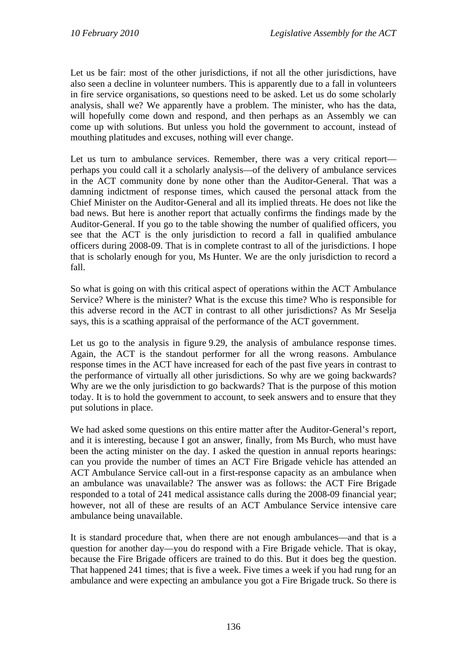Let us be fair: most of the other jurisdictions, if not all the other jurisdictions, have also seen a decline in volunteer numbers. This is apparently due to a fall in volunteers in fire service organisations, so questions need to be asked. Let us do some scholarly analysis, shall we? We apparently have a problem. The minister, who has the data, will hopefully come down and respond, and then perhaps as an Assembly we can come up with solutions. But unless you hold the government to account, instead of mouthing platitudes and excuses, nothing will ever change.

Let us turn to ambulance services. Remember, there was a very critical report perhaps you could call it a scholarly analysis—of the delivery of ambulance services in the ACT community done by none other than the Auditor-General. That was a damning indictment of response times, which caused the personal attack from the Chief Minister on the Auditor-General and all its implied threats. He does not like the bad news. But here is another report that actually confirms the findings made by the Auditor-General. If you go to the table showing the number of qualified officers, you see that the ACT is the only jurisdiction to record a fall in qualified ambulance officers during 2008-09. That is in complete contrast to all of the jurisdictions. I hope that is scholarly enough for you, Ms Hunter. We are the only jurisdiction to record a fall.

So what is going on with this critical aspect of operations within the ACT Ambulance Service? Where is the minister? What is the excuse this time? Who is responsible for this adverse record in the ACT in contrast to all other jurisdictions? As Mr Seselja says, this is a scathing appraisal of the performance of the ACT government.

Let us go to the analysis in figure 9.29, the analysis of ambulance response times. Again, the ACT is the standout performer for all the wrong reasons. Ambulance response times in the ACT have increased for each of the past five years in contrast to the performance of virtually all other jurisdictions. So why are we going backwards? Why are we the only jurisdiction to go backwards? That is the purpose of this motion today. It is to hold the government to account, to seek answers and to ensure that they put solutions in place.

We had asked some questions on this entire matter after the Auditor-General's report, and it is interesting, because I got an answer, finally, from Ms Burch, who must have been the acting minister on the day. I asked the question in annual reports hearings: can you provide the number of times an ACT Fire Brigade vehicle has attended an ACT Ambulance Service call-out in a first-response capacity as an ambulance when an ambulance was unavailable? The answer was as follows: the ACT Fire Brigade responded to a total of 241 medical assistance calls during the 2008-09 financial year; however, not all of these are results of an ACT Ambulance Service intensive care ambulance being unavailable.

It is standard procedure that, when there are not enough ambulances—and that is a question for another day—you do respond with a Fire Brigade vehicle. That is okay, because the Fire Brigade officers are trained to do this. But it does beg the question. That happened 241 times; that is five a week. Five times a week if you had rung for an ambulance and were expecting an ambulance you got a Fire Brigade truck. So there is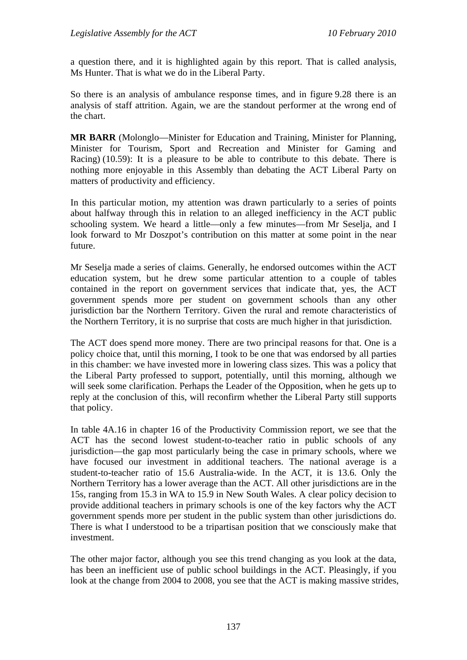a question there, and it is highlighted again by this report. That is called analysis, Ms Hunter. That is what we do in the Liberal Party.

So there is an analysis of ambulance response times, and in figure 9.28 there is an analysis of staff attrition. Again, we are the standout performer at the wrong end of the chart.

**MR BARR** (Molonglo—Minister for Education and Training, Minister for Planning, Minister for Tourism, Sport and Recreation and Minister for Gaming and Racing) (10.59): It is a pleasure to be able to contribute to this debate. There is nothing more enjoyable in this Assembly than debating the ACT Liberal Party on matters of productivity and efficiency.

In this particular motion, my attention was drawn particularly to a series of points about halfway through this in relation to an alleged inefficiency in the ACT public schooling system. We heard a little—only a few minutes—from Mr Seselja, and I look forward to Mr Doszpot's contribution on this matter at some point in the near future.

Mr Seselja made a series of claims. Generally, he endorsed outcomes within the ACT education system, but he drew some particular attention to a couple of tables contained in the report on government services that indicate that, yes, the ACT government spends more per student on government schools than any other jurisdiction bar the Northern Territory. Given the rural and remote characteristics of the Northern Territory, it is no surprise that costs are much higher in that jurisdiction.

The ACT does spend more money. There are two principal reasons for that. One is a policy choice that, until this morning, I took to be one that was endorsed by all parties in this chamber: we have invested more in lowering class sizes. This was a policy that the Liberal Party professed to support, potentially, until this morning, although we will seek some clarification. Perhaps the Leader of the Opposition, when he gets up to reply at the conclusion of this, will reconfirm whether the Liberal Party still supports that policy.

In table 4A.16 in chapter 16 of the Productivity Commission report, we see that the ACT has the second lowest student-to-teacher ratio in public schools of any jurisdiction—the gap most particularly being the case in primary schools, where we have focused our investment in additional teachers. The national average is a student-to-teacher ratio of 15.6 Australia-wide. In the ACT, it is 13.6. Only the Northern Territory has a lower average than the ACT. All other jurisdictions are in the 15s, ranging from 15.3 in WA to 15.9 in New South Wales. A clear policy decision to provide additional teachers in primary schools is one of the key factors why the ACT government spends more per student in the public system than other jurisdictions do. There is what I understood to be a tripartisan position that we consciously make that investment.

The other major factor, although you see this trend changing as you look at the data, has been an inefficient use of public school buildings in the ACT. Pleasingly, if you look at the change from 2004 to 2008, you see that the ACT is making massive strides,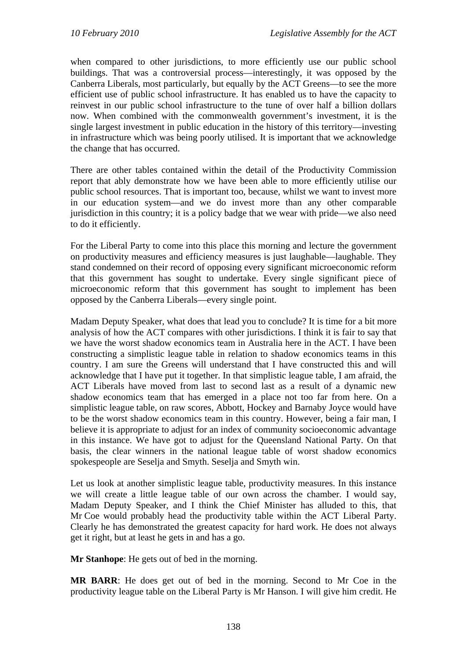when compared to other jurisdictions, to more efficiently use our public school buildings. That was a controversial process—interestingly, it was opposed by the Canberra Liberals, most particularly, but equally by the ACT Greens—to see the more efficient use of public school infrastructure. It has enabled us to have the capacity to reinvest in our public school infrastructure to the tune of over half a billion dollars now. When combined with the commonwealth government's investment, it is the single largest investment in public education in the history of this territory—investing in infrastructure which was being poorly utilised. It is important that we acknowledge the change that has occurred.

There are other tables contained within the detail of the Productivity Commission report that ably demonstrate how we have been able to more efficiently utilise our public school resources. That is important too, because, whilst we want to invest more in our education system—and we do invest more than any other comparable jurisdiction in this country; it is a policy badge that we wear with pride—we also need to do it efficiently.

For the Liberal Party to come into this place this morning and lecture the government on productivity measures and efficiency measures is just laughable—laughable. They stand condemned on their record of opposing every significant microeconomic reform that this government has sought to undertake. Every single significant piece of microeconomic reform that this government has sought to implement has been opposed by the Canberra Liberals—every single point.

Madam Deputy Speaker, what does that lead you to conclude? It is time for a bit more analysis of how the ACT compares with other jurisdictions. I think it is fair to say that we have the worst shadow economics team in Australia here in the ACT. I have been constructing a simplistic league table in relation to shadow economics teams in this country. I am sure the Greens will understand that I have constructed this and will acknowledge that I have put it together. In that simplistic league table, I am afraid, the ACT Liberals have moved from last to second last as a result of a dynamic new shadow economics team that has emerged in a place not too far from here. On a simplistic league table, on raw scores, Abbott, Hockey and Barnaby Joyce would have to be the worst shadow economics team in this country. However, being a fair man, I believe it is appropriate to adjust for an index of community socioeconomic advantage in this instance. We have got to adjust for the Queensland National Party. On that basis, the clear winners in the national league table of worst shadow economics spokespeople are Seselja and Smyth. Seselja and Smyth win.

Let us look at another simplistic league table, productivity measures. In this instance we will create a little league table of our own across the chamber. I would say, Madam Deputy Speaker, and I think the Chief Minister has alluded to this, that Mr Coe would probably head the productivity table within the ACT Liberal Party. Clearly he has demonstrated the greatest capacity for hard work. He does not always get it right, but at least he gets in and has a go.

**Mr Stanhope**: He gets out of bed in the morning.

**MR BARR**: He does get out of bed in the morning. Second to Mr Coe in the productivity league table on the Liberal Party is Mr Hanson. I will give him credit. He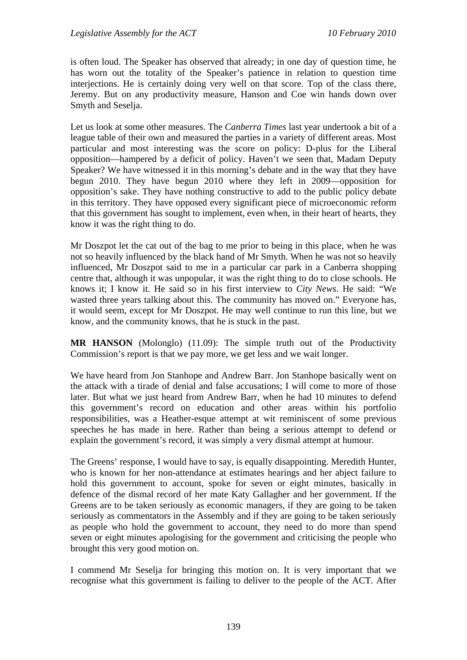is often loud. The Speaker has observed that already; in one day of question time, he has worn out the totality of the Speaker's patience in relation to question time interjections. He is certainly doing very well on that score. Top of the class there, Jeremy. But on any productivity measure, Hanson and Coe win hands down over Smyth and Seselja.

Let us look at some other measures. The *Canberra Times* last year undertook a bit of a league table of their own and measured the parties in a variety of different areas. Most particular and most interesting was the score on policy: D-plus for the Liberal opposition—hampered by a deficit of policy. Haven't we seen that, Madam Deputy Speaker? We have witnessed it in this morning's debate and in the way that they have begun 2010. They have begun 2010 where they left in 2009—opposition for opposition's sake. They have nothing constructive to add to the public policy debate in this territory. They have opposed every significant piece of microeconomic reform that this government has sought to implement, even when, in their heart of hearts, they know it was the right thing to do.

Mr Doszpot let the cat out of the bag to me prior to being in this place, when he was not so heavily influenced by the black hand of Mr Smyth. When he was not so heavily influenced, Mr Doszpot said to me in a particular car park in a Canberra shopping centre that, although it was unpopular, it was the right thing to do to close schools. He knows it; I know it. He said so in his first interview to *City News*. He said: "We wasted three years talking about this. The community has moved on." Everyone has, it would seem, except for Mr Doszpot. He may well continue to run this line, but we know, and the community knows, that he is stuck in the past.

**MR HANSON** (Molonglo) (11.09): The simple truth out of the Productivity Commission's report is that we pay more, we get less and we wait longer.

We have heard from Jon Stanhope and Andrew Barr. Jon Stanhope basically went on the attack with a tirade of denial and false accusations; I will come to more of those later. But what we just heard from Andrew Barr, when he had 10 minutes to defend this government's record on education and other areas within his portfolio responsibilities, was a Heather-esque attempt at wit reminiscent of some previous speeches he has made in here. Rather than being a serious attempt to defend or explain the government's record, it was simply a very dismal attempt at humour.

The Greens' response, I would have to say, is equally disappointing. Meredith Hunter, who is known for her non-attendance at estimates hearings and her abject failure to hold this government to account, spoke for seven or eight minutes, basically in defence of the dismal record of her mate Katy Gallagher and her government. If the Greens are to be taken seriously as economic managers, if they are going to be taken seriously as commentators in the Assembly and if they are going to be taken seriously as people who hold the government to account, they need to do more than spend seven or eight minutes apologising for the government and criticising the people who brought this very good motion on.

I commend Mr Seselja for bringing this motion on. It is very important that we recognise what this government is failing to deliver to the people of the ACT. After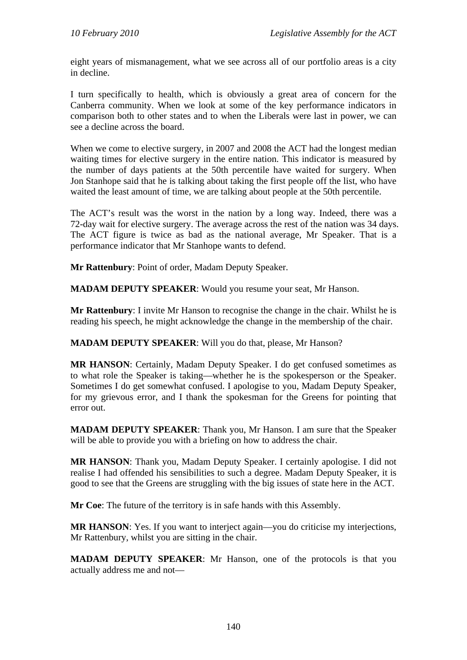eight years of mismanagement, what we see across all of our portfolio areas is a city in decline.

I turn specifically to health, which is obviously a great area of concern for the Canberra community. When we look at some of the key performance indicators in comparison both to other states and to when the Liberals were last in power, we can see a decline across the board.

When we come to elective surgery, in 2007 and 2008 the ACT had the longest median waiting times for elective surgery in the entire nation. This indicator is measured by the number of days patients at the 50th percentile have waited for surgery. When Jon Stanhope said that he is talking about taking the first people off the list, who have waited the least amount of time, we are talking about people at the 50th percentile.

The ACT's result was the worst in the nation by a long way. Indeed, there was a 72-day wait for elective surgery. The average across the rest of the nation was 34 days. The ACT figure is twice as bad as the national average, Mr Speaker. That is a performance indicator that Mr Stanhope wants to defend.

**Mr Rattenbury**: Point of order, Madam Deputy Speaker.

**MADAM DEPUTY SPEAKER**: Would you resume your seat, Mr Hanson.

**Mr Rattenbury**: I invite Mr Hanson to recognise the change in the chair. Whilst he is reading his speech, he might acknowledge the change in the membership of the chair.

**MADAM DEPUTY SPEAKER**: Will you do that, please, Mr Hanson?

**MR HANSON**: Certainly, Madam Deputy Speaker. I do get confused sometimes as to what role the Speaker is taking—whether he is the spokesperson or the Speaker. Sometimes I do get somewhat confused. I apologise to you, Madam Deputy Speaker, for my grievous error, and I thank the spokesman for the Greens for pointing that error out.

**MADAM DEPUTY SPEAKER**: Thank you, Mr Hanson. I am sure that the Speaker will be able to provide you with a briefing on how to address the chair.

**MR HANSON**: Thank you, Madam Deputy Speaker. I certainly apologise. I did not realise I had offended his sensibilities to such a degree. Madam Deputy Speaker, it is good to see that the Greens are struggling with the big issues of state here in the ACT.

**Mr Coe**: The future of the territory is in safe hands with this Assembly.

**MR HANSON**: Yes. If you want to interject again—you do criticise my interjections, Mr Rattenbury, whilst you are sitting in the chair.

**MADAM DEPUTY SPEAKER**: Mr Hanson, one of the protocols is that you actually address me and not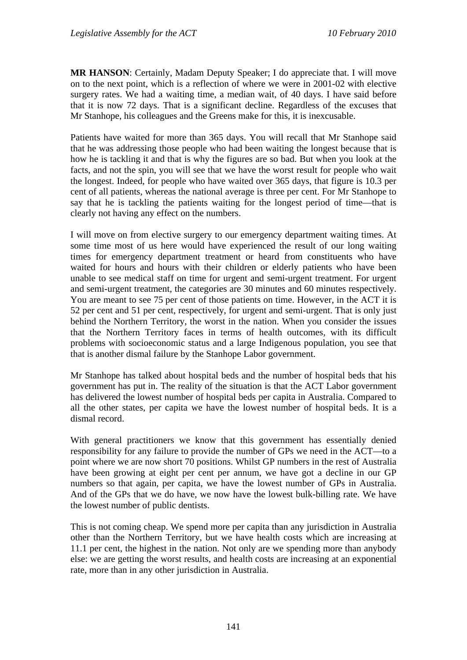**MR HANSON**: Certainly, Madam Deputy Speaker; I do appreciate that. I will move on to the next point, which is a reflection of where we were in 2001-02 with elective surgery rates. We had a waiting time, a median wait, of 40 days. I have said before that it is now 72 days. That is a significant decline. Regardless of the excuses that Mr Stanhope, his colleagues and the Greens make for this, it is inexcusable.

Patients have waited for more than 365 days. You will recall that Mr Stanhope said that he was addressing those people who had been waiting the longest because that is how he is tackling it and that is why the figures are so bad. But when you look at the facts, and not the spin, you will see that we have the worst result for people who wait the longest. Indeed, for people who have waited over 365 days, that figure is 10.3 per cent of all patients, whereas the national average is three per cent. For Mr Stanhope to say that he is tackling the patients waiting for the longest period of time—that is clearly not having any effect on the numbers.

I will move on from elective surgery to our emergency department waiting times. At some time most of us here would have experienced the result of our long waiting times for emergency department treatment or heard from constituents who have waited for hours and hours with their children or elderly patients who have been unable to see medical staff on time for urgent and semi-urgent treatment. For urgent and semi-urgent treatment, the categories are 30 minutes and 60 minutes respectively. You are meant to see 75 per cent of those patients on time. However, in the ACT it is 52 per cent and 51 per cent, respectively, for urgent and semi-urgent. That is only just behind the Northern Territory, the worst in the nation. When you consider the issues that the Northern Territory faces in terms of health outcomes, with its difficult problems with socioeconomic status and a large Indigenous population, you see that that is another dismal failure by the Stanhope Labor government.

Mr Stanhope has talked about hospital beds and the number of hospital beds that his government has put in. The reality of the situation is that the ACT Labor government has delivered the lowest number of hospital beds per capita in Australia. Compared to all the other states, per capita we have the lowest number of hospital beds. It is a dismal record.

With general practitioners we know that this government has essentially denied responsibility for any failure to provide the number of GPs we need in the ACT—to a point where we are now short 70 positions. Whilst GP numbers in the rest of Australia have been growing at eight per cent per annum, we have got a decline in our GP numbers so that again, per capita, we have the lowest number of GPs in Australia. And of the GPs that we do have, we now have the lowest bulk-billing rate. We have the lowest number of public dentists.

This is not coming cheap. We spend more per capita than any jurisdiction in Australia other than the Northern Territory, but we have health costs which are increasing at 11.1 per cent, the highest in the nation. Not only are we spending more than anybody else: we are getting the worst results, and health costs are increasing at an exponential rate, more than in any other jurisdiction in Australia.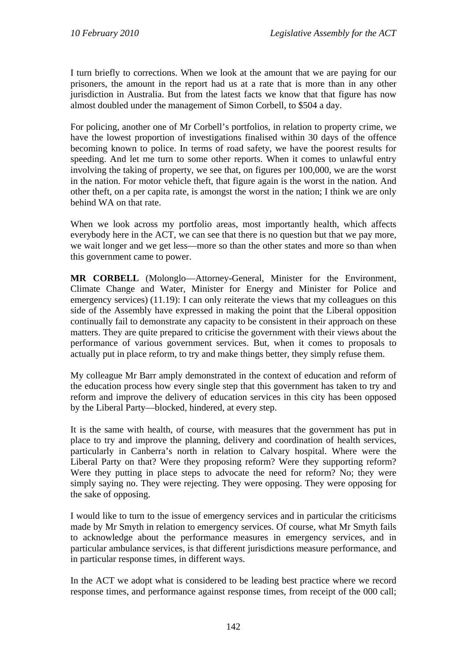I turn briefly to corrections. When we look at the amount that we are paying for our prisoners, the amount in the report had us at a rate that is more than in any other jurisdiction in Australia. But from the latest facts we know that that figure has now almost doubled under the management of Simon Corbell, to \$504 a day.

For policing, another one of Mr Corbell's portfolios, in relation to property crime, we have the lowest proportion of investigations finalised within 30 days of the offence becoming known to police. In terms of road safety, we have the poorest results for speeding. And let me turn to some other reports. When it comes to unlawful entry involving the taking of property, we see that, on figures per 100,000, we are the worst in the nation. For motor vehicle theft, that figure again is the worst in the nation. And other theft, on a per capita rate, is amongst the worst in the nation; I think we are only behind WA on that rate.

When we look across my portfolio areas, most importantly health, which affects everybody here in the ACT, we can see that there is no question but that we pay more, we wait longer and we get less—more so than the other states and more so than when this government came to power.

**MR CORBELL** (Molonglo—Attorney-General, Minister for the Environment, Climate Change and Water, Minister for Energy and Minister for Police and emergency services) (11.19): I can only reiterate the views that my colleagues on this side of the Assembly have expressed in making the point that the Liberal opposition continually fail to demonstrate any capacity to be consistent in their approach on these matters. They are quite prepared to criticise the government with their views about the performance of various government services. But, when it comes to proposals to actually put in place reform, to try and make things better, they simply refuse them.

My colleague Mr Barr amply demonstrated in the context of education and reform of the education process how every single step that this government has taken to try and reform and improve the delivery of education services in this city has been opposed by the Liberal Party—blocked, hindered, at every step.

It is the same with health, of course, with measures that the government has put in place to try and improve the planning, delivery and coordination of health services, particularly in Canberra's north in relation to Calvary hospital. Where were the Liberal Party on that? Were they proposing reform? Were they supporting reform? Were they putting in place steps to advocate the need for reform? No; they were simply saying no. They were rejecting. They were opposing. They were opposing for the sake of opposing.

I would like to turn to the issue of emergency services and in particular the criticisms made by Mr Smyth in relation to emergency services. Of course, what Mr Smyth fails to acknowledge about the performance measures in emergency services, and in particular ambulance services, is that different jurisdictions measure performance, and in particular response times, in different ways.

In the ACT we adopt what is considered to be leading best practice where we record response times, and performance against response times, from receipt of the 000 call;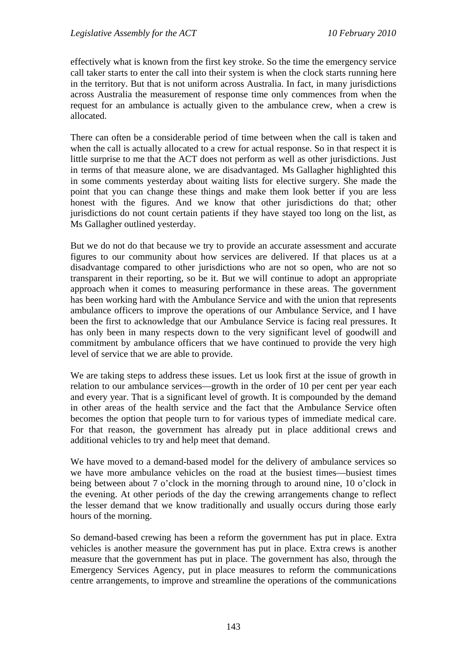effectively what is known from the first key stroke. So the time the emergency service call taker starts to enter the call into their system is when the clock starts running here in the territory. But that is not uniform across Australia. In fact, in many jurisdictions across Australia the measurement of response time only commences from when the request for an ambulance is actually given to the ambulance crew, when a crew is allocated.

There can often be a considerable period of time between when the call is taken and when the call is actually allocated to a crew for actual response. So in that respect it is little surprise to me that the ACT does not perform as well as other jurisdictions. Just in terms of that measure alone, we are disadvantaged. Ms Gallagher highlighted this in some comments yesterday about waiting lists for elective surgery. She made the point that you can change these things and make them look better if you are less honest with the figures. And we know that other jurisdictions do that; other jurisdictions do not count certain patients if they have stayed too long on the list, as Ms Gallagher outlined yesterday.

But we do not do that because we try to provide an accurate assessment and accurate figures to our community about how services are delivered. If that places us at a disadvantage compared to other jurisdictions who are not so open, who are not so transparent in their reporting, so be it. But we will continue to adopt an appropriate approach when it comes to measuring performance in these areas. The government has been working hard with the Ambulance Service and with the union that represents ambulance officers to improve the operations of our Ambulance Service, and I have been the first to acknowledge that our Ambulance Service is facing real pressures. It has only been in many respects down to the very significant level of goodwill and commitment by ambulance officers that we have continued to provide the very high level of service that we are able to provide.

We are taking steps to address these issues. Let us look first at the issue of growth in relation to our ambulance services—growth in the order of 10 per cent per year each and every year. That is a significant level of growth. It is compounded by the demand in other areas of the health service and the fact that the Ambulance Service often becomes the option that people turn to for various types of immediate medical care. For that reason, the government has already put in place additional crews and additional vehicles to try and help meet that demand.

We have moved to a demand-based model for the delivery of ambulance services so we have more ambulance vehicles on the road at the busiest times—busiest times being between about 7 o'clock in the morning through to around nine, 10 o'clock in the evening. At other periods of the day the crewing arrangements change to reflect the lesser demand that we know traditionally and usually occurs during those early hours of the morning.

So demand-based crewing has been a reform the government has put in place. Extra vehicles is another measure the government has put in place. Extra crews is another measure that the government has put in place. The government has also, through the Emergency Services Agency, put in place measures to reform the communications centre arrangements, to improve and streamline the operations of the communications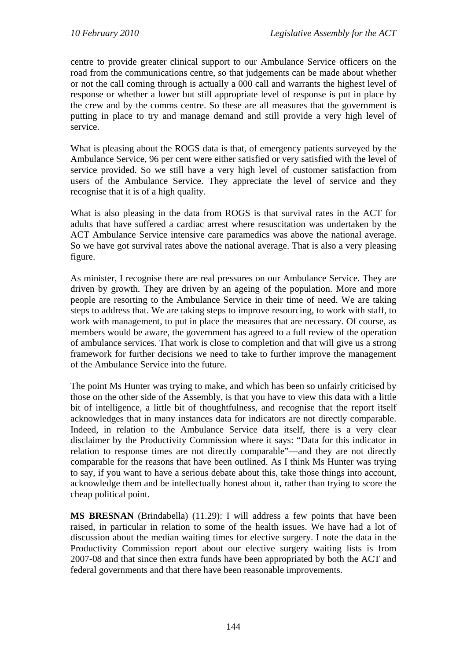centre to provide greater clinical support to our Ambulance Service officers on the road from the communications centre, so that judgements can be made about whether or not the call coming through is actually a 000 call and warrants the highest level of response or whether a lower but still appropriate level of response is put in place by the crew and by the comms centre. So these are all measures that the government is putting in place to try and manage demand and still provide a very high level of service.

What is pleasing about the ROGS data is that, of emergency patients surveyed by the Ambulance Service, 96 per cent were either satisfied or very satisfied with the level of service provided. So we still have a very high level of customer satisfaction from users of the Ambulance Service. They appreciate the level of service and they recognise that it is of a high quality.

What is also pleasing in the data from ROGS is that survival rates in the ACT for adults that have suffered a cardiac arrest where resuscitation was undertaken by the ACT Ambulance Service intensive care paramedics was above the national average. So we have got survival rates above the national average. That is also a very pleasing figure.

As minister, I recognise there are real pressures on our Ambulance Service. They are driven by growth. They are driven by an ageing of the population. More and more people are resorting to the Ambulance Service in their time of need. We are taking steps to address that. We are taking steps to improve resourcing, to work with staff, to work with management, to put in place the measures that are necessary. Of course, as members would be aware, the government has agreed to a full review of the operation of ambulance services. That work is close to completion and that will give us a strong framework for further decisions we need to take to further improve the management of the Ambulance Service into the future.

The point Ms Hunter was trying to make, and which has been so unfairly criticised by those on the other side of the Assembly, is that you have to view this data with a little bit of intelligence, a little bit of thoughtfulness, and recognise that the report itself acknowledges that in many instances data for indicators are not directly comparable. Indeed, in relation to the Ambulance Service data itself, there is a very clear disclaimer by the Productivity Commission where it says: "Data for this indicator in relation to response times are not directly comparable"—and they are not directly comparable for the reasons that have been outlined. As I think Ms Hunter was trying to say, if you want to have a serious debate about this, take those things into account, acknowledge them and be intellectually honest about it, rather than trying to score the cheap political point.

**MS BRESNAN** (Brindabella) (11.29): I will address a few points that have been raised, in particular in relation to some of the health issues. We have had a lot of discussion about the median waiting times for elective surgery. I note the data in the Productivity Commission report about our elective surgery waiting lists is from 2007-08 and that since then extra funds have been appropriated by both the ACT and federal governments and that there have been reasonable improvements.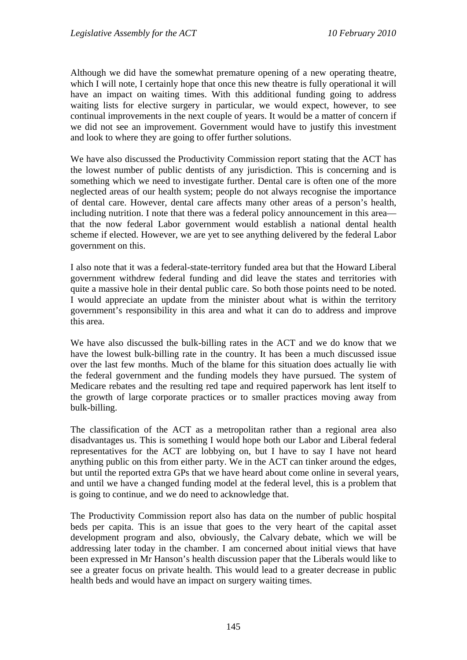Although we did have the somewhat premature opening of a new operating theatre, which I will note, I certainly hope that once this new theatre is fully operational it will have an impact on waiting times. With this additional funding going to address waiting lists for elective surgery in particular, we would expect, however, to see continual improvements in the next couple of years. It would be a matter of concern if we did not see an improvement. Government would have to justify this investment and look to where they are going to offer further solutions.

We have also discussed the Productivity Commission report stating that the ACT has the lowest number of public dentists of any jurisdiction. This is concerning and is something which we need to investigate further. Dental care is often one of the more neglected areas of our health system; people do not always recognise the importance of dental care. However, dental care affects many other areas of a person's health, including nutrition. I note that there was a federal policy announcement in this area that the now federal Labor government would establish a national dental health scheme if elected. However, we are yet to see anything delivered by the federal Labor government on this.

I also note that it was a federal-state-territory funded area but that the Howard Liberal government withdrew federal funding and did leave the states and territories with quite a massive hole in their dental public care. So both those points need to be noted. I would appreciate an update from the minister about what is within the territory government's responsibility in this area and what it can do to address and improve this area.

We have also discussed the bulk-billing rates in the ACT and we do know that we have the lowest bulk-billing rate in the country. It has been a much discussed issue over the last few months. Much of the blame for this situation does actually lie with the federal government and the funding models they have pursued. The system of Medicare rebates and the resulting red tape and required paperwork has lent itself to the growth of large corporate practices or to smaller practices moving away from bulk-billing.

The classification of the ACT as a metropolitan rather than a regional area also disadvantages us. This is something I would hope both our Labor and Liberal federal representatives for the ACT are lobbying on, but I have to say I have not heard anything public on this from either party. We in the ACT can tinker around the edges, but until the reported extra GPs that we have heard about come online in several years, and until we have a changed funding model at the federal level, this is a problem that is going to continue, and we do need to acknowledge that.

The Productivity Commission report also has data on the number of public hospital beds per capita. This is an issue that goes to the very heart of the capital asset development program and also, obviously, the Calvary debate, which we will be addressing later today in the chamber. I am concerned about initial views that have been expressed in Mr Hanson's health discussion paper that the Liberals would like to see a greater focus on private health. This would lead to a greater decrease in public health beds and would have an impact on surgery waiting times.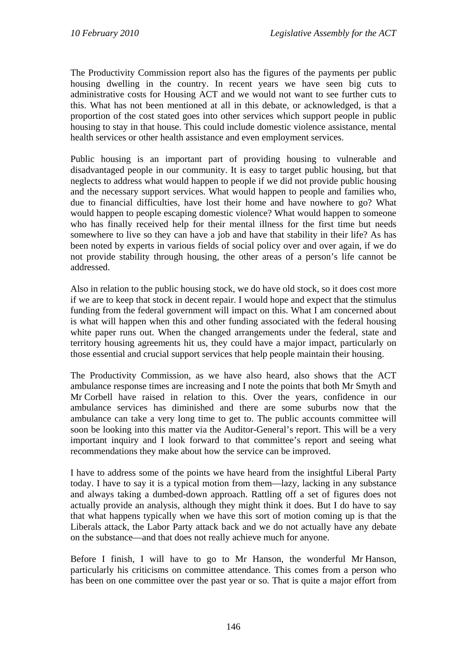The Productivity Commission report also has the figures of the payments per public housing dwelling in the country. In recent years we have seen big cuts to administrative costs for Housing ACT and we would not want to see further cuts to this. What has not been mentioned at all in this debate, or acknowledged, is that a proportion of the cost stated goes into other services which support people in public housing to stay in that house. This could include domestic violence assistance, mental health services or other health assistance and even employment services.

Public housing is an important part of providing housing to vulnerable and disadvantaged people in our community. It is easy to target public housing, but that neglects to address what would happen to people if we did not provide public housing and the necessary support services. What would happen to people and families who, due to financial difficulties, have lost their home and have nowhere to go? What would happen to people escaping domestic violence? What would happen to someone who has finally received help for their mental illness for the first time but needs somewhere to live so they can have a job and have that stability in their life? As has been noted by experts in various fields of social policy over and over again, if we do not provide stability through housing, the other areas of a person's life cannot be addressed.

Also in relation to the public housing stock, we do have old stock, so it does cost more if we are to keep that stock in decent repair. I would hope and expect that the stimulus funding from the federal government will impact on this. What I am concerned about is what will happen when this and other funding associated with the federal housing white paper runs out. When the changed arrangements under the federal, state and territory housing agreements hit us, they could have a major impact, particularly on those essential and crucial support services that help people maintain their housing.

The Productivity Commission, as we have also heard, also shows that the ACT ambulance response times are increasing and I note the points that both Mr Smyth and Mr Corbell have raised in relation to this. Over the years, confidence in our ambulance services has diminished and there are some suburbs now that the ambulance can take a very long time to get to. The public accounts committee will soon be looking into this matter via the Auditor-General's report. This will be a very important inquiry and I look forward to that committee's report and seeing what recommendations they make about how the service can be improved.

I have to address some of the points we have heard from the insightful Liberal Party today. I have to say it is a typical motion from them—lazy, lacking in any substance and always taking a dumbed-down approach. Rattling off a set of figures does not actually provide an analysis, although they might think it does. But I do have to say that what happens typically when we have this sort of motion coming up is that the Liberals attack, the Labor Party attack back and we do not actually have any debate on the substance—and that does not really achieve much for anyone.

Before I finish, I will have to go to Mr Hanson, the wonderful Mr Hanson, particularly his criticisms on committee attendance. This comes from a person who has been on one committee over the past year or so. That is quite a major effort from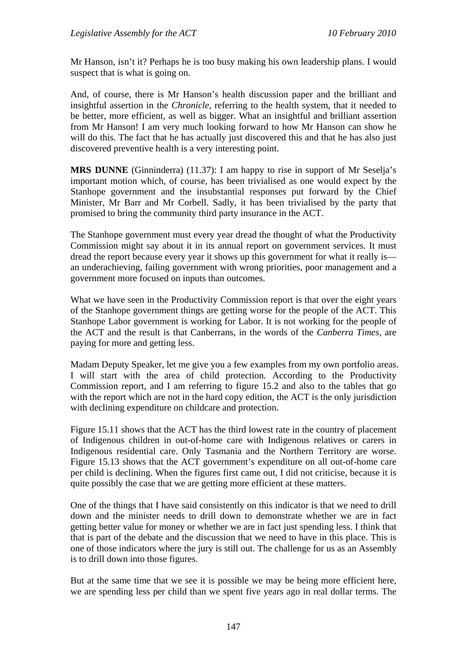Mr Hanson, isn't it? Perhaps he is too busy making his own leadership plans. I would suspect that is what is going on.

And, of course, there is Mr Hanson's health discussion paper and the brilliant and insightful assertion in the *Chronicle*, referring to the health system, that it needed to be better, more efficient, as well as bigger. What an insightful and brilliant assertion from Mr Hanson! I am very much looking forward to how Mr Hanson can show he will do this. The fact that he has actually just discovered this and that he has also just discovered preventive health is a very interesting point.

**MRS DUNNE** (Ginninderra) (11.37): I am happy to rise in support of Mr Seselja's important motion which, of course, has been trivialised as one would expect by the Stanhope government and the insubstantial responses put forward by the Chief Minister, Mr Barr and Mr Corbell. Sadly, it has been trivialised by the party that promised to bring the community third party insurance in the ACT.

The Stanhope government must every year dread the thought of what the Productivity Commission might say about it in its annual report on government services. It must dread the report because every year it shows up this government for what it really is an underachieving, failing government with wrong priorities, poor management and a government more focused on inputs than outcomes.

What we have seen in the Productivity Commission report is that over the eight years of the Stanhope government things are getting worse for the people of the ACT. This Stanhope Labor government is working for Labor. It is not working for the people of the ACT and the result is that Canberrans, in the words of the *Canberra Times*, are paying for more and getting less.

Madam Deputy Speaker, let me give you a few examples from my own portfolio areas. I will start with the area of child protection. According to the Productivity Commission report, and I am referring to figure 15.2 and also to the tables that go with the report which are not in the hard copy edition, the ACT is the only jurisdiction with declining expenditure on childcare and protection.

Figure 15.11 shows that the ACT has the third lowest rate in the country of placement of Indigenous children in out-of-home care with Indigenous relatives or carers in Indigenous residential care. Only Tasmania and the Northern Territory are worse. Figure 15.13 shows that the ACT government's expenditure on all out-of-home care per child is declining. When the figures first came out, I did not criticise, because it is quite possibly the case that we are getting more efficient at these matters.

One of the things that I have said consistently on this indicator is that we need to drill down and the minister needs to drill down to demonstrate whether we are in fact getting better value for money or whether we are in fact just spending less. I think that that is part of the debate and the discussion that we need to have in this place. This is one of those indicators where the jury is still out. The challenge for us as an Assembly is to drill down into those figures.

But at the same time that we see it is possible we may be being more efficient here, we are spending less per child than we spent five years ago in real dollar terms. The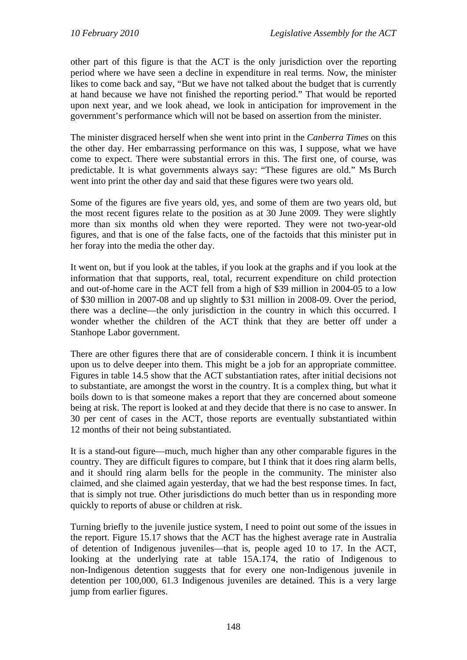other part of this figure is that the ACT is the only jurisdiction over the reporting period where we have seen a decline in expenditure in real terms. Now, the minister likes to come back and say, "But we have not talked about the budget that is currently at hand because we have not finished the reporting period." That would be reported upon next year, and we look ahead, we look in anticipation for improvement in the government's performance which will not be based on assertion from the minister.

The minister disgraced herself when she went into print in the *Canberra Times* on this the other day. Her embarrassing performance on this was, I suppose, what we have come to expect. There were substantial errors in this. The first one, of course, was predictable. It is what governments always say: "These figures are old." Ms Burch went into print the other day and said that these figures were two years old.

Some of the figures are five years old, yes, and some of them are two years old, but the most recent figures relate to the position as at 30 June 2009. They were slightly more than six months old when they were reported. They were not two-year-old figures, and that is one of the false facts, one of the factoids that this minister put in her foray into the media the other day.

It went on, but if you look at the tables, if you look at the graphs and if you look at the information that that supports, real, total, recurrent expenditure on child protection and out-of-home care in the ACT fell from a high of \$39 million in 2004-05 to a low of \$30 million in 2007-08 and up slightly to \$31 million in 2008-09. Over the period, there was a decline—the only jurisdiction in the country in which this occurred. I wonder whether the children of the ACT think that they are better off under a Stanhope Labor government.

There are other figures there that are of considerable concern. I think it is incumbent upon us to delve deeper into them. This might be a job for an appropriate committee. Figures in table 14.5 show that the ACT substantiation rates, after initial decisions not to substantiate, are amongst the worst in the country. It is a complex thing, but what it boils down to is that someone makes a report that they are concerned about someone being at risk. The report is looked at and they decide that there is no case to answer. In 30 per cent of cases in the ACT, those reports are eventually substantiated within 12 months of their not being substantiated.

It is a stand-out figure—much, much higher than any other comparable figures in the country. They are difficult figures to compare, but I think that it does ring alarm bells, and it should ring alarm bells for the people in the community. The minister also claimed, and she claimed again yesterday, that we had the best response times. In fact, that is simply not true. Other jurisdictions do much better than us in responding more quickly to reports of abuse or children at risk.

Turning briefly to the juvenile justice system, I need to point out some of the issues in the report. Figure 15.17 shows that the ACT has the highest average rate in Australia of detention of Indigenous juveniles—that is, people aged 10 to 17. In the ACT, looking at the underlying rate at table 15A.174, the ratio of Indigenous to non-Indigenous detention suggests that for every one non-Indigenous juvenile in detention per 100,000, 61.3 Indigenous juveniles are detained. This is a very large jump from earlier figures.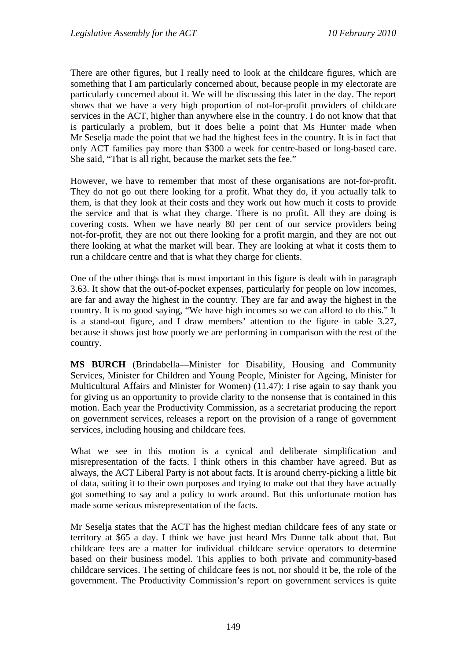There are other figures, but I really need to look at the childcare figures, which are something that I am particularly concerned about, because people in my electorate are particularly concerned about it. We will be discussing this later in the day. The report shows that we have a very high proportion of not-for-profit providers of childcare services in the ACT, higher than anywhere else in the country. I do not know that that is particularly a problem, but it does belie a point that Ms Hunter made when Mr Seselja made the point that we had the highest fees in the country. It is in fact that only ACT families pay more than \$300 a week for centre-based or long-based care. She said, "That is all right, because the market sets the fee."

However, we have to remember that most of these organisations are not-for-profit. They do not go out there looking for a profit. What they do, if you actually talk to them, is that they look at their costs and they work out how much it costs to provide the service and that is what they charge. There is no profit. All they are doing is covering costs. When we have nearly 80 per cent of our service providers being not-for-profit, they are not out there looking for a profit margin, and they are not out there looking at what the market will bear. They are looking at what it costs them to run a childcare centre and that is what they charge for clients.

One of the other things that is most important in this figure is dealt with in paragraph 3.63. It show that the out-of-pocket expenses, particularly for people on low incomes, are far and away the highest in the country. They are far and away the highest in the country. It is no good saying, "We have high incomes so we can afford to do this." It is a stand-out figure, and I draw members' attention to the figure in table 3.27, because it shows just how poorly we are performing in comparison with the rest of the country.

**MS BURCH** (Brindabella—Minister for Disability, Housing and Community Services, Minister for Children and Young People, Minister for Ageing, Minister for Multicultural Affairs and Minister for Women) (11.47): I rise again to say thank you for giving us an opportunity to provide clarity to the nonsense that is contained in this motion. Each year the Productivity Commission, as a secretariat producing the report on government services, releases a report on the provision of a range of government services, including housing and childcare fees.

What we see in this motion is a cynical and deliberate simplification and misrepresentation of the facts. I think others in this chamber have agreed. But as always, the ACT Liberal Party is not about facts. It is around cherry-picking a little bit of data, suiting it to their own purposes and trying to make out that they have actually got something to say and a policy to work around. But this unfortunate motion has made some serious misrepresentation of the facts.

Mr Seselja states that the ACT has the highest median childcare fees of any state or territory at \$65 a day. I think we have just heard Mrs Dunne talk about that. But childcare fees are a matter for individual childcare service operators to determine based on their business model. This applies to both private and community-based childcare services. The setting of childcare fees is not, nor should it be, the role of the government. The Productivity Commission's report on government services is quite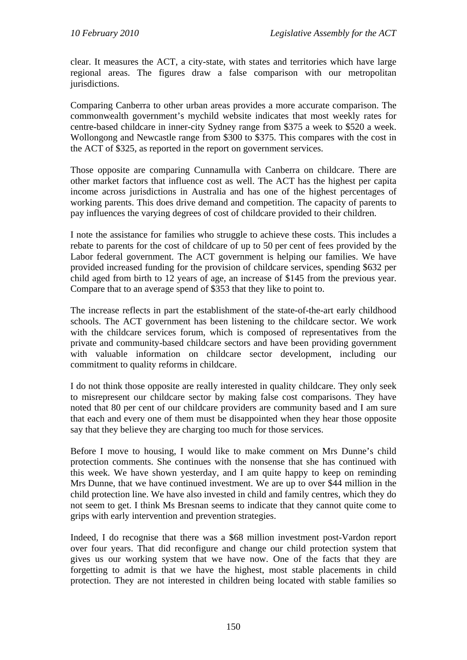clear. It measures the ACT, a city-state, with states and territories which have large regional areas. The figures draw a false comparison with our metropolitan jurisdictions.

Comparing Canberra to other urban areas provides a more accurate comparison. The commonwealth government's mychild website indicates that most weekly rates for centre-based childcare in inner-city Sydney range from \$375 a week to \$520 a week. Wollongong and Newcastle range from \$300 to \$375. This compares with the cost in the ACT of \$325, as reported in the report on government services.

Those opposite are comparing Cunnamulla with Canberra on childcare. There are other market factors that influence cost as well. The ACT has the highest per capita income across jurisdictions in Australia and has one of the highest percentages of working parents. This does drive demand and competition. The capacity of parents to pay influences the varying degrees of cost of childcare provided to their children.

I note the assistance for families who struggle to achieve these costs. This includes a rebate to parents for the cost of childcare of up to 50 per cent of fees provided by the Labor federal government. The ACT government is helping our families. We have provided increased funding for the provision of childcare services, spending \$632 per child aged from birth to 12 years of age, an increase of \$145 from the previous year. Compare that to an average spend of \$353 that they like to point to.

The increase reflects in part the establishment of the state-of-the-art early childhood schools. The ACT government has been listening to the childcare sector. We work with the childcare services forum, which is composed of representatives from the private and community-based childcare sectors and have been providing government with valuable information on childcare sector development, including our commitment to quality reforms in childcare.

I do not think those opposite are really interested in quality childcare. They only seek to misrepresent our childcare sector by making false cost comparisons. They have noted that 80 per cent of our childcare providers are community based and I am sure that each and every one of them must be disappointed when they hear those opposite say that they believe they are charging too much for those services.

Before I move to housing, I would like to make comment on Mrs Dunne's child protection comments. She continues with the nonsense that she has continued with this week. We have shown yesterday, and I am quite happy to keep on reminding Mrs Dunne, that we have continued investment. We are up to over \$44 million in the child protection line. We have also invested in child and family centres, which they do not seem to get. I think Ms Bresnan seems to indicate that they cannot quite come to grips with early intervention and prevention strategies.

Indeed, I do recognise that there was a \$68 million investment post-Vardon report over four years. That did reconfigure and change our child protection system that gives us our working system that we have now. One of the facts that they are forgetting to admit is that we have the highest, most stable placements in child protection. They are not interested in children being located with stable families so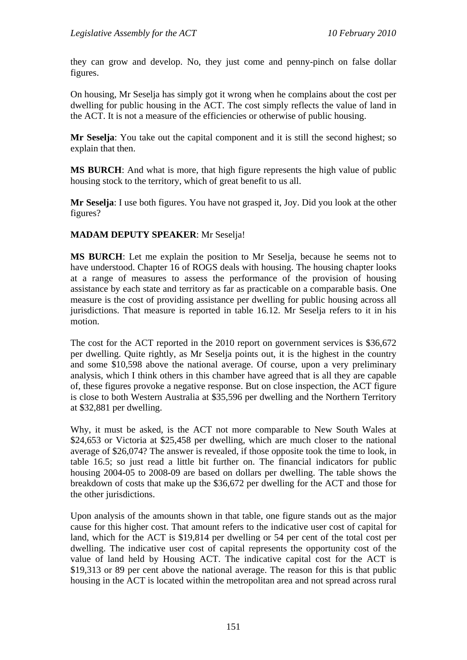they can grow and develop. No, they just come and penny-pinch on false dollar figures.

On housing, Mr Seselja has simply got it wrong when he complains about the cost per dwelling for public housing in the ACT. The cost simply reflects the value of land in the ACT. It is not a measure of the efficiencies or otherwise of public housing.

**Mr Seselja**: You take out the capital component and it is still the second highest; so explain that then.

**MS BURCH**: And what is more, that high figure represents the high value of public housing stock to the territory, which of great benefit to us all.

**Mr Seselja**: I use both figures. You have not grasped it, Joy. Did you look at the other figures?

#### **MADAM DEPUTY SPEAKER**: Mr Seselja!

**MS BURCH**: Let me explain the position to Mr Seselja, because he seems not to have understood. Chapter 16 of ROGS deals with housing. The housing chapter looks at a range of measures to assess the performance of the provision of housing assistance by each state and territory as far as practicable on a comparable basis. One measure is the cost of providing assistance per dwelling for public housing across all jurisdictions. That measure is reported in table 16.12. Mr Seselja refers to it in his motion.

The cost for the ACT reported in the 2010 report on government services is \$36,672 per dwelling. Quite rightly, as Mr Seselja points out, it is the highest in the country and some \$10,598 above the national average. Of course, upon a very preliminary analysis, which I think others in this chamber have agreed that is all they are capable of, these figures provoke a negative response. But on close inspection, the ACT figure is close to both Western Australia at \$35,596 per dwelling and the Northern Territory at \$32,881 per dwelling.

Why, it must be asked, is the ACT not more comparable to New South Wales at \$24,653 or Victoria at \$25,458 per dwelling, which are much closer to the national average of \$26,074? The answer is revealed, if those opposite took the time to look, in table 16.5; so just read a little bit further on. The financial indicators for public housing 2004-05 to 2008-09 are based on dollars per dwelling. The table shows the breakdown of costs that make up the \$36,672 per dwelling for the ACT and those for the other jurisdictions.

Upon analysis of the amounts shown in that table, one figure stands out as the major cause for this higher cost. That amount refers to the indicative user cost of capital for land, which for the ACT is \$19,814 per dwelling or 54 per cent of the total cost per dwelling. The indicative user cost of capital represents the opportunity cost of the value of land held by Housing ACT. The indicative capital cost for the ACT is \$19,313 or 89 per cent above the national average. The reason for this is that public housing in the ACT is located within the metropolitan area and not spread across rural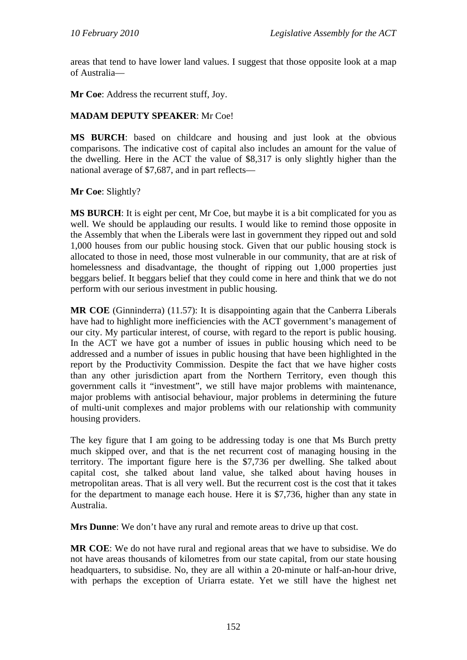areas that tend to have lower land values. I suggest that those opposite look at a map of Australia—

**Mr Coe**: Address the recurrent stuff, Joy.

#### **MADAM DEPUTY SPEAKER**: Mr Coe!

**MS BURCH**: based on childcare and housing and just look at the obvious comparisons. The indicative cost of capital also includes an amount for the value of the dwelling. Here in the ACT the value of \$8,317 is only slightly higher than the national average of \$7,687, and in part reflects—

**Mr Coe**: Slightly?

**MS BURCH**: It is eight per cent, Mr Coe, but maybe it is a bit complicated for you as well. We should be applauding our results. I would like to remind those opposite in the Assembly that when the Liberals were last in government they ripped out and sold 1,000 houses from our public housing stock. Given that our public housing stock is allocated to those in need, those most vulnerable in our community, that are at risk of homelessness and disadvantage, the thought of ripping out 1,000 properties just beggars belief. It beggars belief that they could come in here and think that we do not perform with our serious investment in public housing.

**MR COE** (Ginninderra) (11.57): It is disappointing again that the Canberra Liberals have had to highlight more inefficiencies with the ACT government's management of our city. My particular interest, of course, with regard to the report is public housing. In the ACT we have got a number of issues in public housing which need to be addressed and a number of issues in public housing that have been highlighted in the report by the Productivity Commission. Despite the fact that we have higher costs than any other jurisdiction apart from the Northern Territory, even though this government calls it "investment", we still have major problems with maintenance, major problems with antisocial behaviour, major problems in determining the future of multi-unit complexes and major problems with our relationship with community housing providers.

The key figure that I am going to be addressing today is one that Ms Burch pretty much skipped over, and that is the net recurrent cost of managing housing in the territory. The important figure here is the \$7,736 per dwelling. She talked about capital cost, she talked about land value, she talked about having houses in metropolitan areas. That is all very well. But the recurrent cost is the cost that it takes for the department to manage each house. Here it is \$7,736, higher than any state in Australia.

**Mrs Dunne**: We don't have any rural and remote areas to drive up that cost.

**MR COE**: We do not have rural and regional areas that we have to subsidise. We do not have areas thousands of kilometres from our state capital, from our state housing headquarters, to subsidise. No, they are all within a 20-minute or half-an-hour drive, with perhaps the exception of Uriarra estate. Yet we still have the highest net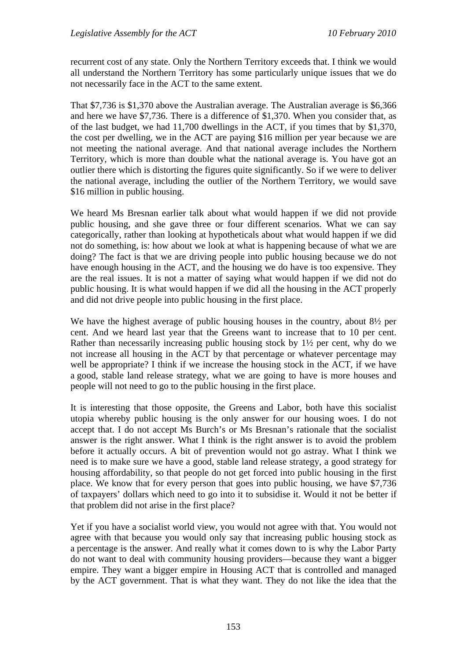recurrent cost of any state. Only the Northern Territory exceeds that. I think we would all understand the Northern Territory has some particularly unique issues that we do not necessarily face in the ACT to the same extent.

That \$7,736 is \$1,370 above the Australian average. The Australian average is \$6,366 and here we have \$7,736. There is a difference of \$1,370. When you consider that, as of the last budget, we had 11,700 dwellings in the ACT, if you times that by \$1,370, the cost per dwelling, we in the ACT are paying \$16 million per year because we are not meeting the national average. And that national average includes the Northern Territory, which is more than double what the national average is. You have got an outlier there which is distorting the figures quite significantly. So if we were to deliver the national average, including the outlier of the Northern Territory, we would save \$16 million in public housing.

We heard Ms Bresnan earlier talk about what would happen if we did not provide public housing, and she gave three or four different scenarios. What we can say categorically, rather than looking at hypotheticals about what would happen if we did not do something, is: how about we look at what is happening because of what we are doing? The fact is that we are driving people into public housing because we do not have enough housing in the ACT, and the housing we do have is too expensive. They are the real issues. It is not a matter of saying what would happen if we did not do public housing. It is what would happen if we did all the housing in the ACT properly and did not drive people into public housing in the first place.

We have the highest average of public housing houses in the country, about  $8\frac{1}{2}$  per cent. And we heard last year that the Greens want to increase that to 10 per cent. Rather than necessarily increasing public housing stock by 1½ per cent, why do we not increase all housing in the ACT by that percentage or whatever percentage may well be appropriate? I think if we increase the housing stock in the ACT, if we have a good, stable land release strategy, what we are going to have is more houses and people will not need to go to the public housing in the first place.

It is interesting that those opposite, the Greens and Labor, both have this socialist utopia whereby public housing is the only answer for our housing woes. I do not accept that. I do not accept Ms Burch's or Ms Bresnan's rationale that the socialist answer is the right answer. What I think is the right answer is to avoid the problem before it actually occurs. A bit of prevention would not go astray. What I think we need is to make sure we have a good, stable land release strategy, a good strategy for housing affordability, so that people do not get forced into public housing in the first place. We know that for every person that goes into public housing, we have \$7,736 of taxpayers' dollars which need to go into it to subsidise it. Would it not be better if that problem did not arise in the first place?

Yet if you have a socialist world view, you would not agree with that. You would not agree with that because you would only say that increasing public housing stock as a percentage is the answer. And really what it comes down to is why the Labor Party do not want to deal with community housing providers—because they want a bigger empire. They want a bigger empire in Housing ACT that is controlled and managed by the ACT government. That is what they want. They do not like the idea that the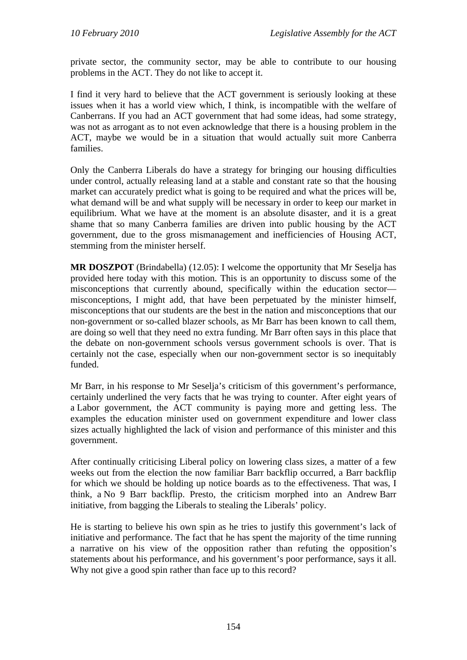private sector, the community sector, may be able to contribute to our housing problems in the ACT. They do not like to accept it.

I find it very hard to believe that the ACT government is seriously looking at these issues when it has a world view which, I think, is incompatible with the welfare of Canberrans. If you had an ACT government that had some ideas, had some strategy, was not as arrogant as to not even acknowledge that there is a housing problem in the ACT, maybe we would be in a situation that would actually suit more Canberra families.

Only the Canberra Liberals do have a strategy for bringing our housing difficulties under control, actually releasing land at a stable and constant rate so that the housing market can accurately predict what is going to be required and what the prices will be, what demand will be and what supply will be necessary in order to keep our market in equilibrium. What we have at the moment is an absolute disaster, and it is a great shame that so many Canberra families are driven into public housing by the ACT government, due to the gross mismanagement and inefficiencies of Housing ACT, stemming from the minister herself.

**MR DOSZPOT** (Brindabella) (12.05): I welcome the opportunity that Mr Seselja has provided here today with this motion. This is an opportunity to discuss some of the misconceptions that currently abound, specifically within the education sector misconceptions, I might add, that have been perpetuated by the minister himself, misconceptions that our students are the best in the nation and misconceptions that our non-government or so-called blazer schools, as Mr Barr has been known to call them, are doing so well that they need no extra funding. Mr Barr often says in this place that the debate on non-government schools versus government schools is over. That is certainly not the case, especially when our non-government sector is so inequitably funded.

Mr Barr, in his response to Mr Seselja's criticism of this government's performance, certainly underlined the very facts that he was trying to counter. After eight years of a Labor government, the ACT community is paying more and getting less. The examples the education minister used on government expenditure and lower class sizes actually highlighted the lack of vision and performance of this minister and this government.

After continually criticising Liberal policy on lowering class sizes, a matter of a few weeks out from the election the now familiar Barr backflip occurred, a Barr backflip for which we should be holding up notice boards as to the effectiveness. That was, I think, a No 9 Barr backflip. Presto, the criticism morphed into an Andrew Barr initiative, from bagging the Liberals to stealing the Liberals' policy.

He is starting to believe his own spin as he tries to justify this government's lack of initiative and performance. The fact that he has spent the majority of the time running a narrative on his view of the opposition rather than refuting the opposition's statements about his performance, and his government's poor performance, says it all. Why not give a good spin rather than face up to this record?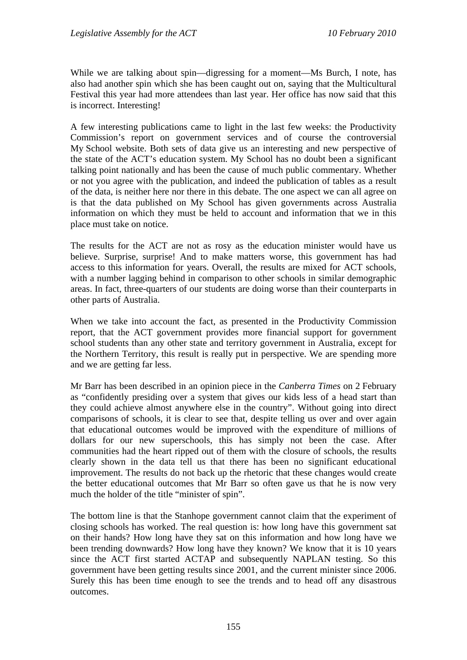While we are talking about spin—digressing for a moment—Ms Burch, I note, has also had another spin which she has been caught out on, saying that the Multicultural Festival this year had more attendees than last year. Her office has now said that this is incorrect. Interesting!

A few interesting publications came to light in the last few weeks: the Productivity Commission's report on government services and of course the controversial My School website. Both sets of data give us an interesting and new perspective of the state of the ACT's education system. My School has no doubt been a significant talking point nationally and has been the cause of much public commentary. Whether or not you agree with the publication, and indeed the publication of tables as a result of the data, is neither here nor there in this debate. The one aspect we can all agree on is that the data published on My School has given governments across Australia information on which they must be held to account and information that we in this place must take on notice.

The results for the ACT are not as rosy as the education minister would have us believe. Surprise, surprise! And to make matters worse, this government has had access to this information for years. Overall, the results are mixed for ACT schools, with a number lagging behind in comparison to other schools in similar demographic areas. In fact, three-quarters of our students are doing worse than their counterparts in other parts of Australia.

When we take into account the fact, as presented in the Productivity Commission report, that the ACT government provides more financial support for government school students than any other state and territory government in Australia, except for the Northern Territory, this result is really put in perspective. We are spending more and we are getting far less.

Mr Barr has been described in an opinion piece in the *Canberra Times* on 2 February as "confidently presiding over a system that gives our kids less of a head start than they could achieve almost anywhere else in the country". Without going into direct comparisons of schools, it is clear to see that, despite telling us over and over again that educational outcomes would be improved with the expenditure of millions of dollars for our new superschools, this has simply not been the case. After communities had the heart ripped out of them with the closure of schools, the results clearly shown in the data tell us that there has been no significant educational improvement. The results do not back up the rhetoric that these changes would create the better educational outcomes that Mr Barr so often gave us that he is now very much the holder of the title "minister of spin".

The bottom line is that the Stanhope government cannot claim that the experiment of closing schools has worked. The real question is: how long have this government sat on their hands? How long have they sat on this information and how long have we been trending downwards? How long have they known? We know that it is 10 years since the ACT first started ACTAP and subsequently NAPLAN testing. So this government have been getting results since 2001, and the current minister since 2006. Surely this has been time enough to see the trends and to head off any disastrous outcomes.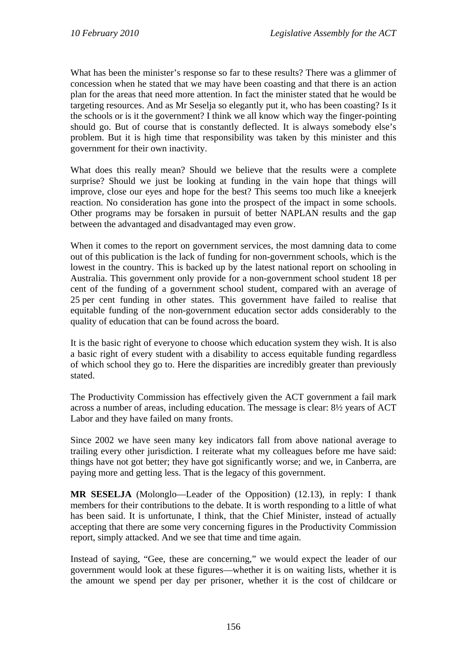What has been the minister's response so far to these results? There was a glimmer of concession when he stated that we may have been coasting and that there is an action plan for the areas that need more attention. In fact the minister stated that he would be targeting resources. And as Mr Seselja so elegantly put it, who has been coasting? Is it the schools or is it the government? I think we all know which way the finger-pointing should go. But of course that is constantly deflected. It is always somebody else's problem. But it is high time that responsibility was taken by this minister and this government for their own inactivity.

What does this really mean? Should we believe that the results were a complete surprise? Should we just be looking at funding in the vain hope that things will improve, close our eyes and hope for the best? This seems too much like a kneejerk reaction. No consideration has gone into the prospect of the impact in some schools. Other programs may be forsaken in pursuit of better NAPLAN results and the gap between the advantaged and disadvantaged may even grow.

When it comes to the report on government services, the most damning data to come out of this publication is the lack of funding for non-government schools, which is the lowest in the country. This is backed up by the latest national report on schooling in Australia. This government only provide for a non-government school student 18 per cent of the funding of a government school student, compared with an average of 25 per cent funding in other states. This government have failed to realise that equitable funding of the non-government education sector adds considerably to the quality of education that can be found across the board.

It is the basic right of everyone to choose which education system they wish. It is also a basic right of every student with a disability to access equitable funding regardless of which school they go to. Here the disparities are incredibly greater than previously stated.

The Productivity Commission has effectively given the ACT government a fail mark across a number of areas, including education. The message is clear: 8½ years of ACT Labor and they have failed on many fronts.

Since 2002 we have seen many key indicators fall from above national average to trailing every other jurisdiction. I reiterate what my colleagues before me have said: things have not got better; they have got significantly worse; and we, in Canberra, are paying more and getting less. That is the legacy of this government.

**MR SESELJA** (Molonglo—Leader of the Opposition) (12.13), in reply: I thank members for their contributions to the debate. It is worth responding to a little of what has been said. It is unfortunate, I think, that the Chief Minister, instead of actually accepting that there are some very concerning figures in the Productivity Commission report, simply attacked. And we see that time and time again.

Instead of saying, "Gee, these are concerning," we would expect the leader of our government would look at these figures—whether it is on waiting lists, whether it is the amount we spend per day per prisoner, whether it is the cost of childcare or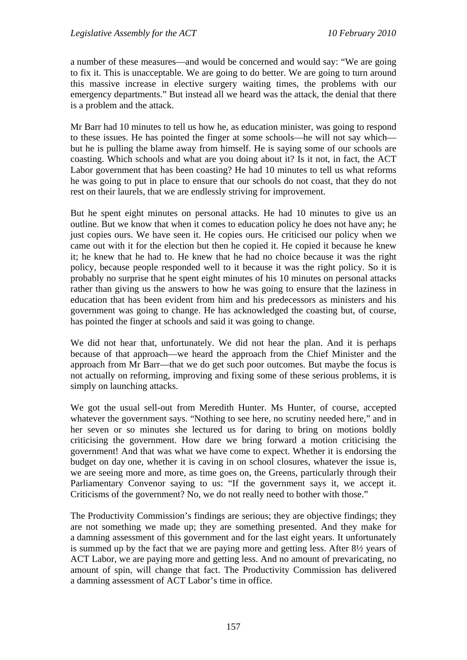a number of these measures—and would be concerned and would say: "We are going to fix it. This is unacceptable. We are going to do better. We are going to turn around this massive increase in elective surgery waiting times, the problems with our emergency departments." But instead all we heard was the attack, the denial that there is a problem and the attack.

Mr Barr had 10 minutes to tell us how he, as education minister, was going to respond to these issues. He has pointed the finger at some schools—he will not say which but he is pulling the blame away from himself. He is saying some of our schools are coasting. Which schools and what are you doing about it? Is it not, in fact, the ACT Labor government that has been coasting? He had 10 minutes to tell us what reforms he was going to put in place to ensure that our schools do not coast, that they do not rest on their laurels, that we are endlessly striving for improvement.

But he spent eight minutes on personal attacks. He had 10 minutes to give us an outline. But we know that when it comes to education policy he does not have any; he just copies ours. We have seen it. He copies ours. He criticised our policy when we came out with it for the election but then he copied it. He copied it because he knew it; he knew that he had to. He knew that he had no choice because it was the right policy, because people responded well to it because it was the right policy. So it is probably no surprise that he spent eight minutes of his 10 minutes on personal attacks rather than giving us the answers to how he was going to ensure that the laziness in education that has been evident from him and his predecessors as ministers and his government was going to change. He has acknowledged the coasting but, of course, has pointed the finger at schools and said it was going to change.

We did not hear that, unfortunately. We did not hear the plan. And it is perhaps because of that approach—we heard the approach from the Chief Minister and the approach from Mr Barr—that we do get such poor outcomes. But maybe the focus is not actually on reforming, improving and fixing some of these serious problems, it is simply on launching attacks.

We got the usual sell-out from Meredith Hunter. Ms Hunter, of course, accepted whatever the government says. "Nothing to see here, no scrutiny needed here," and in her seven or so minutes she lectured us for daring to bring on motions boldly criticising the government. How dare we bring forward a motion criticising the government! And that was what we have come to expect. Whether it is endorsing the budget on day one, whether it is caving in on school closures, whatever the issue is, we are seeing more and more, as time goes on, the Greens, particularly through their Parliamentary Convenor saying to us: "If the government says it, we accept it. Criticisms of the government? No, we do not really need to bother with those."

The Productivity Commission's findings are serious; they are objective findings; they are not something we made up; they are something presented. And they make for a damning assessment of this government and for the last eight years. It unfortunately is summed up by the fact that we are paying more and getting less. After 8½ years of ACT Labor, we are paying more and getting less. And no amount of prevaricating, no amount of spin, will change that fact. The Productivity Commission has delivered a damning assessment of ACT Labor's time in office.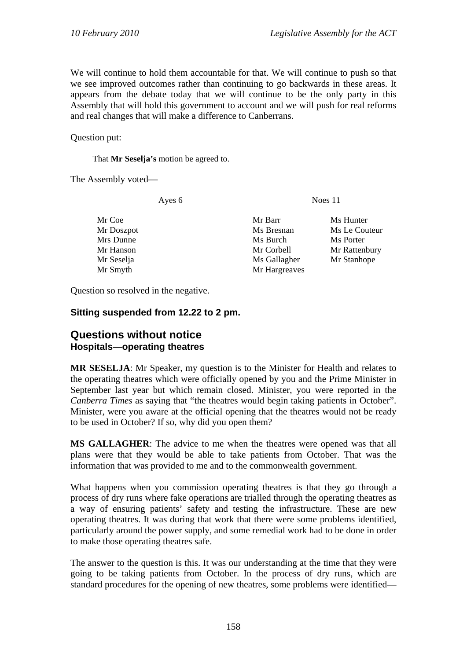We will continue to hold them accountable for that. We will continue to push so that we see improved outcomes rather than continuing to go backwards in these areas. It appears from the debate today that we will continue to be the only party in this Assembly that will hold this government to account and we will push for real reforms and real changes that will make a difference to Canberrans.

Question put:

That **Mr Seselja's** motion be agreed to.

The Assembly voted—

Ayes 6 Noes 11

| Mr Coe<br>Mr Doszpot | Mr Barr<br>Ms Bresnan | Ms Hunter<br>Ms Le Couteur |
|----------------------|-----------------------|----------------------------|
| Mrs Dunne            | Ms Burch              | Ms Porter                  |
| Mr Hanson            | Mr Corbell            | Mr Rattenbury              |
| Mr Seselja           | Ms Gallagher          | Mr Stanhope                |
| Mr Smyth             | Mr Hargreaves         |                            |

Question so resolved in the negative.

### **Sitting suspended from 12.22 to 2 pm.**

## **Questions without notice Hospitals—operating theatres**

**MR SESELJA**: Mr Speaker, my question is to the Minister for Health and relates to the operating theatres which were officially opened by you and the Prime Minister in September last year but which remain closed. Minister, you were reported in the *Canberra Times* as saying that "the theatres would begin taking patients in October". Minister, were you aware at the official opening that the theatres would not be ready to be used in October? If so, why did you open them?

**MS GALLAGHER**: The advice to me when the theatres were opened was that all plans were that they would be able to take patients from October. That was the information that was provided to me and to the commonwealth government.

What happens when you commission operating theatres is that they go through a process of dry runs where fake operations are trialled through the operating theatres as a way of ensuring patients' safety and testing the infrastructure. These are new operating theatres. It was during that work that there were some problems identified, particularly around the power supply, and some remedial work had to be done in order to make those operating theatres safe.

The answer to the question is this. It was our understanding at the time that they were going to be taking patients from October. In the process of dry runs, which are standard procedures for the opening of new theatres, some problems were identified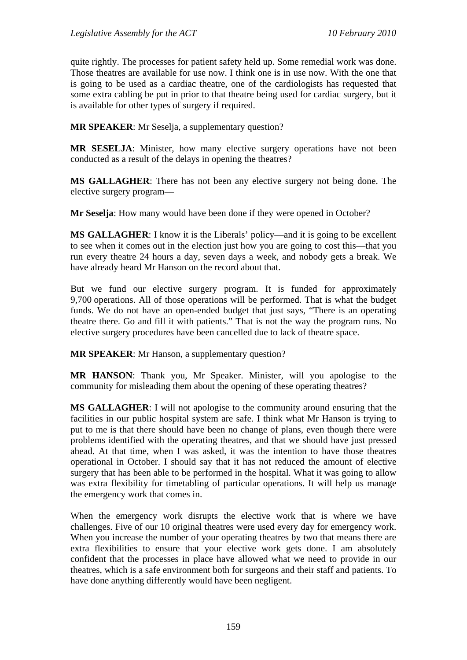quite rightly. The processes for patient safety held up. Some remedial work was done. Those theatres are available for use now. I think one is in use now. With the one that is going to be used as a cardiac theatre, one of the cardiologists has requested that some extra cabling be put in prior to that theatre being used for cardiac surgery, but it is available for other types of surgery if required.

**MR SPEAKER**: Mr Seselja, a supplementary question?

**MR SESELJA**: Minister, how many elective surgery operations have not been conducted as a result of the delays in opening the theatres?

**MS GALLAGHER**: There has not been any elective surgery not being done. The elective surgery program—

**Mr Seselja**: How many would have been done if they were opened in October?

**MS GALLAGHER**: I know it is the Liberals' policy—and it is going to be excellent to see when it comes out in the election just how you are going to cost this—that you run every theatre 24 hours a day, seven days a week, and nobody gets a break. We have already heard Mr Hanson on the record about that.

But we fund our elective surgery program. It is funded for approximately 9,700 operations. All of those operations will be performed. That is what the budget funds. We do not have an open-ended budget that just says, "There is an operating theatre there. Go and fill it with patients." That is not the way the program runs. No elective surgery procedures have been cancelled due to lack of theatre space.

**MR SPEAKER**: Mr Hanson, a supplementary question?

**MR HANSON**: Thank you, Mr Speaker. Minister, will you apologise to the community for misleading them about the opening of these operating theatres?

**MS GALLAGHER**: I will not apologise to the community around ensuring that the facilities in our public hospital system are safe. I think what Mr Hanson is trying to put to me is that there should have been no change of plans, even though there were problems identified with the operating theatres, and that we should have just pressed ahead. At that time, when I was asked, it was the intention to have those theatres operational in October. I should say that it has not reduced the amount of elective surgery that has been able to be performed in the hospital. What it was going to allow was extra flexibility for timetabling of particular operations. It will help us manage the emergency work that comes in.

When the emergency work disrupts the elective work that is where we have challenges. Five of our 10 original theatres were used every day for emergency work. When you increase the number of your operating theatres by two that means there are extra flexibilities to ensure that your elective work gets done. I am absolutely confident that the processes in place have allowed what we need to provide in our theatres, which is a safe environment both for surgeons and their staff and patients. To have done anything differently would have been negligent.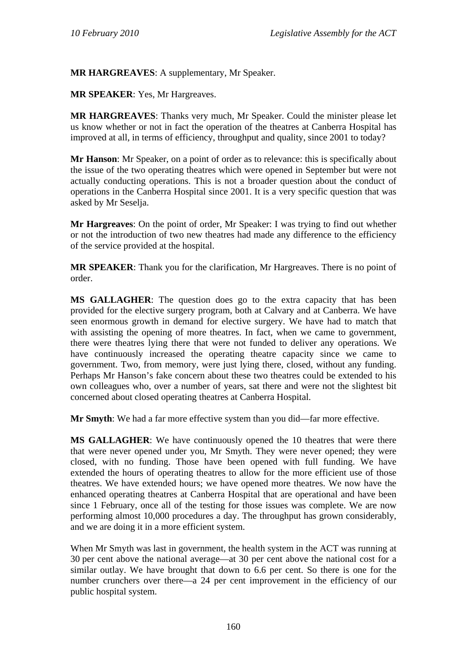**MR HARGREAVES**: A supplementary, Mr Speaker.

**MR SPEAKER**: Yes, Mr Hargreaves.

**MR HARGREAVES**: Thanks very much, Mr Speaker. Could the minister please let us know whether or not in fact the operation of the theatres at Canberra Hospital has improved at all, in terms of efficiency, throughput and quality, since 2001 to today?

**Mr Hanson**: Mr Speaker, on a point of order as to relevance: this is specifically about the issue of the two operating theatres which were opened in September but were not actually conducting operations. This is not a broader question about the conduct of operations in the Canberra Hospital since 2001. It is a very specific question that was asked by Mr Seselja.

**Mr Hargreaves**: On the point of order, Mr Speaker: I was trying to find out whether or not the introduction of two new theatres had made any difference to the efficiency of the service provided at the hospital.

**MR SPEAKER**: Thank you for the clarification, Mr Hargreaves. There is no point of order.

**MS GALLAGHER**: The question does go to the extra capacity that has been provided for the elective surgery program, both at Calvary and at Canberra. We have seen enormous growth in demand for elective surgery. We have had to match that with assisting the opening of more theatres. In fact, when we came to government, there were theatres lying there that were not funded to deliver any operations. We have continuously increased the operating theatre capacity since we came to government. Two, from memory, were just lying there, closed, without any funding. Perhaps Mr Hanson's fake concern about these two theatres could be extended to his own colleagues who, over a number of years, sat there and were not the slightest bit concerned about closed operating theatres at Canberra Hospital.

**Mr Smyth**: We had a far more effective system than you did—far more effective.

**MS GALLAGHER**: We have continuously opened the 10 theatres that were there that were never opened under you, Mr Smyth. They were never opened; they were closed, with no funding. Those have been opened with full funding. We have extended the hours of operating theatres to allow for the more efficient use of those theatres. We have extended hours; we have opened more theatres. We now have the enhanced operating theatres at Canberra Hospital that are operational and have been since 1 February, once all of the testing for those issues was complete. We are now performing almost 10,000 procedures a day. The throughput has grown considerably, and we are doing it in a more efficient system.

When Mr Smyth was last in government, the health system in the ACT was running at 30 per cent above the national average—at 30 per cent above the national cost for a similar outlay. We have brought that down to 6.6 per cent. So there is one for the number crunchers over there—a 24 per cent improvement in the efficiency of our public hospital system.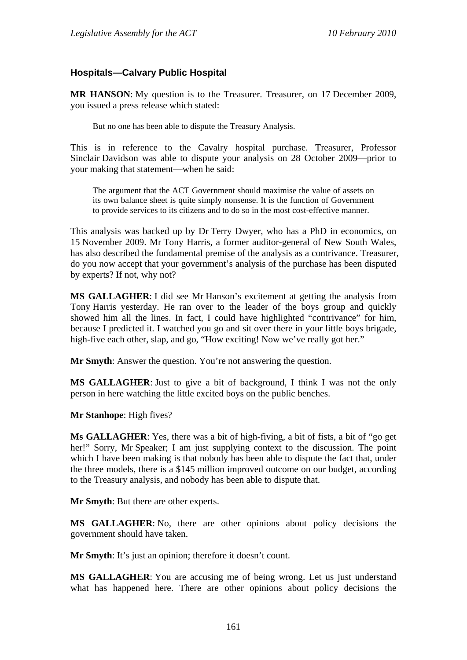### **Hospitals—Calvary Public Hospital**

**MR HANSON**: My question is to the Treasurer. Treasurer, on 17 December 2009, you issued a press release which stated:

But no one has been able to dispute the Treasury Analysis.

This is in reference to the Cavalry hospital purchase. Treasurer, Professor Sinclair Davidson was able to dispute your analysis on 28 October 2009—prior to your making that statement—when he said:

The argument that the ACT Government should maximise the value of assets on its own balance sheet is quite simply nonsense. It is the function of Government to provide services to its citizens and to do so in the most cost-effective manner.

This analysis was backed up by Dr Terry Dwyer, who has a PhD in economics, on 15 November 2009. Mr Tony Harris, a former auditor-general of New South Wales, has also described the fundamental premise of the analysis as a contrivance. Treasurer, do you now accept that your government's analysis of the purchase has been disputed by experts? If not, why not?

**MS GALLAGHER**: I did see Mr Hanson's excitement at getting the analysis from Tony Harris yesterday. He ran over to the leader of the boys group and quickly showed him all the lines. In fact, I could have highlighted "contrivance" for him, because I predicted it. I watched you go and sit over there in your little boys brigade, high-five each other, slap, and go, "How exciting! Now we've really got her."

**Mr Smyth**: Answer the question. You're not answering the question.

**MS GALLAGHER**: Just to give a bit of background, I think I was not the only person in here watching the little excited boys on the public benches.

**Mr Stanhope**: High fives?

**Ms GALLAGHER**: Yes, there was a bit of high-fiving, a bit of fists, a bit of "go get her!" Sorry, Mr Speaker; I am just supplying context to the discussion. The point which I have been making is that nobody has been able to dispute the fact that, under the three models, there is a \$145 million improved outcome on our budget, according to the Treasury analysis, and nobody has been able to dispute that.

**Mr Smyth**: But there are other experts.

**MS GALLAGHER**: No, there are other opinions about policy decisions the government should have taken.

**Mr Smyth**: It's just an opinion; therefore it doesn't count.

**MS GALLAGHER:** You are accusing me of being wrong. Let us just understand what has happened here. There are other opinions about policy decisions the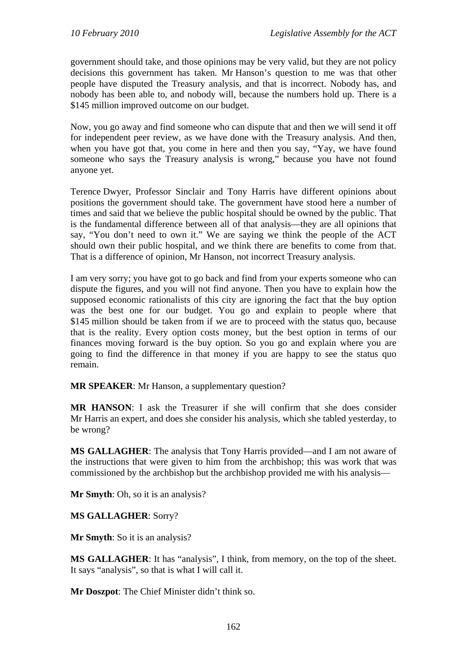government should take, and those opinions may be very valid, but they are not policy decisions this government has taken. Mr Hanson's question to me was that other people have disputed the Treasury analysis, and that is incorrect. Nobody has, and nobody has been able to, and nobody will, because the numbers hold up. There is a \$145 million improved outcome on our budget.

Now, you go away and find someone who can dispute that and then we will send it off for independent peer review, as we have done with the Treasury analysis. And then, when you have got that, you come in here and then you say, "Yay, we have found someone who says the Treasury analysis is wrong," because you have not found anyone yet.

Terence Dwyer, Professor Sinclair and Tony Harris have different opinions about positions the government should take. The government have stood here a number of times and said that we believe the public hospital should be owned by the public. That is the fundamental difference between all of that analysis—they are all opinions that say, "You don't need to own it." We are saying we think the people of the ACT should own their public hospital, and we think there are benefits to come from that. That is a difference of opinion, Mr Hanson, not incorrect Treasury analysis.

I am very sorry; you have got to go back and find from your experts someone who can dispute the figures, and you will not find anyone. Then you have to explain how the supposed economic rationalists of this city are ignoring the fact that the buy option was the best one for our budget. You go and explain to people where that \$145 million should be taken from if we are to proceed with the status quo, because that is the reality. Every option costs money, but the best option in terms of our finances moving forward is the buy option. So you go and explain where you are going to find the difference in that money if you are happy to see the status quo remain.

**MR SPEAKER**: Mr Hanson, a supplementary question?

**MR HANSON**: I ask the Treasurer if she will confirm that she does consider Mr Harris an expert, and does she consider his analysis, which she tabled yesterday, to be wrong?

**MS GALLAGHER**: The analysis that Tony Harris provided—and I am not aware of the instructions that were given to him from the archbishop; this was work that was commissioned by the archbishop but the archbishop provided me with his analysis—

**Mr Smyth**: Oh, so it is an analysis?

**MS GALLAGHER**: Sorry?

**Mr Smyth**: So it is an analysis?

**MS GALLAGHER**: It has "analysis", I think, from memory, on the top of the sheet. It says "analysis", so that is what I will call it.

**Mr Doszpot**: The Chief Minister didn't think so.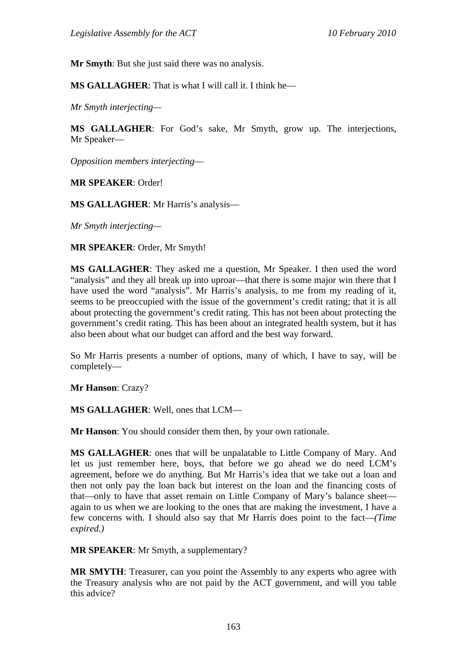**Mr Smyth**: But she just said there was no analysis.

**MS GALLAGHER**: That is what I will call it. I think he—

*Mr Smyth interjecting—* 

**MS GALLAGHER**: For God's sake, Mr Smyth, grow up. The interjections, Mr Speaker—

*Opposition members interjecting*—

**MR SPEAKER**: Order!

**MS GALLAGHER**: Mr Harris's analysis—

*Mr Smyth interjecting—* 

**MR SPEAKER**: Order, Mr Smyth!

**MS GALLAGHER**: They asked me a question, Mr Speaker. I then used the word "analysis" and they all break up into uproar—that there is some major win there that I have used the word "analysis". Mr Harris's analysis, to me from my reading of it, seems to be preoccupied with the issue of the government's credit rating; that it is all about protecting the government's credit rating. This has not been about protecting the government's credit rating. This has been about an integrated health system, but it has also been about what our budget can afford and the best way forward.

So Mr Harris presents a number of options, many of which, I have to say, will be completely—

**Mr Hanson**: Crazy?

**MS GALLAGHER**: Well, ones that LCM—

**Mr Hanson**: You should consider them then, by your own rationale.

**MS GALLAGHER**: ones that will be unpalatable to Little Company of Mary. And let us just remember here, boys, that before we go ahead we do need LCM's agreement, before we do anything. But Mr Harris's idea that we take out a loan and then not only pay the loan back but interest on the loan and the financing costs of that—only to have that asset remain on Little Company of Mary's balance sheet again to us when we are looking to the ones that are making the investment, I have a few concerns with. I should also say that Mr Harris does point to the fact—*(Time expired.)*

**MR SPEAKER**: Mr Smyth, a supplementary?

**MR SMYTH**: Treasurer, can you point the Assembly to any experts who agree with the Treasury analysis who are not paid by the ACT government, and will you table this advice?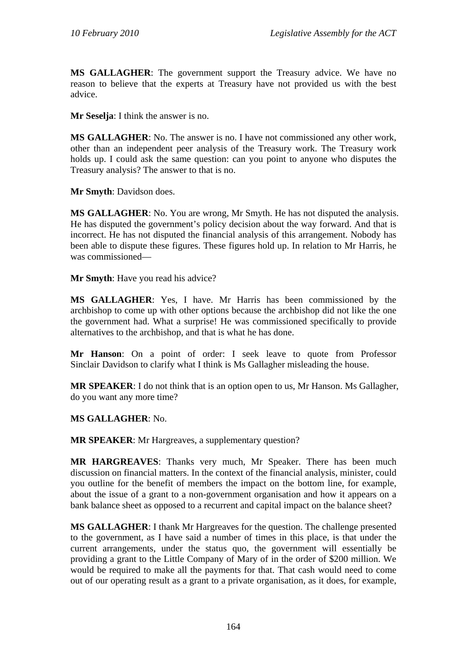**MS GALLAGHER**: The government support the Treasury advice. We have no reason to believe that the experts at Treasury have not provided us with the best advice.

**Mr Seselja**: I think the answer is no.

**MS GALLAGHER**: No. The answer is no. I have not commissioned any other work, other than an independent peer analysis of the Treasury work. The Treasury work holds up. I could ask the same question: can you point to anyone who disputes the Treasury analysis? The answer to that is no.

**Mr Smyth**: Davidson does.

**MS GALLAGHER**: No. You are wrong, Mr Smyth. He has not disputed the analysis. He has disputed the government's policy decision about the way forward. And that is incorrect. He has not disputed the financial analysis of this arrangement. Nobody has been able to dispute these figures. These figures hold up. In relation to Mr Harris, he was commissioned—

**Mr Smyth**: Have you read his advice?

**MS GALLAGHER**: Yes, I have. Mr Harris has been commissioned by the archbishop to come up with other options because the archbishop did not like the one the government had. What a surprise! He was commissioned specifically to provide alternatives to the archbishop, and that is what he has done.

**Mr Hanson**: On a point of order: I seek leave to quote from Professor Sinclair Davidson to clarify what I think is Ms Gallagher misleading the house.

**MR SPEAKER**: I do not think that is an option open to us, Mr Hanson. Ms Gallagher, do you want any more time?

### **MS GALLAGHER**: No.

**MR SPEAKER**: Mr Hargreaves, a supplementary question?

**MR HARGREAVES**: Thanks very much, Mr Speaker. There has been much discussion on financial matters. In the context of the financial analysis, minister, could you outline for the benefit of members the impact on the bottom line, for example, about the issue of a grant to a non-government organisation and how it appears on a bank balance sheet as opposed to a recurrent and capital impact on the balance sheet?

**MS GALLAGHER**: I thank Mr Hargreaves for the question. The challenge presented to the government, as I have said a number of times in this place, is that under the current arrangements, under the status quo, the government will essentially be providing a grant to the Little Company of Mary of in the order of \$200 million. We would be required to make all the payments for that. That cash would need to come out of our operating result as a grant to a private organisation, as it does, for example,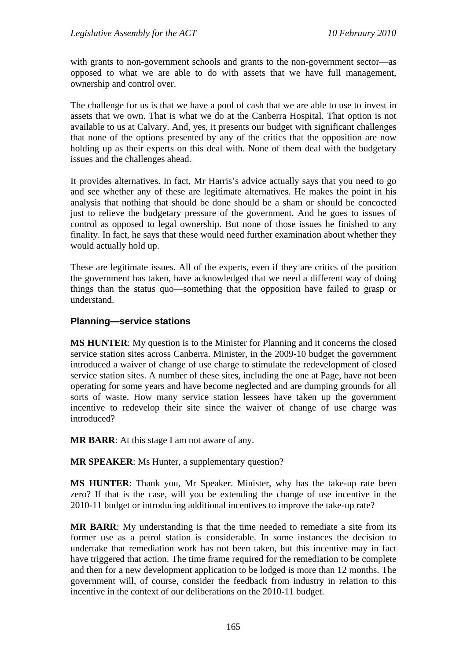with grants to non-government schools and grants to the non-government sector—as opposed to what we are able to do with assets that we have full management, ownership and control over.

The challenge for us is that we have a pool of cash that we are able to use to invest in assets that we own. That is what we do at the Canberra Hospital. That option is not available to us at Calvary. And, yes, it presents our budget with significant challenges that none of the options presented by any of the critics that the opposition are now holding up as their experts on this deal with. None of them deal with the budgetary issues and the challenges ahead.

It provides alternatives. In fact, Mr Harris's advice actually says that you need to go and see whether any of these are legitimate alternatives. He makes the point in his analysis that nothing that should be done should be a sham or should be concocted just to relieve the budgetary pressure of the government. And he goes to issues of control as opposed to legal ownership. But none of those issues he finished to any finality. In fact, he says that these would need further examination about whether they would actually hold up.

These are legitimate issues. All of the experts, even if they are critics of the position the government has taken, have acknowledged that we need a different way of doing things than the status quo—something that the opposition have failed to grasp or understand.

### **Planning—service stations**

**MS HUNTER**: My question is to the Minister for Planning and it concerns the closed service station sites across Canberra. Minister, in the 2009-10 budget the government introduced a waiver of change of use charge to stimulate the redevelopment of closed service station sites. A number of these sites, including the one at Page, have not been operating for some years and have become neglected and are dumping grounds for all sorts of waste. How many service station lessees have taken up the government incentive to redevelop their site since the waiver of change of use charge was introduced?

**MR BARR**: At this stage I am not aware of any.

**MR SPEAKER:** Ms Hunter, a supplementary question?

**MS HUNTER**: Thank you, Mr Speaker. Minister, why has the take-up rate been zero? If that is the case, will you be extending the change of use incentive in the 2010-11 budget or introducing additional incentives to improve the take-up rate?

**MR BARR**: My understanding is that the time needed to remediate a site from its former use as a petrol station is considerable. In some instances the decision to undertake that remediation work has not been taken, but this incentive may in fact have triggered that action. The time frame required for the remediation to be complete and then for a new development application to be lodged is more than 12 months. The government will, of course, consider the feedback from industry in relation to this incentive in the context of our deliberations on the 2010-11 budget.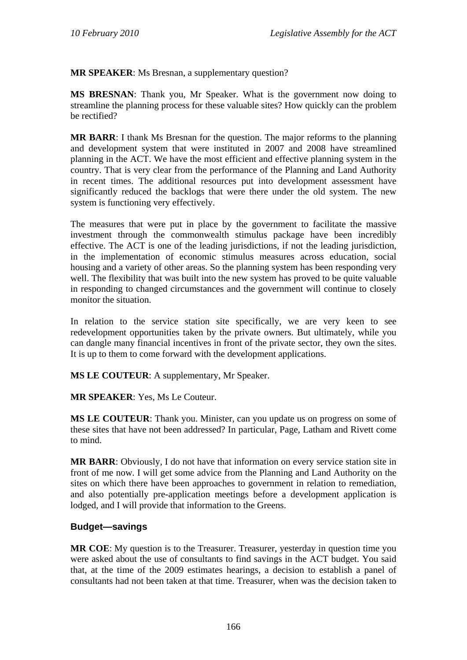**MR SPEAKER**: Ms Bresnan, a supplementary question?

**MS BRESNAN**: Thank you, Mr Speaker. What is the government now doing to streamline the planning process for these valuable sites? How quickly can the problem be rectified?

**MR BARR**: I thank Ms Bresnan for the question. The major reforms to the planning and development system that were instituted in 2007 and 2008 have streamlined planning in the ACT. We have the most efficient and effective planning system in the country. That is very clear from the performance of the Planning and Land Authority in recent times. The additional resources put into development assessment have significantly reduced the backlogs that were there under the old system. The new system is functioning very effectively.

The measures that were put in place by the government to facilitate the massive investment through the commonwealth stimulus package have been incredibly effective. The ACT is one of the leading jurisdictions, if not the leading jurisdiction, in the implementation of economic stimulus measures across education, social housing and a variety of other areas. So the planning system has been responding very well. The flexibility that was built into the new system has proved to be quite valuable in responding to changed circumstances and the government will continue to closely monitor the situation.

In relation to the service station site specifically, we are very keen to see redevelopment opportunities taken by the private owners. But ultimately, while you can dangle many financial incentives in front of the private sector, they own the sites. It is up to them to come forward with the development applications.

**MS LE COUTEUR**: A supplementary, Mr Speaker.

**MR SPEAKER**: Yes, Ms Le Couteur.

**MS LE COUTEUR**: Thank you. Minister, can you update us on progress on some of these sites that have not been addressed? In particular, Page, Latham and Rivett come to mind.

**MR BARR**: Obviously, I do not have that information on every service station site in front of me now. I will get some advice from the Planning and Land Authority on the sites on which there have been approaches to government in relation to remediation, and also potentially pre-application meetings before a development application is lodged, and I will provide that information to the Greens.

### **Budget—savings**

**MR COE**: My question is to the Treasurer. Treasurer, yesterday in question time you were asked about the use of consultants to find savings in the ACT budget. You said that, at the time of the 2009 estimates hearings, a decision to establish a panel of consultants had not been taken at that time. Treasurer, when was the decision taken to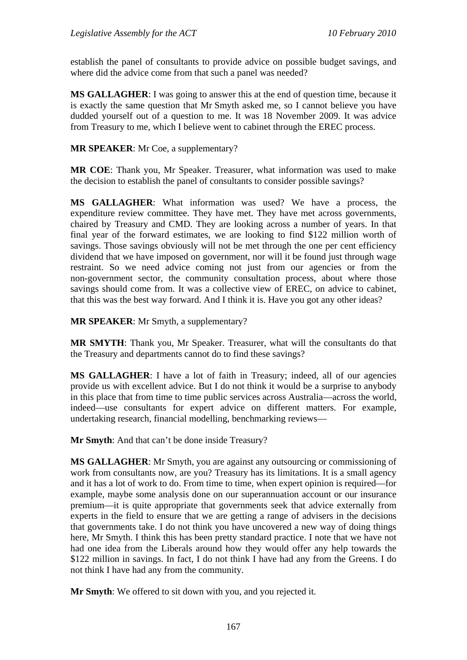establish the panel of consultants to provide advice on possible budget savings, and where did the advice come from that such a panel was needed?

**MS GALLAGHER**: I was going to answer this at the end of question time, because it is exactly the same question that Mr Smyth asked me, so I cannot believe you have dudded yourself out of a question to me. It was 18 November 2009. It was advice from Treasury to me, which I believe went to cabinet through the EREC process.

**MR SPEAKER**: Mr Coe, a supplementary?

**MR COE**: Thank you, Mr Speaker. Treasurer, what information was used to make the decision to establish the panel of consultants to consider possible savings?

**MS GALLAGHER**: What information was used? We have a process, the expenditure review committee. They have met. They have met across governments, chaired by Treasury and CMD. They are looking across a number of years. In that final year of the forward estimates, we are looking to find \$122 million worth of savings. Those savings obviously will not be met through the one per cent efficiency dividend that we have imposed on government, nor will it be found just through wage restraint. So we need advice coming not just from our agencies or from the non-government sector, the community consultation process, about where those savings should come from. It was a collective view of EREC, on advice to cabinet, that this was the best way forward. And I think it is. Have you got any other ideas?

**MR SPEAKER**: Mr Smyth, a supplementary?

**MR SMYTH**: Thank you, Mr Speaker. Treasurer, what will the consultants do that the Treasury and departments cannot do to find these savings?

**MS GALLAGHER**: I have a lot of faith in Treasury; indeed, all of our agencies provide us with excellent advice. But I do not think it would be a surprise to anybody in this place that from time to time public services across Australia—across the world, indeed—use consultants for expert advice on different matters. For example, undertaking research, financial modelling, benchmarking reviews—

**Mr Smyth**: And that can't be done inside Treasury?

**MS GALLAGHER**: Mr Smyth, you are against any outsourcing or commissioning of work from consultants now, are you? Treasury has its limitations. It is a small agency and it has a lot of work to do. From time to time, when expert opinion is required—for example, maybe some analysis done on our superannuation account or our insurance premium—it is quite appropriate that governments seek that advice externally from experts in the field to ensure that we are getting a range of advisers in the decisions that governments take. I do not think you have uncovered a new way of doing things here, Mr Smyth. I think this has been pretty standard practice. I note that we have not had one idea from the Liberals around how they would offer any help towards the \$122 million in savings. In fact, I do not think I have had any from the Greens. I do not think I have had any from the community.

**Mr Smyth**: We offered to sit down with you, and you rejected it.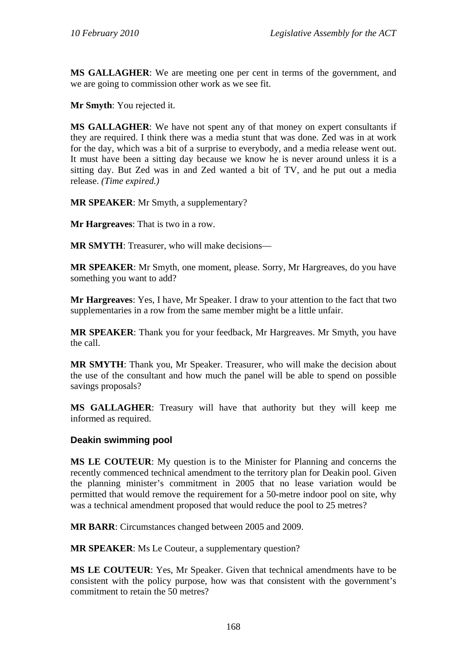**MS GALLAGHER**: We are meeting one per cent in terms of the government, and we are going to commission other work as we see fit.

**Mr Smyth**: You rejected it.

**MS GALLAGHER**: We have not spent any of that money on expert consultants if they are required. I think there was a media stunt that was done. Zed was in at work for the day, which was a bit of a surprise to everybody, and a media release went out. It must have been a sitting day because we know he is never around unless it is a sitting day. But Zed was in and Zed wanted a bit of TV, and he put out a media release. *(Time expired.)*

**MR SPEAKER**: Mr Smyth, a supplementary?

**Mr Hargreaves**: That is two in a row.

**MR SMYTH**: Treasurer, who will make decisions—

**MR SPEAKER**: Mr Smyth, one moment, please. Sorry, Mr Hargreaves, do you have something you want to add?

**Mr Hargreaves**: Yes, I have, Mr Speaker. I draw to your attention to the fact that two supplementaries in a row from the same member might be a little unfair.

**MR SPEAKER**: Thank you for your feedback, Mr Hargreaves. Mr Smyth, you have the call.

**MR SMYTH**: Thank you, Mr Speaker. Treasurer, who will make the decision about the use of the consultant and how much the panel will be able to spend on possible savings proposals?

**MS GALLAGHER**: Treasury will have that authority but they will keep me informed as required.

### **Deakin swimming pool**

**MS LE COUTEUR**: My question is to the Minister for Planning and concerns the recently commenced technical amendment to the territory plan for Deakin pool. Given the planning minister's commitment in 2005 that no lease variation would be permitted that would remove the requirement for a 50-metre indoor pool on site, why was a technical amendment proposed that would reduce the pool to 25 metres?

**MR BARR**: Circumstances changed between 2005 and 2009.

**MR SPEAKER**: Ms Le Couteur, a supplementary question?

**MS LE COUTEUR**: Yes, Mr Speaker. Given that technical amendments have to be consistent with the policy purpose, how was that consistent with the government's commitment to retain the 50 metres?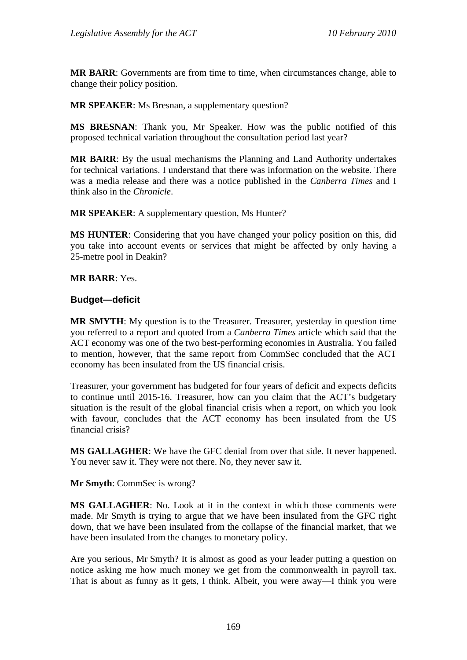**MR BARR**: Governments are from time to time, when circumstances change, able to change their policy position.

**MR SPEAKER**: Ms Bresnan, a supplementary question?

**MS BRESNAN**: Thank you, Mr Speaker. How was the public notified of this proposed technical variation throughout the consultation period last year?

**MR BARR**: By the usual mechanisms the Planning and Land Authority undertakes for technical variations. I understand that there was information on the website. There was a media release and there was a notice published in the *Canberra Times* and I think also in the *Chronicle*.

**MR SPEAKER**: A supplementary question, Ms Hunter?

**MS HUNTER**: Considering that you have changed your policy position on this, did you take into account events or services that might be affected by only having a 25-metre pool in Deakin?

**MR BARR**: Yes.

### **Budget—deficit**

**MR SMYTH**: My question is to the Treasurer. Treasurer, yesterday in question time you referred to a report and quoted from a *Canberra Times* article which said that the ACT economy was one of the two best-performing economies in Australia. You failed to mention, however, that the same report from CommSec concluded that the ACT economy has been insulated from the US financial crisis.

Treasurer, your government has budgeted for four years of deficit and expects deficits to continue until 2015-16. Treasurer, how can you claim that the ACT's budgetary situation is the result of the global financial crisis when a report, on which you look with favour, concludes that the ACT economy has been insulated from the US financial crisis?

**MS GALLAGHER**: We have the GFC denial from over that side. It never happened. You never saw it. They were not there. No, they never saw it.

**Mr Smyth**: CommSec is wrong?

**MS GALLAGHER**: No. Look at it in the context in which those comments were made. Mr Smyth is trying to argue that we have been insulated from the GFC right down, that we have been insulated from the collapse of the financial market, that we have been insulated from the changes to monetary policy.

Are you serious, Mr Smyth? It is almost as good as your leader putting a question on notice asking me how much money we get from the commonwealth in payroll tax. That is about as funny as it gets, I think. Albeit, you were away—I think you were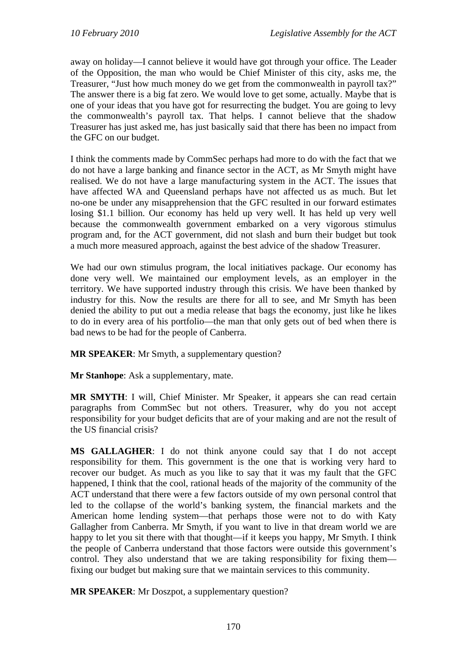away on holiday—I cannot believe it would have got through your office. The Leader of the Opposition, the man who would be Chief Minister of this city, asks me, the Treasurer, "Just how much money do we get from the commonwealth in payroll tax?" The answer there is a big fat zero. We would love to get some, actually. Maybe that is one of your ideas that you have got for resurrecting the budget. You are going to levy the commonwealth's payroll tax. That helps. I cannot believe that the shadow Treasurer has just asked me, has just basically said that there has been no impact from the GFC on our budget.

I think the comments made by CommSec perhaps had more to do with the fact that we do not have a large banking and finance sector in the ACT, as Mr Smyth might have realised. We do not have a large manufacturing system in the ACT. The issues that have affected WA and Queensland perhaps have not affected us as much. But let no-one be under any misapprehension that the GFC resulted in our forward estimates losing \$1.1 billion. Our economy has held up very well. It has held up very well because the commonwealth government embarked on a very vigorous stimulus program and, for the ACT government, did not slash and burn their budget but took a much more measured approach, against the best advice of the shadow Treasurer.

We had our own stimulus program, the local initiatives package. Our economy has done very well. We maintained our employment levels, as an employer in the territory. We have supported industry through this crisis. We have been thanked by industry for this. Now the results are there for all to see, and Mr Smyth has been denied the ability to put out a media release that bags the economy, just like he likes to do in every area of his portfolio—the man that only gets out of bed when there is bad news to be had for the people of Canberra.

**MR SPEAKER**: Mr Smyth, a supplementary question?

**Mr Stanhope**: Ask a supplementary, mate.

**MR SMYTH**: I will, Chief Minister. Mr Speaker, it appears she can read certain paragraphs from CommSec but not others. Treasurer, why do you not accept responsibility for your budget deficits that are of your making and are not the result of the US financial crisis?

**MS GALLAGHER**: I do not think anyone could say that I do not accept responsibility for them. This government is the one that is working very hard to recover our budget. As much as you like to say that it was my fault that the GFC happened, I think that the cool, rational heads of the majority of the community of the ACT understand that there were a few factors outside of my own personal control that led to the collapse of the world's banking system, the financial markets and the American home lending system—that perhaps those were not to do with Katy Gallagher from Canberra. Mr Smyth, if you want to live in that dream world we are happy to let you sit there with that thought—if it keeps you happy, Mr Smyth. I think the people of Canberra understand that those factors were outside this government's control. They also understand that we are taking responsibility for fixing them fixing our budget but making sure that we maintain services to this community.

**MR SPEAKER**: Mr Doszpot, a supplementary question?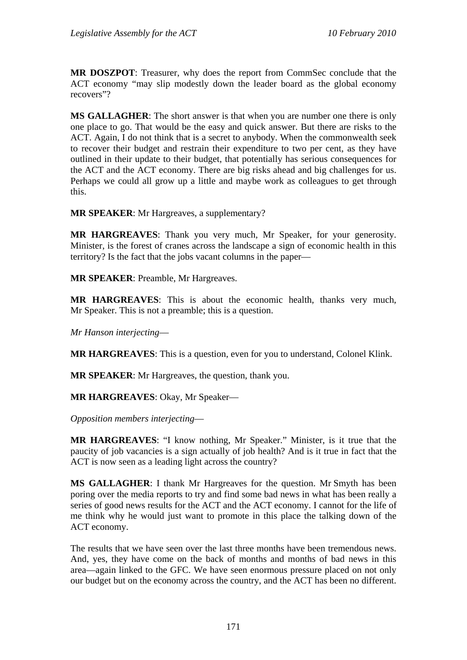**MR DOSZPOT**: Treasurer, why does the report from CommSec conclude that the ACT economy "may slip modestly down the leader board as the global economy recovers"?

**MS GALLAGHER**: The short answer is that when you are number one there is only one place to go. That would be the easy and quick answer. But there are risks to the ACT. Again, I do not think that is a secret to anybody. When the commonwealth seek to recover their budget and restrain their expenditure to two per cent, as they have outlined in their update to their budget, that potentially has serious consequences for the ACT and the ACT economy. There are big risks ahead and big challenges for us. Perhaps we could all grow up a little and maybe work as colleagues to get through this.

**MR SPEAKER**: Mr Hargreaves, a supplementary?

**MR HARGREAVES**: Thank you very much, Mr Speaker, for your generosity. Minister, is the forest of cranes across the landscape a sign of economic health in this territory? Is the fact that the jobs vacant columns in the paper—

**MR SPEAKER**: Preamble, Mr Hargreaves.

**MR HARGREAVES**: This is about the economic health, thanks very much, Mr Speaker. This is not a preamble; this is a question.

*Mr Hanson interjecting*—

**MR HARGREAVES**: This is a question, even for you to understand, Colonel Klink.

**MR SPEAKER**: Mr Hargreaves, the question, thank you.

**MR HARGREAVES**: Okay, Mr Speaker—

*Opposition members interjecting*—

**MR HARGREAVES**: "I know nothing, Mr Speaker." Minister, is it true that the paucity of job vacancies is a sign actually of job health? And is it true in fact that the ACT is now seen as a leading light across the country?

**MS GALLAGHER**: I thank Mr Hargreaves for the question. Mr Smyth has been poring over the media reports to try and find some bad news in what has been really a series of good news results for the ACT and the ACT economy. I cannot for the life of me think why he would just want to promote in this place the talking down of the ACT economy.

The results that we have seen over the last three months have been tremendous news. And, yes, they have come on the back of months and months of bad news in this area—again linked to the GFC. We have seen enormous pressure placed on not only our budget but on the economy across the country, and the ACT has been no different.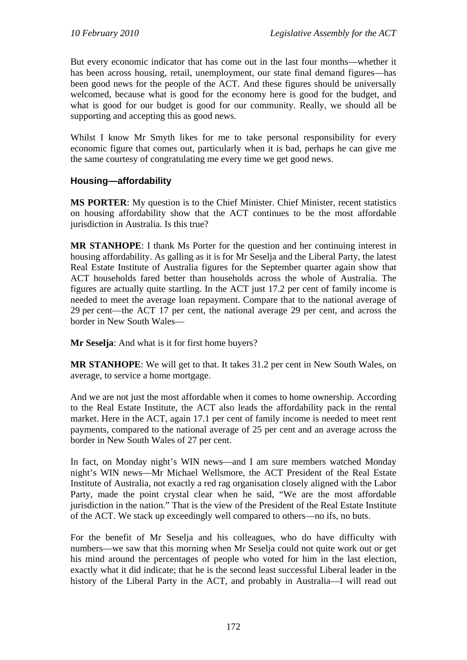But every economic indicator that has come out in the last four months—whether it has been across housing, retail, unemployment, our state final demand figures—has been good news for the people of the ACT. And these figures should be universally welcomed, because what is good for the economy here is good for the budget, and what is good for our budget is good for our community. Really, we should all be supporting and accepting this as good news.

Whilst I know Mr Smyth likes for me to take personal responsibility for every economic figure that comes out, particularly when it is bad, perhaps he can give me the same courtesy of congratulating me every time we get good news.

### **Housing—affordability**

**MS PORTER**: My question is to the Chief Minister. Chief Minister, recent statistics on housing affordability show that the ACT continues to be the most affordable jurisdiction in Australia. Is this true?

**MR STANHOPE**: I thank Ms Porter for the question and her continuing interest in housing affordability. As galling as it is for Mr Seselja and the Liberal Party, the latest Real Estate Institute of Australia figures for the September quarter again show that ACT households fared better than households across the whole of Australia. The figures are actually quite startling. In the ACT just 17.2 per cent of family income is needed to meet the average loan repayment. Compare that to the national average of 29 per cent—the ACT 17 per cent, the national average 29 per cent, and across the border in New South Wales—

**Mr Seselja**: And what is it for first home buyers?

**MR STANHOPE**: We will get to that. It takes 31.2 per cent in New South Wales, on average, to service a home mortgage.

And we are not just the most affordable when it comes to home ownership. According to the Real Estate Institute, the ACT also leads the affordability pack in the rental market. Here in the ACT, again 17.1 per cent of family income is needed to meet rent payments, compared to the national average of 25 per cent and an average across the border in New South Wales of 27 per cent.

In fact, on Monday night's WIN news—and I am sure members watched Monday night's WIN news—Mr Michael Wellsmore, the ACT President of the Real Estate Institute of Australia, not exactly a red rag organisation closely aligned with the Labor Party, made the point crystal clear when he said, "We are the most affordable jurisdiction in the nation." That is the view of the President of the Real Estate Institute of the ACT. We stack up exceedingly well compared to others—no ifs, no buts.

For the benefit of Mr Seselja and his colleagues, who do have difficulty with numbers—we saw that this morning when Mr Seselja could not quite work out or get his mind around the percentages of people who voted for him in the last election, exactly what it did indicate; that he is the second least successful Liberal leader in the history of the Liberal Party in the ACT, and probably in Australia—I will read out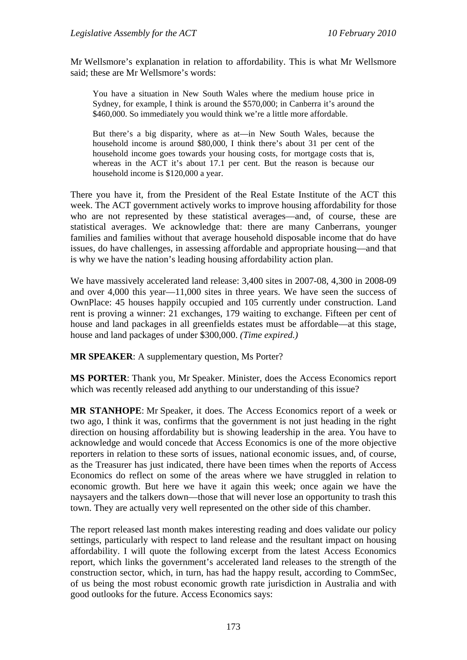Mr Wellsmore's explanation in relation to affordability. This is what Mr Wellsmore said; these are Mr Wellsmore's words:

You have a situation in New South Wales where the medium house price in Sydney, for example, I think is around the \$570,000; in Canberra it's around the \$460,000. So immediately you would think we're a little more affordable.

But there's a big disparity, where as at—in New South Wales, because the household income is around \$80,000, I think there's about 31 per cent of the household income goes towards your housing costs, for mortgage costs that is, whereas in the ACT it's about 17.1 per cent. But the reason is because our household income is \$120,000 a year.

There you have it, from the President of the Real Estate Institute of the ACT this week. The ACT government actively works to improve housing affordability for those who are not represented by these statistical averages—and, of course, these are statistical averages. We acknowledge that: there are many Canberrans, younger families and families without that average household disposable income that do have issues, do have challenges, in assessing affordable and appropriate housing—and that is why we have the nation's leading housing affordability action plan.

We have massively accelerated land release: 3,400 sites in 2007-08, 4,300 in 2008-09 and over 4,000 this year—11,000 sites in three years. We have seen the success of OwnPlace: 45 houses happily occupied and 105 currently under construction. Land rent is proving a winner: 21 exchanges, 179 waiting to exchange. Fifteen per cent of house and land packages in all greenfields estates must be affordable—at this stage, house and land packages of under \$300,000. *(Time expired.)*

**MR SPEAKER**: A supplementary question, Ms Porter?

**MS PORTER**: Thank you, Mr Speaker. Minister, does the Access Economics report which was recently released add anything to our understanding of this issue?

**MR STANHOPE**: Mr Speaker, it does. The Access Economics report of a week or two ago, I think it was, confirms that the government is not just heading in the right direction on housing affordability but is showing leadership in the area. You have to acknowledge and would concede that Access Economics is one of the more objective reporters in relation to these sorts of issues, national economic issues, and, of course, as the Treasurer has just indicated, there have been times when the reports of Access Economics do reflect on some of the areas where we have struggled in relation to economic growth. But here we have it again this week; once again we have the naysayers and the talkers down—those that will never lose an opportunity to trash this town. They are actually very well represented on the other side of this chamber.

The report released last month makes interesting reading and does validate our policy settings, particularly with respect to land release and the resultant impact on housing affordability. I will quote the following excerpt from the latest Access Economics report, which links the government's accelerated land releases to the strength of the construction sector, which, in turn, has had the happy result, according to CommSec, of us being the most robust economic growth rate jurisdiction in Australia and with good outlooks for the future. Access Economics says: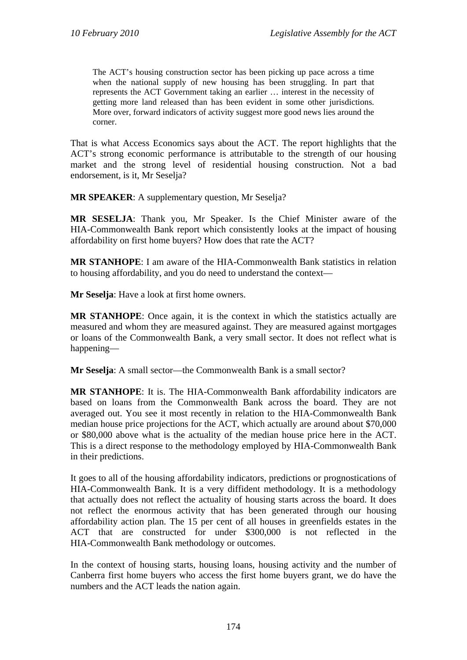The ACT's housing construction sector has been picking up pace across a time when the national supply of new housing has been struggling. In part that represents the ACT Government taking an earlier … interest in the necessity of getting more land released than has been evident in some other jurisdictions. More over, forward indicators of activity suggest more good news lies around the corner.

That is what Access Economics says about the ACT. The report highlights that the ACT's strong economic performance is attributable to the strength of our housing market and the strong level of residential housing construction. Not a bad endorsement, is it, Mr Seselja?

**MR SPEAKER**: A supplementary question, Mr Seselja?

**MR SESELJA**: Thank you, Mr Speaker. Is the Chief Minister aware of the HIA-Commonwealth Bank report which consistently looks at the impact of housing affordability on first home buyers? How does that rate the ACT?

**MR STANHOPE**: I am aware of the HIA-Commonwealth Bank statistics in relation to housing affordability, and you do need to understand the context—

**Mr Seselja**: Have a look at first home owners.

**MR STANHOPE**: Once again, it is the context in which the statistics actually are measured and whom they are measured against. They are measured against mortgages or loans of the Commonwealth Bank, a very small sector. It does not reflect what is happening—

**Mr Seselja**: A small sector—the Commonwealth Bank is a small sector?

**MR STANHOPE**: It is. The HIA-Commonwealth Bank affordability indicators are based on loans from the Commonwealth Bank across the board. They are not averaged out. You see it most recently in relation to the HIA-Commonwealth Bank median house price projections for the ACT, which actually are around about \$70,000 or \$80,000 above what is the actuality of the median house price here in the ACT. This is a direct response to the methodology employed by HIA-Commonwealth Bank in their predictions.

It goes to all of the housing affordability indicators, predictions or prognostications of HIA-Commonwealth Bank. It is a very diffident methodology. It is a methodology that actually does not reflect the actuality of housing starts across the board. It does not reflect the enormous activity that has been generated through our housing affordability action plan. The 15 per cent of all houses in greenfields estates in the ACT that are constructed for under \$300,000 is not reflected in the HIA-Commonwealth Bank methodology or outcomes.

In the context of housing starts, housing loans, housing activity and the number of Canberra first home buyers who access the first home buyers grant, we do have the numbers and the ACT leads the nation again.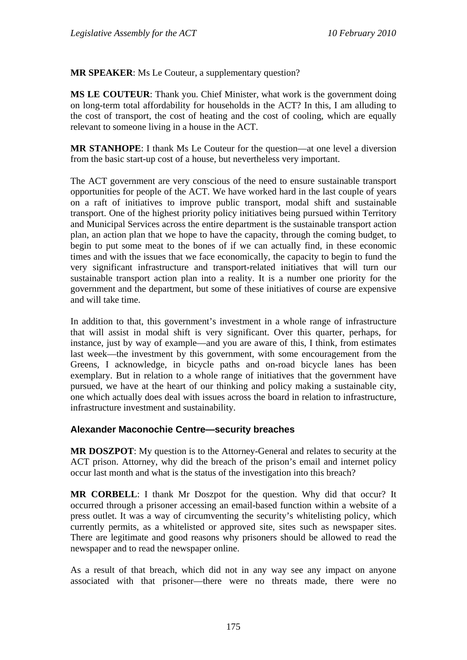**MR SPEAKER**: Ms Le Couteur, a supplementary question?

**MS LE COUTEUR**: Thank you. Chief Minister, what work is the government doing on long-term total affordability for households in the ACT? In this, I am alluding to the cost of transport, the cost of heating and the cost of cooling, which are equally relevant to someone living in a house in the ACT.

**MR STANHOPE**: I thank Ms Le Couteur for the question—at one level a diversion from the basic start-up cost of a house, but nevertheless very important.

The ACT government are very conscious of the need to ensure sustainable transport opportunities for people of the ACT. We have worked hard in the last couple of years on a raft of initiatives to improve public transport, modal shift and sustainable transport. One of the highest priority policy initiatives being pursued within Territory and Municipal Services across the entire department is the sustainable transport action plan, an action plan that we hope to have the capacity, through the coming budget, to begin to put some meat to the bones of if we can actually find, in these economic times and with the issues that we face economically, the capacity to begin to fund the very significant infrastructure and transport-related initiatives that will turn our sustainable transport action plan into a reality. It is a number one priority for the government and the department, but some of these initiatives of course are expensive and will take time.

In addition to that, this government's investment in a whole range of infrastructure that will assist in modal shift is very significant. Over this quarter, perhaps, for instance, just by way of example—and you are aware of this, I think, from estimates last week—the investment by this government, with some encouragement from the Greens, I acknowledge, in bicycle paths and on-road bicycle lanes has been exemplary. But in relation to a whole range of initiatives that the government have pursued, we have at the heart of our thinking and policy making a sustainable city, one which actually does deal with issues across the board in relation to infrastructure, infrastructure investment and sustainability.

### **Alexander Maconochie Centre—security breaches**

**MR DOSZPOT**: My question is to the Attorney-General and relates to security at the ACT prison. Attorney, why did the breach of the prison's email and internet policy occur last month and what is the status of the investigation into this breach?

**MR CORBELL**: I thank Mr Doszpot for the question. Why did that occur? It occurred through a prisoner accessing an email-based function within a website of a press outlet. It was a way of circumventing the security's whitelisting policy, which currently permits, as a whitelisted or approved site, sites such as newspaper sites. There are legitimate and good reasons why prisoners should be allowed to read the newspaper and to read the newspaper online.

As a result of that breach, which did not in any way see any impact on anyone associated with that prisoner—there were no threats made, there were no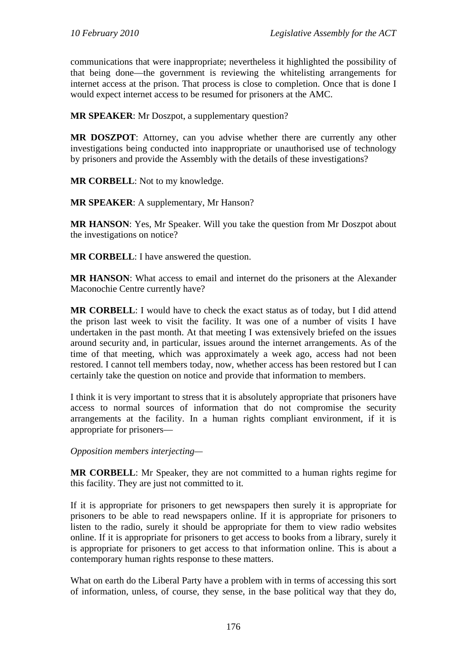communications that were inappropriate; nevertheless it highlighted the possibility of that being done—the government is reviewing the whitelisting arrangements for internet access at the prison. That process is close to completion. Once that is done I would expect internet access to be resumed for prisoners at the AMC.

**MR SPEAKER**: Mr Doszpot, a supplementary question?

**MR DOSZPOT**: Attorney, can you advise whether there are currently any other investigations being conducted into inappropriate or unauthorised use of technology by prisoners and provide the Assembly with the details of these investigations?

**MR CORBELL**: Not to my knowledge.

**MR SPEAKER**: A supplementary, Mr Hanson?

**MR HANSON**: Yes, Mr Speaker. Will you take the question from Mr Doszpot about the investigations on notice?

**MR CORBELL**: I have answered the question.

**MR HANSON**: What access to email and internet do the prisoners at the Alexander Maconochie Centre currently have?

**MR CORBELL**: I would have to check the exact status as of today, but I did attend the prison last week to visit the facility. It was one of a number of visits I have undertaken in the past month. At that meeting I was extensively briefed on the issues around security and, in particular, issues around the internet arrangements. As of the time of that meeting, which was approximately a week ago, access had not been restored. I cannot tell members today, now, whether access has been restored but I can certainly take the question on notice and provide that information to members.

I think it is very important to stress that it is absolutely appropriate that prisoners have access to normal sources of information that do not compromise the security arrangements at the facility. In a human rights compliant environment, if it is appropriate for prisoners—

*Opposition members interjecting—* 

**MR CORBELL**: Mr Speaker, they are not committed to a human rights regime for this facility. They are just not committed to it.

If it is appropriate for prisoners to get newspapers then surely it is appropriate for prisoners to be able to read newspapers online. If it is appropriate for prisoners to listen to the radio, surely it should be appropriate for them to view radio websites online. If it is appropriate for prisoners to get access to books from a library, surely it is appropriate for prisoners to get access to that information online. This is about a contemporary human rights response to these matters.

What on earth do the Liberal Party have a problem with in terms of accessing this sort of information, unless, of course, they sense, in the base political way that they do,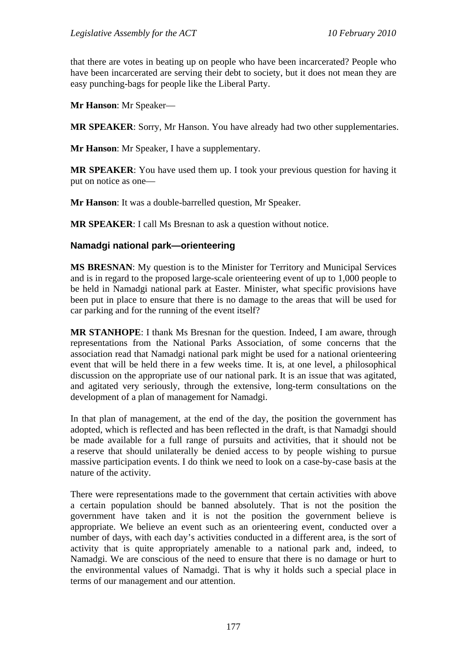that there are votes in beating up on people who have been incarcerated? People who have been incarcerated are serving their debt to society, but it does not mean they are easy punching-bags for people like the Liberal Party.

**Mr Hanson**: Mr Speaker—

**MR SPEAKER**: Sorry, Mr Hanson. You have already had two other supplementaries.

**Mr Hanson**: Mr Speaker, I have a supplementary.

**MR SPEAKER**: You have used them up. I took your previous question for having it put on notice as one—

**Mr Hanson**: It was a double-barrelled question, Mr Speaker.

**MR SPEAKER**: I call Ms Bresnan to ask a question without notice.

#### **Namadgi national park—orienteering**

**MS BRESNAN**: My question is to the Minister for Territory and Municipal Services and is in regard to the proposed large-scale orienteering event of up to 1,000 people to be held in Namadgi national park at Easter. Minister, what specific provisions have been put in place to ensure that there is no damage to the areas that will be used for car parking and for the running of the event itself?

**MR STANHOPE**: I thank Ms Bresnan for the question. Indeed, I am aware, through representations from the National Parks Association, of some concerns that the association read that Namadgi national park might be used for a national orienteering event that will be held there in a few weeks time. It is, at one level, a philosophical discussion on the appropriate use of our national park. It is an issue that was agitated, and agitated very seriously, through the extensive, long-term consultations on the development of a plan of management for Namadgi.

In that plan of management, at the end of the day, the position the government has adopted, which is reflected and has been reflected in the draft, is that Namadgi should be made available for a full range of pursuits and activities, that it should not be a reserve that should unilaterally be denied access to by people wishing to pursue massive participation events. I do think we need to look on a case-by-case basis at the nature of the activity.

There were representations made to the government that certain activities with above a certain population should be banned absolutely. That is not the position the government have taken and it is not the position the government believe is appropriate. We believe an event such as an orienteering event, conducted over a number of days, with each day's activities conducted in a different area, is the sort of activity that is quite appropriately amenable to a national park and, indeed, to Namadgi. We are conscious of the need to ensure that there is no damage or hurt to the environmental values of Namadgi. That is why it holds such a special place in terms of our management and our attention.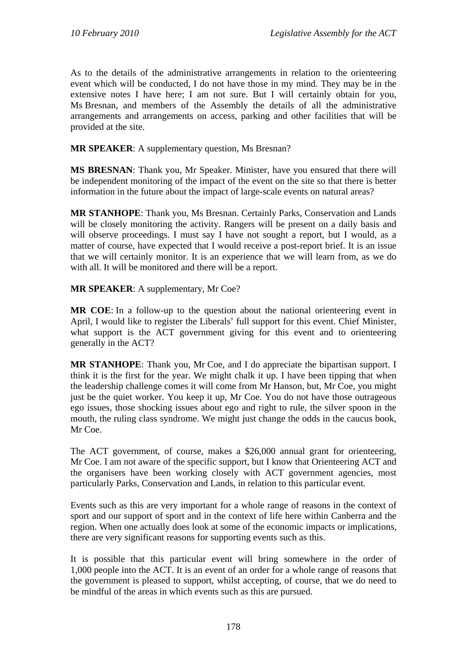As to the details of the administrative arrangements in relation to the orienteering event which will be conducted, I do not have those in my mind. They may be in the extensive notes I have here; I am not sure. But I will certainly obtain for you, Ms Bresnan, and members of the Assembly the details of all the administrative arrangements and arrangements on access, parking and other facilities that will be provided at the site.

**MR SPEAKER**: A supplementary question, Ms Bresnan?

**MS BRESNAN**: Thank you, Mr Speaker. Minister, have you ensured that there will be independent monitoring of the impact of the event on the site so that there is better information in the future about the impact of large-scale events on natural areas?

**MR STANHOPE**: Thank you, Ms Bresnan. Certainly Parks, Conservation and Lands will be closely monitoring the activity. Rangers will be present on a daily basis and will observe proceedings. I must say I have not sought a report, but I would, as a matter of course, have expected that I would receive a post-report brief. It is an issue that we will certainly monitor. It is an experience that we will learn from, as we do with all. It will be monitored and there will be a report.

**MR SPEAKER**: A supplementary, Mr Coe?

**MR COE**: In a follow-up to the question about the national orienteering event in April, I would like to register the Liberals' full support for this event. Chief Minister, what support is the ACT government giving for this event and to orienteering generally in the ACT?

**MR STANHOPE**: Thank you, Mr Coe, and I do appreciate the bipartisan support. I think it is the first for the year. We might chalk it up. I have been tipping that when the leadership challenge comes it will come from Mr Hanson, but, Mr Coe, you might just be the quiet worker. You keep it up, Mr Coe. You do not have those outrageous ego issues, those shocking issues about ego and right to rule, the silver spoon in the mouth, the ruling class syndrome. We might just change the odds in the caucus book, Mr Coe.

The ACT government, of course, makes a \$26,000 annual grant for orienteering, Mr Coe. I am not aware of the specific support, but I know that Orienteering ACT and the organisers have been working closely with ACT government agencies, most particularly Parks, Conservation and Lands, in relation to this particular event.

Events such as this are very important for a whole range of reasons in the context of sport and our support of sport and in the context of life here within Canberra and the region. When one actually does look at some of the economic impacts or implications, there are very significant reasons for supporting events such as this.

It is possible that this particular event will bring somewhere in the order of 1,000 people into the ACT. It is an event of an order for a whole range of reasons that the government is pleased to support, whilst accepting, of course, that we do need to be mindful of the areas in which events such as this are pursued.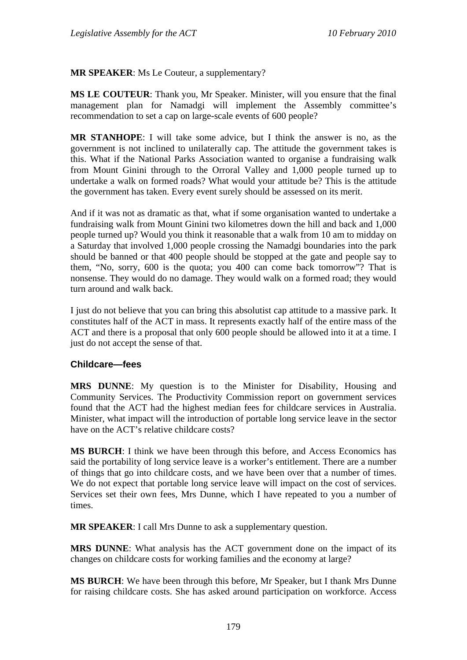**MR SPEAKER**: Ms Le Couteur, a supplementary?

**MS LE COUTEUR**: Thank you, Mr Speaker. Minister, will you ensure that the final management plan for Namadgi will implement the Assembly committee's recommendation to set a cap on large-scale events of 600 people?

**MR STANHOPE**: I will take some advice, but I think the answer is no, as the government is not inclined to unilaterally cap. The attitude the government takes is this. What if the National Parks Association wanted to organise a fundraising walk from Mount Ginini through to the Orroral Valley and 1,000 people turned up to undertake a walk on formed roads? What would your attitude be? This is the attitude the government has taken. Every event surely should be assessed on its merit.

And if it was not as dramatic as that, what if some organisation wanted to undertake a fundraising walk from Mount Ginini two kilometres down the hill and back and 1,000 people turned up? Would you think it reasonable that a walk from 10 am to midday on a Saturday that involved 1,000 people crossing the Namadgi boundaries into the park should be banned or that 400 people should be stopped at the gate and people say to them, "No, sorry, 600 is the quota; you 400 can come back tomorrow"? That is nonsense. They would do no damage. They would walk on a formed road; they would turn around and walk back.

I just do not believe that you can bring this absolutist cap attitude to a massive park. It constitutes half of the ACT in mass. It represents exactly half of the entire mass of the ACT and there is a proposal that only 600 people should be allowed into it at a time. I just do not accept the sense of that.

#### **Childcare—fees**

**MRS DUNNE**: My question is to the Minister for Disability, Housing and Community Services. The Productivity Commission report on government services found that the ACT had the highest median fees for childcare services in Australia. Minister, what impact will the introduction of portable long service leave in the sector have on the ACT's relative childcare costs?

**MS BURCH**: I think we have been through this before, and Access Economics has said the portability of long service leave is a worker's entitlement. There are a number of things that go into childcare costs, and we have been over that a number of times. We do not expect that portable long service leave will impact on the cost of services. Services set their own fees, Mrs Dunne, which I have repeated to you a number of times.

**MR SPEAKER**: I call Mrs Dunne to ask a supplementary question.

**MRS DUNNE**: What analysis has the ACT government done on the impact of its changes on childcare costs for working families and the economy at large?

**MS BURCH**: We have been through this before, Mr Speaker, but I thank Mrs Dunne for raising childcare costs. She has asked around participation on workforce. Access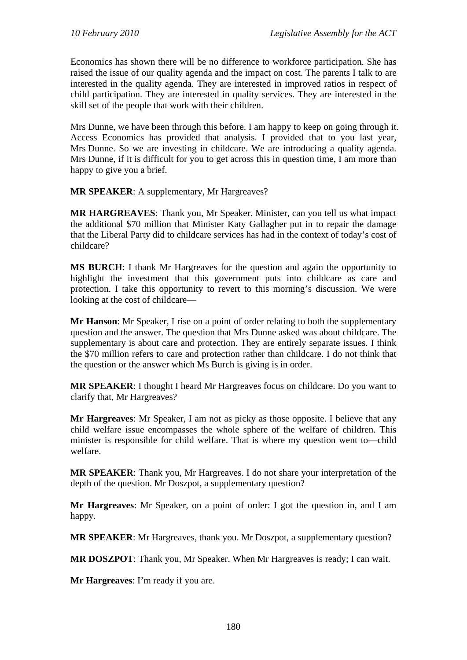Economics has shown there will be no difference to workforce participation. She has raised the issue of our quality agenda and the impact on cost. The parents I talk to are interested in the quality agenda. They are interested in improved ratios in respect of child participation. They are interested in quality services. They are interested in the skill set of the people that work with their children.

Mrs Dunne, we have been through this before. I am happy to keep on going through it. Access Economics has provided that analysis. I provided that to you last year, Mrs Dunne. So we are investing in childcare. We are introducing a quality agenda. Mrs Dunne, if it is difficult for you to get across this in question time, I am more than happy to give you a brief.

**MR SPEAKER**: A supplementary, Mr Hargreaves?

**MR HARGREAVES**: Thank you, Mr Speaker. Minister, can you tell us what impact the additional \$70 million that Minister Katy Gallagher put in to repair the damage that the Liberal Party did to childcare services has had in the context of today's cost of childcare?

**MS BURCH**: I thank Mr Hargreaves for the question and again the opportunity to highlight the investment that this government puts into childcare as care and protection. I take this opportunity to revert to this morning's discussion. We were looking at the cost of childcare—

**Mr Hanson**: Mr Speaker, I rise on a point of order relating to both the supplementary question and the answer. The question that Mrs Dunne asked was about childcare. The supplementary is about care and protection. They are entirely separate issues. I think the \$70 million refers to care and protection rather than childcare. I do not think that the question or the answer which Ms Burch is giving is in order.

**MR SPEAKER**: I thought I heard Mr Hargreaves focus on childcare. Do you want to clarify that, Mr Hargreaves?

**Mr Hargreaves**: Mr Speaker, I am not as picky as those opposite. I believe that any child welfare issue encompasses the whole sphere of the welfare of children. This minister is responsible for child welfare. That is where my question went to—child welfare.

**MR SPEAKER**: Thank you, Mr Hargreaves. I do not share your interpretation of the depth of the question. Mr Doszpot, a supplementary question?

**Mr Hargreaves**: Mr Speaker, on a point of order: I got the question in, and I am happy.

**MR SPEAKER**: Mr Hargreaves, thank you. Mr Doszpot, a supplementary question?

**MR DOSZPOT**: Thank you, Mr Speaker. When Mr Hargreaves is ready; I can wait.

**Mr Hargreaves**: I'm ready if you are.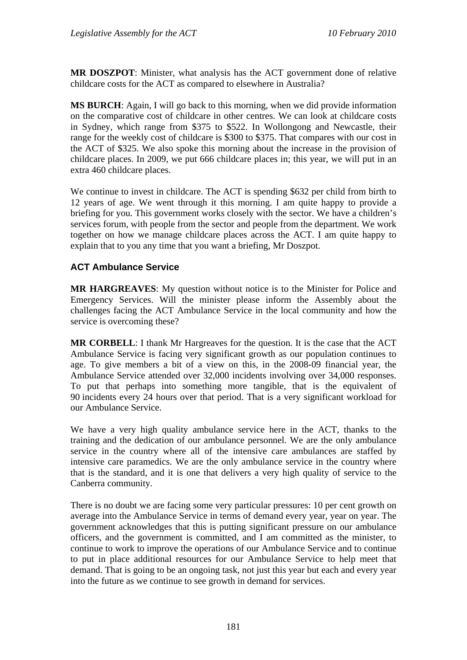**MR DOSZPOT**: Minister, what analysis has the ACT government done of relative childcare costs for the ACT as compared to elsewhere in Australia?

**MS BURCH**: Again, I will go back to this morning, when we did provide information on the comparative cost of childcare in other centres. We can look at childcare costs in Sydney, which range from \$375 to \$522. In Wollongong and Newcastle, their range for the weekly cost of childcare is \$300 to \$375. That compares with our cost in the ACT of \$325. We also spoke this morning about the increase in the provision of childcare places. In 2009, we put 666 childcare places in; this year, we will put in an extra 460 childcare places.

We continue to invest in childcare. The ACT is spending \$632 per child from birth to 12 years of age. We went through it this morning. I am quite happy to provide a briefing for you. This government works closely with the sector. We have a children's services forum, with people from the sector and people from the department. We work together on how we manage childcare places across the ACT. I am quite happy to explain that to you any time that you want a briefing, Mr Doszpot.

# **ACT Ambulance Service**

**MR HARGREAVES**: My question without notice is to the Minister for Police and Emergency Services. Will the minister please inform the Assembly about the challenges facing the ACT Ambulance Service in the local community and how the service is overcoming these?

**MR CORBELL**: I thank Mr Hargreaves for the question. It is the case that the ACT Ambulance Service is facing very significant growth as our population continues to age. To give members a bit of a view on this, in the 2008-09 financial year, the Ambulance Service attended over 32,000 incidents involving over 34,000 responses. To put that perhaps into something more tangible, that is the equivalent of 90 incidents every 24 hours over that period. That is a very significant workload for our Ambulance Service.

We have a very high quality ambulance service here in the ACT, thanks to the training and the dedication of our ambulance personnel. We are the only ambulance service in the country where all of the intensive care ambulances are staffed by intensive care paramedics. We are the only ambulance service in the country where that is the standard, and it is one that delivers a very high quality of service to the Canberra community.

There is no doubt we are facing some very particular pressures: 10 per cent growth on average into the Ambulance Service in terms of demand every year, year on year. The government acknowledges that this is putting significant pressure on our ambulance officers, and the government is committed, and I am committed as the minister, to continue to work to improve the operations of our Ambulance Service and to continue to put in place additional resources for our Ambulance Service to help meet that demand. That is going to be an ongoing task, not just this year but each and every year into the future as we continue to see growth in demand for services.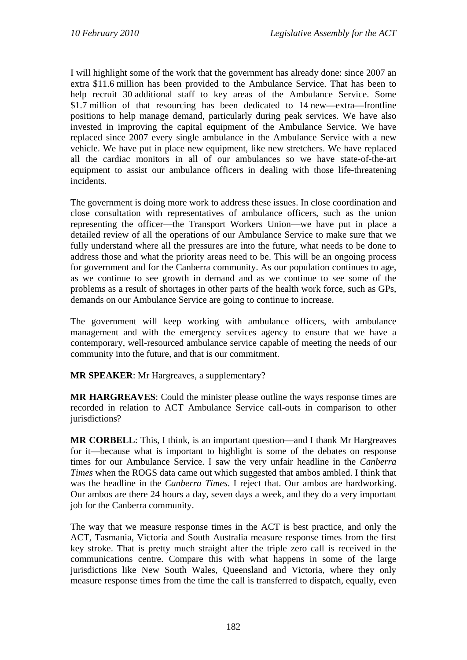I will highlight some of the work that the government has already done: since 2007 an extra \$11.6 million has been provided to the Ambulance Service. That has been to help recruit 30 additional staff to key areas of the Ambulance Service. Some \$1.7 million of that resourcing has been dedicated to 14 new—extra—frontline positions to help manage demand, particularly during peak services. We have also invested in improving the capital equipment of the Ambulance Service. We have replaced since 2007 every single ambulance in the Ambulance Service with a new vehicle. We have put in place new equipment, like new stretchers. We have replaced all the cardiac monitors in all of our ambulances so we have state-of-the-art equipment to assist our ambulance officers in dealing with those life-threatening incidents.

The government is doing more work to address these issues. In close coordination and close consultation with representatives of ambulance officers, such as the union representing the officer—the Transport Workers Union—we have put in place a detailed review of all the operations of our Ambulance Service to make sure that we fully understand where all the pressures are into the future, what needs to be done to address those and what the priority areas need to be. This will be an ongoing process for government and for the Canberra community. As our population continues to age, as we continue to see growth in demand and as we continue to see some of the problems as a result of shortages in other parts of the health work force, such as GPs, demands on our Ambulance Service are going to continue to increase.

The government will keep working with ambulance officers, with ambulance management and with the emergency services agency to ensure that we have a contemporary, well-resourced ambulance service capable of meeting the needs of our community into the future, and that is our commitment.

**MR SPEAKER**: Mr Hargreaves, a supplementary?

**MR HARGREAVES**: Could the minister please outline the ways response times are recorded in relation to ACT Ambulance Service call-outs in comparison to other jurisdictions?

**MR CORBELL**: This, I think, is an important question—and I thank Mr Hargreaves for it—because what is important to highlight is some of the debates on response times for our Ambulance Service. I saw the very unfair headline in the *Canberra Times* when the ROGS data came out which suggested that ambos ambled. I think that was the headline in the *Canberra Times*. I reject that. Our ambos are hardworking. Our ambos are there 24 hours a day, seven days a week, and they do a very important job for the Canberra community.

The way that we measure response times in the ACT is best practice, and only the ACT, Tasmania, Victoria and South Australia measure response times from the first key stroke. That is pretty much straight after the triple zero call is received in the communications centre. Compare this with what happens in some of the large jurisdictions like New South Wales, Queensland and Victoria, where they only measure response times from the time the call is transferred to dispatch, equally, even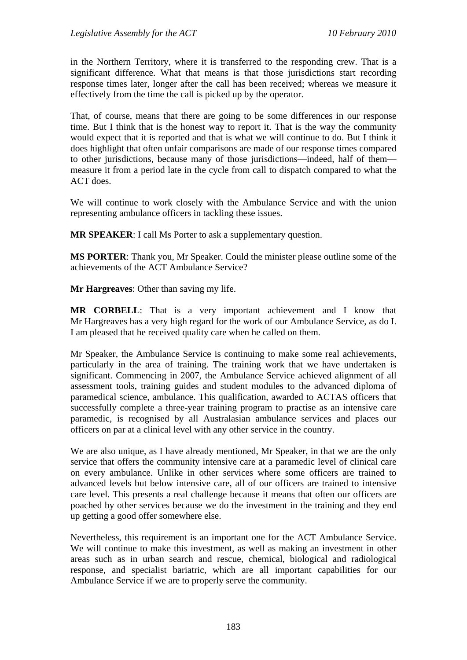in the Northern Territory, where it is transferred to the responding crew. That is a significant difference. What that means is that those jurisdictions start recording response times later, longer after the call has been received; whereas we measure it effectively from the time the call is picked up by the operator.

That, of course, means that there are going to be some differences in our response time. But I think that is the honest way to report it. That is the way the community would expect that it is reported and that is what we will continue to do. But I think it does highlight that often unfair comparisons are made of our response times compared to other jurisdictions, because many of those jurisdictions—indeed, half of them measure it from a period late in the cycle from call to dispatch compared to what the ACT does.

We will continue to work closely with the Ambulance Service and with the union representing ambulance officers in tackling these issues.

**MR SPEAKER**: I call Ms Porter to ask a supplementary question.

**MS PORTER**: Thank you, Mr Speaker. Could the minister please outline some of the achievements of the ACT Ambulance Service?

**Mr Hargreaves**: Other than saving my life.

**MR CORBELL**: That is a very important achievement and I know that Mr Hargreaves has a very high regard for the work of our Ambulance Service, as do I. I am pleased that he received quality care when he called on them.

Mr Speaker, the Ambulance Service is continuing to make some real achievements, particularly in the area of training. The training work that we have undertaken is significant. Commencing in 2007, the Ambulance Service achieved alignment of all assessment tools, training guides and student modules to the advanced diploma of paramedical science, ambulance. This qualification, awarded to ACTAS officers that successfully complete a three-year training program to practise as an intensive care paramedic, is recognised by all Australasian ambulance services and places our officers on par at a clinical level with any other service in the country.

We are also unique, as I have already mentioned, Mr Speaker, in that we are the only service that offers the community intensive care at a paramedic level of clinical care on every ambulance. Unlike in other services where some officers are trained to advanced levels but below intensive care, all of our officers are trained to intensive care level. This presents a real challenge because it means that often our officers are poached by other services because we do the investment in the training and they end up getting a good offer somewhere else.

Nevertheless, this requirement is an important one for the ACT Ambulance Service. We will continue to make this investment, as well as making an investment in other areas such as in urban search and rescue, chemical, biological and radiological response, and specialist bariatric, which are all important capabilities for our Ambulance Service if we are to properly serve the community.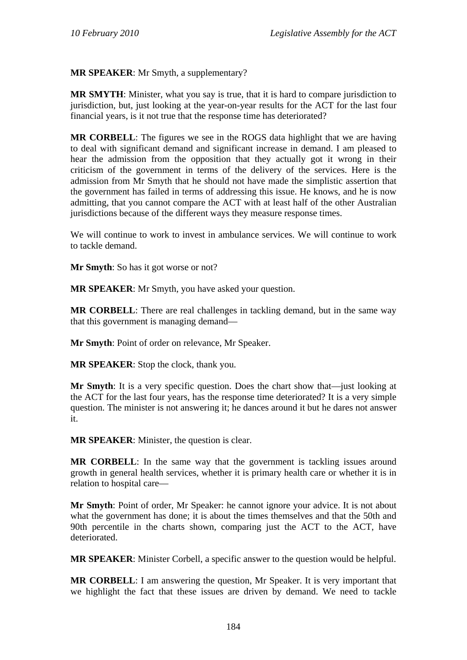**MR SPEAKER**: Mr Smyth, a supplementary?

**MR SMYTH**: Minister, what you say is true, that it is hard to compare jurisdiction to jurisdiction, but, just looking at the year-on-year results for the ACT for the last four financial years, is it not true that the response time has deteriorated?

**MR CORBELL**: The figures we see in the ROGS data highlight that we are having to deal with significant demand and significant increase in demand. I am pleased to hear the admission from the opposition that they actually got it wrong in their criticism of the government in terms of the delivery of the services. Here is the admission from Mr Smyth that he should not have made the simplistic assertion that the government has failed in terms of addressing this issue. He knows, and he is now admitting, that you cannot compare the ACT with at least half of the other Australian jurisdictions because of the different ways they measure response times.

We will continue to work to invest in ambulance services. We will continue to work to tackle demand.

**Mr Smyth**: So has it got worse or not?

**MR SPEAKER**: Mr Smyth, you have asked your question.

**MR CORBELL:** There are real challenges in tackling demand, but in the same way that this government is managing demand—

**Mr Smyth**: Point of order on relevance, Mr Speaker.

**MR SPEAKER**: Stop the clock, thank you.

**Mr Smyth**: It is a very specific question. Does the chart show that—just looking at the ACT for the last four years, has the response time deteriorated? It is a very simple question. The minister is not answering it; he dances around it but he dares not answer it.

**MR SPEAKER**: Minister, the question is clear.

**MR CORBELL**: In the same way that the government is tackling issues around growth in general health services, whether it is primary health care or whether it is in relation to hospital care—

**Mr Smyth**: Point of order, Mr Speaker: he cannot ignore your advice. It is not about what the government has done; it is about the times themselves and that the 50th and 90th percentile in the charts shown, comparing just the ACT to the ACT, have deteriorated.

**MR SPEAKER**: Minister Corbell, a specific answer to the question would be helpful.

**MR CORBELL**: I am answering the question, Mr Speaker. It is very important that we highlight the fact that these issues are driven by demand. We need to tackle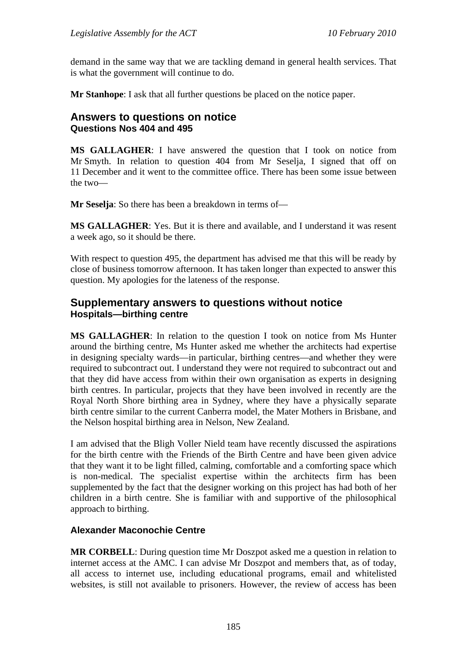demand in the same way that we are tackling demand in general health services. That is what the government will continue to do.

**Mr Stanhope**: I ask that all further questions be placed on the notice paper.

## **Answers to questions on notice Questions Nos 404 and 495**

**MS GALLAGHER**: I have answered the question that I took on notice from Mr Smyth. In relation to question 404 from Mr Seselja, I signed that off on 11 December and it went to the committee office. There has been some issue between the two—

**Mr Seselja**: So there has been a breakdown in terms of—

**MS GALLAGHER**: Yes. But it is there and available, and I understand it was resent a week ago, so it should be there.

With respect to question 495, the department has advised me that this will be ready by close of business tomorrow afternoon. It has taken longer than expected to answer this question. My apologies for the lateness of the response.

## **Supplementary answers to questions without notice Hospitals—birthing centre**

**MS GALLAGHER**: In relation to the question I took on notice from Ms Hunter around the birthing centre, Ms Hunter asked me whether the architects had expertise in designing specialty wards—in particular, birthing centres—and whether they were required to subcontract out. I understand they were not required to subcontract out and that they did have access from within their own organisation as experts in designing birth centres. In particular, projects that they have been involved in recently are the Royal North Shore birthing area in Sydney, where they have a physically separate birth centre similar to the current Canberra model, the Mater Mothers in Brisbane, and the Nelson hospital birthing area in Nelson, New Zealand.

I am advised that the Bligh Voller Nield team have recently discussed the aspirations for the birth centre with the Friends of the Birth Centre and have been given advice that they want it to be light filled, calming, comfortable and a comforting space which is non-medical. The specialist expertise within the architects firm has been supplemented by the fact that the designer working on this project has had both of her children in a birth centre. She is familiar with and supportive of the philosophical approach to birthing.

### **Alexander Maconochie Centre**

**MR CORBELL**: During question time Mr Doszpot asked me a question in relation to internet access at the AMC. I can advise Mr Doszpot and members that, as of today, all access to internet use, including educational programs, email and whitelisted websites, is still not available to prisoners. However, the review of access has been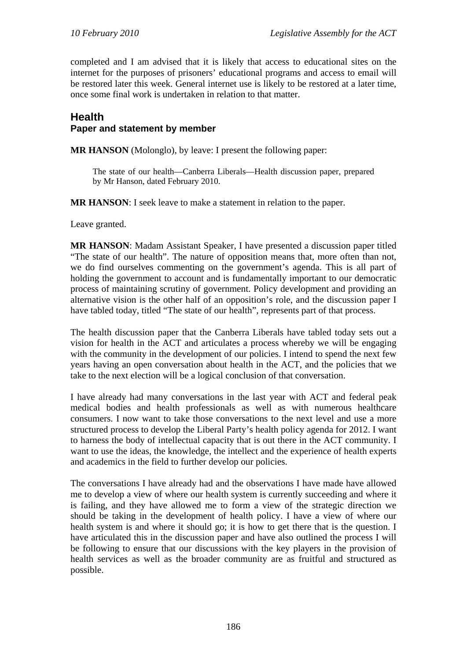completed and I am advised that it is likely that access to educational sites on the internet for the purposes of prisoners' educational programs and access to email will be restored later this week. General internet use is likely to be restored at a later time, once some final work is undertaken in relation to that matter.

# **Health Paper and statement by member**

**MR HANSON** (Molonglo), by leave: I present the following paper:

The state of our health—Canberra Liberals—Health discussion paper, prepared by Mr Hanson, dated February 2010.

**MR HANSON**: I seek leave to make a statement in relation to the paper.

Leave granted.

**MR HANSON**: Madam Assistant Speaker, I have presented a discussion paper titled "The state of our health". The nature of opposition means that, more often than not, we do find ourselves commenting on the government's agenda. This is all part of holding the government to account and is fundamentally important to our democratic process of maintaining scrutiny of government. Policy development and providing an alternative vision is the other half of an opposition's role, and the discussion paper I have tabled today, titled "The state of our health", represents part of that process.

The health discussion paper that the Canberra Liberals have tabled today sets out a vision for health in the ACT and articulates a process whereby we will be engaging with the community in the development of our policies. I intend to spend the next few years having an open conversation about health in the ACT, and the policies that we take to the next election will be a logical conclusion of that conversation.

I have already had many conversations in the last year with ACT and federal peak medical bodies and health professionals as well as with numerous healthcare consumers. I now want to take those conversations to the next level and use a more structured process to develop the Liberal Party's health policy agenda for 2012. I want to harness the body of intellectual capacity that is out there in the ACT community. I want to use the ideas, the knowledge, the intellect and the experience of health experts and academics in the field to further develop our policies.

The conversations I have already had and the observations I have made have allowed me to develop a view of where our health system is currently succeeding and where it is failing, and they have allowed me to form a view of the strategic direction we should be taking in the development of health policy. I have a view of where our health system is and where it should go; it is how to get there that is the question. I have articulated this in the discussion paper and have also outlined the process I will be following to ensure that our discussions with the key players in the provision of health services as well as the broader community are as fruitful and structured as possible.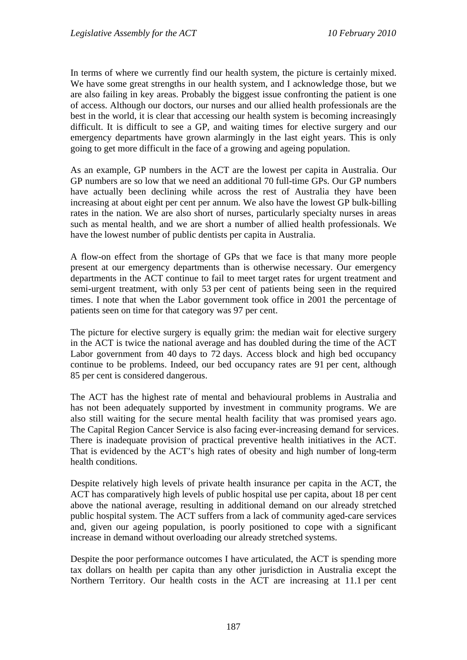In terms of where we currently find our health system, the picture is certainly mixed. We have some great strengths in our health system, and I acknowledge those, but we are also failing in key areas. Probably the biggest issue confronting the patient is one of access. Although our doctors, our nurses and our allied health professionals are the best in the world, it is clear that accessing our health system is becoming increasingly difficult. It is difficult to see a GP, and waiting times for elective surgery and our emergency departments have grown alarmingly in the last eight years. This is only going to get more difficult in the face of a growing and ageing population.

As an example, GP numbers in the ACT are the lowest per capita in Australia. Our GP numbers are so low that we need an additional 70 full-time GPs. Our GP numbers have actually been declining while across the rest of Australia they have been increasing at about eight per cent per annum. We also have the lowest GP bulk-billing rates in the nation. We are also short of nurses, particularly specialty nurses in areas such as mental health, and we are short a number of allied health professionals. We have the lowest number of public dentists per capita in Australia.

A flow-on effect from the shortage of GPs that we face is that many more people present at our emergency departments than is otherwise necessary. Our emergency departments in the ACT continue to fail to meet target rates for urgent treatment and semi-urgent treatment, with only 53 per cent of patients being seen in the required times. I note that when the Labor government took office in 2001 the percentage of patients seen on time for that category was 97 per cent.

The picture for elective surgery is equally grim: the median wait for elective surgery in the ACT is twice the national average and has doubled during the time of the ACT Labor government from 40 days to 72 days. Access block and high bed occupancy continue to be problems. Indeed, our bed occupancy rates are 91 per cent, although 85 per cent is considered dangerous.

The ACT has the highest rate of mental and behavioural problems in Australia and has not been adequately supported by investment in community programs. We are also still waiting for the secure mental health facility that was promised years ago. The Capital Region Cancer Service is also facing ever-increasing demand for services. There is inadequate provision of practical preventive health initiatives in the ACT. That is evidenced by the ACT's high rates of obesity and high number of long-term health conditions.

Despite relatively high levels of private health insurance per capita in the ACT, the ACT has comparatively high levels of public hospital use per capita, about 18 per cent above the national average, resulting in additional demand on our already stretched public hospital system. The ACT suffers from a lack of community aged-care services and, given our ageing population, is poorly positioned to cope with a significant increase in demand without overloading our already stretched systems.

Despite the poor performance outcomes I have articulated, the ACT is spending more tax dollars on health per capita than any other jurisdiction in Australia except the Northern Territory. Our health costs in the ACT are increasing at 11.1 per cent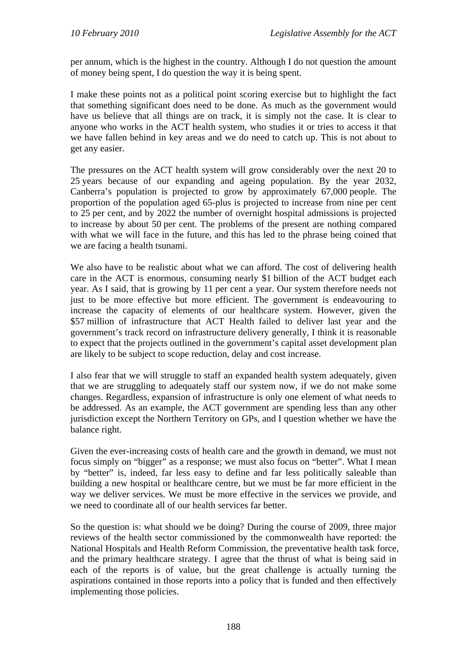per annum, which is the highest in the country. Although I do not question the amount of money being spent, I do question the way it is being spent.

I make these points not as a political point scoring exercise but to highlight the fact that something significant does need to be done. As much as the government would have us believe that all things are on track, it is simply not the case. It is clear to anyone who works in the ACT health system, who studies it or tries to access it that we have fallen behind in key areas and we do need to catch up. This is not about to get any easier.

The pressures on the ACT health system will grow considerably over the next 20 to 25 years because of our expanding and ageing population. By the year 2032, Canberra's population is projected to grow by approximately 67,000 people. The proportion of the population aged 65-plus is projected to increase from nine per cent to 25 per cent, and by 2022 the number of overnight hospital admissions is projected to increase by about 50 per cent. The problems of the present are nothing compared with what we will face in the future, and this has led to the phrase being coined that we are facing a health tsunami.

We also have to be realistic about what we can afford. The cost of delivering health care in the ACT is enormous, consuming nearly \$1 billion of the ACT budget each year. As I said, that is growing by 11 per cent a year. Our system therefore needs not just to be more effective but more efficient. The government is endeavouring to increase the capacity of elements of our healthcare system. However, given the \$57 million of infrastructure that ACT Health failed to deliver last year and the government's track record on infrastructure delivery generally, I think it is reasonable to expect that the projects outlined in the government's capital asset development plan are likely to be subject to scope reduction, delay and cost increase.

I also fear that we will struggle to staff an expanded health system adequately, given that we are struggling to adequately staff our system now, if we do not make some changes. Regardless, expansion of infrastructure is only one element of what needs to be addressed. As an example, the ACT government are spending less than any other jurisdiction except the Northern Territory on GPs, and I question whether we have the balance right.

Given the ever-increasing costs of health care and the growth in demand, we must not focus simply on "bigger" as a response; we must also focus on "better". What I mean by "better" is, indeed, far less easy to define and far less politically saleable than building a new hospital or healthcare centre, but we must be far more efficient in the way we deliver services. We must be more effective in the services we provide, and we need to coordinate all of our health services far better.

So the question is: what should we be doing? During the course of 2009, three major reviews of the health sector commissioned by the commonwealth have reported: the National Hospitals and Health Reform Commission, the preventative health task force, and the primary healthcare strategy. I agree that the thrust of what is being said in each of the reports is of value, but the great challenge is actually turning the aspirations contained in those reports into a policy that is funded and then effectively implementing those policies.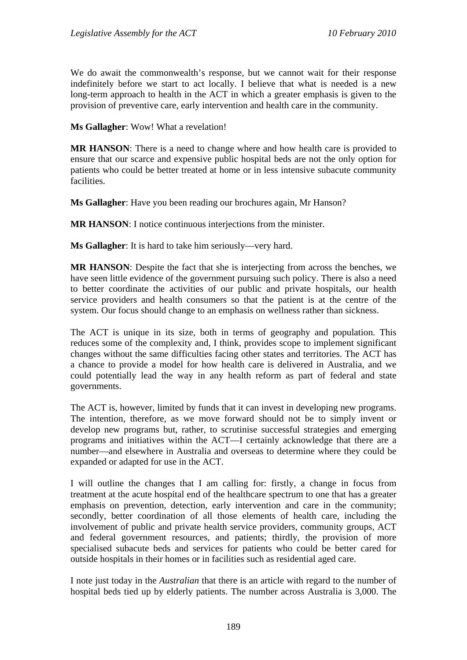We do await the commonwealth's response, but we cannot wait for their response indefinitely before we start to act locally. I believe that what is needed is a new long-term approach to health in the ACT in which a greater emphasis is given to the provision of preventive care, early intervention and health care in the community.

**Ms Gallagher**: Wow! What a revelation!

**MR HANSON**: There is a need to change where and how health care is provided to ensure that our scarce and expensive public hospital beds are not the only option for patients who could be better treated at home or in less intensive subacute community facilities.

**Ms Gallagher**: Have you been reading our brochures again, Mr Hanson?

**MR HANSON**: I notice continuous interjections from the minister.

**Ms Gallagher**: It is hard to take him seriously—very hard.

**MR HANSON**: Despite the fact that she is interjecting from across the benches, we have seen little evidence of the government pursuing such policy. There is also a need to better coordinate the activities of our public and private hospitals, our health service providers and health consumers so that the patient is at the centre of the system. Our focus should change to an emphasis on wellness rather than sickness.

The ACT is unique in its size, both in terms of geography and population. This reduces some of the complexity and, I think, provides scope to implement significant changes without the same difficulties facing other states and territories. The ACT has a chance to provide a model for how health care is delivered in Australia, and we could potentially lead the way in any health reform as part of federal and state governments.

The ACT is, however, limited by funds that it can invest in developing new programs. The intention, therefore, as we move forward should not be to simply invent or develop new programs but, rather, to scrutinise successful strategies and emerging programs and initiatives within the ACT—I certainly acknowledge that there are a number—and elsewhere in Australia and overseas to determine where they could be expanded or adapted for use in the ACT.

I will outline the changes that I am calling for: firstly, a change in focus from treatment at the acute hospital end of the healthcare spectrum to one that has a greater emphasis on prevention, detection, early intervention and care in the community; secondly, better coordination of all those elements of health care, including the involvement of public and private health service providers, community groups, ACT and federal government resources, and patients; thirdly, the provision of more specialised subacute beds and services for patients who could be better cared for outside hospitals in their homes or in facilities such as residential aged care.

I note just today in the *Australian* that there is an article with regard to the number of hospital beds tied up by elderly patients. The number across Australia is 3,000. The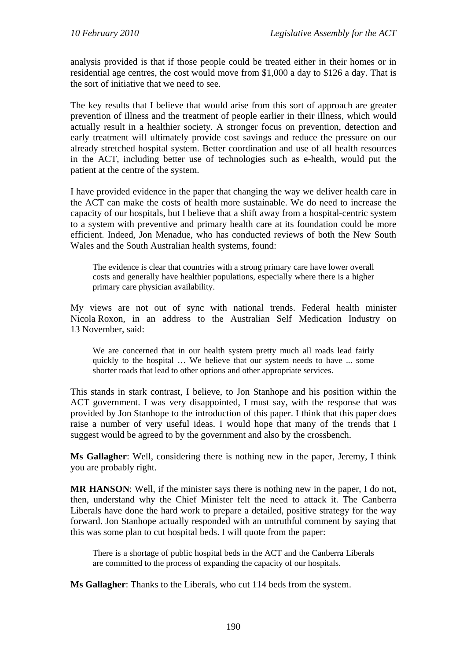analysis provided is that if those people could be treated either in their homes or in residential age centres, the cost would move from \$1,000 a day to \$126 a day. That is the sort of initiative that we need to see.

The key results that I believe that would arise from this sort of approach are greater prevention of illness and the treatment of people earlier in their illness, which would actually result in a healthier society. A stronger focus on prevention, detection and early treatment will ultimately provide cost savings and reduce the pressure on our already stretched hospital system. Better coordination and use of all health resources in the ACT, including better use of technologies such as e-health, would put the patient at the centre of the system.

I have provided evidence in the paper that changing the way we deliver health care in the ACT can make the costs of health more sustainable. We do need to increase the capacity of our hospitals, but I believe that a shift away from a hospital-centric system to a system with preventive and primary health care at its foundation could be more efficient. Indeed, Jon Menadue, who has conducted reviews of both the New South Wales and the South Australian health systems, found:

The evidence is clear that countries with a strong primary care have lower overall costs and generally have healthier populations, especially where there is a higher primary care physician availability.

My views are not out of sync with national trends. Federal health minister Nicola Roxon, in an address to the Australian Self Medication Industry on 13 November, said:

We are concerned that in our health system pretty much all roads lead fairly quickly to the hospital … We believe that our system needs to have ... some shorter roads that lead to other options and other appropriate services.

This stands in stark contrast, I believe, to Jon Stanhope and his position within the ACT government. I was very disappointed, I must say, with the response that was provided by Jon Stanhope to the introduction of this paper. I think that this paper does raise a number of very useful ideas. I would hope that many of the trends that I suggest would be agreed to by the government and also by the crossbench.

**Ms Gallagher**: Well, considering there is nothing new in the paper, Jeremy, I think you are probably right.

**MR HANSON**: Well, if the minister says there is nothing new in the paper, I do not, then, understand why the Chief Minister felt the need to attack it. The Canberra Liberals have done the hard work to prepare a detailed, positive strategy for the way forward. Jon Stanhope actually responded with an untruthful comment by saying that this was some plan to cut hospital beds. I will quote from the paper:

There is a shortage of public hospital beds in the ACT and the Canberra Liberals are committed to the process of expanding the capacity of our hospitals.

**Ms Gallagher**: Thanks to the Liberals, who cut 114 beds from the system.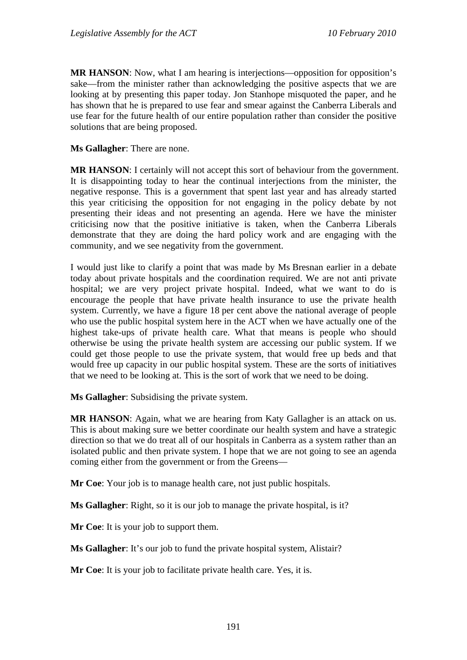**MR HANSON:** Now, what I am hearing is interjections—opposition for opposition's sake—from the minister rather than acknowledging the positive aspects that we are looking at by presenting this paper today. Jon Stanhope misquoted the paper, and he has shown that he is prepared to use fear and smear against the Canberra Liberals and use fear for the future health of our entire population rather than consider the positive solutions that are being proposed.

**Ms Gallagher**: There are none.

**MR HANSON**: I certainly will not accept this sort of behaviour from the government. It is disappointing today to hear the continual interjections from the minister, the negative response. This is a government that spent last year and has already started this year criticising the opposition for not engaging in the policy debate by not presenting their ideas and not presenting an agenda. Here we have the minister criticising now that the positive initiative is taken, when the Canberra Liberals demonstrate that they are doing the hard policy work and are engaging with the community, and we see negativity from the government.

I would just like to clarify a point that was made by Ms Bresnan earlier in a debate today about private hospitals and the coordination required. We are not anti private hospital; we are very project private hospital. Indeed, what we want to do is encourage the people that have private health insurance to use the private health system. Currently, we have a figure 18 per cent above the national average of people who use the public hospital system here in the ACT when we have actually one of the highest take-ups of private health care. What that means is people who should otherwise be using the private health system are accessing our public system. If we could get those people to use the private system, that would free up beds and that would free up capacity in our public hospital system. These are the sorts of initiatives that we need to be looking at. This is the sort of work that we need to be doing.

**Ms Gallagher**: Subsidising the private system.

**MR HANSON**: Again, what we are hearing from Katy Gallagher is an attack on us. This is about making sure we better coordinate our health system and have a strategic direction so that we do treat all of our hospitals in Canberra as a system rather than an isolated public and then private system. I hope that we are not going to see an agenda coming either from the government or from the Greens—

**Mr Coe**: Your job is to manage health care, not just public hospitals.

**Ms Gallagher**: Right, so it is our job to manage the private hospital, is it?

**Mr Coe**: It is your job to support them.

**Ms Gallagher:** It's our job to fund the private hospital system, Alistair?

**Mr Coe**: It is your job to facilitate private health care. Yes, it is.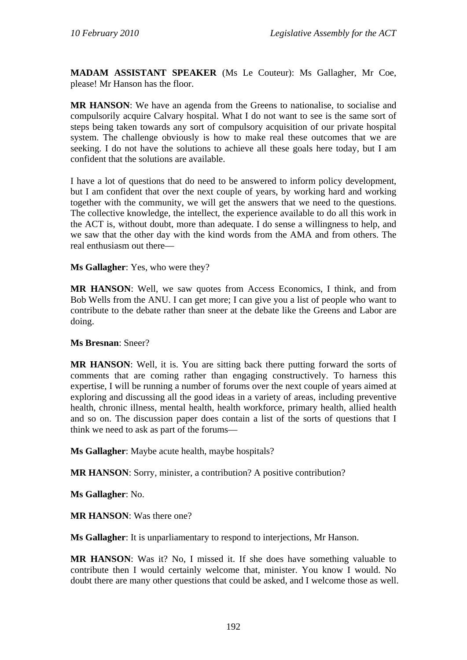**MADAM ASSISTANT SPEAKER** (Ms Le Couteur): Ms Gallagher, Mr Coe, please! Mr Hanson has the floor.

**MR HANSON**: We have an agenda from the Greens to nationalise, to socialise and compulsorily acquire Calvary hospital. What I do not want to see is the same sort of steps being taken towards any sort of compulsory acquisition of our private hospital system. The challenge obviously is how to make real these outcomes that we are seeking. I do not have the solutions to achieve all these goals here today, but I am confident that the solutions are available.

I have a lot of questions that do need to be answered to inform policy development, but I am confident that over the next couple of years, by working hard and working together with the community, we will get the answers that we need to the questions. The collective knowledge, the intellect, the experience available to do all this work in the ACT is, without doubt, more than adequate. I do sense a willingness to help, and we saw that the other day with the kind words from the AMA and from others. The real enthusiasm out there—

**Ms Gallagher**: Yes, who were they?

**MR HANSON**: Well, we saw quotes from Access Economics, I think, and from Bob Wells from the ANU. I can get more; I can give you a list of people who want to contribute to the debate rather than sneer at the debate like the Greens and Labor are doing.

### **Ms Bresnan**: Sneer?

**MR HANSON**: Well, it is. You are sitting back there putting forward the sorts of comments that are coming rather than engaging constructively. To harness this expertise, I will be running a number of forums over the next couple of years aimed at exploring and discussing all the good ideas in a variety of areas, including preventive health, chronic illness, mental health, health workforce, primary health, allied health and so on. The discussion paper does contain a list of the sorts of questions that I think we need to ask as part of the forums—

**Ms Gallagher**: Maybe acute health, maybe hospitals?

**MR HANSON**: Sorry, minister, a contribution? A positive contribution?

**Ms Gallagher**: No.

**MR HANSON**: Was there one?

**Ms Gallagher**: It is unparliamentary to respond to interjections, Mr Hanson.

**MR HANSON**: Was it? No, I missed it. If she does have something valuable to contribute then I would certainly welcome that, minister. You know I would. No doubt there are many other questions that could be asked, and I welcome those as well.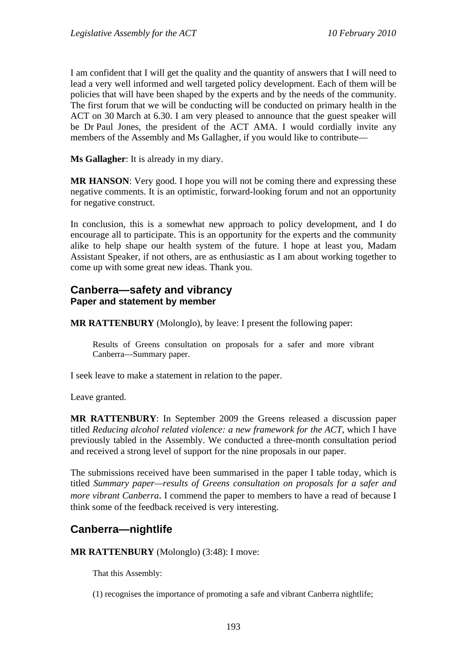I am confident that I will get the quality and the quantity of answers that I will need to lead a very well informed and well targeted policy development. Each of them will be policies that will have been shaped by the experts and by the needs of the community. The first forum that we will be conducting will be conducted on primary health in the ACT on 30 March at 6.30. I am very pleased to announce that the guest speaker will be Dr Paul Jones, the president of the ACT AMA. I would cordially invite any members of the Assembly and Ms Gallagher, if you would like to contribute—

**Ms Gallagher**: It is already in my diary.

**MR HANSON:** Very good. I hope you will not be coming there and expressing these negative comments. It is an optimistic, forward-looking forum and not an opportunity for negative construct.

In conclusion, this is a somewhat new approach to policy development, and I do encourage all to participate. This is an opportunity for the experts and the community alike to help shape our health system of the future. I hope at least you, Madam Assistant Speaker, if not others, are as enthusiastic as I am about working together to come up with some great new ideas. Thank you.

## **Canberra—safety and vibrancy Paper and statement by member**

**MR RATTENBURY** (Molonglo), by leave: I present the following paper:

Results of Greens consultation on proposals for a safer and more vibrant Canberra—Summary paper.

I seek leave to make a statement in relation to the paper.

Leave granted.

**MR RATTENBURY**: In September 2009 the Greens released a discussion paper titled *Reducing alcohol related violence: a new framework for the ACT*, which I have previously tabled in the Assembly. We conducted a three-month consultation period and received a strong level of support for the nine proposals in our paper.

The submissions received have been summarised in the paper I table today, which is titled *Summary paper—results of Greens consultation on proposals for a safer and more vibrant Canberra*. I commend the paper to members to have a read of because I think some of the feedback received is very interesting.

# **Canberra—nightlife**

**MR RATTENBURY** (Molonglo) (3:48): I move:

That this Assembly:

(1) recognises the importance of promoting a safe and vibrant Canberra nightlife;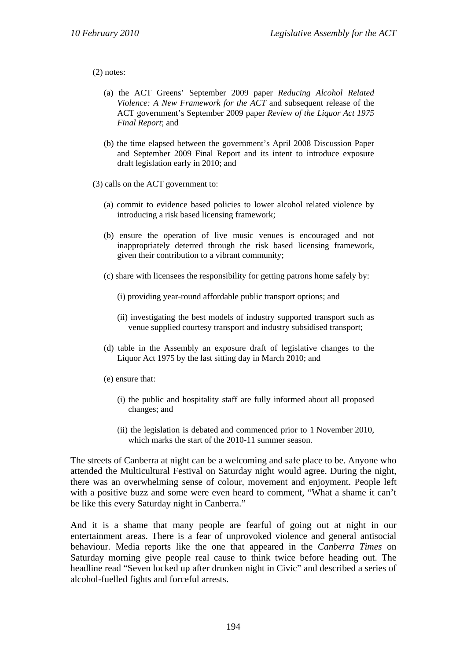#### (2) notes:

- (a) the ACT Greens' September 2009 paper *Reducing Alcohol Related Violence: A New Framework for the ACT* and subsequent release of the ACT government's September 2009 paper *Review of the Liquor Act 1975 Final Report*; and
- (b) the time elapsed between the government's April 2008 Discussion Paper and September 2009 Final Report and its intent to introduce exposure draft legislation early in 2010; and
- (3) calls on the ACT government to:
	- (a) commit to evidence based policies to lower alcohol related violence by introducing a risk based licensing framework;
	- (b) ensure the operation of live music venues is encouraged and not inappropriately deterred through the risk based licensing framework, given their contribution to a vibrant community;
	- (c) share with licensees the responsibility for getting patrons home safely by:
		- (i) providing year-round affordable public transport options; and
		- (ii) investigating the best models of industry supported transport such as venue supplied courtesy transport and industry subsidised transport;
	- (d) table in the Assembly an exposure draft of legislative changes to the Liquor Act 1975 by the last sitting day in March 2010; and
	- (e) ensure that:
		- (i) the public and hospitality staff are fully informed about all proposed changes; and
		- (ii) the legislation is debated and commenced prior to 1 November 2010, which marks the start of the 2010-11 summer season.

The streets of Canberra at night can be a welcoming and safe place to be. Anyone who attended the Multicultural Festival on Saturday night would agree. During the night, there was an overwhelming sense of colour, movement and enjoyment. People left with a positive buzz and some were even heard to comment, "What a shame it can't be like this every Saturday night in Canberra."

And it is a shame that many people are fearful of going out at night in our entertainment areas. There is a fear of unprovoked violence and general antisocial behaviour. Media reports like the one that appeared in the *Canberra Times* on Saturday morning give people real cause to think twice before heading out. The headline read "Seven locked up after drunken night in Civic" and described a series of alcohol-fuelled fights and forceful arrests.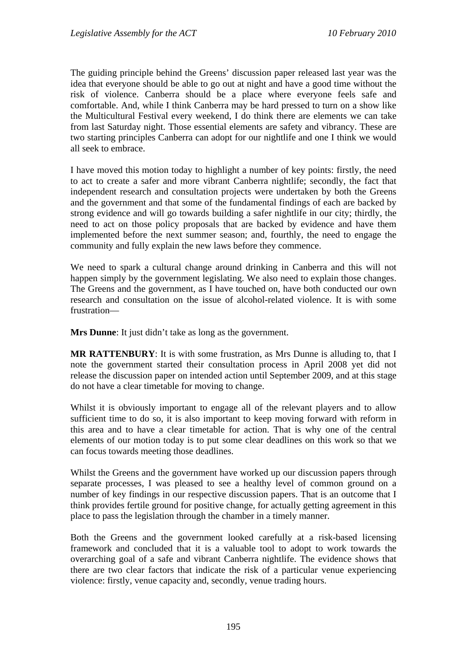The guiding principle behind the Greens' discussion paper released last year was the idea that everyone should be able to go out at night and have a good time without the risk of violence. Canberra should be a place where everyone feels safe and comfortable. And, while I think Canberra may be hard pressed to turn on a show like the Multicultural Festival every weekend, I do think there are elements we can take from last Saturday night. Those essential elements are safety and vibrancy. These are two starting principles Canberra can adopt for our nightlife and one I think we would all seek to embrace.

I have moved this motion today to highlight a number of key points: firstly, the need to act to create a safer and more vibrant Canberra nightlife; secondly, the fact that independent research and consultation projects were undertaken by both the Greens and the government and that some of the fundamental findings of each are backed by strong evidence and will go towards building a safer nightlife in our city; thirdly, the need to act on those policy proposals that are backed by evidence and have them implemented before the next summer season; and, fourthly, the need to engage the community and fully explain the new laws before they commence.

We need to spark a cultural change around drinking in Canberra and this will not happen simply by the government legislating. We also need to explain those changes. The Greens and the government, as I have touched on, have both conducted our own research and consultation on the issue of alcohol-related violence. It is with some frustration—

**Mrs Dunne**: It just didn't take as long as the government.

**MR RATTENBURY**: It is with some frustration, as Mrs Dunne is alluding to, that I note the government started their consultation process in April 2008 yet did not release the discussion paper on intended action until September 2009, and at this stage do not have a clear timetable for moving to change.

Whilst it is obviously important to engage all of the relevant players and to allow sufficient time to do so, it is also important to keep moving forward with reform in this area and to have a clear timetable for action. That is why one of the central elements of our motion today is to put some clear deadlines on this work so that we can focus towards meeting those deadlines.

Whilst the Greens and the government have worked up our discussion papers through separate processes, I was pleased to see a healthy level of common ground on a number of key findings in our respective discussion papers. That is an outcome that I think provides fertile ground for positive change, for actually getting agreement in this place to pass the legislation through the chamber in a timely manner.

Both the Greens and the government looked carefully at a risk-based licensing framework and concluded that it is a valuable tool to adopt to work towards the overarching goal of a safe and vibrant Canberra nightlife. The evidence shows that there are two clear factors that indicate the risk of a particular venue experiencing violence: firstly, venue capacity and, secondly, venue trading hours.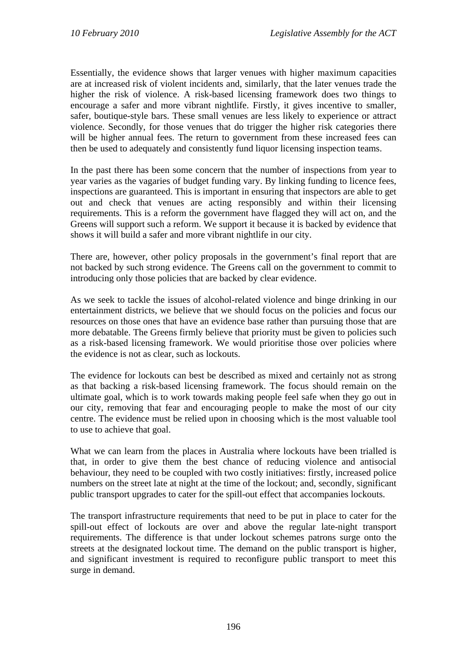Essentially, the evidence shows that larger venues with higher maximum capacities are at increased risk of violent incidents and, similarly, that the later venues trade the higher the risk of violence. A risk-based licensing framework does two things to encourage a safer and more vibrant nightlife. Firstly, it gives incentive to smaller, safer, boutique-style bars. These small venues are less likely to experience or attract violence. Secondly, for those venues that do trigger the higher risk categories there will be higher annual fees. The return to government from these increased fees can then be used to adequately and consistently fund liquor licensing inspection teams.

In the past there has been some concern that the number of inspections from year to year varies as the vagaries of budget funding vary. By linking funding to licence fees, inspections are guaranteed. This is important in ensuring that inspectors are able to get out and check that venues are acting responsibly and within their licensing requirements. This is a reform the government have flagged they will act on, and the Greens will support such a reform. We support it because it is backed by evidence that shows it will build a safer and more vibrant nightlife in our city.

There are, however, other policy proposals in the government's final report that are not backed by such strong evidence. The Greens call on the government to commit to introducing only those policies that are backed by clear evidence.

As we seek to tackle the issues of alcohol-related violence and binge drinking in our entertainment districts, we believe that we should focus on the policies and focus our resources on those ones that have an evidence base rather than pursuing those that are more debatable. The Greens firmly believe that priority must be given to policies such as a risk-based licensing framework. We would prioritise those over policies where the evidence is not as clear, such as lockouts.

The evidence for lockouts can best be described as mixed and certainly not as strong as that backing a risk-based licensing framework. The focus should remain on the ultimate goal, which is to work towards making people feel safe when they go out in our city, removing that fear and encouraging people to make the most of our city centre. The evidence must be relied upon in choosing which is the most valuable tool to use to achieve that goal.

What we can learn from the places in Australia where lockouts have been trialled is that, in order to give them the best chance of reducing violence and antisocial behaviour, they need to be coupled with two costly initiatives: firstly, increased police numbers on the street late at night at the time of the lockout; and, secondly, significant public transport upgrades to cater for the spill-out effect that accompanies lockouts.

The transport infrastructure requirements that need to be put in place to cater for the spill-out effect of lockouts are over and above the regular late-night transport requirements. The difference is that under lockout schemes patrons surge onto the streets at the designated lockout time. The demand on the public transport is higher, and significant investment is required to reconfigure public transport to meet this surge in demand.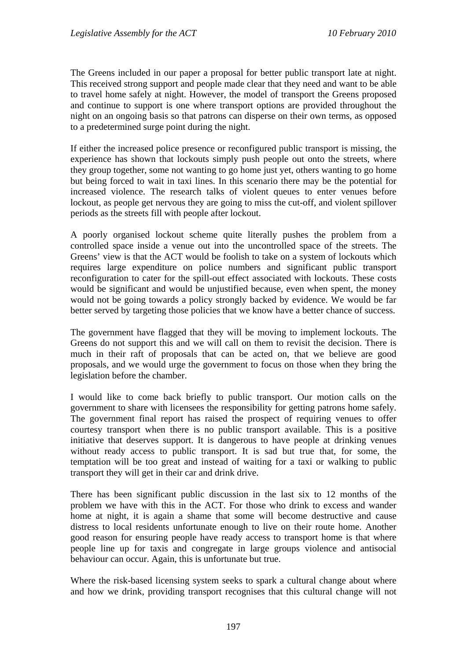The Greens included in our paper a proposal for better public transport late at night. This received strong support and people made clear that they need and want to be able to travel home safely at night. However, the model of transport the Greens proposed and continue to support is one where transport options are provided throughout the night on an ongoing basis so that patrons can disperse on their own terms, as opposed to a predetermined surge point during the night.

If either the increased police presence or reconfigured public transport is missing, the experience has shown that lockouts simply push people out onto the streets, where they group together, some not wanting to go home just yet, others wanting to go home but being forced to wait in taxi lines. In this scenario there may be the potential for increased violence. The research talks of violent queues to enter venues before lockout, as people get nervous they are going to miss the cut-off, and violent spillover periods as the streets fill with people after lockout.

A poorly organised lockout scheme quite literally pushes the problem from a controlled space inside a venue out into the uncontrolled space of the streets. The Greens' view is that the ACT would be foolish to take on a system of lockouts which requires large expenditure on police numbers and significant public transport reconfiguration to cater for the spill-out effect associated with lockouts. These costs would be significant and would be unjustified because, even when spent, the money would not be going towards a policy strongly backed by evidence. We would be far better served by targeting those policies that we know have a better chance of success.

The government have flagged that they will be moving to implement lockouts. The Greens do not support this and we will call on them to revisit the decision. There is much in their raft of proposals that can be acted on, that we believe are good proposals, and we would urge the government to focus on those when they bring the legislation before the chamber.

I would like to come back briefly to public transport. Our motion calls on the government to share with licensees the responsibility for getting patrons home safely. The government final report has raised the prospect of requiring venues to offer courtesy transport when there is no public transport available. This is a positive initiative that deserves support. It is dangerous to have people at drinking venues without ready access to public transport. It is sad but true that, for some, the temptation will be too great and instead of waiting for a taxi or walking to public transport they will get in their car and drink drive.

There has been significant public discussion in the last six to 12 months of the problem we have with this in the ACT. For those who drink to excess and wander home at night, it is again a shame that some will become destructive and cause distress to local residents unfortunate enough to live on their route home. Another good reason for ensuring people have ready access to transport home is that where people line up for taxis and congregate in large groups violence and antisocial behaviour can occur. Again, this is unfortunate but true.

Where the risk-based licensing system seeks to spark a cultural change about where and how we drink, providing transport recognises that this cultural change will not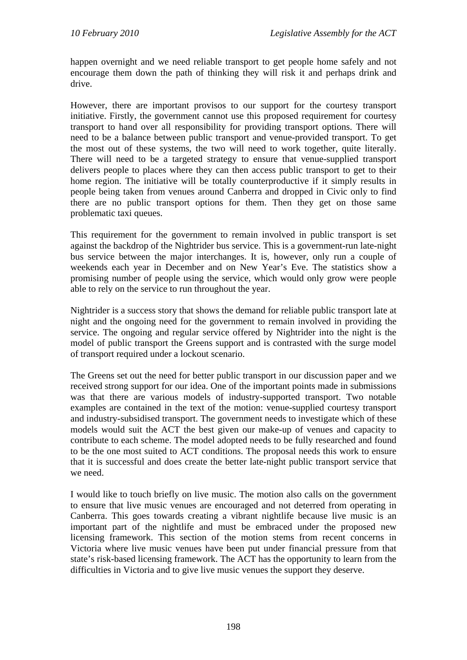happen overnight and we need reliable transport to get people home safely and not encourage them down the path of thinking they will risk it and perhaps drink and drive.

However, there are important provisos to our support for the courtesy transport initiative. Firstly, the government cannot use this proposed requirement for courtesy transport to hand over all responsibility for providing transport options. There will need to be a balance between public transport and venue-provided transport. To get the most out of these systems, the two will need to work together, quite literally. There will need to be a targeted strategy to ensure that venue-supplied transport delivers people to places where they can then access public transport to get to their home region. The initiative will be totally counterproductive if it simply results in people being taken from venues around Canberra and dropped in Civic only to find there are no public transport options for them. Then they get on those same problematic taxi queues.

This requirement for the government to remain involved in public transport is set against the backdrop of the Nightrider bus service. This is a government-run late-night bus service between the major interchanges. It is, however, only run a couple of weekends each year in December and on New Year's Eve. The statistics show a promising number of people using the service, which would only grow were people able to rely on the service to run throughout the year.

Nightrider is a success story that shows the demand for reliable public transport late at night and the ongoing need for the government to remain involved in providing the service. The ongoing and regular service offered by Nightrider into the night is the model of public transport the Greens support and is contrasted with the surge model of transport required under a lockout scenario.

The Greens set out the need for better public transport in our discussion paper and we received strong support for our idea. One of the important points made in submissions was that there are various models of industry-supported transport. Two notable examples are contained in the text of the motion: venue-supplied courtesy transport and industry-subsidised transport. The government needs to investigate which of these models would suit the ACT the best given our make-up of venues and capacity to contribute to each scheme. The model adopted needs to be fully researched and found to be the one most suited to ACT conditions. The proposal needs this work to ensure that it is successful and does create the better late-night public transport service that we need.

I would like to touch briefly on live music. The motion also calls on the government to ensure that live music venues are encouraged and not deterred from operating in Canberra. This goes towards creating a vibrant nightlife because live music is an important part of the nightlife and must be embraced under the proposed new licensing framework. This section of the motion stems from recent concerns in Victoria where live music venues have been put under financial pressure from that state's risk-based licensing framework. The ACT has the opportunity to learn from the difficulties in Victoria and to give live music venues the support they deserve.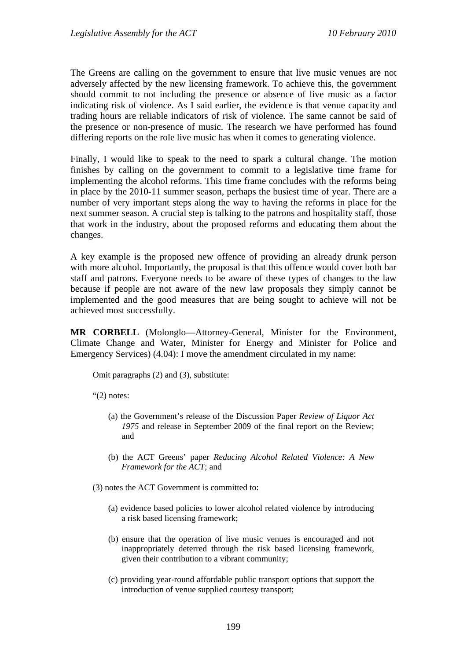The Greens are calling on the government to ensure that live music venues are not adversely affected by the new licensing framework. To achieve this, the government should commit to not including the presence or absence of live music as a factor indicating risk of violence. As I said earlier, the evidence is that venue capacity and trading hours are reliable indicators of risk of violence. The same cannot be said of the presence or non-presence of music. The research we have performed has found differing reports on the role live music has when it comes to generating violence.

Finally, I would like to speak to the need to spark a cultural change. The motion finishes by calling on the government to commit to a legislative time frame for implementing the alcohol reforms. This time frame concludes with the reforms being in place by the 2010-11 summer season, perhaps the busiest time of year. There are a number of very important steps along the way to having the reforms in place for the next summer season. A crucial step is talking to the patrons and hospitality staff, those that work in the industry, about the proposed reforms and educating them about the changes.

A key example is the proposed new offence of providing an already drunk person with more alcohol. Importantly, the proposal is that this offence would cover both bar staff and patrons. Everyone needs to be aware of these types of changes to the law because if people are not aware of the new law proposals they simply cannot be implemented and the good measures that are being sought to achieve will not be achieved most successfully.

**MR CORBELL** (Molonglo—Attorney-General, Minister for the Environment, Climate Change and Water, Minister for Energy and Minister for Police and Emergency Services) (4.04): I move the amendment circulated in my name:

Omit paragraphs (2) and (3), substitute:

"(2) notes:

- (a) the Government's release of the Discussion Paper *Review of Liquor Act 1975* and release in September 2009 of the final report on the Review; and
- (b) the ACT Greens' paper *Reducing Alcohol Related Violence: A New Framework for the ACT*; and
- (3) notes the ACT Government is committed to:
	- (a) evidence based policies to lower alcohol related violence by introducing a risk based licensing framework;
	- (b) ensure that the operation of live music venues is encouraged and not inappropriately deterred through the risk based licensing framework, given their contribution to a vibrant community;
	- (c) providing year-round affordable public transport options that support the introduction of venue supplied courtesy transport;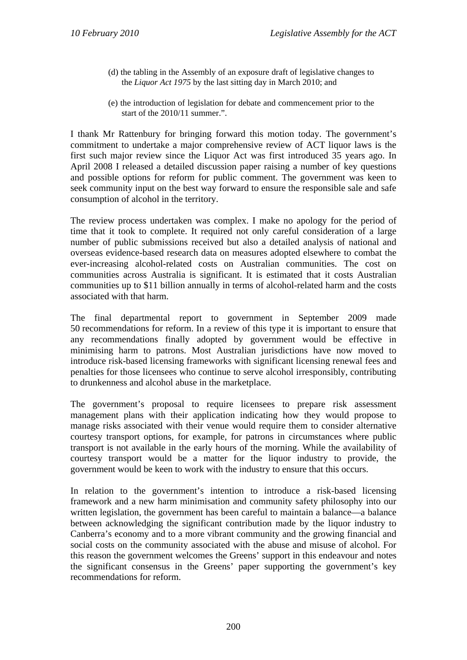- (d) the tabling in the Assembly of an exposure draft of legislative changes to the *Liquor Act 1975* by the last sitting day in March 2010; and
- (e) the introduction of legislation for debate and commencement prior to the start of the 2010/11 summer.".

I thank Mr Rattenbury for bringing forward this motion today. The government's commitment to undertake a major comprehensive review of ACT liquor laws is the first such major review since the Liquor Act was first introduced 35 years ago. In April 2008 I released a detailed discussion paper raising a number of key questions and possible options for reform for public comment. The government was keen to seek community input on the best way forward to ensure the responsible sale and safe consumption of alcohol in the territory.

The review process undertaken was complex. I make no apology for the period of time that it took to complete. It required not only careful consideration of a large number of public submissions received but also a detailed analysis of national and overseas evidence-based research data on measures adopted elsewhere to combat the ever-increasing alcohol-related costs on Australian communities. The cost on communities across Australia is significant. It is estimated that it costs Australian communities up to \$11 billion annually in terms of alcohol-related harm and the costs associated with that harm.

The final departmental report to government in September 2009 made 50 recommendations for reform. In a review of this type it is important to ensure that any recommendations finally adopted by government would be effective in minimising harm to patrons. Most Australian jurisdictions have now moved to introduce risk-based licensing frameworks with significant licensing renewal fees and penalties for those licensees who continue to serve alcohol irresponsibly, contributing to drunkenness and alcohol abuse in the marketplace.

The government's proposal to require licensees to prepare risk assessment management plans with their application indicating how they would propose to manage risks associated with their venue would require them to consider alternative courtesy transport options, for example, for patrons in circumstances where public transport is not available in the early hours of the morning. While the availability of courtesy transport would be a matter for the liquor industry to provide, the government would be keen to work with the industry to ensure that this occurs.

In relation to the government's intention to introduce a risk-based licensing framework and a new harm minimisation and community safety philosophy into our written legislation, the government has been careful to maintain a balance—a balance between acknowledging the significant contribution made by the liquor industry to Canberra's economy and to a more vibrant community and the growing financial and social costs on the community associated with the abuse and misuse of alcohol. For this reason the government welcomes the Greens' support in this endeavour and notes the significant consensus in the Greens' paper supporting the government's key recommendations for reform.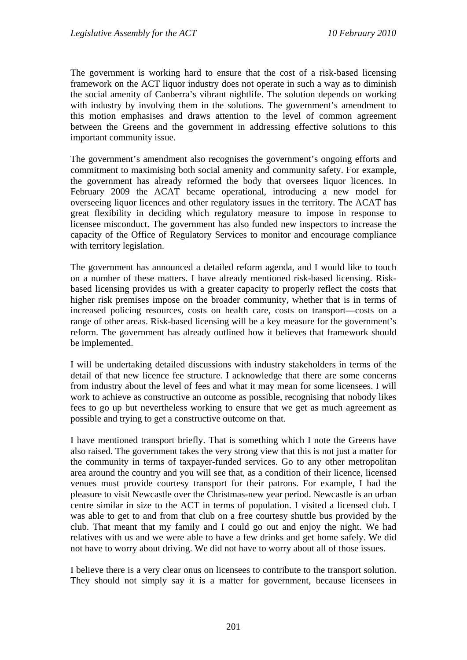The government is working hard to ensure that the cost of a risk-based licensing framework on the ACT liquor industry does not operate in such a way as to diminish the social amenity of Canberra's vibrant nightlife. The solution depends on working with industry by involving them in the solutions. The government's amendment to this motion emphasises and draws attention to the level of common agreement between the Greens and the government in addressing effective solutions to this important community issue.

The government's amendment also recognises the government's ongoing efforts and commitment to maximising both social amenity and community safety. For example, the government has already reformed the body that oversees liquor licences. In February 2009 the ACAT became operational, introducing a new model for overseeing liquor licences and other regulatory issues in the territory. The ACAT has great flexibility in deciding which regulatory measure to impose in response to licensee misconduct. The government has also funded new inspectors to increase the capacity of the Office of Regulatory Services to monitor and encourage compliance with territory legislation.

The government has announced a detailed reform agenda, and I would like to touch on a number of these matters. I have already mentioned risk-based licensing. Riskbased licensing provides us with a greater capacity to properly reflect the costs that higher risk premises impose on the broader community, whether that is in terms of increased policing resources, costs on health care, costs on transport—costs on a range of other areas. Risk-based licensing will be a key measure for the government's reform. The government has already outlined how it believes that framework should be implemented.

I will be undertaking detailed discussions with industry stakeholders in terms of the detail of that new licence fee structure. I acknowledge that there are some concerns from industry about the level of fees and what it may mean for some licensees. I will work to achieve as constructive an outcome as possible, recognising that nobody likes fees to go up but nevertheless working to ensure that we get as much agreement as possible and trying to get a constructive outcome on that.

I have mentioned transport briefly. That is something which I note the Greens have also raised. The government takes the very strong view that this is not just a matter for the community in terms of taxpayer-funded services. Go to any other metropolitan area around the country and you will see that, as a condition of their licence, licensed venues must provide courtesy transport for their patrons. For example, I had the pleasure to visit Newcastle over the Christmas-new year period. Newcastle is an urban centre similar in size to the ACT in terms of population. I visited a licensed club. I was able to get to and from that club on a free courtesy shuttle bus provided by the club. That meant that my family and I could go out and enjoy the night. We had relatives with us and we were able to have a few drinks and get home safely. We did not have to worry about driving. We did not have to worry about all of those issues.

I believe there is a very clear onus on licensees to contribute to the transport solution. They should not simply say it is a matter for government, because licensees in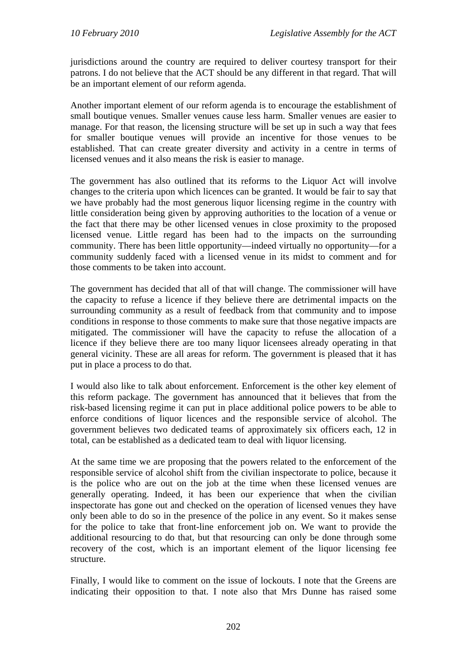jurisdictions around the country are required to deliver courtesy transport for their patrons. I do not believe that the ACT should be any different in that regard. That will be an important element of our reform agenda.

Another important element of our reform agenda is to encourage the establishment of small boutique venues. Smaller venues cause less harm. Smaller venues are easier to manage. For that reason, the licensing structure will be set up in such a way that fees for smaller boutique venues will provide an incentive for those venues to be established. That can create greater diversity and activity in a centre in terms of licensed venues and it also means the risk is easier to manage.

The government has also outlined that its reforms to the Liquor Act will involve changes to the criteria upon which licences can be granted. It would be fair to say that we have probably had the most generous liquor licensing regime in the country with little consideration being given by approving authorities to the location of a venue or the fact that there may be other licensed venues in close proximity to the proposed licensed venue. Little regard has been had to the impacts on the surrounding community. There has been little opportunity—indeed virtually no opportunity—for a community suddenly faced with a licensed venue in its midst to comment and for those comments to be taken into account.

The government has decided that all of that will change. The commissioner will have the capacity to refuse a licence if they believe there are detrimental impacts on the surrounding community as a result of feedback from that community and to impose conditions in response to those comments to make sure that those negative impacts are mitigated. The commissioner will have the capacity to refuse the allocation of a licence if they believe there are too many liquor licensees already operating in that general vicinity. These are all areas for reform. The government is pleased that it has put in place a process to do that.

I would also like to talk about enforcement. Enforcement is the other key element of this reform package. The government has announced that it believes that from the risk-based licensing regime it can put in place additional police powers to be able to enforce conditions of liquor licences and the responsible service of alcohol. The government believes two dedicated teams of approximately six officers each, 12 in total, can be established as a dedicated team to deal with liquor licensing.

At the same time we are proposing that the powers related to the enforcement of the responsible service of alcohol shift from the civilian inspectorate to police, because it is the police who are out on the job at the time when these licensed venues are generally operating. Indeed, it has been our experience that when the civilian inspectorate has gone out and checked on the operation of licensed venues they have only been able to do so in the presence of the police in any event. So it makes sense for the police to take that front-line enforcement job on. We want to provide the additional resourcing to do that, but that resourcing can only be done through some recovery of the cost, which is an important element of the liquor licensing fee structure.

Finally, I would like to comment on the issue of lockouts. I note that the Greens are indicating their opposition to that. I note also that Mrs Dunne has raised some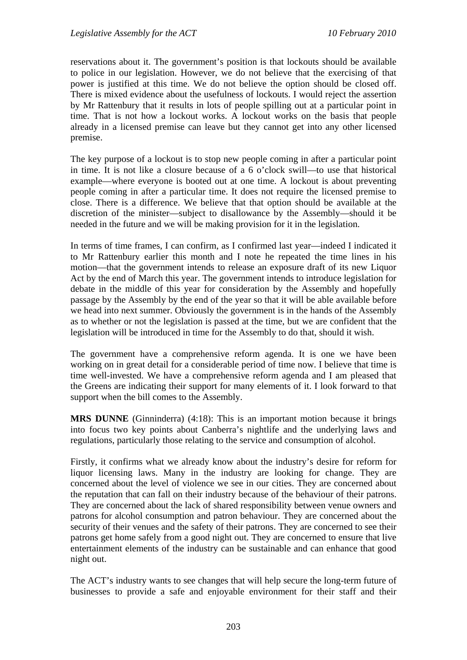reservations about it. The government's position is that lockouts should be available to police in our legislation. However, we do not believe that the exercising of that power is justified at this time. We do not believe the option should be closed off. There is mixed evidence about the usefulness of lockouts. I would reject the assertion by Mr Rattenbury that it results in lots of people spilling out at a particular point in time. That is not how a lockout works. A lockout works on the basis that people already in a licensed premise can leave but they cannot get into any other licensed premise.

The key purpose of a lockout is to stop new people coming in after a particular point in time. It is not like a closure because of a 6 o'clock swill—to use that historical example—where everyone is booted out at one time. A lockout is about preventing people coming in after a particular time. It does not require the licensed premise to close. There is a difference. We believe that that option should be available at the discretion of the minister—subject to disallowance by the Assembly—should it be needed in the future and we will be making provision for it in the legislation.

In terms of time frames, I can confirm, as I confirmed last year—indeed I indicated it to Mr Rattenbury earlier this month and I note he repeated the time lines in his motion—that the government intends to release an exposure draft of its new Liquor Act by the end of March this year. The government intends to introduce legislation for debate in the middle of this year for consideration by the Assembly and hopefully passage by the Assembly by the end of the year so that it will be able available before we head into next summer. Obviously the government is in the hands of the Assembly as to whether or not the legislation is passed at the time, but we are confident that the legislation will be introduced in time for the Assembly to do that, should it wish.

The government have a comprehensive reform agenda. It is one we have been working on in great detail for a considerable period of time now. I believe that time is time well-invested. We have a comprehensive reform agenda and I am pleased that the Greens are indicating their support for many elements of it. I look forward to that support when the bill comes to the Assembly.

**MRS DUNNE** (Ginninderra) (4:18): This is an important motion because it brings into focus two key points about Canberra's nightlife and the underlying laws and regulations, particularly those relating to the service and consumption of alcohol.

Firstly, it confirms what we already know about the industry's desire for reform for liquor licensing laws. Many in the industry are looking for change. They are concerned about the level of violence we see in our cities. They are concerned about the reputation that can fall on their industry because of the behaviour of their patrons. They are concerned about the lack of shared responsibility between venue owners and patrons for alcohol consumption and patron behaviour. They are concerned about the security of their venues and the safety of their patrons. They are concerned to see their patrons get home safely from a good night out. They are concerned to ensure that live entertainment elements of the industry can be sustainable and can enhance that good night out.

The ACT's industry wants to see changes that will help secure the long-term future of businesses to provide a safe and enjoyable environment for their staff and their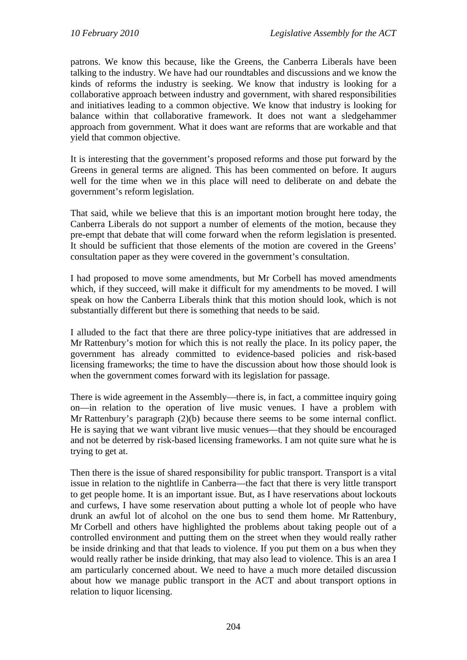patrons. We know this because, like the Greens, the Canberra Liberals have been talking to the industry. We have had our roundtables and discussions and we know the kinds of reforms the industry is seeking. We know that industry is looking for a collaborative approach between industry and government, with shared responsibilities and initiatives leading to a common objective. We know that industry is looking for balance within that collaborative framework. It does not want a sledgehammer approach from government. What it does want are reforms that are workable and that yield that common objective.

It is interesting that the government's proposed reforms and those put forward by the Greens in general terms are aligned. This has been commented on before. It augurs well for the time when we in this place will need to deliberate on and debate the government's reform legislation.

That said, while we believe that this is an important motion brought here today, the Canberra Liberals do not support a number of elements of the motion, because they pre-empt that debate that will come forward when the reform legislation is presented. It should be sufficient that those elements of the motion are covered in the Greens' consultation paper as they were covered in the government's consultation.

I had proposed to move some amendments, but Mr Corbell has moved amendments which, if they succeed, will make it difficult for my amendments to be moved. I will speak on how the Canberra Liberals think that this motion should look, which is not substantially different but there is something that needs to be said.

I alluded to the fact that there are three policy-type initiatives that are addressed in Mr Rattenbury's motion for which this is not really the place. In its policy paper, the government has already committed to evidence-based policies and risk-based licensing frameworks; the time to have the discussion about how those should look is when the government comes forward with its legislation for passage.

There is wide agreement in the Assembly—there is, in fact, a committee inquiry going on—in relation to the operation of live music venues. I have a problem with Mr Rattenbury's paragraph (2)(b) because there seems to be some internal conflict. He is saying that we want vibrant live music venues—that they should be encouraged and not be deterred by risk-based licensing frameworks. I am not quite sure what he is trying to get at.

Then there is the issue of shared responsibility for public transport. Transport is a vital issue in relation to the nightlife in Canberra—the fact that there is very little transport to get people home. It is an important issue. But, as I have reservations about lockouts and curfews, I have some reservation about putting a whole lot of people who have drunk an awful lot of alcohol on the one bus to send them home. Mr Rattenbury, Mr Corbell and others have highlighted the problems about taking people out of a controlled environment and putting them on the street when they would really rather be inside drinking and that that leads to violence. If you put them on a bus when they would really rather be inside drinking, that may also lead to violence. This is an area I am particularly concerned about. We need to have a much more detailed discussion about how we manage public transport in the ACT and about transport options in relation to liquor licensing.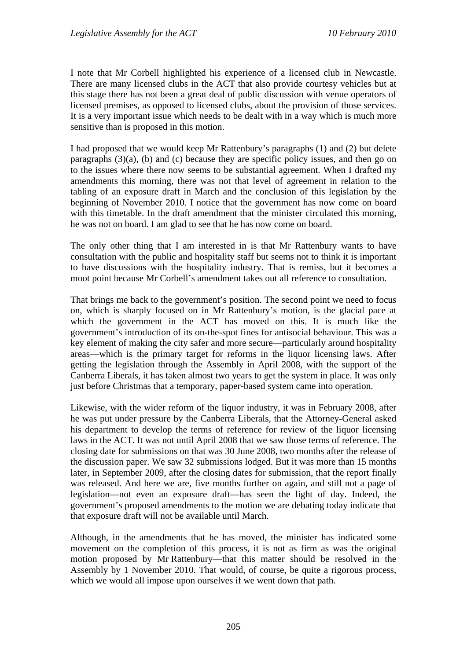I note that Mr Corbell highlighted his experience of a licensed club in Newcastle. There are many licensed clubs in the ACT that also provide courtesy vehicles but at this stage there has not been a great deal of public discussion with venue operators of licensed premises, as opposed to licensed clubs, about the provision of those services. It is a very important issue which needs to be dealt with in a way which is much more sensitive than is proposed in this motion.

I had proposed that we would keep Mr Rattenbury's paragraphs (1) and (2) but delete paragraphs (3)(a), (b) and (c) because they are specific policy issues, and then go on to the issues where there now seems to be substantial agreement. When I drafted my amendments this morning, there was not that level of agreement in relation to the tabling of an exposure draft in March and the conclusion of this legislation by the beginning of November 2010. I notice that the government has now come on board with this timetable. In the draft amendment that the minister circulated this morning, he was not on board. I am glad to see that he has now come on board.

The only other thing that I am interested in is that Mr Rattenbury wants to have consultation with the public and hospitality staff but seems not to think it is important to have discussions with the hospitality industry. That is remiss, but it becomes a moot point because Mr Corbell's amendment takes out all reference to consultation.

That brings me back to the government's position. The second point we need to focus on, which is sharply focused on in Mr Rattenbury's motion, is the glacial pace at which the government in the ACT has moved on this. It is much like the government's introduction of its on-the-spot fines for antisocial behaviour. This was a key element of making the city safer and more secure—particularly around hospitality areas—which is the primary target for reforms in the liquor licensing laws. After getting the legislation through the Assembly in April 2008, with the support of the Canberra Liberals, it has taken almost two years to get the system in place. It was only just before Christmas that a temporary, paper-based system came into operation.

Likewise, with the wider reform of the liquor industry, it was in February 2008, after he was put under pressure by the Canberra Liberals, that the Attorney-General asked his department to develop the terms of reference for review of the liquor licensing laws in the ACT. It was not until April 2008 that we saw those terms of reference. The closing date for submissions on that was 30 June 2008, two months after the release of the discussion paper. We saw 32 submissions lodged. But it was more than 15 months later, in September 2009, after the closing dates for submission, that the report finally was released. And here we are, five months further on again, and still not a page of legislation—not even an exposure draft—has seen the light of day. Indeed, the government's proposed amendments to the motion we are debating today indicate that that exposure draft will not be available until March.

Although, in the amendments that he has moved, the minister has indicated some movement on the completion of this process, it is not as firm as was the original motion proposed by Mr Rattenbury—that this matter should be resolved in the Assembly by 1 November 2010. That would, of course, be quite a rigorous process, which we would all impose upon ourselves if we went down that path.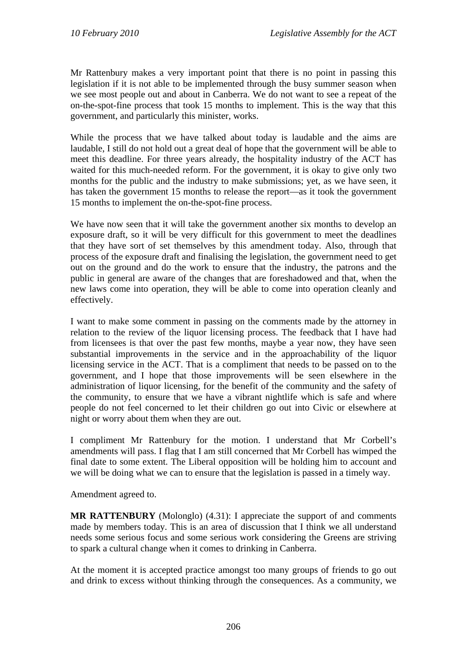Mr Rattenbury makes a very important point that there is no point in passing this legislation if it is not able to be implemented through the busy summer season when we see most people out and about in Canberra. We do not want to see a repeat of the on-the-spot-fine process that took 15 months to implement. This is the way that this government, and particularly this minister, works.

While the process that we have talked about today is laudable and the aims are laudable, I still do not hold out a great deal of hope that the government will be able to meet this deadline. For three years already, the hospitality industry of the ACT has waited for this much-needed reform. For the government, it is okay to give only two months for the public and the industry to make submissions; yet, as we have seen, it has taken the government 15 months to release the report—as it took the government 15 months to implement the on-the-spot-fine process.

We have now seen that it will take the government another six months to develop an exposure draft, so it will be very difficult for this government to meet the deadlines that they have sort of set themselves by this amendment today. Also, through that process of the exposure draft and finalising the legislation, the government need to get out on the ground and do the work to ensure that the industry, the patrons and the public in general are aware of the changes that are foreshadowed and that, when the new laws come into operation, they will be able to come into operation cleanly and effectively.

I want to make some comment in passing on the comments made by the attorney in relation to the review of the liquor licensing process. The feedback that I have had from licensees is that over the past few months, maybe a year now, they have seen substantial improvements in the service and in the approachability of the liquor licensing service in the ACT. That is a compliment that needs to be passed on to the government, and I hope that those improvements will be seen elsewhere in the administration of liquor licensing, for the benefit of the community and the safety of the community, to ensure that we have a vibrant nightlife which is safe and where people do not feel concerned to let their children go out into Civic or elsewhere at night or worry about them when they are out.

I compliment Mr Rattenbury for the motion. I understand that Mr Corbell's amendments will pass. I flag that I am still concerned that Mr Corbell has wimped the final date to some extent. The Liberal opposition will be holding him to account and we will be doing what we can to ensure that the legislation is passed in a timely way.

Amendment agreed to.

**MR RATTENBURY** (Molonglo) (4.31): I appreciate the support of and comments made by members today. This is an area of discussion that I think we all understand needs some serious focus and some serious work considering the Greens are striving to spark a cultural change when it comes to drinking in Canberra.

At the moment it is accepted practice amongst too many groups of friends to go out and drink to excess without thinking through the consequences. As a community, we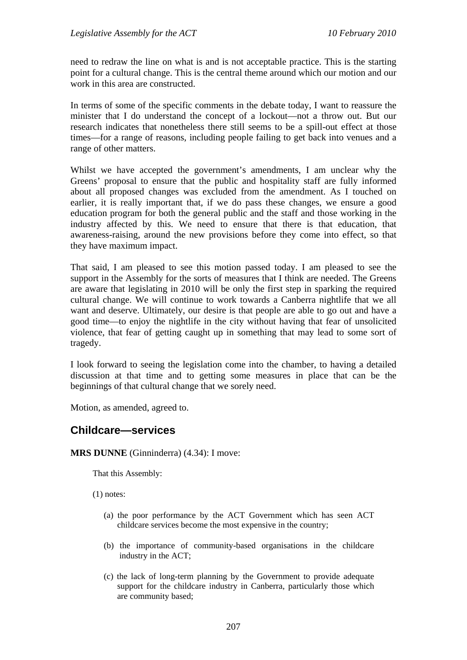need to redraw the line on what is and is not acceptable practice. This is the starting point for a cultural change. This is the central theme around which our motion and our work in this area are constructed.

In terms of some of the specific comments in the debate today, I want to reassure the minister that I do understand the concept of a lockout—not a throw out. But our research indicates that nonetheless there still seems to be a spill-out effect at those times—for a range of reasons, including people failing to get back into venues and a range of other matters.

Whilst we have accepted the government's amendments, I am unclear why the Greens' proposal to ensure that the public and hospitality staff are fully informed about all proposed changes was excluded from the amendment. As I touched on earlier, it is really important that, if we do pass these changes, we ensure a good education program for both the general public and the staff and those working in the industry affected by this. We need to ensure that there is that education, that awareness-raising, around the new provisions before they come into effect, so that they have maximum impact.

That said, I am pleased to see this motion passed today. I am pleased to see the support in the Assembly for the sorts of measures that I think are needed. The Greens are aware that legislating in 2010 will be only the first step in sparking the required cultural change. We will continue to work towards a Canberra nightlife that we all want and deserve. Ultimately, our desire is that people are able to go out and have a good time—to enjoy the nightlife in the city without having that fear of unsolicited violence, that fear of getting caught up in something that may lead to some sort of tragedy.

I look forward to seeing the legislation come into the chamber, to having a detailed discussion at that time and to getting some measures in place that can be the beginnings of that cultural change that we sorely need.

Motion, as amended, agreed to.

# **Childcare—services**

### **MRS DUNNE** (Ginninderra) (4.34): I move:

That this Assembly:

(1) notes:

- (a) the poor performance by the ACT Government which has seen ACT childcare services become the most expensive in the country;
- (b) the importance of community-based organisations in the childcare industry in the ACT;
- (c) the lack of long-term planning by the Government to provide adequate support for the childcare industry in Canberra, particularly those which are community based;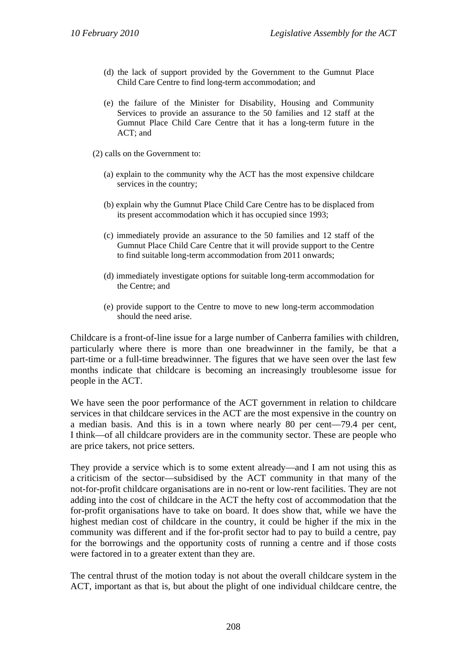- (d) the lack of support provided by the Government to the Gumnut Place Child Care Centre to find long-term accommodation; and
- (e) the failure of the Minister for Disability, Housing and Community Services to provide an assurance to the 50 families and 12 staff at the Gumnut Place Child Care Centre that it has a long-term future in the ACT; and
- (2) calls on the Government to:
	- (a) explain to the community why the ACT has the most expensive childcare services in the country;
	- (b) explain why the Gumnut Place Child Care Centre has to be displaced from its present accommodation which it has occupied since 1993;
	- (c) immediately provide an assurance to the 50 families and 12 staff of the Gumnut Place Child Care Centre that it will provide support to the Centre to find suitable long-term accommodation from 2011 onwards;
	- (d) immediately investigate options for suitable long-term accommodation for the Centre; and
	- (e) provide support to the Centre to move to new long-term accommodation should the need arise.

Childcare is a front-of-line issue for a large number of Canberra families with children, particularly where there is more than one breadwinner in the family, be that a part-time or a full-time breadwinner. The figures that we have seen over the last few months indicate that childcare is becoming an increasingly troublesome issue for people in the ACT.

We have seen the poor performance of the ACT government in relation to childcare services in that childcare services in the ACT are the most expensive in the country on a median basis. And this is in a town where nearly 80 per cent—79.4 per cent, I think—of all childcare providers are in the community sector. These are people who are price takers, not price setters.

They provide a service which is to some extent already—and I am not using this as a criticism of the sector—subsidised by the ACT community in that many of the not-for-profit childcare organisations are in no-rent or low-rent facilities. They are not adding into the cost of childcare in the ACT the hefty cost of accommodation that the for-profit organisations have to take on board. It does show that, while we have the highest median cost of childcare in the country, it could be higher if the mix in the community was different and if the for-profit sector had to pay to build a centre, pay for the borrowings and the opportunity costs of running a centre and if those costs were factored in to a greater extent than they are.

The central thrust of the motion today is not about the overall childcare system in the ACT, important as that is, but about the plight of one individual childcare centre, the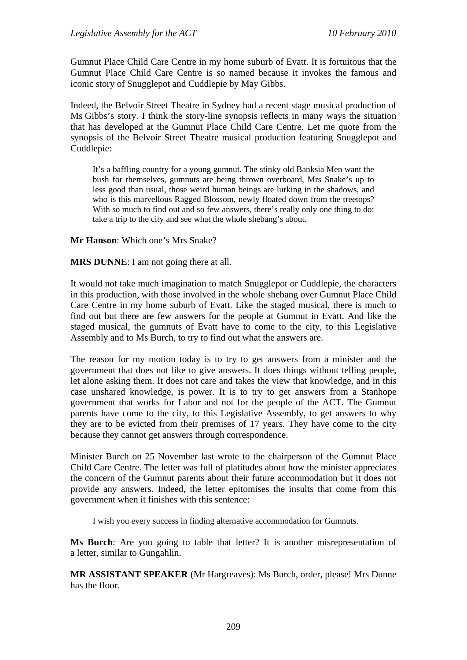Gumnut Place Child Care Centre in my home suburb of Evatt. It is fortuitous that the Gumnut Place Child Care Centre is so named because it invokes the famous and iconic story of Snugglepot and Cuddlepie by May Gibbs.

Indeed, the Belvoir Street Theatre in Sydney had a recent stage musical production of Ms Gibbs's story. I think the story-line synopsis reflects in many ways the situation that has developed at the Gumnut Place Child Care Centre. Let me quote from the synopsis of the Belvoir Street Theatre musical production featuring Snugglepot and Cuddlepie:

It's a baffling country for a young gumnut. The stinky old Banksia Men want the bush for themselves, gumnuts are being thrown overboard, Mrs Snake's up to less good than usual, those weird human beings are lurking in the shadows, and who is this marvellous Ragged Blossom, newly floated down from the treetops? With so much to find out and so few answers, there's really only one thing to do: take a trip to the city and see what the whole shebang's about.

**Mr Hanson**: Which one's Mrs Snake?

**MRS DUNNE**: I am not going there at all.

It would not take much imagination to match Snugglepot or Cuddlepie, the characters in this production, with those involved in the whole shebang over Gumnut Place Child Care Centre in my home suburb of Evatt. Like the staged musical, there is much to find out but there are few answers for the people at Gumnut in Evatt. And like the staged musical, the gumnuts of Evatt have to come to the city, to this Legislative Assembly and to Ms Burch, to try to find out what the answers are.

The reason for my motion today is to try to get answers from a minister and the government that does not like to give answers. It does things without telling people, let alone asking them. It does not care and takes the view that knowledge, and in this case unshared knowledge, is power. It is to try to get answers from a Stanhope government that works for Labor and not for the people of the ACT. The Gumnut parents have come to the city, to this Legislative Assembly, to get answers to why they are to be evicted from their premises of 17 years. They have come to the city because they cannot get answers through correspondence.

Minister Burch on 25 November last wrote to the chairperson of the Gumnut Place Child Care Centre. The letter was full of platitudes about how the minister appreciates the concern of the Gumnut parents about their future accommodation but it does not provide any answers. Indeed, the letter epitomises the insults that come from this government when it finishes with this sentence:

I wish you every success in finding alternative accommodation for Gumnuts.

**Ms Burch**: Are you going to table that letter? It is another misrepresentation of a letter, similar to Gungahlin.

**MR ASSISTANT SPEAKER** (Mr Hargreaves): Ms Burch, order, please! Mrs Dunne has the floor.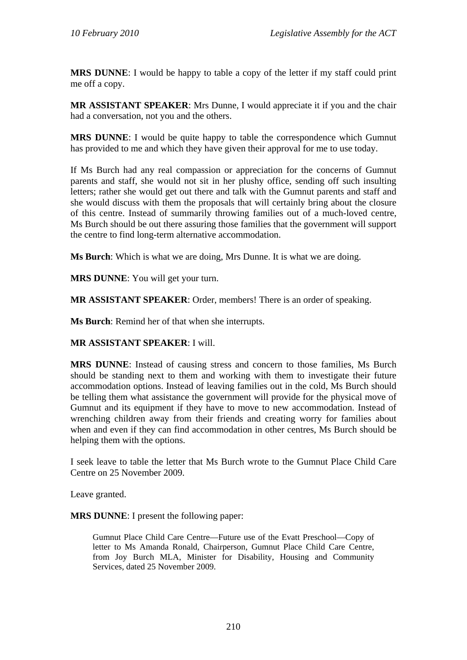**MRS DUNNE**: I would be happy to table a copy of the letter if my staff could print me off a copy.

**MR ASSISTANT SPEAKER**: Mrs Dunne, I would appreciate it if you and the chair had a conversation, not you and the others.

**MRS DUNNE**: I would be quite happy to table the correspondence which Gumnut has provided to me and which they have given their approval for me to use today.

If Ms Burch had any real compassion or appreciation for the concerns of Gumnut parents and staff, she would not sit in her plushy office, sending off such insulting letters; rather she would get out there and talk with the Gumnut parents and staff and she would discuss with them the proposals that will certainly bring about the closure of this centre. Instead of summarily throwing families out of a much-loved centre, Ms Burch should be out there assuring those families that the government will support the centre to find long-term alternative accommodation.

**Ms Burch**: Which is what we are doing, Mrs Dunne. It is what we are doing.

**MRS DUNNE**: You will get your turn.

**MR ASSISTANT SPEAKER**: Order, members! There is an order of speaking.

**Ms Burch**: Remind her of that when she interrupts.

### **MR ASSISTANT SPEAKER**: I will.

**MRS DUNNE**: Instead of causing stress and concern to those families, Ms Burch should be standing next to them and working with them to investigate their future accommodation options. Instead of leaving families out in the cold, Ms Burch should be telling them what assistance the government will provide for the physical move of Gumnut and its equipment if they have to move to new accommodation. Instead of wrenching children away from their friends and creating worry for families about when and even if they can find accommodation in other centres, Ms Burch should be helping them with the options.

I seek leave to table the letter that Ms Burch wrote to the Gumnut Place Child Care Centre on 25 November 2009.

Leave granted.

**MRS DUNNE**: I present the following paper:

Gumnut Place Child Care Centre—Future use of the Evatt Preschool—Copy of letter to Ms Amanda Ronald, Chairperson, Gumnut Place Child Care Centre, from Joy Burch MLA, Minister for Disability, Housing and Community Services, dated 25 November 2009.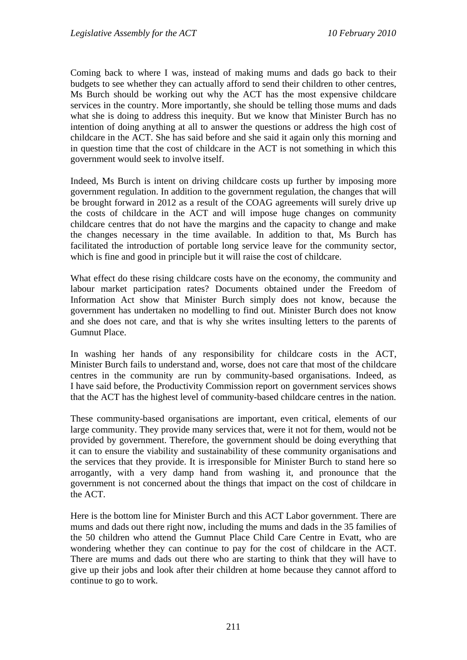Coming back to where I was, instead of making mums and dads go back to their budgets to see whether they can actually afford to send their children to other centres, Ms Burch should be working out why the ACT has the most expensive childcare services in the country. More importantly, she should be telling those mums and dads what she is doing to address this inequity. But we know that Minister Burch has no intention of doing anything at all to answer the questions or address the high cost of childcare in the ACT. She has said before and she said it again only this morning and in question time that the cost of childcare in the ACT is not something in which this government would seek to involve itself.

Indeed, Ms Burch is intent on driving childcare costs up further by imposing more government regulation. In addition to the government regulation, the changes that will be brought forward in 2012 as a result of the COAG agreements will surely drive up the costs of childcare in the ACT and will impose huge changes on community childcare centres that do not have the margins and the capacity to change and make the changes necessary in the time available. In addition to that, Ms Burch has facilitated the introduction of portable long service leave for the community sector, which is fine and good in principle but it will raise the cost of childcare.

What effect do these rising childcare costs have on the economy, the community and labour market participation rates? Documents obtained under the Freedom of Information Act show that Minister Burch simply does not know, because the government has undertaken no modelling to find out. Minister Burch does not know and she does not care, and that is why she writes insulting letters to the parents of Gumnut Place.

In washing her hands of any responsibility for childcare costs in the ACT, Minister Burch fails to understand and, worse, does not care that most of the childcare centres in the community are run by community-based organisations. Indeed, as I have said before, the Productivity Commission report on government services shows that the ACT has the highest level of community-based childcare centres in the nation.

These community-based organisations are important, even critical, elements of our large community. They provide many services that, were it not for them, would not be provided by government. Therefore, the government should be doing everything that it can to ensure the viability and sustainability of these community organisations and the services that they provide. It is irresponsible for Minister Burch to stand here so arrogantly, with a very damp hand from washing it, and pronounce that the government is not concerned about the things that impact on the cost of childcare in the ACT.

Here is the bottom line for Minister Burch and this ACT Labor government. There are mums and dads out there right now, including the mums and dads in the 35 families of the 50 children who attend the Gumnut Place Child Care Centre in Evatt, who are wondering whether they can continue to pay for the cost of childcare in the ACT. There are mums and dads out there who are starting to think that they will have to give up their jobs and look after their children at home because they cannot afford to continue to go to work.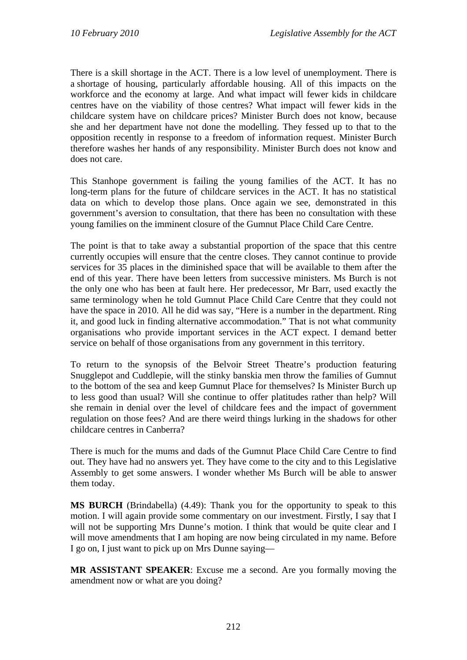There is a skill shortage in the ACT. There is a low level of unemployment. There is a shortage of housing, particularly affordable housing. All of this impacts on the workforce and the economy at large. And what impact will fewer kids in childcare centres have on the viability of those centres? What impact will fewer kids in the childcare system have on childcare prices? Minister Burch does not know, because she and her department have not done the modelling. They fessed up to that to the opposition recently in response to a freedom of information request. Minister Burch therefore washes her hands of any responsibility. Minister Burch does not know and does not care.

This Stanhope government is failing the young families of the ACT. It has no long-term plans for the future of childcare services in the ACT. It has no statistical data on which to develop those plans. Once again we see, demonstrated in this government's aversion to consultation, that there has been no consultation with these young families on the imminent closure of the Gumnut Place Child Care Centre.

The point is that to take away a substantial proportion of the space that this centre currently occupies will ensure that the centre closes. They cannot continue to provide services for 35 places in the diminished space that will be available to them after the end of this year. There have been letters from successive ministers. Ms Burch is not the only one who has been at fault here. Her predecessor, Mr Barr, used exactly the same terminology when he told Gumnut Place Child Care Centre that they could not have the space in 2010. All he did was say, "Here is a number in the department. Ring it, and good luck in finding alternative accommodation." That is not what community organisations who provide important services in the ACT expect. I demand better service on behalf of those organisations from any government in this territory.

To return to the synopsis of the Belvoir Street Theatre's production featuring Snugglepot and Cuddlepie, will the stinky banskia men throw the families of Gumnut to the bottom of the sea and keep Gumnut Place for themselves? Is Minister Burch up to less good than usual? Will she continue to offer platitudes rather than help? Will she remain in denial over the level of childcare fees and the impact of government regulation on those fees? And are there weird things lurking in the shadows for other childcare centres in Canberra?

There is much for the mums and dads of the Gumnut Place Child Care Centre to find out. They have had no answers yet. They have come to the city and to this Legislative Assembly to get some answers. I wonder whether Ms Burch will be able to answer them today.

**MS BURCH** (Brindabella) (4.49): Thank you for the opportunity to speak to this motion. I will again provide some commentary on our investment. Firstly, I say that I will not be supporting Mrs Dunne's motion. I think that would be quite clear and I will move amendments that I am hoping are now being circulated in my name. Before I go on, I just want to pick up on Mrs Dunne saying—

**MR ASSISTANT SPEAKER**: Excuse me a second. Are you formally moving the amendment now or what are you doing?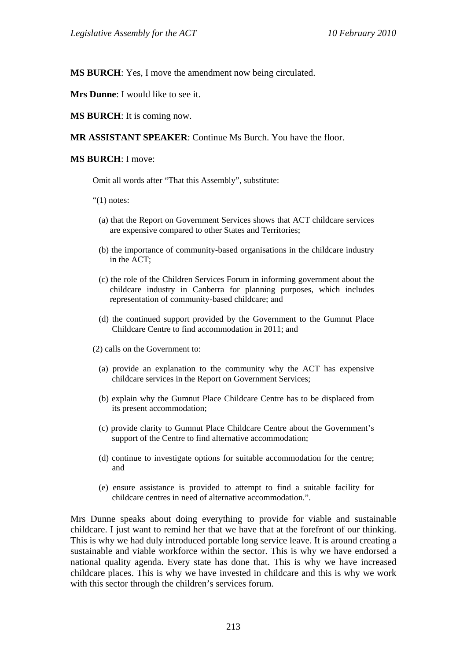**MS BURCH**: Yes, I move the amendment now being circulated.

**Mrs Dunne:** I would like to see it.

**MS BURCH**: It is coming now.

**MR ASSISTANT SPEAKER**: Continue Ms Burch. You have the floor.

### **MS BURCH**: I move:

Omit all words after "That this Assembly", substitute:

" $(1)$  notes:

- (a) that the Report on Government Services shows that ACT childcare services are expensive compared to other States and Territories;
- (b) the importance of community-based organisations in the childcare industry in the ACT;
- (c) the role of the Children Services Forum in informing government about the childcare industry in Canberra for planning purposes, which includes representation of community-based childcare; and
- (d) the continued support provided by the Government to the Gumnut Place Childcare Centre to find accommodation in 2011; and
- (2) calls on the Government to:
	- (a) provide an explanation to the community why the ACT has expensive childcare services in the Report on Government Services;
	- (b) explain why the Gumnut Place Childcare Centre has to be displaced from its present accommodation;
	- (c) provide clarity to Gumnut Place Childcare Centre about the Government's support of the Centre to find alternative accommodation;
	- (d) continue to investigate options for suitable accommodation for the centre; and
	- (e) ensure assistance is provided to attempt to find a suitable facility for childcare centres in need of alternative accommodation.".

Mrs Dunne speaks about doing everything to provide for viable and sustainable childcare. I just want to remind her that we have that at the forefront of our thinking. This is why we had duly introduced portable long service leave. It is around creating a sustainable and viable workforce within the sector. This is why we have endorsed a national quality agenda. Every state has done that. This is why we have increased childcare places. This is why we have invested in childcare and this is why we work with this sector through the children's services forum.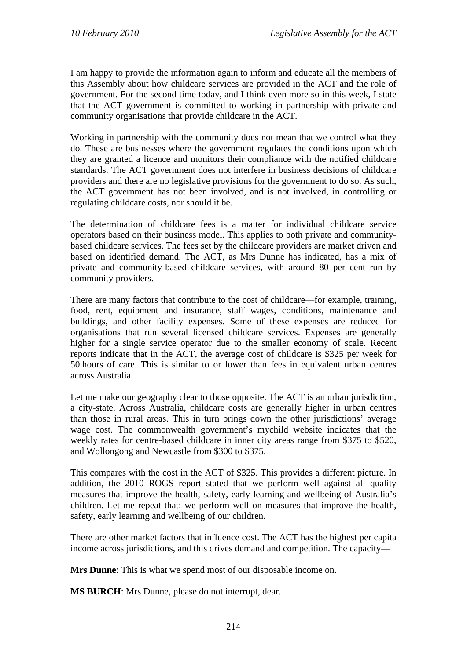I am happy to provide the information again to inform and educate all the members of this Assembly about how childcare services are provided in the ACT and the role of government. For the second time today, and I think even more so in this week, I state that the ACT government is committed to working in partnership with private and community organisations that provide childcare in the ACT.

Working in partnership with the community does not mean that we control what they do. These are businesses where the government regulates the conditions upon which they are granted a licence and monitors their compliance with the notified childcare standards. The ACT government does not interfere in business decisions of childcare providers and there are no legislative provisions for the government to do so. As such, the ACT government has not been involved, and is not involved, in controlling or regulating childcare costs, nor should it be.

The determination of childcare fees is a matter for individual childcare service operators based on their business model. This applies to both private and communitybased childcare services. The fees set by the childcare providers are market driven and based on identified demand. The ACT, as Mrs Dunne has indicated, has a mix of private and community-based childcare services, with around 80 per cent run by community providers.

There are many factors that contribute to the cost of childcare—for example, training, food, rent, equipment and insurance, staff wages, conditions, maintenance and buildings, and other facility expenses. Some of these expenses are reduced for organisations that run several licensed childcare services. Expenses are generally higher for a single service operator due to the smaller economy of scale. Recent reports indicate that in the ACT, the average cost of childcare is \$325 per week for 50 hours of care. This is similar to or lower than fees in equivalent urban centres across Australia.

Let me make our geography clear to those opposite. The ACT is an urban jurisdiction, a city-state. Across Australia, childcare costs are generally higher in urban centres than those in rural areas. This in turn brings down the other jurisdictions' average wage cost. The commonwealth government's mychild website indicates that the weekly rates for centre-based childcare in inner city areas range from \$375 to \$520, and Wollongong and Newcastle from \$300 to \$375.

This compares with the cost in the ACT of \$325. This provides a different picture. In addition, the 2010 ROGS report stated that we perform well against all quality measures that improve the health, safety, early learning and wellbeing of Australia's children. Let me repeat that: we perform well on measures that improve the health, safety, early learning and wellbeing of our children.

There are other market factors that influence cost. The ACT has the highest per capita income across jurisdictions, and this drives demand and competition. The capacity—

**Mrs Dunne**: This is what we spend most of our disposable income on.

**MS BURCH**: Mrs Dunne, please do not interrupt, dear.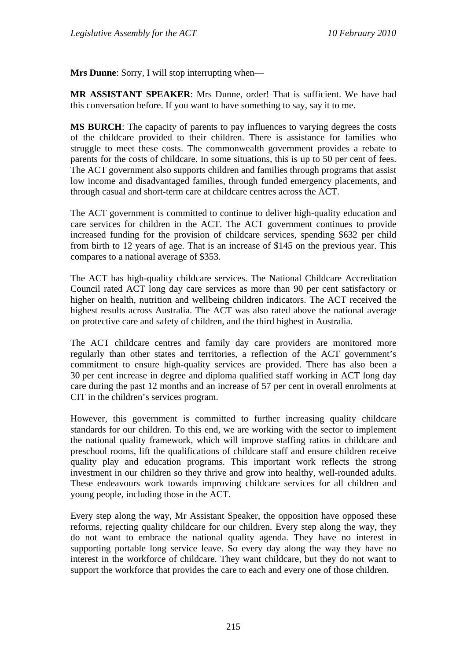**Mrs Dunne**: Sorry, I will stop interrupting when—

**MR ASSISTANT SPEAKER**: Mrs Dunne, order! That is sufficient. We have had this conversation before. If you want to have something to say, say it to me.

**MS BURCH**: The capacity of parents to pay influences to varying degrees the costs of the childcare provided to their children. There is assistance for families who struggle to meet these costs. The commonwealth government provides a rebate to parents for the costs of childcare. In some situations, this is up to 50 per cent of fees. The ACT government also supports children and families through programs that assist low income and disadvantaged families, through funded emergency placements, and through casual and short-term care at childcare centres across the ACT.

The ACT government is committed to continue to deliver high-quality education and care services for children in the ACT. The ACT government continues to provide increased funding for the provision of childcare services, spending \$632 per child from birth to 12 years of age. That is an increase of \$145 on the previous year. This compares to a national average of \$353.

The ACT has high-quality childcare services. The National Childcare Accreditation Council rated ACT long day care services as more than 90 per cent satisfactory or higher on health, nutrition and wellbeing children indicators. The ACT received the highest results across Australia. The ACT was also rated above the national average on protective care and safety of children, and the third highest in Australia.

The ACT childcare centres and family day care providers are monitored more regularly than other states and territories, a reflection of the ACT government's commitment to ensure high-quality services are provided. There has also been a 30 per cent increase in degree and diploma qualified staff working in ACT long day care during the past 12 months and an increase of 57 per cent in overall enrolments at CIT in the children's services program.

However, this government is committed to further increasing quality childcare standards for our children. To this end, we are working with the sector to implement the national quality framework, which will improve staffing ratios in childcare and preschool rooms, lift the qualifications of childcare staff and ensure children receive quality play and education programs. This important work reflects the strong investment in our children so they thrive and grow into healthy, well-rounded adults. These endeavours work towards improving childcare services for all children and young people, including those in the ACT.

Every step along the way, Mr Assistant Speaker, the opposition have opposed these reforms, rejecting quality childcare for our children. Every step along the way, they do not want to embrace the national quality agenda. They have no interest in supporting portable long service leave. So every day along the way they have no interest in the workforce of childcare. They want childcare, but they do not want to support the workforce that provides the care to each and every one of those children.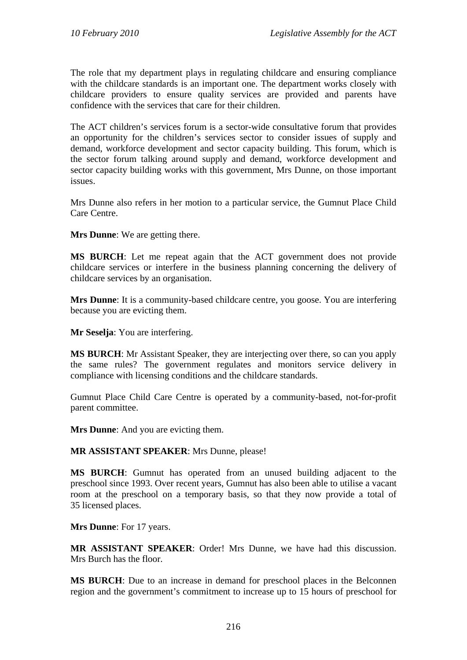The role that my department plays in regulating childcare and ensuring compliance with the childcare standards is an important one. The department works closely with childcare providers to ensure quality services are provided and parents have confidence with the services that care for their children.

The ACT children's services forum is a sector-wide consultative forum that provides an opportunity for the children's services sector to consider issues of supply and demand, workforce development and sector capacity building. This forum, which is the sector forum talking around supply and demand, workforce development and sector capacity building works with this government, Mrs Dunne, on those important issues.

Mrs Dunne also refers in her motion to a particular service, the Gumnut Place Child Care Centre.

**Mrs Dunne**: We are getting there.

**MS BURCH**: Let me repeat again that the ACT government does not provide childcare services or interfere in the business planning concerning the delivery of childcare services by an organisation.

**Mrs Dunne**: It is a community-based childcare centre, you goose. You are interfering because you are evicting them.

**Mr Seselja**: You are interfering.

**MS BURCH**: Mr Assistant Speaker, they are interjecting over there, so can you apply the same rules? The government regulates and monitors service delivery in compliance with licensing conditions and the childcare standards.

Gumnut Place Child Care Centre is operated by a community-based, not-for-profit parent committee.

**Mrs Dunne**: And you are evicting them.

**MR ASSISTANT SPEAKER**: Mrs Dunne, please!

**MS BURCH**: Gumnut has operated from an unused building adjacent to the preschool since 1993. Over recent years, Gumnut has also been able to utilise a vacant room at the preschool on a temporary basis, so that they now provide a total of 35 licensed places.

**Mrs Dunne**: For 17 years.

**MR ASSISTANT SPEAKER**: Order! Mrs Dunne, we have had this discussion. Mrs Burch has the floor.

**MS BURCH**: Due to an increase in demand for preschool places in the Belconnen region and the government's commitment to increase up to 15 hours of preschool for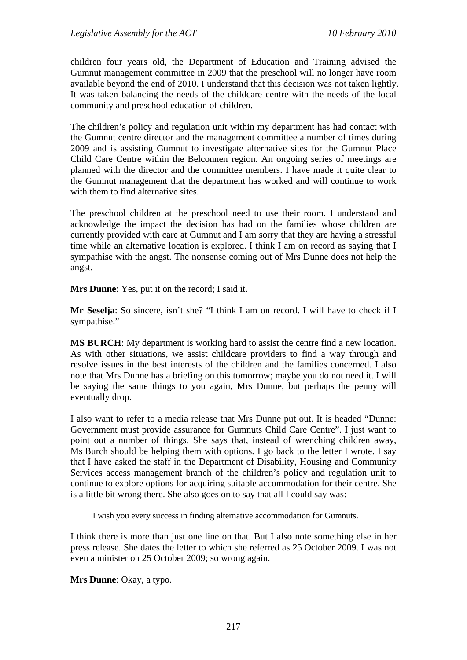children four years old, the Department of Education and Training advised the Gumnut management committee in 2009 that the preschool will no longer have room available beyond the end of 2010. I understand that this decision was not taken lightly. It was taken balancing the needs of the childcare centre with the needs of the local community and preschool education of children.

The children's policy and regulation unit within my department has had contact with the Gumnut centre director and the management committee a number of times during 2009 and is assisting Gumnut to investigate alternative sites for the Gumnut Place Child Care Centre within the Belconnen region. An ongoing series of meetings are planned with the director and the committee members. I have made it quite clear to the Gumnut management that the department has worked and will continue to work with them to find alternative sites.

The preschool children at the preschool need to use their room. I understand and acknowledge the impact the decision has had on the families whose children are currently provided with care at Gumnut and I am sorry that they are having a stressful time while an alternative location is explored. I think I am on record as saying that I sympathise with the angst. The nonsense coming out of Mrs Dunne does not help the angst.

**Mrs Dunne**: Yes, put it on the record; I said it.

**Mr Seselja**: So sincere, isn't she? "I think I am on record. I will have to check if I sympathise."

**MS BURCH**: My department is working hard to assist the centre find a new location. As with other situations, we assist childcare providers to find a way through and resolve issues in the best interests of the children and the families concerned. I also note that Mrs Dunne has a briefing on this tomorrow; maybe you do not need it. I will be saying the same things to you again, Mrs Dunne, but perhaps the penny will eventually drop.

I also want to refer to a media release that Mrs Dunne put out. It is headed "Dunne: Government must provide assurance for Gumnuts Child Care Centre". I just want to point out a number of things. She says that, instead of wrenching children away, Ms Burch should be helping them with options. I go back to the letter I wrote. I say that I have asked the staff in the Department of Disability, Housing and Community Services access management branch of the children's policy and regulation unit to continue to explore options for acquiring suitable accommodation for their centre. She is a little bit wrong there. She also goes on to say that all I could say was:

I wish you every success in finding alternative accommodation for Gumnuts.

I think there is more than just one line on that. But I also note something else in her press release. She dates the letter to which she referred as 25 October 2009. I was not even a minister on 25 October 2009; so wrong again.

**Mrs Dunne**: Okay, a typo.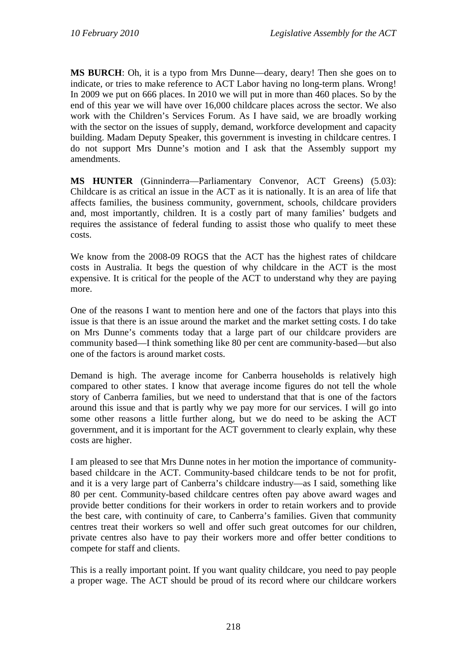**MS BURCH**: Oh, it is a typo from Mrs Dunne—deary, deary! Then she goes on to indicate, or tries to make reference to ACT Labor having no long-term plans. Wrong! In 2009 we put on 666 places. In 2010 we will put in more than 460 places. So by the end of this year we will have over 16,000 childcare places across the sector. We also work with the Children's Services Forum. As I have said, we are broadly working with the sector on the issues of supply, demand, workforce development and capacity building. Madam Deputy Speaker, this government is investing in childcare centres. I do not support Mrs Dunne's motion and I ask that the Assembly support my amendments.

**MS HUNTER** (Ginninderra—Parliamentary Convenor, ACT Greens) (5.03): Childcare is as critical an issue in the ACT as it is nationally. It is an area of life that affects families, the business community, government, schools, childcare providers and, most importantly, children. It is a costly part of many families' budgets and requires the assistance of federal funding to assist those who qualify to meet these costs.

We know from the 2008-09 ROGS that the ACT has the highest rates of childcare costs in Australia. It begs the question of why childcare in the ACT is the most expensive. It is critical for the people of the ACT to understand why they are paying more.

One of the reasons I want to mention here and one of the factors that plays into this issue is that there is an issue around the market and the market setting costs. I do take on Mrs Dunne's comments today that a large part of our childcare providers are community based—I think something like 80 per cent are community-based—but also one of the factors is around market costs.

Demand is high. The average income for Canberra households is relatively high compared to other states. I know that average income figures do not tell the whole story of Canberra families, but we need to understand that that is one of the factors around this issue and that is partly why we pay more for our services. I will go into some other reasons a little further along, but we do need to be asking the ACT government, and it is important for the ACT government to clearly explain, why these costs are higher.

I am pleased to see that Mrs Dunne notes in her motion the importance of communitybased childcare in the ACT. Community-based childcare tends to be not for profit, and it is a very large part of Canberra's childcare industry—as I said, something like 80 per cent. Community-based childcare centres often pay above award wages and provide better conditions for their workers in order to retain workers and to provide the best care, with continuity of care, to Canberra's families. Given that community centres treat their workers so well and offer such great outcomes for our children, private centres also have to pay their workers more and offer better conditions to compete for staff and clients.

This is a really important point. If you want quality childcare, you need to pay people a proper wage. The ACT should be proud of its record where our childcare workers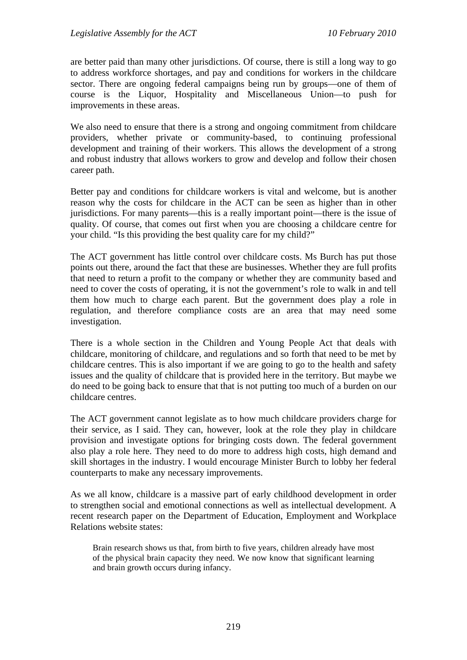are better paid than many other jurisdictions. Of course, there is still a long way to go to address workforce shortages, and pay and conditions for workers in the childcare sector. There are ongoing federal campaigns being run by groups—one of them of course is the Liquor, Hospitality and Miscellaneous Union—to push for improvements in these areas.

We also need to ensure that there is a strong and ongoing commitment from childcare providers, whether private or community-based, to continuing professional development and training of their workers. This allows the development of a strong and robust industry that allows workers to grow and develop and follow their chosen career path.

Better pay and conditions for childcare workers is vital and welcome, but is another reason why the costs for childcare in the ACT can be seen as higher than in other jurisdictions. For many parents—this is a really important point—there is the issue of quality. Of course, that comes out first when you are choosing a childcare centre for your child. "Is this providing the best quality care for my child?"

The ACT government has little control over childcare costs. Ms Burch has put those points out there, around the fact that these are businesses. Whether they are full profits that need to return a profit to the company or whether they are community based and need to cover the costs of operating, it is not the government's role to walk in and tell them how much to charge each parent. But the government does play a role in regulation, and therefore compliance costs are an area that may need some investigation.

There is a whole section in the Children and Young People Act that deals with childcare, monitoring of childcare, and regulations and so forth that need to be met by childcare centres. This is also important if we are going to go to the health and safety issues and the quality of childcare that is provided here in the territory. But maybe we do need to be going back to ensure that that is not putting too much of a burden on our childcare centres.

The ACT government cannot legislate as to how much childcare providers charge for their service, as I said. They can, however, look at the role they play in childcare provision and investigate options for bringing costs down. The federal government also play a role here. They need to do more to address high costs, high demand and skill shortages in the industry. I would encourage Minister Burch to lobby her federal counterparts to make any necessary improvements.

As we all know, childcare is a massive part of early childhood development in order to strengthen social and emotional connections as well as intellectual development. A recent research paper on the Department of Education, Employment and Workplace Relations website states:

Brain research shows us that, from birth to five years, children already have most of the physical brain capacity they need. We now know that significant learning and brain growth occurs during infancy.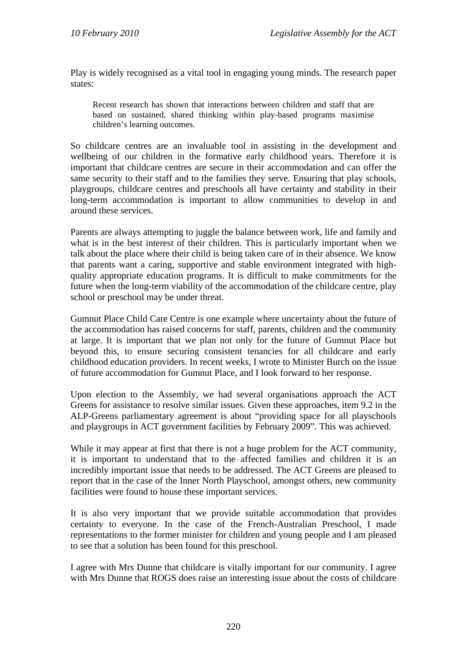Play is widely recognised as a vital tool in engaging young minds. The research paper states:

Recent research has shown that interactions between children and staff that are based on sustained, shared thinking within play-based programs maximise children's learning outcomes.

So childcare centres are an invaluable tool in assisting in the development and wellbeing of our children in the formative early childhood years. Therefore it is important that childcare centres are secure in their accommodation and can offer the same security to their staff and to the families they serve. Ensuring that play schools, playgroups, childcare centres and preschools all have certainty and stability in their long-term accommodation is important to allow communities to develop in and around these services.

Parents are always attempting to juggle the balance between work, life and family and what is in the best interest of their children. This is particularly important when we talk about the place where their child is being taken care of in their absence. We know that parents want a caring, supportive and stable environment integrated with highquality appropriate education programs. It is difficult to make commitments for the future when the long-term viability of the accommodation of the childcare centre, play school or preschool may be under threat.

Gumnut Place Child Care Centre is one example where uncertainty about the future of the accommodation has raised concerns for staff, parents, children and the community at large. It is important that we plan not only for the future of Gumnut Place but beyond this, to ensure securing consistent tenancies for all childcare and early childhood education providers. In recent weeks, I wrote to Minister Burch on the issue of future accommodation for Gumnut Place, and I look forward to her response.

Upon election to the Assembly, we had several organisations approach the ACT Greens for assistance to resolve similar issues. Given these approaches, item 9.2 in the ALP-Greens parliamentary agreement is about "providing space for all playschools and playgroups in ACT government facilities by February 2009". This was achieved.

While it may appear at first that there is not a huge problem for the ACT community, it is important to understand that to the affected families and children it is an incredibly important issue that needs to be addressed. The ACT Greens are pleased to report that in the case of the Inner North Playschool, amongst others, new community facilities were found to house these important services.

It is also very important that we provide suitable accommodation that provides certainty to everyone. In the case of the French-Australian Preschool, I made representations to the former minister for children and young people and I am pleased to see that a solution has been found for this preschool.

I agree with Mrs Dunne that childcare is vitally important for our community. I agree with Mrs Dunne that ROGS does raise an interesting issue about the costs of childcare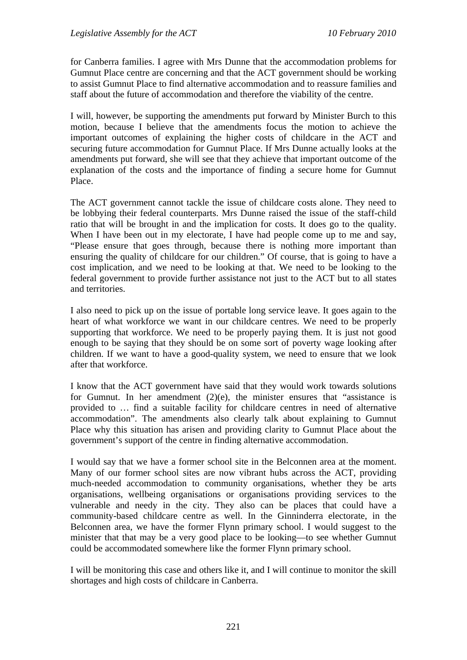for Canberra families. I agree with Mrs Dunne that the accommodation problems for Gumnut Place centre are concerning and that the ACT government should be working to assist Gumnut Place to find alternative accommodation and to reassure families and staff about the future of accommodation and therefore the viability of the centre.

I will, however, be supporting the amendments put forward by Minister Burch to this motion, because I believe that the amendments focus the motion to achieve the important outcomes of explaining the higher costs of childcare in the ACT and securing future accommodation for Gumnut Place. If Mrs Dunne actually looks at the amendments put forward, she will see that they achieve that important outcome of the explanation of the costs and the importance of finding a secure home for Gumnut Place.

The ACT government cannot tackle the issue of childcare costs alone. They need to be lobbying their federal counterparts. Mrs Dunne raised the issue of the staff-child ratio that will be brought in and the implication for costs. It does go to the quality. When I have been out in my electorate, I have had people come up to me and say, "Please ensure that goes through, because there is nothing more important than ensuring the quality of childcare for our children." Of course, that is going to have a cost implication, and we need to be looking at that. We need to be looking to the federal government to provide further assistance not just to the ACT but to all states and territories.

I also need to pick up on the issue of portable long service leave. It goes again to the heart of what workforce we want in our childcare centres. We need to be properly supporting that workforce. We need to be properly paying them. It is just not good enough to be saying that they should be on some sort of poverty wage looking after children. If we want to have a good-quality system, we need to ensure that we look after that workforce.

I know that the ACT government have said that they would work towards solutions for Gumnut. In her amendment  $(2)(e)$ , the minister ensures that "assistance is provided to … find a suitable facility for childcare centres in need of alternative accommodation". The amendments also clearly talk about explaining to Gumnut Place why this situation has arisen and providing clarity to Gumnut Place about the government's support of the centre in finding alternative accommodation.

I would say that we have a former school site in the Belconnen area at the moment. Many of our former school sites are now vibrant hubs across the ACT, providing much-needed accommodation to community organisations, whether they be arts organisations, wellbeing organisations or organisations providing services to the vulnerable and needy in the city. They also can be places that could have a community-based childcare centre as well. In the Ginninderra electorate, in the Belconnen area, we have the former Flynn primary school. I would suggest to the minister that that may be a very good place to be looking—to see whether Gumnut could be accommodated somewhere like the former Flynn primary school.

I will be monitoring this case and others like it, and I will continue to monitor the skill shortages and high costs of childcare in Canberra.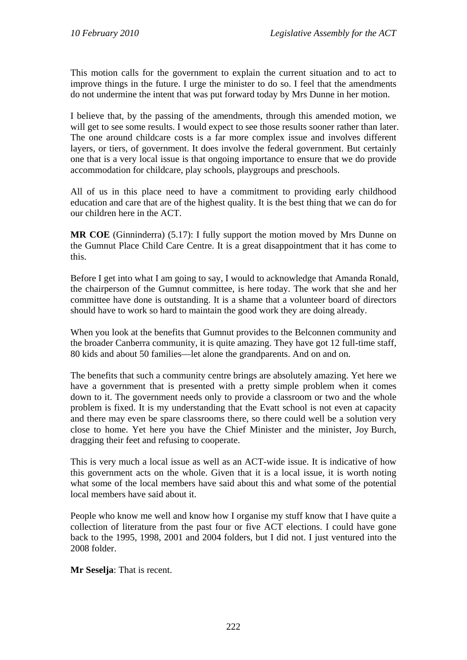This motion calls for the government to explain the current situation and to act to improve things in the future. I urge the minister to do so. I feel that the amendments do not undermine the intent that was put forward today by Mrs Dunne in her motion.

I believe that, by the passing of the amendments, through this amended motion, we will get to see some results. I would expect to see those results sooner rather than later. The one around childcare costs is a far more complex issue and involves different layers, or tiers, of government. It does involve the federal government. But certainly one that is a very local issue is that ongoing importance to ensure that we do provide accommodation for childcare, play schools, playgroups and preschools.

All of us in this place need to have a commitment to providing early childhood education and care that are of the highest quality. It is the best thing that we can do for our children here in the ACT.

**MR COE** (Ginninderra) (5.17): I fully support the motion moved by Mrs Dunne on the Gumnut Place Child Care Centre. It is a great disappointment that it has come to this.

Before I get into what I am going to say, I would to acknowledge that Amanda Ronald, the chairperson of the Gumnut committee, is here today. The work that she and her committee have done is outstanding. It is a shame that a volunteer board of directors should have to work so hard to maintain the good work they are doing already.

When you look at the benefits that Gumnut provides to the Belconnen community and the broader Canberra community, it is quite amazing. They have got 12 full-time staff, 80 kids and about 50 families—let alone the grandparents. And on and on.

The benefits that such a community centre brings are absolutely amazing. Yet here we have a government that is presented with a pretty simple problem when it comes down to it. The government needs only to provide a classroom or two and the whole problem is fixed. It is my understanding that the Evatt school is not even at capacity and there may even be spare classrooms there, so there could well be a solution very close to home. Yet here you have the Chief Minister and the minister, Joy Burch, dragging their feet and refusing to cooperate.

This is very much a local issue as well as an ACT-wide issue. It is indicative of how this government acts on the whole. Given that it is a local issue, it is worth noting what some of the local members have said about this and what some of the potential local members have said about it.

People who know me well and know how I organise my stuff know that I have quite a collection of literature from the past four or five ACT elections. I could have gone back to the 1995, 1998, 2001 and 2004 folders, but I did not. I just ventured into the 2008 folder.

**Mr Seselja**: That is recent.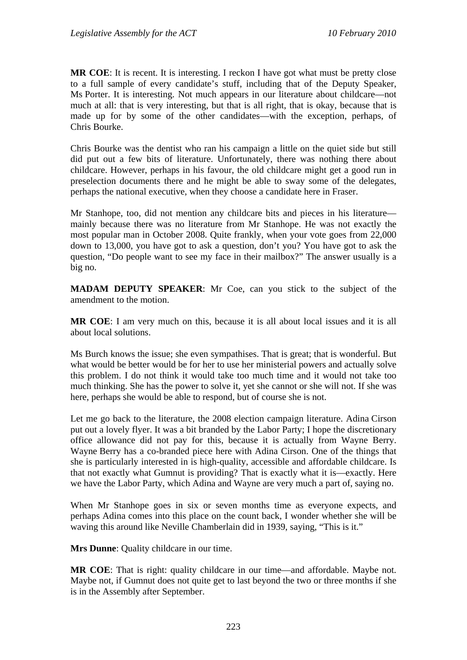**MR COE**: It is recent. It is interesting. I reckon I have got what must be pretty close to a full sample of every candidate's stuff, including that of the Deputy Speaker, Ms Porter. It is interesting. Not much appears in our literature about childcare—not much at all: that is very interesting, but that is all right, that is okay, because that is made up for by some of the other candidates—with the exception, perhaps, of Chris Bourke.

Chris Bourke was the dentist who ran his campaign a little on the quiet side but still did put out a few bits of literature. Unfortunately, there was nothing there about childcare. However, perhaps in his favour, the old childcare might get a good run in preselection documents there and he might be able to sway some of the delegates, perhaps the national executive, when they choose a candidate here in Fraser.

Mr Stanhope, too, did not mention any childcare bits and pieces in his literature mainly because there was no literature from Mr Stanhope. He was not exactly the most popular man in October 2008. Quite frankly, when your vote goes from 22,000 down to 13,000, you have got to ask a question, don't you? You have got to ask the question, "Do people want to see my face in their mailbox?" The answer usually is a big no.

**MADAM DEPUTY SPEAKER**: Mr Coe, can you stick to the subject of the amendment to the motion.

**MR COE**: I am very much on this, because it is all about local issues and it is all about local solutions.

Ms Burch knows the issue; she even sympathises. That is great; that is wonderful. But what would be better would be for her to use her ministerial powers and actually solve this problem. I do not think it would take too much time and it would not take too much thinking. She has the power to solve it, yet she cannot or she will not. If she was here, perhaps she would be able to respond, but of course she is not.

Let me go back to the literature, the 2008 election campaign literature. Adina Cirson put out a lovely flyer. It was a bit branded by the Labor Party; I hope the discretionary office allowance did not pay for this, because it is actually from Wayne Berry. Wayne Berry has a co-branded piece here with Adina Cirson. One of the things that she is particularly interested in is high-quality, accessible and affordable childcare. Is that not exactly what Gumnut is providing? That is exactly what it is—exactly. Here we have the Labor Party, which Adina and Wayne are very much a part of, saying no.

When Mr Stanhope goes in six or seven months time as everyone expects, and perhaps Adina comes into this place on the count back, I wonder whether she will be waving this around like Neville Chamberlain did in 1939, saying, "This is it."

**Mrs Dunne**: Quality childcare in our time.

**MR COE**: That is right: quality childcare in our time—and affordable. Maybe not. Maybe not, if Gumnut does not quite get to last beyond the two or three months if she is in the Assembly after September.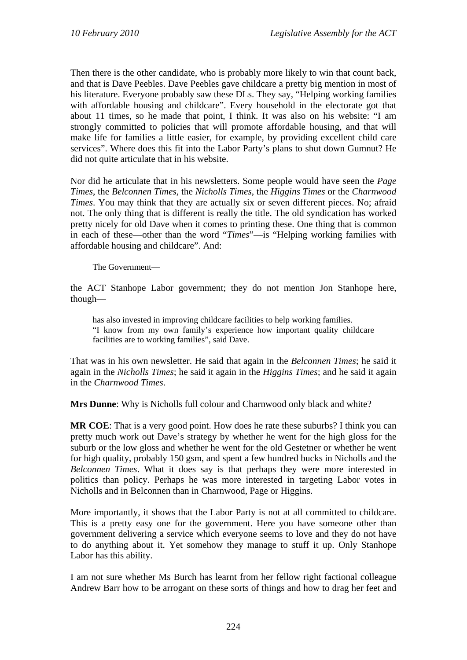Then there is the other candidate, who is probably more likely to win that count back, and that is Dave Peebles. Dave Peebles gave childcare a pretty big mention in most of his literature. Everyone probably saw these DLs. They say, "Helping working families with affordable housing and childcare". Every household in the electorate got that about 11 times, so he made that point, I think. It was also on his website: "I am strongly committed to policies that will promote affordable housing, and that will make life for families a little easier, for example, by providing excellent child care services". Where does this fit into the Labor Party's plans to shut down Gumnut? He did not quite articulate that in his website.

Nor did he articulate that in his newsletters. Some people would have seen the *Page Times*, the *Belconnen Times*, the *Nicholls Times*, the *Higgins Times* or the *Charnwood Times*. You may think that they are actually six or seven different pieces. No; afraid not. The only thing that is different is really the title. The old syndication has worked pretty nicely for old Dave when it comes to printing these. One thing that is common in each of these—other than the word "*Times*"—is "Helping working families with affordable housing and childcare". And:

The Government—

the ACT Stanhope Labor government; they do not mention Jon Stanhope here, though—

has also invested in improving childcare facilities to help working families. "I know from my own family's experience how important quality childcare facilities are to working families", said Dave.

That was in his own newsletter. He said that again in the *Belconnen Times*; he said it again in the *Nicholls Times*; he said it again in the *Higgins Times*; and he said it again in the *Charnwood Times*.

**Mrs Dunne**: Why is Nicholls full colour and Charnwood only black and white?

**MR COE**: That is a very good point. How does he rate these suburbs? I think you can pretty much work out Dave's strategy by whether he went for the high gloss for the suburb or the low gloss and whether he went for the old Gestetner or whether he went for high quality, probably 150 gsm, and spent a few hundred bucks in Nicholls and the *Belconnen Times*. What it does say is that perhaps they were more interested in politics than policy. Perhaps he was more interested in targeting Labor votes in Nicholls and in Belconnen than in Charnwood, Page or Higgins.

More importantly, it shows that the Labor Party is not at all committed to childcare. This is a pretty easy one for the government. Here you have someone other than government delivering a service which everyone seems to love and they do not have to do anything about it. Yet somehow they manage to stuff it up. Only Stanhope Labor has this ability.

I am not sure whether Ms Burch has learnt from her fellow right factional colleague Andrew Barr how to be arrogant on these sorts of things and how to drag her feet and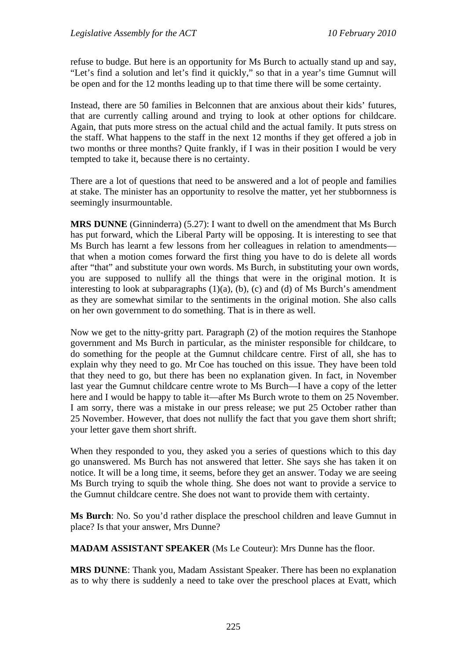refuse to budge. But here is an opportunity for Ms Burch to actually stand up and say, "Let's find a solution and let's find it quickly," so that in a year's time Gumnut will be open and for the 12 months leading up to that time there will be some certainty.

Instead, there are 50 families in Belconnen that are anxious about their kids' futures, that are currently calling around and trying to look at other options for childcare. Again, that puts more stress on the actual child and the actual family. It puts stress on the staff. What happens to the staff in the next 12 months if they get offered a job in two months or three months? Quite frankly, if I was in their position I would be very tempted to take it, because there is no certainty.

There are a lot of questions that need to be answered and a lot of people and families at stake. The minister has an opportunity to resolve the matter, yet her stubbornness is seemingly insurmountable.

**MRS DUNNE** (Ginninderra) (5.27): I want to dwell on the amendment that Ms Burch has put forward, which the Liberal Party will be opposing. It is interesting to see that Ms Burch has learnt a few lessons from her colleagues in relation to amendments that when a motion comes forward the first thing you have to do is delete all words after "that" and substitute your own words. Ms Burch, in substituting your own words, you are supposed to nullify all the things that were in the original motion. It is interesting to look at subparagraphs  $(1)(a)$ ,  $(b)$ ,  $(c)$  and  $(d)$  of Ms Burch's amendment as they are somewhat similar to the sentiments in the original motion. She also calls on her own government to do something. That is in there as well.

Now we get to the nitty-gritty part. Paragraph (2) of the motion requires the Stanhope government and Ms Burch in particular, as the minister responsible for childcare, to do something for the people at the Gumnut childcare centre. First of all, she has to explain why they need to go. Mr Coe has touched on this issue. They have been told that they need to go, but there has been no explanation given. In fact, in November last year the Gumnut childcare centre wrote to Ms Burch—I have a copy of the letter here and I would be happy to table it—after Ms Burch wrote to them on 25 November. I am sorry, there was a mistake in our press release; we put 25 October rather than 25 November. However, that does not nullify the fact that you gave them short shrift; your letter gave them short shrift.

When they responded to you, they asked you a series of questions which to this day go unanswered. Ms Burch has not answered that letter. She says she has taken it on notice. It will be a long time, it seems, before they get an answer. Today we are seeing Ms Burch trying to squib the whole thing. She does not want to provide a service to the Gumnut childcare centre. She does not want to provide them with certainty.

**Ms Burch**: No. So you'd rather displace the preschool children and leave Gumnut in place? Is that your answer, Mrs Dunne?

**MADAM ASSISTANT SPEAKER** (Ms Le Couteur): Mrs Dunne has the floor.

**MRS DUNNE**: Thank you, Madam Assistant Speaker. There has been no explanation as to why there is suddenly a need to take over the preschool places at Evatt, which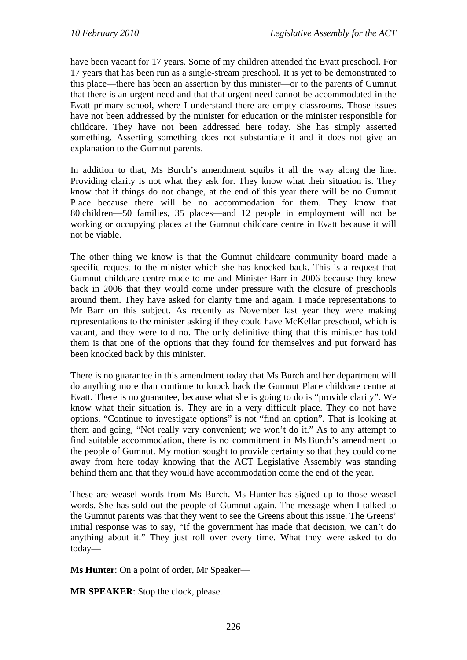have been vacant for 17 years. Some of my children attended the Evatt preschool. For 17 years that has been run as a single-stream preschool. It is yet to be demonstrated to this place—there has been an assertion by this minister—or to the parents of Gumnut that there is an urgent need and that that urgent need cannot be accommodated in the Evatt primary school, where I understand there are empty classrooms. Those issues have not been addressed by the minister for education or the minister responsible for childcare. They have not been addressed here today. She has simply asserted something. Asserting something does not substantiate it and it does not give an explanation to the Gumnut parents.

In addition to that, Ms Burch's amendment squibs it all the way along the line. Providing clarity is not what they ask for. They know what their situation is. They know that if things do not change, at the end of this year there will be no Gumnut Place because there will be no accommodation for them. They know that 80 children—50 families, 35 places—and 12 people in employment will not be working or occupying places at the Gumnut childcare centre in Evatt because it will not be viable.

The other thing we know is that the Gumnut childcare community board made a specific request to the minister which she has knocked back. This is a request that Gumnut childcare centre made to me and Minister Barr in 2006 because they knew back in 2006 that they would come under pressure with the closure of preschools around them. They have asked for clarity time and again. I made representations to Mr Barr on this subject. As recently as November last year they were making representations to the minister asking if they could have McKellar preschool, which is vacant, and they were told no. The only definitive thing that this minister has told them is that one of the options that they found for themselves and put forward has been knocked back by this minister.

There is no guarantee in this amendment today that Ms Burch and her department will do anything more than continue to knock back the Gumnut Place childcare centre at Evatt. There is no guarantee, because what she is going to do is "provide clarity". We know what their situation is. They are in a very difficult place. They do not have options. "Continue to investigate options" is not "find an option". That is looking at them and going, "Not really very convenient; we won't do it." As to any attempt to find suitable accommodation, there is no commitment in Ms Burch's amendment to the people of Gumnut. My motion sought to provide certainty so that they could come away from here today knowing that the ACT Legislative Assembly was standing behind them and that they would have accommodation come the end of the year.

These are weasel words from Ms Burch. Ms Hunter has signed up to those weasel words. She has sold out the people of Gumnut again. The message when I talked to the Gumnut parents was that they went to see the Greens about this issue. The Greens' initial response was to say, "If the government has made that decision, we can't do anything about it." They just roll over every time. What they were asked to do today—

**Ms Hunter**: On a point of order, Mr Speaker—

**MR SPEAKER**: Stop the clock, please.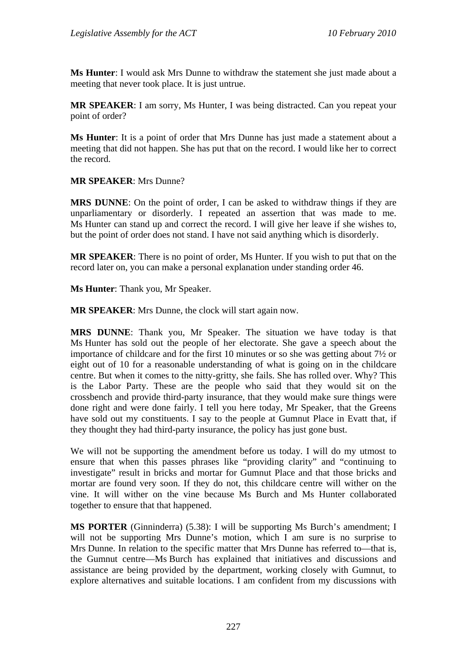**Ms Hunter**: I would ask Mrs Dunne to withdraw the statement she just made about a meeting that never took place. It is just untrue.

**MR SPEAKER**: I am sorry, Ms Hunter, I was being distracted. Can you repeat your point of order?

**Ms Hunter**: It is a point of order that Mrs Dunne has just made a statement about a meeting that did not happen. She has put that on the record. I would like her to correct the record.

## **MR SPEAKER**: Mrs Dunne?

**MRS DUNNE**: On the point of order, I can be asked to withdraw things if they are unparliamentary or disorderly. I repeated an assertion that was made to me. Ms Hunter can stand up and correct the record. I will give her leave if she wishes to, but the point of order does not stand. I have not said anything which is disorderly.

**MR SPEAKER**: There is no point of order, Ms Hunter. If you wish to put that on the record later on, you can make a personal explanation under standing order 46.

**Ms Hunter**: Thank you, Mr Speaker.

**MR SPEAKER**: Mrs Dunne, the clock will start again now.

**MRS DUNNE**: Thank you, Mr Speaker. The situation we have today is that Ms Hunter has sold out the people of her electorate. She gave a speech about the importance of childcare and for the first 10 minutes or so she was getting about 7½ or eight out of 10 for a reasonable understanding of what is going on in the childcare centre. But when it comes to the nitty-gritty, she fails. She has rolled over. Why? This is the Labor Party. These are the people who said that they would sit on the crossbench and provide third-party insurance, that they would make sure things were done right and were done fairly. I tell you here today, Mr Speaker, that the Greens have sold out my constituents. I say to the people at Gumnut Place in Evatt that, if they thought they had third-party insurance, the policy has just gone bust.

We will not be supporting the amendment before us today. I will do my utmost to ensure that when this passes phrases like "providing clarity" and "continuing to investigate" result in bricks and mortar for Gumnut Place and that those bricks and mortar are found very soon. If they do not, this childcare centre will wither on the vine. It will wither on the vine because Ms Burch and Ms Hunter collaborated together to ensure that that happened.

**MS PORTER** (Ginninderra) (5.38): I will be supporting Ms Burch's amendment; I will not be supporting Mrs Dunne's motion, which I am sure is no surprise to Mrs Dunne. In relation to the specific matter that Mrs Dunne has referred to—that is, the Gumnut centre—Ms Burch has explained that initiatives and discussions and assistance are being provided by the department, working closely with Gumnut, to explore alternatives and suitable locations. I am confident from my discussions with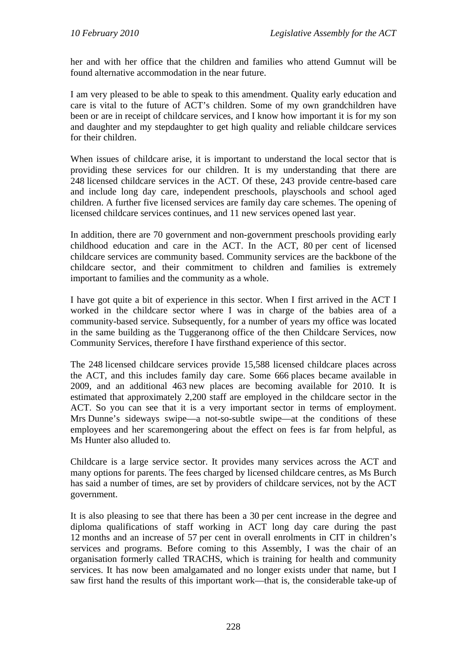her and with her office that the children and families who attend Gumnut will be found alternative accommodation in the near future.

I am very pleased to be able to speak to this amendment. Quality early education and care is vital to the future of ACT's children. Some of my own grandchildren have been or are in receipt of childcare services, and I know how important it is for my son and daughter and my stepdaughter to get high quality and reliable childcare services for their children.

When issues of childcare arise, it is important to understand the local sector that is providing these services for our children. It is my understanding that there are 248 licensed childcare services in the ACT. Of these, 243 provide centre-based care and include long day care, independent preschools, playschools and school aged children. A further five licensed services are family day care schemes. The opening of licensed childcare services continues, and 11 new services opened last year.

In addition, there are 70 government and non-government preschools providing early childhood education and care in the ACT. In the ACT, 80 per cent of licensed childcare services are community based. Community services are the backbone of the childcare sector, and their commitment to children and families is extremely important to families and the community as a whole.

I have got quite a bit of experience in this sector. When I first arrived in the ACT I worked in the childcare sector where I was in charge of the babies area of a community-based service. Subsequently, for a number of years my office was located in the same building as the Tuggeranong office of the then Childcare Services, now Community Services, therefore I have firsthand experience of this sector.

The 248 licensed childcare services provide 15,588 licensed childcare places across the ACT, and this includes family day care. Some 666 places became available in 2009, and an additional 463 new places are becoming available for 2010. It is estimated that approximately 2,200 staff are employed in the childcare sector in the ACT. So you can see that it is a very important sector in terms of employment. Mrs Dunne's sideways swipe—a not-so-subtle swipe—at the conditions of these employees and her scaremongering about the effect on fees is far from helpful, as Ms Hunter also alluded to.

Childcare is a large service sector. It provides many services across the ACT and many options for parents. The fees charged by licensed childcare centres, as Ms Burch has said a number of times, are set by providers of childcare services, not by the ACT government.

It is also pleasing to see that there has been a 30 per cent increase in the degree and diploma qualifications of staff working in ACT long day care during the past 12 months and an increase of 57 per cent in overall enrolments in CIT in children's services and programs. Before coming to this Assembly, I was the chair of an organisation formerly called TRACHS, which is training for health and community services. It has now been amalgamated and no longer exists under that name, but I saw first hand the results of this important work—that is, the considerable take-up of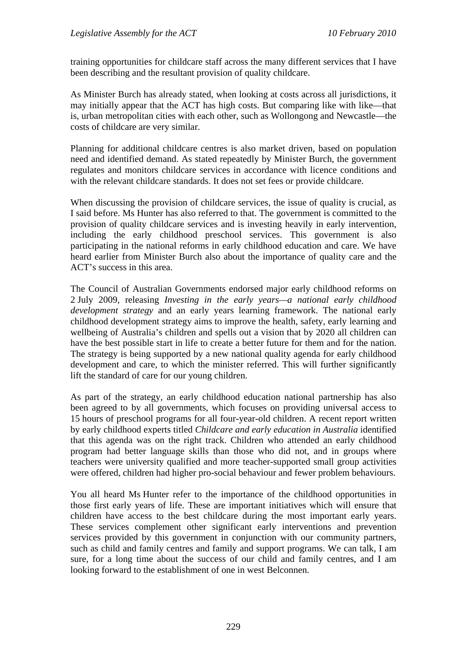training opportunities for childcare staff across the many different services that I have been describing and the resultant provision of quality childcare.

As Minister Burch has already stated, when looking at costs across all jurisdictions, it may initially appear that the ACT has high costs. But comparing like with like—that is, urban metropolitan cities with each other, such as Wollongong and Newcastle—the costs of childcare are very similar.

Planning for additional childcare centres is also market driven, based on population need and identified demand. As stated repeatedly by Minister Burch, the government regulates and monitors childcare services in accordance with licence conditions and with the relevant childcare standards. It does not set fees or provide childcare.

When discussing the provision of childcare services, the issue of quality is crucial, as I said before. Ms Hunter has also referred to that. The government is committed to the provision of quality childcare services and is investing heavily in early intervention, including the early childhood preschool services. This government is also participating in the national reforms in early childhood education and care. We have heard earlier from Minister Burch also about the importance of quality care and the ACT's success in this area.

The Council of Australian Governments endorsed major early childhood reforms on 2 July 2009, releasing *Investing in the early years—a national early childhood development strategy* and an early years learning framework. The national early childhood development strategy aims to improve the health, safety, early learning and wellbeing of Australia's children and spells out a vision that by 2020 all children can have the best possible start in life to create a better future for them and for the nation. The strategy is being supported by a new national quality agenda for early childhood development and care, to which the minister referred. This will further significantly lift the standard of care for our young children.

As part of the strategy, an early childhood education national partnership has also been agreed to by all governments, which focuses on providing universal access to 15 hours of preschool programs for all four-year-old children. A recent report written by early childhood experts titled *Childcare and early education in Australia* identified that this agenda was on the right track. Children who attended an early childhood program had better language skills than those who did not, and in groups where teachers were university qualified and more teacher-supported small group activities were offered, children had higher pro-social behaviour and fewer problem behaviours.

You all heard Ms Hunter refer to the importance of the childhood opportunities in those first early years of life. These are important initiatives which will ensure that children have access to the best childcare during the most important early years. These services complement other significant early interventions and prevention services provided by this government in conjunction with our community partners, such as child and family centres and family and support programs. We can talk, I am sure, for a long time about the success of our child and family centres, and I am looking forward to the establishment of one in west Belconnen.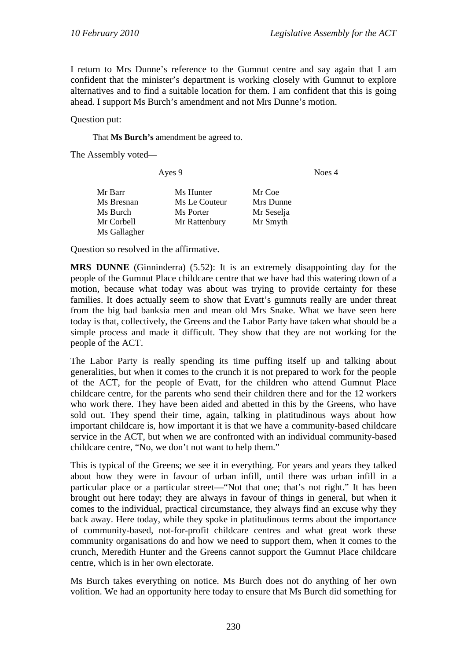Noes 4

I return to Mrs Dunne's reference to the Gumnut centre and say again that I am confident that the minister's department is working closely with Gumnut to explore alternatives and to find a suitable location for them. I am confident that this is going ahead. I support Ms Burch's amendment and not Mrs Dunne's motion.

Question put:

That **Ms Burch's** amendment be agreed to.

The Assembly voted*—*

|              | Ayes 9        |            |  |
|--------------|---------------|------------|--|
| Mr Barr      | Ms Hunter     | Mr Coe     |  |
| Ms Bresnan   | Ms Le Couteur | Mrs Dunne  |  |
| Ms Burch     | Ms Porter     | Mr Seselja |  |
| Mr Corbell   | Mr Rattenbury | Mr Smyth   |  |
| Ms Gallagher |               |            |  |

Question so resolved in the affirmative.

**MRS DUNNE** (Ginninderra) (5.52): It is an extremely disappointing day for the people of the Gumnut Place childcare centre that we have had this watering down of a motion, because what today was about was trying to provide certainty for these families. It does actually seem to show that Evatt's gumnuts really are under threat from the big bad banksia men and mean old Mrs Snake. What we have seen here today is that, collectively, the Greens and the Labor Party have taken what should be a simple process and made it difficult. They show that they are not working for the people of the ACT.

The Labor Party is really spending its time puffing itself up and talking about generalities, but when it comes to the crunch it is not prepared to work for the people of the ACT, for the people of Evatt, for the children who attend Gumnut Place childcare centre, for the parents who send their children there and for the 12 workers who work there. They have been aided and abetted in this by the Greens, who have sold out. They spend their time, again, talking in platitudinous ways about how important childcare is, how important it is that we have a community-based childcare service in the ACT, but when we are confronted with an individual community-based childcare centre, "No, we don't not want to help them."

This is typical of the Greens; we see it in everything. For years and years they talked about how they were in favour of urban infill, until there was urban infill in a particular place or a particular street—"Not that one; that's not right." It has been brought out here today; they are always in favour of things in general, but when it comes to the individual, practical circumstance, they always find an excuse why they back away. Here today, while they spoke in platitudinous terms about the importance of community-based, not-for-profit childcare centres and what great work these community organisations do and how we need to support them, when it comes to the crunch, Meredith Hunter and the Greens cannot support the Gumnut Place childcare centre, which is in her own electorate.

Ms Burch takes everything on notice. Ms Burch does not do anything of her own volition. We had an opportunity here today to ensure that Ms Burch did something for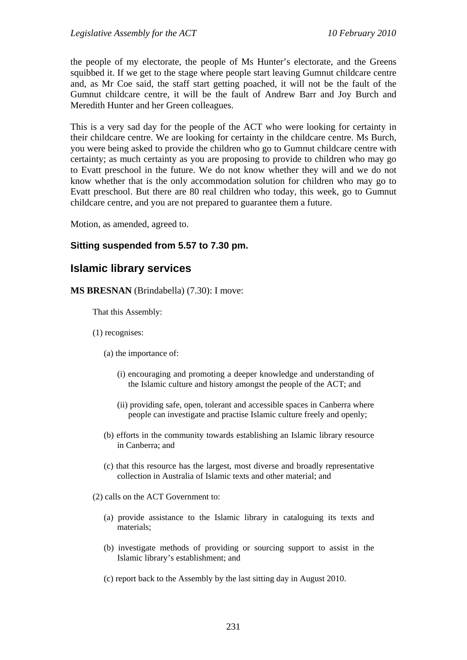the people of my electorate, the people of Ms Hunter's electorate, and the Greens squibbed it. If we get to the stage where people start leaving Gumnut childcare centre and, as Mr Coe said, the staff start getting poached, it will not be the fault of the Gumnut childcare centre, it will be the fault of Andrew Barr and Joy Burch and Meredith Hunter and her Green colleagues.

This is a very sad day for the people of the ACT who were looking for certainty in their childcare centre. We are looking for certainty in the childcare centre. Ms Burch, you were being asked to provide the children who go to Gumnut childcare centre with certainty; as much certainty as you are proposing to provide to children who may go to Evatt preschool in the future. We do not know whether they will and we do not know whether that is the only accommodation solution for children who may go to Evatt preschool. But there are 80 real children who today, this week, go to Gumnut childcare centre, and you are not prepared to guarantee them a future.

Motion, as amended, agreed to.

## **Sitting suspended from 5.57 to 7.30 pm.**

# **Islamic library services**

**MS BRESNAN** (Brindabella) (7.30): I move:

That this Assembly:

- (1) recognises:
	- (a) the importance of:
		- (i) encouraging and promoting a deeper knowledge and understanding of the Islamic culture and history amongst the people of the ACT; and
		- (ii) providing safe, open, tolerant and accessible spaces in Canberra where people can investigate and practise Islamic culture freely and openly;
	- (b) efforts in the community towards establishing an Islamic library resource in Canberra; and
	- (c) that this resource has the largest, most diverse and broadly representative collection in Australia of Islamic texts and other material; and
- (2) calls on the ACT Government to:
	- (a) provide assistance to the Islamic library in cataloguing its texts and materials;
	- (b) investigate methods of providing or sourcing support to assist in the Islamic library's establishment; and
	- (c) report back to the Assembly by the last sitting day in August 2010.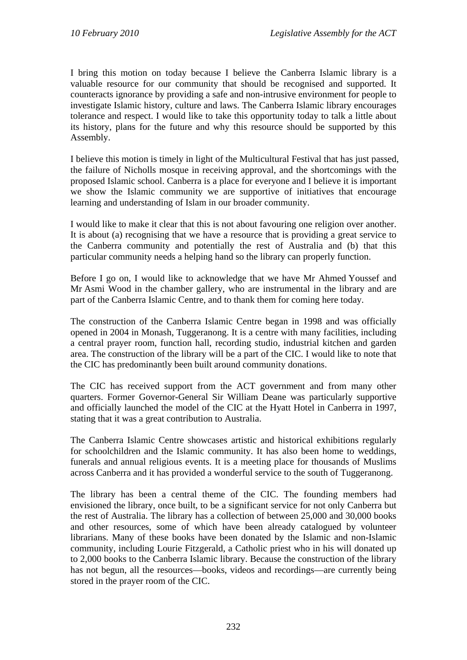I bring this motion on today because I believe the Canberra Islamic library is a valuable resource for our community that should be recognised and supported. It counteracts ignorance by providing a safe and non-intrusive environment for people to investigate Islamic history, culture and laws. The Canberra Islamic library encourages tolerance and respect. I would like to take this opportunity today to talk a little about its history, plans for the future and why this resource should be supported by this Assembly.

I believe this motion is timely in light of the Multicultural Festival that has just passed, the failure of Nicholls mosque in receiving approval, and the shortcomings with the proposed Islamic school. Canberra is a place for everyone and I believe it is important we show the Islamic community we are supportive of initiatives that encourage learning and understanding of Islam in our broader community.

I would like to make it clear that this is not about favouring one religion over another. It is about (a) recognising that we have a resource that is providing a great service to the Canberra community and potentially the rest of Australia and (b) that this particular community needs a helping hand so the library can properly function.

Before I go on, I would like to acknowledge that we have Mr Ahmed Youssef and Mr Asmi Wood in the chamber gallery, who are instrumental in the library and are part of the Canberra Islamic Centre, and to thank them for coming here today.

The construction of the Canberra Islamic Centre began in 1998 and was officially opened in 2004 in Monash, Tuggeranong. It is a centre with many facilities, including a central prayer room, function hall, recording studio, industrial kitchen and garden area. The construction of the library will be a part of the CIC. I would like to note that the CIC has predominantly been built around community donations.

The CIC has received support from the ACT government and from many other quarters. Former Governor-General Sir William Deane was particularly supportive and officially launched the model of the CIC at the Hyatt Hotel in Canberra in 1997, stating that it was a great contribution to Australia.

The Canberra Islamic Centre showcases artistic and historical exhibitions regularly for schoolchildren and the Islamic community. It has also been home to weddings, funerals and annual religious events. It is a meeting place for thousands of Muslims across Canberra and it has provided a wonderful service to the south of Tuggeranong.

The library has been a central theme of the CIC. The founding members had envisioned the library, once built, to be a significant service for not only Canberra but the rest of Australia. The library has a collection of between 25,000 and 30,000 books and other resources, some of which have been already catalogued by volunteer librarians. Many of these books have been donated by the Islamic and non-Islamic community, including Lourie Fitzgerald, a Catholic priest who in his will donated up to 2,000 books to the Canberra Islamic library. Because the construction of the library has not begun, all the resources—books, videos and recordings—are currently being stored in the prayer room of the CIC.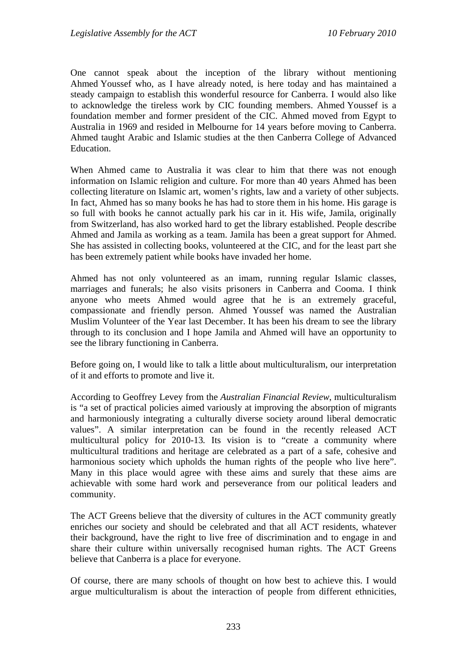One cannot speak about the inception of the library without mentioning Ahmed Youssef who, as I have already noted, is here today and has maintained a steady campaign to establish this wonderful resource for Canberra. I would also like to acknowledge the tireless work by CIC founding members. Ahmed Youssef is a foundation member and former president of the CIC. Ahmed moved from Egypt to Australia in 1969 and resided in Melbourne for 14 years before moving to Canberra. Ahmed taught Arabic and Islamic studies at the then Canberra College of Advanced Education.

When Ahmed came to Australia it was clear to him that there was not enough information on Islamic religion and culture. For more than 40 years Ahmed has been collecting literature on Islamic art, women's rights, law and a variety of other subjects. In fact, Ahmed has so many books he has had to store them in his home. His garage is so full with books he cannot actually park his car in it. His wife, Jamila, originally from Switzerland, has also worked hard to get the library established. People describe Ahmed and Jamila as working as a team. Jamila has been a great support for Ahmed. She has assisted in collecting books, volunteered at the CIC, and for the least part she has been extremely patient while books have invaded her home.

Ahmed has not only volunteered as an imam, running regular Islamic classes, marriages and funerals; he also visits prisoners in Canberra and Cooma. I think anyone who meets Ahmed would agree that he is an extremely graceful, compassionate and friendly person. Ahmed Youssef was named the Australian Muslim Volunteer of the Year last December. It has been his dream to see the library through to its conclusion and I hope Jamila and Ahmed will have an opportunity to see the library functioning in Canberra.

Before going on, I would like to talk a little about multiculturalism, our interpretation of it and efforts to promote and live it.

According to Geoffrey Levey from the *Australian Financial Review*, multiculturalism is "a set of practical policies aimed variously at improving the absorption of migrants and harmoniously integrating a culturally diverse society around liberal democratic values". A similar interpretation can be found in the recently released ACT multicultural policy for 2010-13*.* Its vision is to "create a community where multicultural traditions and heritage are celebrated as a part of a safe, cohesive and harmonious society which upholds the human rights of the people who live here". Many in this place would agree with these aims and surely that these aims are achievable with some hard work and perseverance from our political leaders and community.

The ACT Greens believe that the diversity of cultures in the ACT community greatly enriches our society and should be celebrated and that all ACT residents, whatever their background, have the right to live free of discrimination and to engage in and share their culture within universally recognised human rights. The ACT Greens believe that Canberra is a place for everyone.

Of course, there are many schools of thought on how best to achieve this. I would argue multiculturalism is about the interaction of people from different ethnicities,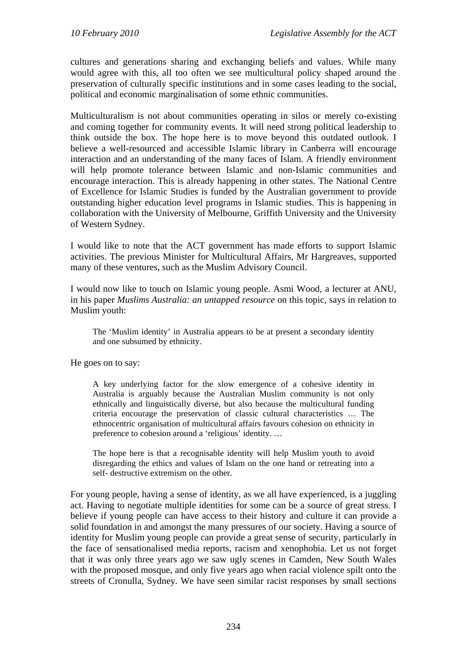cultures and generations sharing and exchanging beliefs and values. While many would agree with this, all too often we see multicultural policy shaped around the preservation of culturally specific institutions and in some cases leading to the social, political and economic marginalisation of some ethnic communities.

Multiculturalism is not about communities operating in silos or merely co-existing and coming together for community events. It will need strong political leadership to think outside the box. The hope here is to move beyond this outdated outlook. I believe a well-resourced and accessible Islamic library in Canberra will encourage interaction and an understanding of the many faces of Islam. A friendly environment will help promote tolerance between Islamic and non-Islamic communities and encourage interaction. This is already happening in other states. The National Centre of Excellence for Islamic Studies is funded by the Australian government to provide outstanding higher education level programs in Islamic studies. This is happening in collaboration with the University of Melbourne, Griffith University and the University of Western Sydney.

I would like to note that the ACT government has made efforts to support Islamic activities. The previous Minister for Multicultural Affairs, Mr Hargreaves, supported many of these ventures, such as the Muslim Advisory Council.

I would now like to touch on Islamic young people. Asmi Wood, a lecturer at ANU, in his paper *Muslims Australia: an untapped resource* on this topic, says in relation to Muslim youth:

The 'Muslim identity' in Australia appears to be at present a secondary identity and one subsumed by ethnicity.

He goes on to say:

A key underlying factor for the slow emergence of a cohesive identity in Australia is arguably because the Australian Muslim community is not only ethnically and linguistically diverse, but also because the multicultural funding criteria encourage the preservation of classic cultural characteristics … The ethnocentric organisation of multicultural affairs favours cohesion on ethnicity in preference to cohesion around a 'religious' identity. …

The hope here is that a recognisable identity will help Muslim youth to avoid disregarding the ethics and values of Islam on the one hand or retreating into a self- destructive extremism on the other.

For young people, having a sense of identity, as we all have experienced, is a juggling act. Having to negotiate multiple identities for some can be a source of great stress. I believe if young people can have access to their history and culture it can provide a solid foundation in and amongst the many pressures of our society. Having a source of identity for Muslim young people can provide a great sense of security, particularly in the face of sensationalised media reports, racism and xenophobia. Let us not forget that it was only three years ago we saw ugly scenes in Camden, New South Wales with the proposed mosque, and only five years ago when racial violence spilt onto the streets of Cronulla, Sydney. We have seen similar racist responses by small sections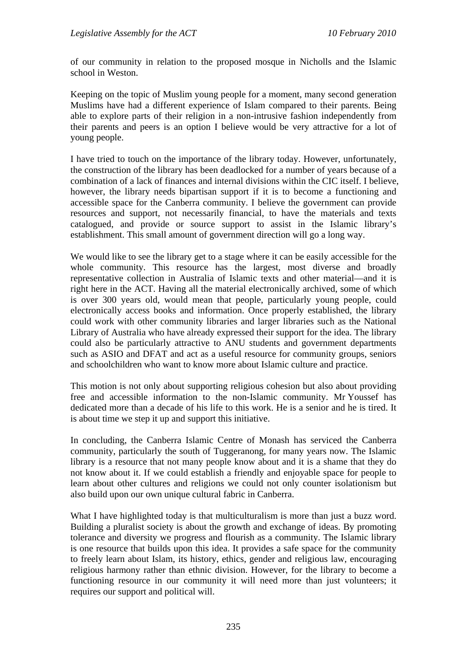of our community in relation to the proposed mosque in Nicholls and the Islamic school in Weston.

Keeping on the topic of Muslim young people for a moment, many second generation Muslims have had a different experience of Islam compared to their parents. Being able to explore parts of their religion in a non-intrusive fashion independently from their parents and peers is an option I believe would be very attractive for a lot of young people.

I have tried to touch on the importance of the library today. However, unfortunately, the construction of the library has been deadlocked for a number of years because of a combination of a lack of finances and internal divisions within the CIC itself. I believe, however, the library needs bipartisan support if it is to become a functioning and accessible space for the Canberra community. I believe the government can provide resources and support, not necessarily financial, to have the materials and texts catalogued, and provide or source support to assist in the Islamic library's establishment. This small amount of government direction will go a long way.

We would like to see the library get to a stage where it can be easily accessible for the whole community. This resource has the largest, most diverse and broadly representative collection in Australia of Islamic texts and other material—and it is right here in the ACT. Having all the material electronically archived, some of which is over 300 years old, would mean that people, particularly young people, could electronically access books and information. Once properly established, the library could work with other community libraries and larger libraries such as the National Library of Australia who have already expressed their support for the idea. The library could also be particularly attractive to ANU students and government departments such as ASIO and DFAT and act as a useful resource for community groups, seniors and schoolchildren who want to know more about Islamic culture and practice.

This motion is not only about supporting religious cohesion but also about providing free and accessible information to the non-Islamic community. Mr Youssef has dedicated more than a decade of his life to this work. He is a senior and he is tired. It is about time we step it up and support this initiative.

In concluding, the Canberra Islamic Centre of Monash has serviced the Canberra community, particularly the south of Tuggeranong, for many years now. The Islamic library is a resource that not many people know about and it is a shame that they do not know about it. If we could establish a friendly and enjoyable space for people to learn about other cultures and religions we could not only counter isolationism but also build upon our own unique cultural fabric in Canberra.

What I have highlighted today is that multiculturalism is more than just a buzz word. Building a pluralist society is about the growth and exchange of ideas. By promoting tolerance and diversity we progress and flourish as a community. The Islamic library is one resource that builds upon this idea. It provides a safe space for the community to freely learn about Islam, its history, ethics, gender and religious law, encouraging religious harmony rather than ethnic division. However, for the library to become a functioning resource in our community it will need more than just volunteers; it requires our support and political will.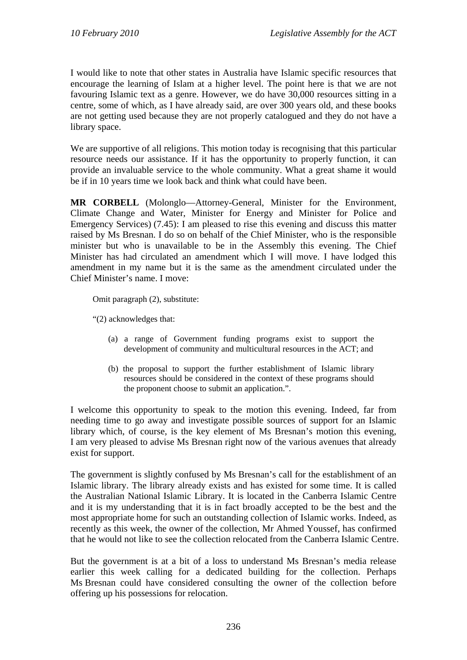I would like to note that other states in Australia have Islamic specific resources that encourage the learning of Islam at a higher level. The point here is that we are not favouring Islamic text as a genre. However, we do have 30,000 resources sitting in a centre, some of which, as I have already said, are over 300 years old, and these books are not getting used because they are not properly catalogued and they do not have a library space.

We are supportive of all religions. This motion today is recognising that this particular resource needs our assistance. If it has the opportunity to properly function, it can provide an invaluable service to the whole community. What a great shame it would be if in 10 years time we look back and think what could have been.

**MR CORBELL** (Molonglo—Attorney-General, Minister for the Environment, Climate Change and Water, Minister for Energy and Minister for Police and Emergency Services) (7.45): I am pleased to rise this evening and discuss this matter raised by Ms Bresnan. I do so on behalf of the Chief Minister, who is the responsible minister but who is unavailable to be in the Assembly this evening. The Chief Minister has had circulated an amendment which I will move. I have lodged this amendment in my name but it is the same as the amendment circulated under the Chief Minister's name. I move:

Omit paragraph (2), substitute:

"(2) acknowledges that:

- (a) a range of Government funding programs exist to support the development of community and multicultural resources in the ACT; and
- (b) the proposal to support the further establishment of Islamic library resources should be considered in the context of these programs should the proponent choose to submit an application.".

I welcome this opportunity to speak to the motion this evening. Indeed, far from needing time to go away and investigate possible sources of support for an Islamic library which, of course, is the key element of Ms Bresnan's motion this evening, I am very pleased to advise Ms Bresnan right now of the various avenues that already exist for support.

The government is slightly confused by Ms Bresnan's call for the establishment of an Islamic library. The library already exists and has existed for some time. It is called the Australian National Islamic Library. It is located in the Canberra Islamic Centre and it is my understanding that it is in fact broadly accepted to be the best and the most appropriate home for such an outstanding collection of Islamic works. Indeed, as recently as this week, the owner of the collection, Mr Ahmed Youssef, has confirmed that he would not like to see the collection relocated from the Canberra Islamic Centre.

But the government is at a bit of a loss to understand Ms Bresnan's media release earlier this week calling for a dedicated building for the collection. Perhaps Ms Bresnan could have considered consulting the owner of the collection before offering up his possessions for relocation.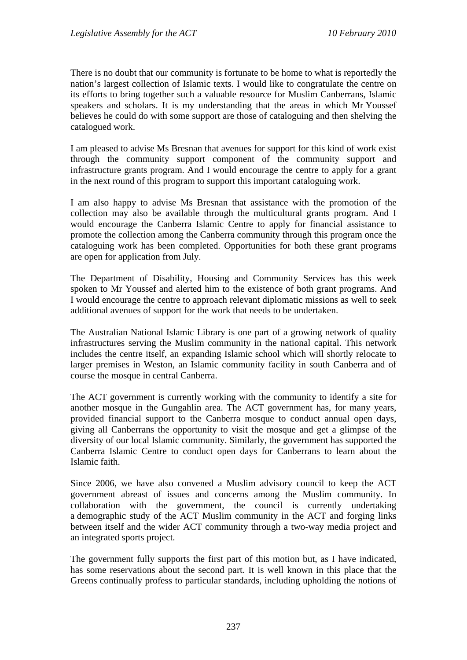There is no doubt that our community is fortunate to be home to what is reportedly the nation's largest collection of Islamic texts. I would like to congratulate the centre on its efforts to bring together such a valuable resource for Muslim Canberrans, Islamic speakers and scholars. It is my understanding that the areas in which Mr Youssef believes he could do with some support are those of cataloguing and then shelving the catalogued work.

I am pleased to advise Ms Bresnan that avenues for support for this kind of work exist through the community support component of the community support and infrastructure grants program. And I would encourage the centre to apply for a grant in the next round of this program to support this important cataloguing work.

I am also happy to advise Ms Bresnan that assistance with the promotion of the collection may also be available through the multicultural grants program. And I would encourage the Canberra Islamic Centre to apply for financial assistance to promote the collection among the Canberra community through this program once the cataloguing work has been completed. Opportunities for both these grant programs are open for application from July.

The Department of Disability, Housing and Community Services has this week spoken to Mr Youssef and alerted him to the existence of both grant programs. And I would encourage the centre to approach relevant diplomatic missions as well to seek additional avenues of support for the work that needs to be undertaken.

The Australian National Islamic Library is one part of a growing network of quality infrastructures serving the Muslim community in the national capital. This network includes the centre itself, an expanding Islamic school which will shortly relocate to larger premises in Weston, an Islamic community facility in south Canberra and of course the mosque in central Canberra.

The ACT government is currently working with the community to identify a site for another mosque in the Gungahlin area. The ACT government has, for many years, provided financial support to the Canberra mosque to conduct annual open days, giving all Canberrans the opportunity to visit the mosque and get a glimpse of the diversity of our local Islamic community. Similarly, the government has supported the Canberra Islamic Centre to conduct open days for Canberrans to learn about the Islamic faith.

Since 2006, we have also convened a Muslim advisory council to keep the ACT government abreast of issues and concerns among the Muslim community. In collaboration with the government, the council is currently undertaking a demographic study of the ACT Muslim community in the ACT and forging links between itself and the wider ACT community through a two-way media project and an integrated sports project.

The government fully supports the first part of this motion but, as I have indicated, has some reservations about the second part. It is well known in this place that the Greens continually profess to particular standards, including upholding the notions of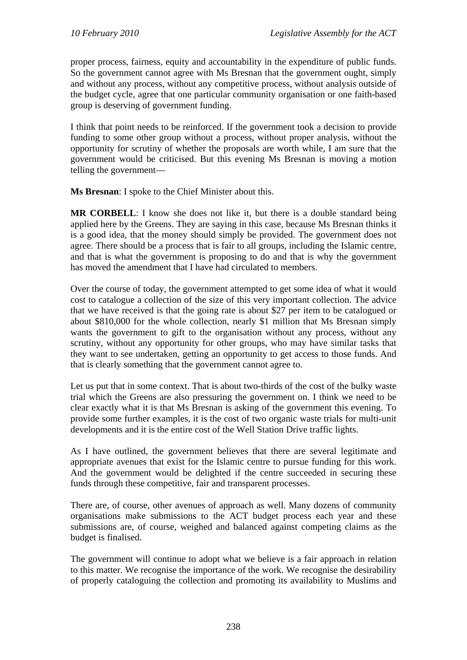proper process, fairness, equity and accountability in the expenditure of public funds. So the government cannot agree with Ms Bresnan that the government ought, simply and without any process, without any competitive process, without analysis outside of the budget cycle, agree that one particular community organisation or one faith-based group is deserving of government funding.

I think that point needs to be reinforced. If the government took a decision to provide funding to some other group without a process, without proper analysis, without the opportunity for scrutiny of whether the proposals are worth while, I am sure that the government would be criticised. But this evening Ms Bresnan is moving a motion telling the government—

**Ms Bresnan**: I spoke to the Chief Minister about this.

**MR CORBELL**: I know she does not like it, but there is a double standard being applied here by the Greens. They are saying in this case, because Ms Bresnan thinks it is a good idea, that the money should simply be provided. The government does not agree. There should be a process that is fair to all groups, including the Islamic centre, and that is what the government is proposing to do and that is why the government has moved the amendment that I have had circulated to members.

Over the course of today, the government attempted to get some idea of what it would cost to catalogue a collection of the size of this very important collection. The advice that we have received is that the going rate is about \$27 per item to be catalogued or about \$810,000 for the whole collection, nearly \$1 million that Ms Bresnan simply wants the government to gift to the organisation without any process, without any scrutiny, without any opportunity for other groups, who may have similar tasks that they want to see undertaken, getting an opportunity to get access to those funds. And that is clearly something that the government cannot agree to.

Let us put that in some context. That is about two-thirds of the cost of the bulky waste trial which the Greens are also pressuring the government on. I think we need to be clear exactly what it is that Ms Bresnan is asking of the government this evening. To provide some further examples, it is the cost of two organic waste trials for multi-unit developments and it is the entire cost of the Well Station Drive traffic lights.

As I have outlined, the government believes that there are several legitimate and appropriate avenues that exist for the Islamic centre to pursue funding for this work. And the government would be delighted if the centre succeeded in securing these funds through these competitive, fair and transparent processes.

There are, of course, other avenues of approach as well. Many dozens of community organisations make submissions to the ACT budget process each year and these submissions are, of course, weighed and balanced against competing claims as the budget is finalised.

The government will continue to adopt what we believe is a fair approach in relation to this matter. We recognise the importance of the work. We recognise the desirability of properly cataloguing the collection and promoting its availability to Muslims and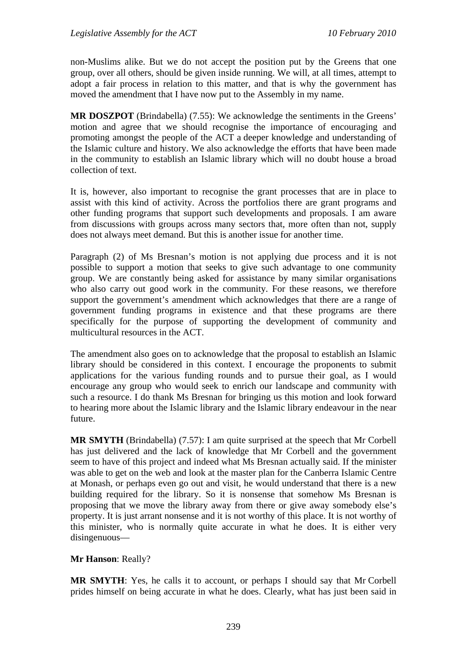non-Muslims alike. But we do not accept the position put by the Greens that one group, over all others, should be given inside running. We will, at all times, attempt to adopt a fair process in relation to this matter, and that is why the government has moved the amendment that I have now put to the Assembly in my name.

**MR DOSZPOT** (Brindabella) (7.55): We acknowledge the sentiments in the Greens' motion and agree that we should recognise the importance of encouraging and promoting amongst the people of the ACT a deeper knowledge and understanding of the Islamic culture and history. We also acknowledge the efforts that have been made in the community to establish an Islamic library which will no doubt house a broad collection of text.

It is, however, also important to recognise the grant processes that are in place to assist with this kind of activity. Across the portfolios there are grant programs and other funding programs that support such developments and proposals. I am aware from discussions with groups across many sectors that, more often than not, supply does not always meet demand. But this is another issue for another time.

Paragraph (2) of Ms Bresnan's motion is not applying due process and it is not possible to support a motion that seeks to give such advantage to one community group. We are constantly being asked for assistance by many similar organisations who also carry out good work in the community. For these reasons, we therefore support the government's amendment which acknowledges that there are a range of government funding programs in existence and that these programs are there specifically for the purpose of supporting the development of community and multicultural resources in the ACT.

The amendment also goes on to acknowledge that the proposal to establish an Islamic library should be considered in this context. I encourage the proponents to submit applications for the various funding rounds and to pursue their goal, as I would encourage any group who would seek to enrich our landscape and community with such a resource. I do thank Ms Bresnan for bringing us this motion and look forward to hearing more about the Islamic library and the Islamic library endeavour in the near future.

**MR SMYTH** (Brindabella) (7.57): I am quite surprised at the speech that Mr Corbell has just delivered and the lack of knowledge that Mr Corbell and the government seem to have of this project and indeed what Ms Bresnan actually said. If the minister was able to get on the web and look at the master plan for the Canberra Islamic Centre at Monash, or perhaps even go out and visit, he would understand that there is a new building required for the library. So it is nonsense that somehow Ms Bresnan is proposing that we move the library away from there or give away somebody else's property. It is just arrant nonsense and it is not worthy of this place. It is not worthy of this minister, who is normally quite accurate in what he does. It is either very disingenuous—

## **Mr Hanson**: Really?

**MR SMYTH**: Yes, he calls it to account, or perhaps I should say that Mr Corbell prides himself on being accurate in what he does. Clearly, what has just been said in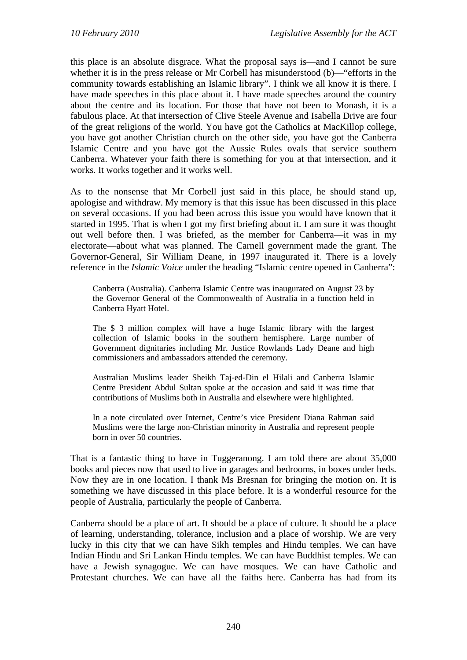this place is an absolute disgrace. What the proposal says is—and I cannot be sure whether it is in the press release or Mr Corbell has misunderstood (b)—"efforts in the community towards establishing an Islamic library". I think we all know it is there. I have made speeches in this place about it. I have made speeches around the country about the centre and its location. For those that have not been to Monash, it is a fabulous place. At that intersection of Clive Steele Avenue and Isabella Drive are four of the great religions of the world. You have got the Catholics at MacKillop college, you have got another Christian church on the other side, you have got the Canberra Islamic Centre and you have got the Aussie Rules ovals that service southern Canberra. Whatever your faith there is something for you at that intersection, and it works. It works together and it works well.

As to the nonsense that Mr Corbell just said in this place, he should stand up, apologise and withdraw. My memory is that this issue has been discussed in this place on several occasions. If you had been across this issue you would have known that it started in 1995. That is when I got my first briefing about it. I am sure it was thought out well before then. I was briefed, as the member for Canberra—it was in my electorate—about what was planned. The Carnell government made the grant. The Governor-General, Sir William Deane, in 1997 inaugurated it. There is a lovely reference in the *Islamic Voice* under the heading "Islamic centre opened in Canberra":

Canberra (Australia). Canberra Islamic Centre was inaugurated on August 23 by the Governor General of the Commonwealth of Australia in a function held in Canberra Hyatt Hotel.

The \$ 3 million complex will have a huge Islamic library with the largest collection of Islamic books in the southern hemisphere. Large number of Government dignitaries including Mr. Justice Rowlands Lady Deane and high commissioners and ambassadors attended the ceremony.

Australian Muslims leader Sheikh Taj-ed-Din el Hilali and Canberra Islamic Centre President Abdul Sultan spoke at the occasion and said it was time that contributions of Muslims both in Australia and elsewhere were highlighted.

In a note circulated over Internet, Centre's vice President Diana Rahman said Muslims were the large non-Christian minority in Australia and represent people born in over 50 countries.

That is a fantastic thing to have in Tuggeranong. I am told there are about 35,000 books and pieces now that used to live in garages and bedrooms, in boxes under beds. Now they are in one location. I thank Ms Bresnan for bringing the motion on. It is something we have discussed in this place before. It is a wonderful resource for the people of Australia, particularly the people of Canberra.

Canberra should be a place of art. It should be a place of culture. It should be a place of learning, understanding, tolerance, inclusion and a place of worship. We are very lucky in this city that we can have Sikh temples and Hindu temples. We can have Indian Hindu and Sri Lankan Hindu temples. We can have Buddhist temples. We can have a Jewish synagogue. We can have mosques. We can have Catholic and Protestant churches. We can have all the faiths here. Canberra has had from its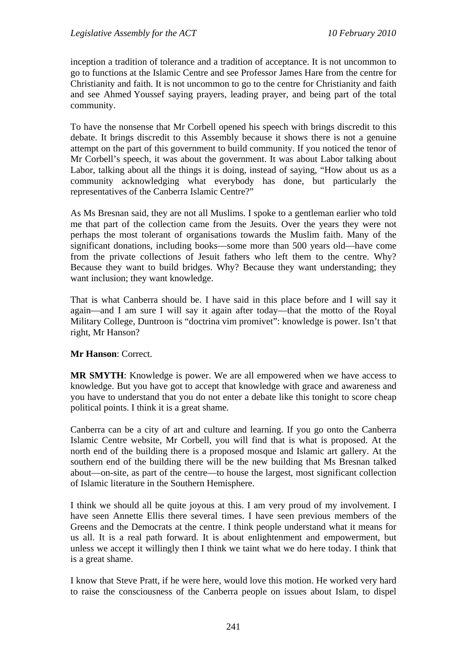inception a tradition of tolerance and a tradition of acceptance. It is not uncommon to go to functions at the Islamic Centre and see Professor James Hare from the centre for Christianity and faith. It is not uncommon to go to the centre for Christianity and faith and see Ahmed Youssef saying prayers, leading prayer, and being part of the total community.

To have the nonsense that Mr Corbell opened his speech with brings discredit to this debate. It brings discredit to this Assembly because it shows there is not a genuine attempt on the part of this government to build community. If you noticed the tenor of Mr Corbell's speech, it was about the government. It was about Labor talking about Labor, talking about all the things it is doing, instead of saying, "How about us as a community acknowledging what everybody has done, but particularly the representatives of the Canberra Islamic Centre?"

As Ms Bresnan said, they are not all Muslims. I spoke to a gentleman earlier who told me that part of the collection came from the Jesuits. Over the years they were not perhaps the most tolerant of organisations towards the Muslim faith. Many of the significant donations, including books—some more than 500 years old—have come from the private collections of Jesuit fathers who left them to the centre. Why? Because they want to build bridges. Why? Because they want understanding; they want inclusion; they want knowledge.

That is what Canberra should be. I have said in this place before and I will say it again—and I am sure I will say it again after today—that the motto of the Royal Military College, Duntroon is "doctrina vim promivet": knowledge is power. Isn't that right, Mr Hanson?

## **Mr Hanson**: Correct.

**MR SMYTH**: Knowledge is power. We are all empowered when we have access to knowledge. But you have got to accept that knowledge with grace and awareness and you have to understand that you do not enter a debate like this tonight to score cheap political points. I think it is a great shame.

Canberra can be a city of art and culture and learning. If you go onto the Canberra Islamic Centre website, Mr Corbell, you will find that is what is proposed. At the north end of the building there is a proposed mosque and Islamic art gallery. At the southern end of the building there will be the new building that Ms Bresnan talked about—on-site, as part of the centre—to house the largest, most significant collection of Islamic literature in the Southern Hemisphere.

I think we should all be quite joyous at this. I am very proud of my involvement. I have seen Annette Ellis there several times. I have seen previous members of the Greens and the Democrats at the centre. I think people understand what it means for us all. It is a real path forward. It is about enlightenment and empowerment, but unless we accept it willingly then I think we taint what we do here today. I think that is a great shame.

I know that Steve Pratt, if he were here, would love this motion. He worked very hard to raise the consciousness of the Canberra people on issues about Islam, to dispel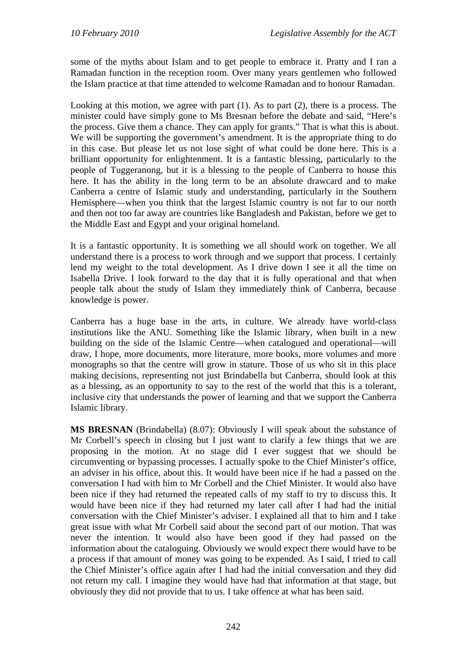some of the myths about Islam and to get people to embrace it. Pratty and I ran a Ramadan function in the reception room. Over many years gentlemen who followed the Islam practice at that time attended to welcome Ramadan and to honour Ramadan.

Looking at this motion, we agree with part (1). As to part (2), there is a process. The minister could have simply gone to Ms Bresnan before the debate and said, "Here's the process. Give them a chance. They can apply for grants." That is what this is about. We will be supporting the government's amendment. It is the appropriate thing to do in this case. But please let us not lose sight of what could be done here. This is a brilliant opportunity for enlightenment. It is a fantastic blessing, particularly to the people of Tuggeranong, but it is a blessing to the people of Canberra to house this here. It has the ability in the long term to be an absolute drawcard and to make Canberra a centre of Islamic study and understanding, particularly in the Southern Hemisphere—when you think that the largest Islamic country is not far to our north and then not too far away are countries like Bangladesh and Pakistan, before we get to the Middle East and Egypt and your original homeland.

It is a fantastic opportunity. It is something we all should work on together. We all understand there is a process to work through and we support that process. I certainly lend my weight to the total development. As I drive down I see it all the time on Isabella Drive. I look forward to the day that it is fully operational and that when people talk about the study of Islam they immediately think of Canberra, because knowledge is power.

Canberra has a huge base in the arts, in culture. We already have world-class institutions like the ANU. Something like the Islamic library, when built in a new building on the side of the Islamic Centre—when catalogued and operational—will draw, I hope, more documents, more literature, more books, more volumes and more monographs so that the centre will grow in stature. Those of us who sit in this place making decisions, representing not just Brindabella but Canberra, should look at this as a blessing, as an opportunity to say to the rest of the world that this is a tolerant, inclusive city that understands the power of learning and that we support the Canberra Islamic library.

**MS BRESNAN** (Brindabella) (8.07): Obviously I will speak about the substance of Mr Corbell's speech in closing but I just want to clarify a few things that we are proposing in the motion. At no stage did I ever suggest that we should be circumventing or bypassing processes. I actually spoke to the Chief Minister's office, an adviser in his office, about this. It would have been nice if he had a passed on the conversation I had with him to Mr Corbell and the Chief Minister. It would also have been nice if they had returned the repeated calls of my staff to try to discuss this. It would have been nice if they had returned my later call after I had had the initial conversation with the Chief Minister's adviser. I explained all that to him and I take great issue with what Mr Corbell said about the second part of our motion. That was never the intention. It would also have been good if they had passed on the information about the cataloguing. Obviously we would expect there would have to be a process if that amount of money was going to be expended. As I said, I tried to call the Chief Minister's office again after I had had the initial conversation and they did not return my call. I imagine they would have had that information at that stage, but obviously they did not provide that to us. I take offence at what has been said.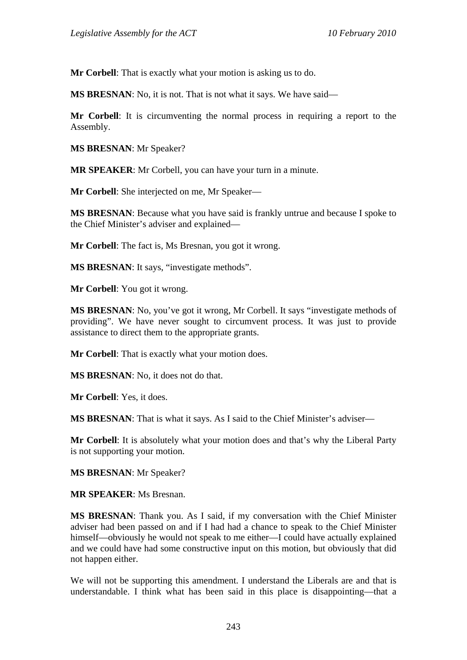**Mr Corbell**: That is exactly what your motion is asking us to do.

**MS BRESNAN**: No, it is not. That is not what it says. We have said—

**Mr Corbell**: It is circumventing the normal process in requiring a report to the Assembly.

**MS BRESNAN**: Mr Speaker?

**MR SPEAKER**: Mr Corbell, you can have your turn in a minute.

**Mr Corbell**: She interjected on me, Mr Speaker—

**MS BRESNAN**: Because what you have said is frankly untrue and because I spoke to the Chief Minister's adviser and explained—

**Mr Corbell**: The fact is, Ms Bresnan, you got it wrong.

**MS BRESNAN**: It says, "investigate methods".

**Mr Corbell**: You got it wrong.

**MS BRESNAN**: No, you've got it wrong, Mr Corbell. It says "investigate methods of providing". We have never sought to circumvent process. It was just to provide assistance to direct them to the appropriate grants.

**Mr Corbell**: That is exactly what your motion does.

**MS BRESNAN**: No, it does not do that.

**Mr Corbell**: Yes, it does.

**MS BRESNAN**: That is what it says. As I said to the Chief Minister's adviser—

**Mr Corbell**: It is absolutely what your motion does and that's why the Liberal Party is not supporting your motion.

**MS BRESNAN**: Mr Speaker?

**MR SPEAKER**: Ms Bresnan.

**MS BRESNAN**: Thank you. As I said, if my conversation with the Chief Minister adviser had been passed on and if I had had a chance to speak to the Chief Minister himself—obviously he would not speak to me either—I could have actually explained and we could have had some constructive input on this motion, but obviously that did not happen either.

We will not be supporting this amendment. I understand the Liberals are and that is understandable. I think what has been said in this place is disappointing—that a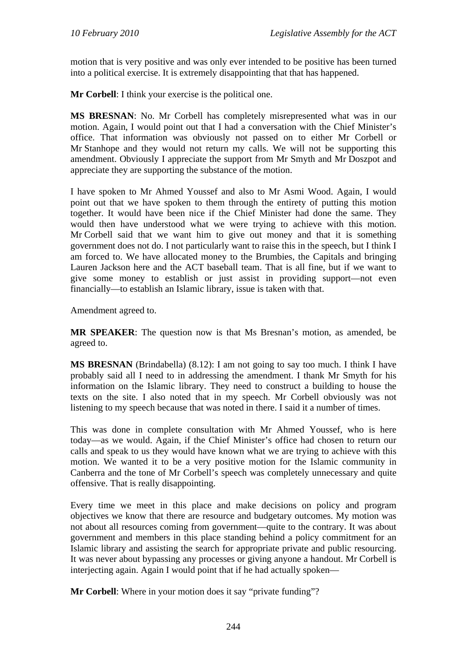motion that is very positive and was only ever intended to be positive has been turned into a political exercise. It is extremely disappointing that that has happened.

**Mr Corbell**: I think your exercise is the political one.

**MS BRESNAN**: No. Mr Corbell has completely misrepresented what was in our motion. Again, I would point out that I had a conversation with the Chief Minister's office. That information was obviously not passed on to either Mr Corbell or Mr Stanhope and they would not return my calls. We will not be supporting this amendment. Obviously I appreciate the support from Mr Smyth and Mr Doszpot and appreciate they are supporting the substance of the motion.

I have spoken to Mr Ahmed Youssef and also to Mr Asmi Wood. Again, I would point out that we have spoken to them through the entirety of putting this motion together. It would have been nice if the Chief Minister had done the same. They would then have understood what we were trying to achieve with this motion. Mr Corbell said that we want him to give out money and that it is something government does not do. I not particularly want to raise this in the speech, but I think I am forced to. We have allocated money to the Brumbies, the Capitals and bringing Lauren Jackson here and the ACT baseball team. That is all fine, but if we want to give some money to establish or just assist in providing support—not even financially—to establish an Islamic library, issue is taken with that.

Amendment agreed to.

**MR SPEAKER**: The question now is that Ms Bresnan's motion, as amended, be agreed to.

**MS BRESNAN** (Brindabella) (8.12): I am not going to say too much. I think I have probably said all I need to in addressing the amendment. I thank Mr Smyth for his information on the Islamic library. They need to construct a building to house the texts on the site. I also noted that in my speech. Mr Corbell obviously was not listening to my speech because that was noted in there. I said it a number of times.

This was done in complete consultation with Mr Ahmed Youssef, who is here today—as we would. Again, if the Chief Minister's office had chosen to return our calls and speak to us they would have known what we are trying to achieve with this motion. We wanted it to be a very positive motion for the Islamic community in Canberra and the tone of Mr Corbell's speech was completely unnecessary and quite offensive. That is really disappointing.

Every time we meet in this place and make decisions on policy and program objectives we know that there are resource and budgetary outcomes. My motion was not about all resources coming from government—quite to the contrary. It was about government and members in this place standing behind a policy commitment for an Islamic library and assisting the search for appropriate private and public resourcing. It was never about bypassing any processes or giving anyone a handout. Mr Corbell is interjecting again. Again I would point that if he had actually spoken—

**Mr Corbell:** Where in your motion does it say "private funding"?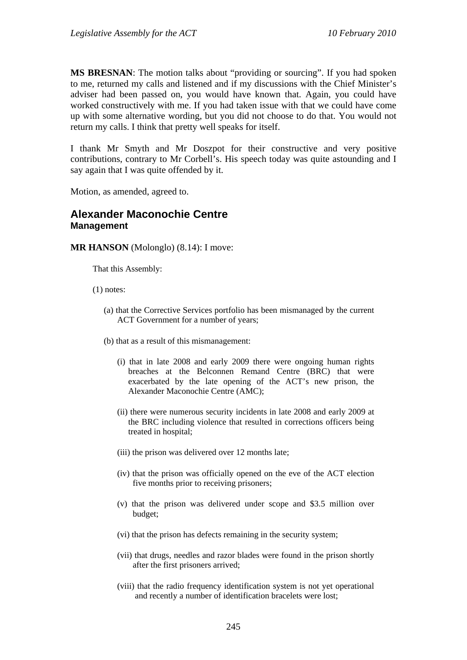**MS BRESNAN**: The motion talks about "providing or sourcing". If you had spoken to me, returned my calls and listened and if my discussions with the Chief Minister's adviser had been passed on, you would have known that. Again, you could have worked constructively with me. If you had taken issue with that we could have come up with some alternative wording, but you did not choose to do that. You would not return my calls. I think that pretty well speaks for itself.

I thank Mr Smyth and Mr Doszpot for their constructive and very positive contributions, contrary to Mr Corbell's. His speech today was quite astounding and I say again that I was quite offended by it.

Motion, as amended, agreed to.

## **Alexander Maconochie Centre Management**

**MR HANSON** (Molonglo) (8.14): I move:

That this Assembly:

(1) notes:

- (a) that the Corrective Services portfolio has been mismanaged by the current ACT Government for a number of years;
- (b) that as a result of this mismanagement:
	- (i) that in late 2008 and early 2009 there were ongoing human rights breaches at the Belconnen Remand Centre (BRC) that were exacerbated by the late opening of the ACT's new prison, the Alexander Maconochie Centre (AMC);
	- (ii) there were numerous security incidents in late 2008 and early 2009 at the BRC including violence that resulted in corrections officers being treated in hospital;
	- (iii) the prison was delivered over 12 months late;
	- (iv) that the prison was officially opened on the eve of the ACT election five months prior to receiving prisoners;
	- (v) that the prison was delivered under scope and \$3.5 million over budget;
	- (vi) that the prison has defects remaining in the security system;
	- (vii) that drugs, needles and razor blades were found in the prison shortly after the first prisoners arrived;
	- (viii) that the radio frequency identification system is not yet operational and recently a number of identification bracelets were lost;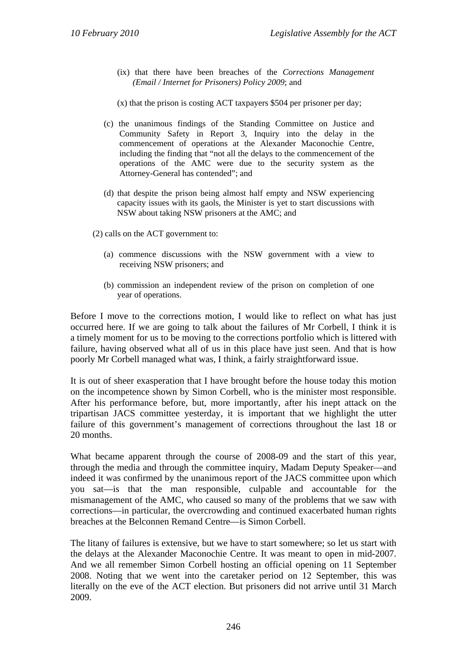(ix) that there have been breaches of the *Corrections Management (Email / Internet for Prisoners) Policy 2009*; and

(x) that the prison is costing ACT taxpayers \$504 per prisoner per day;

- (c) the unanimous findings of the Standing Committee on Justice and Community Safety in Report 3, Inquiry into the delay in the commencement of operations at the Alexander Maconochie Centre, including the finding that "not all the delays to the commencement of the operations of the AMC were due to the security system as the Attorney-General has contended"; and
- (d) that despite the prison being almost half empty and NSW experiencing capacity issues with its gaols, the Minister is yet to start discussions with NSW about taking NSW prisoners at the AMC; and

(2) calls on the ACT government to:

- (a) commence discussions with the NSW government with a view to receiving NSW prisoners; and
- (b) commission an independent review of the prison on completion of one year of operations.

Before I move to the corrections motion, I would like to reflect on what has just occurred here. If we are going to talk about the failures of Mr Corbell, I think it is a timely moment for us to be moving to the corrections portfolio which is littered with failure, having observed what all of us in this place have just seen. And that is how poorly Mr Corbell managed what was, I think, a fairly straightforward issue.

It is out of sheer exasperation that I have brought before the house today this motion on the incompetence shown by Simon Corbell, who is the minister most responsible. After his performance before, but, more importantly, after his inept attack on the tripartisan JACS committee yesterday, it is important that we highlight the utter failure of this government's management of corrections throughout the last 18 or 20 months.

What became apparent through the course of 2008-09 and the start of this year, through the media and through the committee inquiry, Madam Deputy Speaker—and indeed it was confirmed by the unanimous report of the JACS committee upon which you sat—is that the man responsible, culpable and accountable for the mismanagement of the AMC, who caused so many of the problems that we saw with corrections—in particular, the overcrowding and continued exacerbated human rights breaches at the Belconnen Remand Centre—is Simon Corbell.

The litany of failures is extensive, but we have to start somewhere; so let us start with the delays at the Alexander Maconochie Centre. It was meant to open in mid-2007. And we all remember Simon Corbell hosting an official opening on 11 September 2008. Noting that we went into the caretaker period on 12 September, this was literally on the eve of the ACT election. But prisoners did not arrive until 31 March 2009.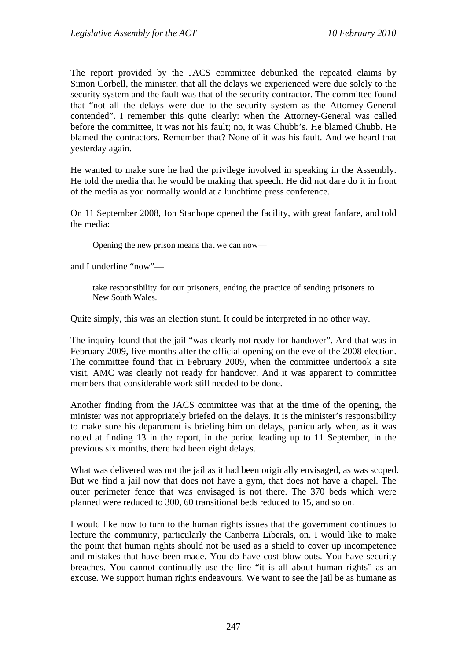The report provided by the JACS committee debunked the repeated claims by Simon Corbell, the minister, that all the delays we experienced were due solely to the security system and the fault was that of the security contractor. The committee found that "not all the delays were due to the security system as the Attorney-General contended". I remember this quite clearly: when the Attorney-General was called before the committee, it was not his fault; no, it was Chubb's. He blamed Chubb. He blamed the contractors. Remember that? None of it was his fault. And we heard that yesterday again.

He wanted to make sure he had the privilege involved in speaking in the Assembly. He told the media that he would be making that speech. He did not dare do it in front of the media as you normally would at a lunchtime press conference.

On 11 September 2008, Jon Stanhope opened the facility, with great fanfare, and told the media:

Opening the new prison means that we can now—

and I underline "now"—

take responsibility for our prisoners, ending the practice of sending prisoners to New South Wales.

Quite simply, this was an election stunt. It could be interpreted in no other way.

The inquiry found that the jail "was clearly not ready for handover". And that was in February 2009, five months after the official opening on the eve of the 2008 election. The committee found that in February 2009, when the committee undertook a site visit, AMC was clearly not ready for handover. And it was apparent to committee members that considerable work still needed to be done.

Another finding from the JACS committee was that at the time of the opening, the minister was not appropriately briefed on the delays. It is the minister's responsibility to make sure his department is briefing him on delays, particularly when, as it was noted at finding 13 in the report, in the period leading up to 11 September, in the previous six months, there had been eight delays.

What was delivered was not the jail as it had been originally envisaged, as was scoped. But we find a jail now that does not have a gym, that does not have a chapel. The outer perimeter fence that was envisaged is not there. The 370 beds which were planned were reduced to 300, 60 transitional beds reduced to 15, and so on.

I would like now to turn to the human rights issues that the government continues to lecture the community, particularly the Canberra Liberals, on. I would like to make the point that human rights should not be used as a shield to cover up incompetence and mistakes that have been made. You do have cost blow-outs. You have security breaches. You cannot continually use the line "it is all about human rights" as an excuse. We support human rights endeavours. We want to see the jail be as humane as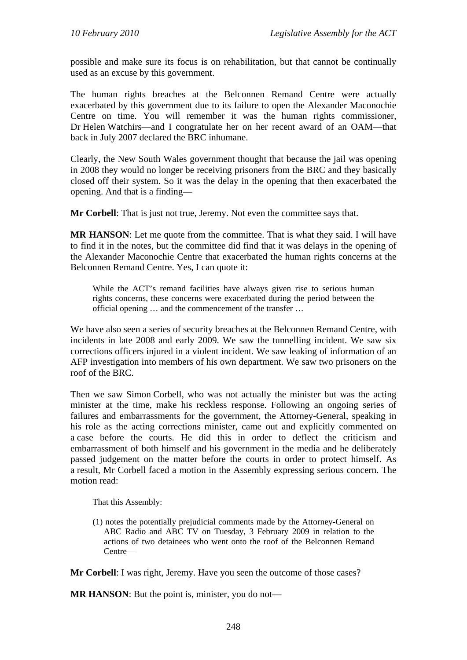possible and make sure its focus is on rehabilitation, but that cannot be continually used as an excuse by this government.

The human rights breaches at the Belconnen Remand Centre were actually exacerbated by this government due to its failure to open the Alexander Maconochie Centre on time. You will remember it was the human rights commissioner, Dr Helen Watchirs—and I congratulate her on her recent award of an OAM—that back in July 2007 declared the BRC inhumane.

Clearly, the New South Wales government thought that because the jail was opening in 2008 they would no longer be receiving prisoners from the BRC and they basically closed off their system. So it was the delay in the opening that then exacerbated the opening. And that is a finding—

**Mr Corbell:** That is just not true, Jeremy. Not even the committee says that.

**MR HANSON**: Let me quote from the committee. That is what they said. I will have to find it in the notes, but the committee did find that it was delays in the opening of the Alexander Maconochie Centre that exacerbated the human rights concerns at the Belconnen Remand Centre. Yes, I can quote it:

While the ACT's remand facilities have always given rise to serious human rights concerns, these concerns were exacerbated during the period between the official opening … and the commencement of the transfer …

We have also seen a series of security breaches at the Belconnen Remand Centre, with incidents in late 2008 and early 2009. We saw the tunnelling incident. We saw six corrections officers injured in a violent incident. We saw leaking of information of an AFP investigation into members of his own department. We saw two prisoners on the roof of the BRC.

Then we saw Simon Corbell, who was not actually the minister but was the acting minister at the time, make his reckless response. Following an ongoing series of failures and embarrassments for the government, the Attorney-General, speaking in his role as the acting corrections minister, came out and explicitly commented on a case before the courts. He did this in order to deflect the criticism and embarrassment of both himself and his government in the media and he deliberately passed judgement on the matter before the courts in order to protect himself. As a result, Mr Corbell faced a motion in the Assembly expressing serious concern. The motion read:

That this Assembly:

(1) notes the potentially prejudicial comments made by the Attorney-General on ABC Radio and ABC TV on Tuesday, 3 February 2009 in relation to the actions of two detainees who went onto the roof of the Belconnen Remand Centre—

**Mr Corbell**: I was right, Jeremy. Have you seen the outcome of those cases?

**MR HANSON:** But the point is, minister, you do not—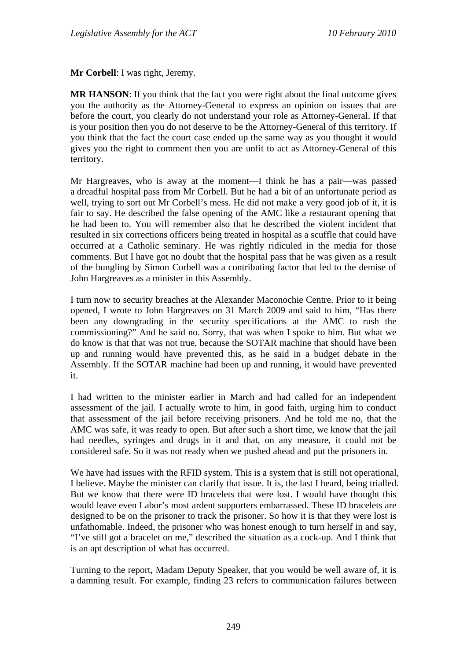**Mr Corbell**: I was right, Jeremy.

**MR HANSON**: If you think that the fact you were right about the final outcome gives you the authority as the Attorney-General to express an opinion on issues that are before the court, you clearly do not understand your role as Attorney-General. If that is your position then you do not deserve to be the Attorney-General of this territory. If you think that the fact the court case ended up the same way as you thought it would gives you the right to comment then you are unfit to act as Attorney-General of this territory.

Mr Hargreaves, who is away at the moment—I think he has a pair—was passed a dreadful hospital pass from Mr Corbell. But he had a bit of an unfortunate period as well, trying to sort out Mr Corbell's mess. He did not make a very good job of it, it is fair to say. He described the false opening of the AMC like a restaurant opening that he had been to. You will remember also that he described the violent incident that resulted in six corrections officers being treated in hospital as a scuffle that could have occurred at a Catholic seminary. He was rightly ridiculed in the media for those comments. But I have got no doubt that the hospital pass that he was given as a result of the bungling by Simon Corbell was a contributing factor that led to the demise of John Hargreaves as a minister in this Assembly.

I turn now to security breaches at the Alexander Maconochie Centre. Prior to it being opened, I wrote to John Hargreaves on 31 March 2009 and said to him, "Has there been any downgrading in the security specifications at the AMC to rush the commissioning?" And he said no. Sorry, that was when I spoke to him. But what we do know is that that was not true, because the SOTAR machine that should have been up and running would have prevented this, as he said in a budget debate in the Assembly. If the SOTAR machine had been up and running, it would have prevented it.

I had written to the minister earlier in March and had called for an independent assessment of the jail. I actually wrote to him, in good faith, urging him to conduct that assessment of the jail before receiving prisoners. And he told me no, that the AMC was safe, it was ready to open. But after such a short time, we know that the jail had needles, syringes and drugs in it and that, on any measure, it could not be considered safe. So it was not ready when we pushed ahead and put the prisoners in.

We have had issues with the RFID system. This is a system that is still not operational, I believe. Maybe the minister can clarify that issue. It is, the last I heard, being trialled. But we know that there were ID bracelets that were lost. I would have thought this would leave even Labor's most ardent supporters embarrassed. These ID bracelets are designed to be on the prisoner to track the prisoner. So how it is that they were lost is unfathomable. Indeed, the prisoner who was honest enough to turn herself in and say, "I've still got a bracelet on me," described the situation as a cock-up. And I think that is an apt description of what has occurred.

Turning to the report, Madam Deputy Speaker, that you would be well aware of, it is a damning result. For example, finding 23 refers to communication failures between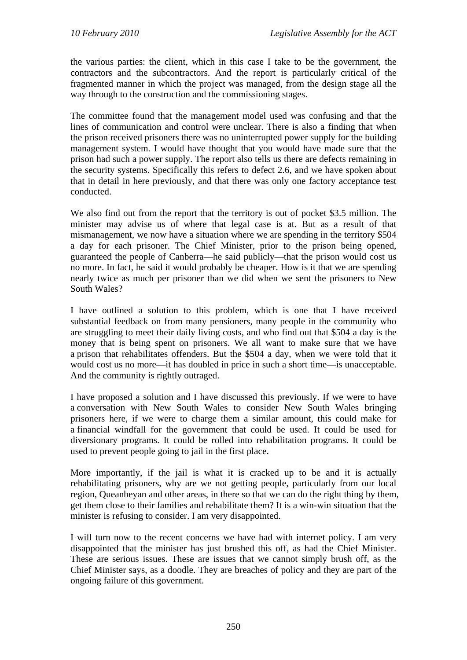the various parties: the client, which in this case I take to be the government, the contractors and the subcontractors. And the report is particularly critical of the fragmented manner in which the project was managed, from the design stage all the way through to the construction and the commissioning stages.

The committee found that the management model used was confusing and that the lines of communication and control were unclear. There is also a finding that when the prison received prisoners there was no uninterrupted power supply for the building management system. I would have thought that you would have made sure that the prison had such a power supply. The report also tells us there are defects remaining in the security systems. Specifically this refers to defect 2.6, and we have spoken about that in detail in here previously, and that there was only one factory acceptance test conducted.

We also find out from the report that the territory is out of pocket \$3.5 million. The minister may advise us of where that legal case is at. But as a result of that mismanagement, we now have a situation where we are spending in the territory \$504 a day for each prisoner. The Chief Minister, prior to the prison being opened, guaranteed the people of Canberra—he said publicly—that the prison would cost us no more. In fact, he said it would probably be cheaper. How is it that we are spending nearly twice as much per prisoner than we did when we sent the prisoners to New South Wales?

I have outlined a solution to this problem, which is one that I have received substantial feedback on from many pensioners, many people in the community who are struggling to meet their daily living costs, and who find out that \$504 a day is the money that is being spent on prisoners. We all want to make sure that we have a prison that rehabilitates offenders. But the \$504 a day, when we were told that it would cost us no more—it has doubled in price in such a short time—is unacceptable. And the community is rightly outraged.

I have proposed a solution and I have discussed this previously. If we were to have a conversation with New South Wales to consider New South Wales bringing prisoners here, if we were to charge them a similar amount, this could make for a financial windfall for the government that could be used. It could be used for diversionary programs. It could be rolled into rehabilitation programs. It could be used to prevent people going to jail in the first place.

More importantly, if the jail is what it is cracked up to be and it is actually rehabilitating prisoners, why are we not getting people, particularly from our local region, Queanbeyan and other areas, in there so that we can do the right thing by them, get them close to their families and rehabilitate them? It is a win-win situation that the minister is refusing to consider. I am very disappointed.

I will turn now to the recent concerns we have had with internet policy. I am very disappointed that the minister has just brushed this off, as had the Chief Minister. These are serious issues. These are issues that we cannot simply brush off, as the Chief Minister says, as a doodle. They are breaches of policy and they are part of the ongoing failure of this government.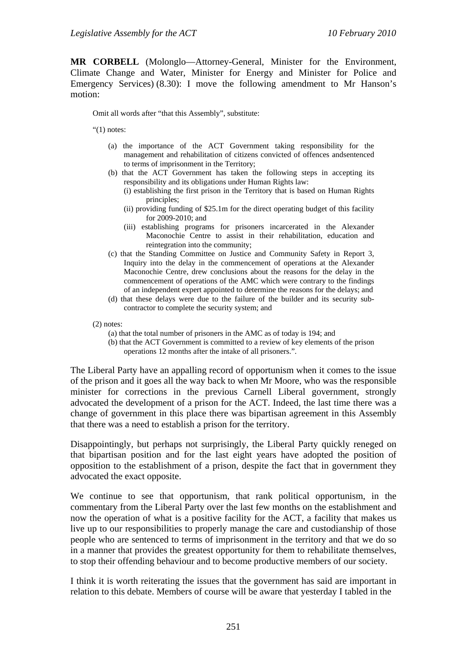**MR CORBELL** (Molonglo—Attorney-General, Minister for the Environment, Climate Change and Water, Minister for Energy and Minister for Police and Emergency Services) (8.30): I move the following amendment to Mr Hanson's motion:

Omit all words after "that this Assembly", substitute:

" $(1)$  notes:

- (a) the importance of the ACT Government taking responsibility for the management and rehabilitation of citizens convicted of offences andsentenced to terms of imprisonment in the Territory;
- (b) that the ACT Government has taken the following steps in accepting its responsibility and its obligations under Human Rights law:
	- (i) establishing the first prison in the Territory that is based on Human Rights principles;
	- (ii) providing funding of \$25.1m for the direct operating budget of this facility for 2009-2010; and
	- (iii) establishing programs for prisoners incarcerated in the Alexander Maconochie Centre to assist in their rehabilitation, education and reintegration into the community;
- (c) that the Standing Committee on Justice and Community Safety in Report 3, Inquiry into the delay in the commencement of operations at the Alexander Maconochie Centre, drew conclusions about the reasons for the delay in the commencement of operations of the AMC which were contrary to the findings of an independent expert appointed to determine the reasons for the delays; and
- (d) that these delays were due to the failure of the builder and its security subcontractor to complete the security system; and

(2) notes:

- (a) that the total number of prisoners in the AMC as of today is 194; and
- (b) that the ACT Government is committed to a review of key elements of the prison operations 12 months after the intake of all prisoners.".

The Liberal Party have an appalling record of opportunism when it comes to the issue of the prison and it goes all the way back to when Mr Moore, who was the responsible minister for corrections in the previous Carnell Liberal government, strongly advocated the development of a prison for the ACT. Indeed, the last time there was a change of government in this place there was bipartisan agreement in this Assembly that there was a need to establish a prison for the territory.

Disappointingly, but perhaps not surprisingly, the Liberal Party quickly reneged on that bipartisan position and for the last eight years have adopted the position of opposition to the establishment of a prison, despite the fact that in government they advocated the exact opposite.

We continue to see that opportunism, that rank political opportunism, in the commentary from the Liberal Party over the last few months on the establishment and now the operation of what is a positive facility for the ACT, a facility that makes us live up to our responsibilities to properly manage the care and custodianship of those people who are sentenced to terms of imprisonment in the territory and that we do so in a manner that provides the greatest opportunity for them to rehabilitate themselves, to stop their offending behaviour and to become productive members of our society.

I think it is worth reiterating the issues that the government has said are important in relation to this debate. Members of course will be aware that yesterday I tabled in the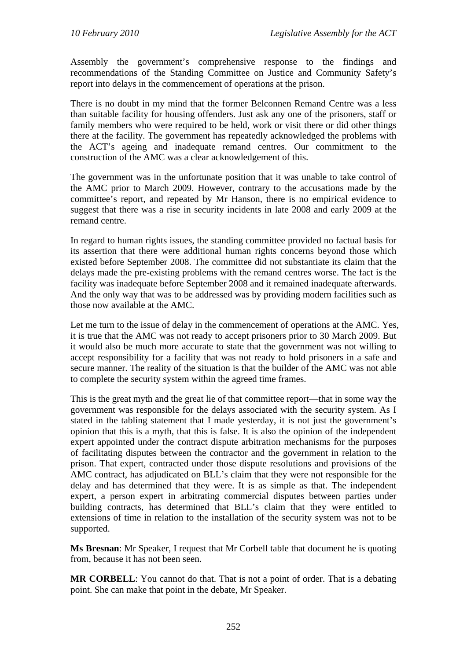Assembly the government's comprehensive response to the findings and recommendations of the Standing Committee on Justice and Community Safety's report into delays in the commencement of operations at the prison.

There is no doubt in my mind that the former Belconnen Remand Centre was a less than suitable facility for housing offenders. Just ask any one of the prisoners, staff or family members who were required to be held, work or visit there or did other things there at the facility. The government has repeatedly acknowledged the problems with the ACT's ageing and inadequate remand centres. Our commitment to the construction of the AMC was a clear acknowledgement of this.

The government was in the unfortunate position that it was unable to take control of the AMC prior to March 2009. However, contrary to the accusations made by the committee's report, and repeated by Mr Hanson, there is no empirical evidence to suggest that there was a rise in security incidents in late 2008 and early 2009 at the remand centre.

In regard to human rights issues, the standing committee provided no factual basis for its assertion that there were additional human rights concerns beyond those which existed before September 2008. The committee did not substantiate its claim that the delays made the pre-existing problems with the remand centres worse. The fact is the facility was inadequate before September 2008 and it remained inadequate afterwards. And the only way that was to be addressed was by providing modern facilities such as those now available at the AMC.

Let me turn to the issue of delay in the commencement of operations at the AMC. Yes, it is true that the AMC was not ready to accept prisoners prior to 30 March 2009. But it would also be much more accurate to state that the government was not willing to accept responsibility for a facility that was not ready to hold prisoners in a safe and secure manner. The reality of the situation is that the builder of the AMC was not able to complete the security system within the agreed time frames.

This is the great myth and the great lie of that committee report—that in some way the government was responsible for the delays associated with the security system. As I stated in the tabling statement that I made yesterday, it is not just the government's opinion that this is a myth, that this is false. It is also the opinion of the independent expert appointed under the contract dispute arbitration mechanisms for the purposes of facilitating disputes between the contractor and the government in relation to the prison. That expert, contracted under those dispute resolutions and provisions of the AMC contract, has adjudicated on BLL's claim that they were not responsible for the delay and has determined that they were. It is as simple as that. The independent expert, a person expert in arbitrating commercial disputes between parties under building contracts, has determined that BLL's claim that they were entitled to extensions of time in relation to the installation of the security system was not to be supported.

**Ms Bresnan**: Mr Speaker, I request that Mr Corbell table that document he is quoting from, because it has not been seen.

**MR CORBELL**: You cannot do that. That is not a point of order. That is a debating point. She can make that point in the debate, Mr Speaker.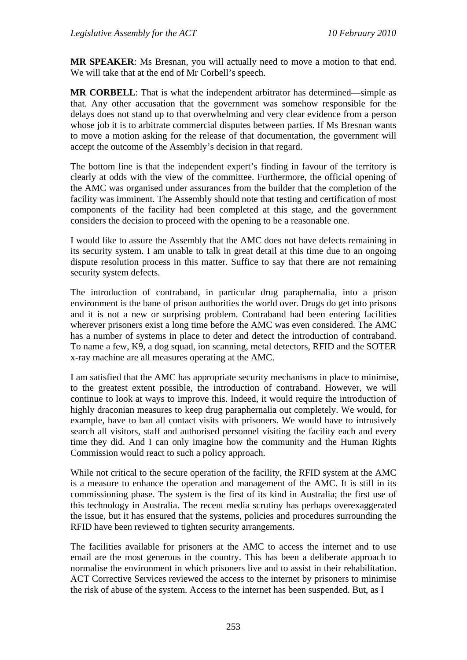**MR SPEAKER**: Ms Bresnan, you will actually need to move a motion to that end. We will take that at the end of Mr Corbell's speech.

**MR CORBELL**: That is what the independent arbitrator has determined—simple as that. Any other accusation that the government was somehow responsible for the delays does not stand up to that overwhelming and very clear evidence from a person whose job it is to arbitrate commercial disputes between parties. If Ms Bresnan wants to move a motion asking for the release of that documentation, the government will accept the outcome of the Assembly's decision in that regard.

The bottom line is that the independent expert's finding in favour of the territory is clearly at odds with the view of the committee. Furthermore, the official opening of the AMC was organised under assurances from the builder that the completion of the facility was imminent. The Assembly should note that testing and certification of most components of the facility had been completed at this stage, and the government considers the decision to proceed with the opening to be a reasonable one.

I would like to assure the Assembly that the AMC does not have defects remaining in its security system. I am unable to talk in great detail at this time due to an ongoing dispute resolution process in this matter. Suffice to say that there are not remaining security system defects.

The introduction of contraband, in particular drug paraphernalia, into a prison environment is the bane of prison authorities the world over. Drugs do get into prisons and it is not a new or surprising problem. Contraband had been entering facilities wherever prisoners exist a long time before the AMC was even considered. The AMC has a number of systems in place to deter and detect the introduction of contraband. To name a few, K9, a dog squad, ion scanning, metal detectors, RFID and the SOTER x-ray machine are all measures operating at the AMC.

I am satisfied that the AMC has appropriate security mechanisms in place to minimise, to the greatest extent possible, the introduction of contraband. However, we will continue to look at ways to improve this. Indeed, it would require the introduction of highly draconian measures to keep drug paraphernalia out completely. We would, for example, have to ban all contact visits with prisoners. We would have to intrusively search all visitors, staff and authorised personnel visiting the facility each and every time they did. And I can only imagine how the community and the Human Rights Commission would react to such a policy approach.

While not critical to the secure operation of the facility, the RFID system at the AMC is a measure to enhance the operation and management of the AMC. It is still in its commissioning phase. The system is the first of its kind in Australia; the first use of this technology in Australia. The recent media scrutiny has perhaps overexaggerated the issue, but it has ensured that the systems, policies and procedures surrounding the RFID have been reviewed to tighten security arrangements.

The facilities available for prisoners at the AMC to access the internet and to use email are the most generous in the country. This has been a deliberate approach to normalise the environment in which prisoners live and to assist in their rehabilitation. ACT Corrective Services reviewed the access to the internet by prisoners to minimise the risk of abuse of the system. Access to the internet has been suspended. But, as I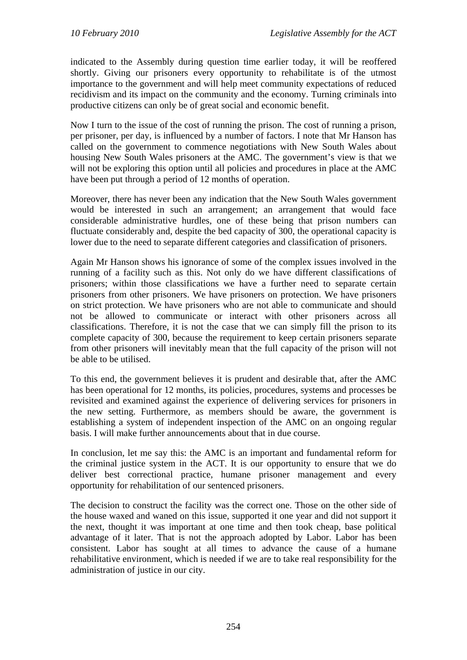indicated to the Assembly during question time earlier today, it will be reoffered shortly. Giving our prisoners every opportunity to rehabilitate is of the utmost importance to the government and will help meet community expectations of reduced recidivism and its impact on the community and the economy. Turning criminals into productive citizens can only be of great social and economic benefit.

Now I turn to the issue of the cost of running the prison. The cost of running a prison, per prisoner, per day, is influenced by a number of factors. I note that Mr Hanson has called on the government to commence negotiations with New South Wales about housing New South Wales prisoners at the AMC. The government's view is that we will not be exploring this option until all policies and procedures in place at the AMC have been put through a period of 12 months of operation.

Moreover, there has never been any indication that the New South Wales government would be interested in such an arrangement; an arrangement that would face considerable administrative hurdles, one of these being that prison numbers can fluctuate considerably and, despite the bed capacity of 300, the operational capacity is lower due to the need to separate different categories and classification of prisoners.

Again Mr Hanson shows his ignorance of some of the complex issues involved in the running of a facility such as this. Not only do we have different classifications of prisoners; within those classifications we have a further need to separate certain prisoners from other prisoners. We have prisoners on protection. We have prisoners on strict protection. We have prisoners who are not able to communicate and should not be allowed to communicate or interact with other prisoners across all classifications. Therefore, it is not the case that we can simply fill the prison to its complete capacity of 300, because the requirement to keep certain prisoners separate from other prisoners will inevitably mean that the full capacity of the prison will not be able to be utilised.

To this end, the government believes it is prudent and desirable that, after the AMC has been operational for 12 months, its policies, procedures, systems and processes be revisited and examined against the experience of delivering services for prisoners in the new setting. Furthermore, as members should be aware, the government is establishing a system of independent inspection of the AMC on an ongoing regular basis. I will make further announcements about that in due course.

In conclusion, let me say this: the AMC is an important and fundamental reform for the criminal justice system in the ACT. It is our opportunity to ensure that we do deliver best correctional practice, humane prisoner management and every opportunity for rehabilitation of our sentenced prisoners.

The decision to construct the facility was the correct one. Those on the other side of the house waxed and waned on this issue, supported it one year and did not support it the next, thought it was important at one time and then took cheap, base political advantage of it later. That is not the approach adopted by Labor. Labor has been consistent. Labor has sought at all times to advance the cause of a humane rehabilitative environment, which is needed if we are to take real responsibility for the administration of justice in our city.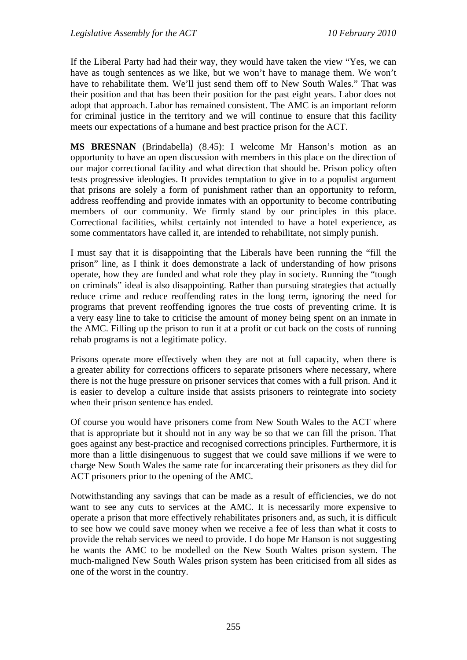If the Liberal Party had had their way, they would have taken the view "Yes, we can have as tough sentences as we like, but we won't have to manage them. We won't have to rehabilitate them. We'll just send them off to New South Wales." That was their position and that has been their position for the past eight years. Labor does not adopt that approach. Labor has remained consistent. The AMC is an important reform for criminal justice in the territory and we will continue to ensure that this facility meets our expectations of a humane and best practice prison for the ACT.

**MS BRESNAN** (Brindabella) (8.45): I welcome Mr Hanson's motion as an opportunity to have an open discussion with members in this place on the direction of our major correctional facility and what direction that should be. Prison policy often tests progressive ideologies. It provides temptation to give in to a populist argument that prisons are solely a form of punishment rather than an opportunity to reform, address reoffending and provide inmates with an opportunity to become contributing members of our community. We firmly stand by our principles in this place. Correctional facilities, whilst certainly not intended to have a hotel experience, as some commentators have called it, are intended to rehabilitate, not simply punish.

I must say that it is disappointing that the Liberals have been running the "fill the prison" line, as I think it does demonstrate a lack of understanding of how prisons operate, how they are funded and what role they play in society. Running the "tough on criminals" ideal is also disappointing. Rather than pursuing strategies that actually reduce crime and reduce reoffending rates in the long term, ignoring the need for programs that prevent reoffending ignores the true costs of preventing crime. It is a very easy line to take to criticise the amount of money being spent on an inmate in the AMC. Filling up the prison to run it at a profit or cut back on the costs of running rehab programs is not a legitimate policy.

Prisons operate more effectively when they are not at full capacity, when there is a greater ability for corrections officers to separate prisoners where necessary, where there is not the huge pressure on prisoner services that comes with a full prison. And it is easier to develop a culture inside that assists prisoners to reintegrate into society when their prison sentence has ended.

Of course you would have prisoners come from New South Wales to the ACT where that is appropriate but it should not in any way be so that we can fill the prison. That goes against any best-practice and recognised corrections principles. Furthermore, it is more than a little disingenuous to suggest that we could save millions if we were to charge New South Wales the same rate for incarcerating their prisoners as they did for ACT prisoners prior to the opening of the AMC.

Notwithstanding any savings that can be made as a result of efficiencies, we do not want to see any cuts to services at the AMC. It is necessarily more expensive to operate a prison that more effectively rehabilitates prisoners and, as such, it is difficult to see how we could save money when we receive a fee of less than what it costs to provide the rehab services we need to provide. I do hope Mr Hanson is not suggesting he wants the AMC to be modelled on the New South Waltes prison system. The much-maligned New South Wales prison system has been criticised from all sides as one of the worst in the country.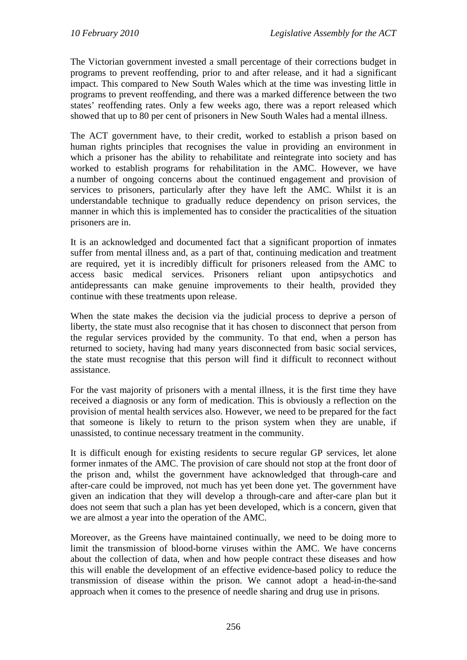The Victorian government invested a small percentage of their corrections budget in programs to prevent reoffending, prior to and after release, and it had a significant impact. This compared to New South Wales which at the time was investing little in programs to prevent reoffending, and there was a marked difference between the two states' reoffending rates. Only a few weeks ago, there was a report released which showed that up to 80 per cent of prisoners in New South Wales had a mental illness.

The ACT government have, to their credit, worked to establish a prison based on human rights principles that recognises the value in providing an environment in which a prisoner has the ability to rehabilitate and reintegrate into society and has worked to establish programs for rehabilitation in the AMC. However, we have a number of ongoing concerns about the continued engagement and provision of services to prisoners, particularly after they have left the AMC. Whilst it is an understandable technique to gradually reduce dependency on prison services, the manner in which this is implemented has to consider the practicalities of the situation prisoners are in.

It is an acknowledged and documented fact that a significant proportion of inmates suffer from mental illness and, as a part of that, continuing medication and treatment are required, yet it is incredibly difficult for prisoners released from the AMC to access basic medical services. Prisoners reliant upon antipsychotics and antidepressants can make genuine improvements to their health, provided they continue with these treatments upon release.

When the state makes the decision via the judicial process to deprive a person of liberty, the state must also recognise that it has chosen to disconnect that person from the regular services provided by the community. To that end, when a person has returned to society, having had many years disconnected from basic social services, the state must recognise that this person will find it difficult to reconnect without assistance.

For the vast majority of prisoners with a mental illness, it is the first time they have received a diagnosis or any form of medication. This is obviously a reflection on the provision of mental health services also. However, we need to be prepared for the fact that someone is likely to return to the prison system when they are unable, if unassisted, to continue necessary treatment in the community.

It is difficult enough for existing residents to secure regular GP services, let alone former inmates of the AMC. The provision of care should not stop at the front door of the prison and, whilst the government have acknowledged that through-care and after-care could be improved, not much has yet been done yet. The government have given an indication that they will develop a through-care and after-care plan but it does not seem that such a plan has yet been developed, which is a concern, given that we are almost a year into the operation of the AMC.

Moreover, as the Greens have maintained continually, we need to be doing more to limit the transmission of blood-borne viruses within the AMC. We have concerns about the collection of data, when and how people contract these diseases and how this will enable the development of an effective evidence-based policy to reduce the transmission of disease within the prison. We cannot adopt a head-in-the-sand approach when it comes to the presence of needle sharing and drug use in prisons.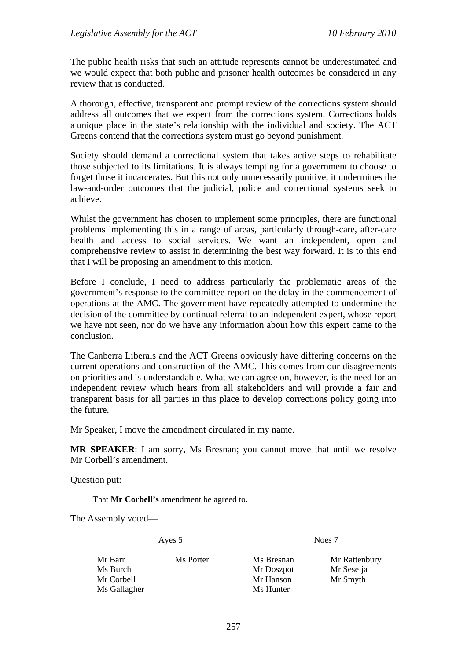The public health risks that such an attitude represents cannot be underestimated and we would expect that both public and prisoner health outcomes be considered in any review that is conducted.

A thorough, effective, transparent and prompt review of the corrections system should address all outcomes that we expect from the corrections system. Corrections holds a unique place in the state's relationship with the individual and society. The ACT Greens contend that the corrections system must go beyond punishment.

Society should demand a correctional system that takes active steps to rehabilitate those subjected to its limitations. It is always tempting for a government to choose to forget those it incarcerates. But this not only unnecessarily punitive, it undermines the law-and-order outcomes that the judicial, police and correctional systems seek to achieve.

Whilst the government has chosen to implement some principles, there are functional problems implementing this in a range of areas, particularly through-care, after-care health and access to social services. We want an independent, open and comprehensive review to assist in determining the best way forward. It is to this end that I will be proposing an amendment to this motion.

Before I conclude, I need to address particularly the problematic areas of the government's response to the committee report on the delay in the commencement of operations at the AMC. The government have repeatedly attempted to undermine the decision of the committee by continual referral to an independent expert, whose report we have not seen, nor do we have any information about how this expert came to the conclusion.

The Canberra Liberals and the ACT Greens obviously have differing concerns on the current operations and construction of the AMC. This comes from our disagreements on priorities and is understandable. What we can agree on, however, is the need for an independent review which hears from all stakeholders and will provide a fair and transparent basis for all parties in this place to develop corrections policy going into the future.

Mr Speaker, I move the amendment circulated in my name.

**MR SPEAKER**: I am sorry, Ms Bresnan; you cannot move that until we resolve Mr Corbell's amendment.

Question put:

That **Mr Corbell's** amendment be agreed to.

The Assembly voted—

Ayes 5 Noes 7

| Mr Barr      | Ms Porter | Ms Bresnan | Mr Rattenbury |
|--------------|-----------|------------|---------------|
| Ms Burch     |           | Mr Doszpot | Mr Seselja    |
| Mr Corbell   |           | Mr Hanson  | Mr Smyth      |
| Ms Gallagher |           | Ms Hunter  |               |
|              |           |            |               |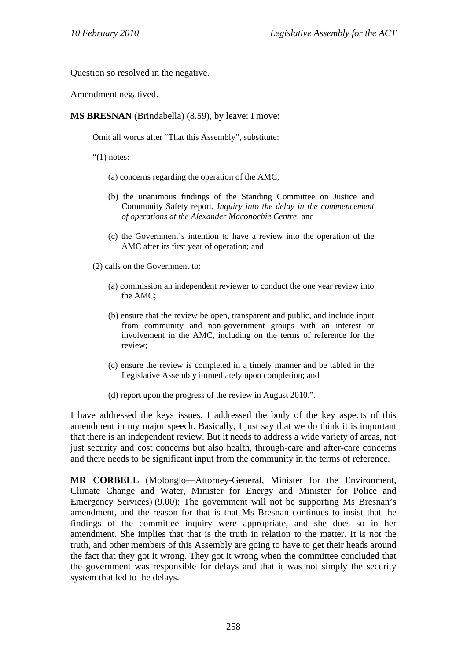Question so resolved in the negative.

Amendment negatived.

**MS BRESNAN** (Brindabella) (8.59), by leave: I move:

Omit all words after "That this Assembly", substitute:

" $(1)$  notes:

(a) concerns regarding the operation of the AMC;

- (b) the unanimous findings of the Standing Committee on Justice and Community Safety report, *Inquiry into the delay in the commencement of operations at the Alexander Maconochie Centre*; and
- (c) the Government's intention to have a review into the operation of the AMC after its first year of operation; and

(2) calls on the Government to:

- (a) commission an independent reviewer to conduct the one year review into the AMC;
- (b) ensure that the review be open, transparent and public, and include input from community and non-government groups with an interest or involvement in the AMC, including on the terms of reference for the review;
- (c) ensure the review is completed in a timely manner and be tabled in the Legislative Assembly immediately upon completion; and
- (d) report upon the progress of the review in August 2010.".

I have addressed the keys issues. I addressed the body of the key aspects of this amendment in my major speech. Basically, I just say that we do think it is important that there is an independent review. But it needs to address a wide variety of areas, not just security and cost concerns but also health, through-care and after-care concerns and there needs to be significant input from the community in the terms of reference.

**MR CORBELL** (Molonglo—Attorney-General, Minister for the Environment, Climate Change and Water, Minister for Energy and Minister for Police and Emergency Services) (9.00): The government will not be supporting Ms Bresnan's amendment, and the reason for that is that Ms Bresnan continues to insist that the findings of the committee inquiry were appropriate, and she does so in her amendment. She implies that that is the truth in relation to the matter. It is not the truth, and other members of this Assembly are going to have to get their heads around the fact that they got it wrong. They got it wrong when the committee concluded that the government was responsible for delays and that it was not simply the security system that led to the delays.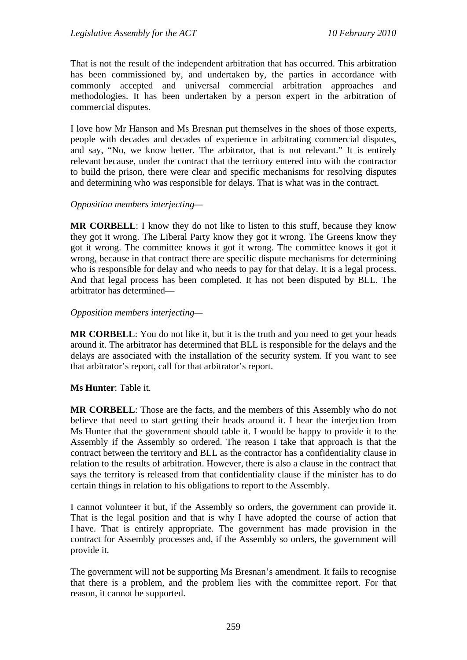That is not the result of the independent arbitration that has occurred. This arbitration has been commissioned by, and undertaken by, the parties in accordance with commonly accepted and universal commercial arbitration approaches and methodologies. It has been undertaken by a person expert in the arbitration of commercial disputes.

I love how Mr Hanson and Ms Bresnan put themselves in the shoes of those experts, people with decades and decades of experience in arbitrating commercial disputes, and say, "No, we know better. The arbitrator, that is not relevant." It is entirely relevant because, under the contract that the territory entered into with the contractor to build the prison, there were clear and specific mechanisms for resolving disputes and determining who was responsible for delays. That is what was in the contract.

#### *Opposition members interjecting—*

**MR CORBELL**: I know they do not like to listen to this stuff, because they know they got it wrong. The Liberal Party know they got it wrong. The Greens know they got it wrong. The committee knows it got it wrong. The committee knows it got it wrong, because in that contract there are specific dispute mechanisms for determining who is responsible for delay and who needs to pay for that delay. It is a legal process. And that legal process has been completed. It has not been disputed by BLL. The arbitrator has determined—

#### *Opposition members interjecting—*

**MR CORBELL**: You do not like it, but it is the truth and you need to get your heads around it. The arbitrator has determined that BLL is responsible for the delays and the delays are associated with the installation of the security system. If you want to see that arbitrator's report, call for that arbitrator's report.

## **Ms Hunter**: Table it.

**MR CORBELL**: Those are the facts, and the members of this Assembly who do not believe that need to start getting their heads around it. I hear the interjection from Ms Hunter that the government should table it. I would be happy to provide it to the Assembly if the Assembly so ordered. The reason I take that approach is that the contract between the territory and BLL as the contractor has a confidentiality clause in relation to the results of arbitration. However, there is also a clause in the contract that says the territory is released from that confidentiality clause if the minister has to do certain things in relation to his obligations to report to the Assembly.

I cannot volunteer it but, if the Assembly so orders, the government can provide it. That is the legal position and that is why I have adopted the course of action that I have. That is entirely appropriate. The government has made provision in the contract for Assembly processes and, if the Assembly so orders, the government will provide it.

The government will not be supporting Ms Bresnan's amendment. It fails to recognise that there is a problem, and the problem lies with the committee report. For that reason, it cannot be supported.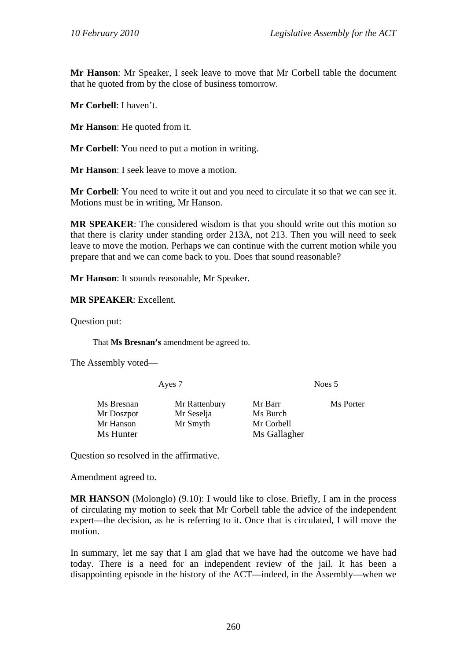**Mr Hanson**: Mr Speaker, I seek leave to move that Mr Corbell table the document that he quoted from by the close of business tomorrow.

**Mr Corbell**: I haven't.

**Mr Hanson**: He quoted from it.

**Mr Corbell**: You need to put a motion in writing.

**Mr Hanson**: I seek leave to move a motion.

**Mr Corbell**: You need to write it out and you need to circulate it so that we can see it. Motions must be in writing, Mr Hanson.

**MR SPEAKER**: The considered wisdom is that you should write out this motion so that there is clarity under standing order 213A, not 213. Then you will need to seek leave to move the motion. Perhaps we can continue with the current motion while you prepare that and we can come back to you. Does that sound reasonable?

**Mr Hanson**: It sounds reasonable, Mr Speaker.

**MR SPEAKER**: Excellent.

Question put:

That **Ms Bresnan's** amendment be agreed to.

The Assembly voted—

| Ayes 7                                             |                                         | Noes 5                                            |           |
|----------------------------------------------------|-----------------------------------------|---------------------------------------------------|-----------|
| Ms Bresnan<br>Mr Doszpot<br>Mr Hanson<br>Ms Hunter | Mr Rattenbury<br>Mr Seselja<br>Mr Smyth | Mr Barr<br>Ms Burch<br>Mr Corbell<br>Ms Gallagher | Ms Porter |

Question so resolved in the affirmative.

Amendment agreed to.

**MR HANSON** (Molonglo) (9.10): I would like to close. Briefly, I am in the process of circulating my motion to seek that Mr Corbell table the advice of the independent expert—the decision, as he is referring to it. Once that is circulated, I will move the motion.

In summary, let me say that I am glad that we have had the outcome we have had today. There is a need for an independent review of the jail. It has been a disappointing episode in the history of the ACT—indeed, in the Assembly—when we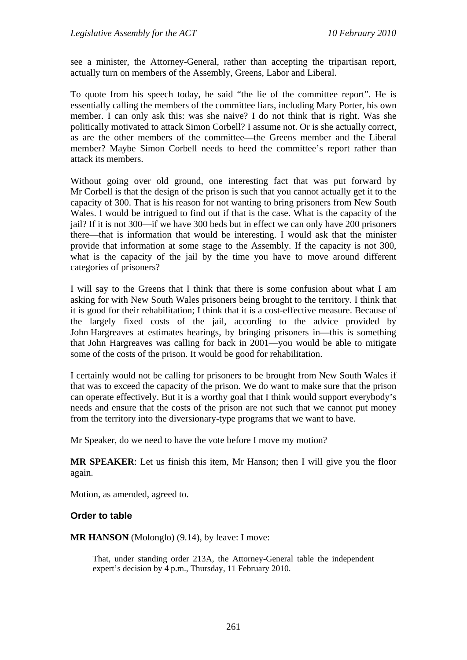see a minister, the Attorney-General, rather than accepting the tripartisan report, actually turn on members of the Assembly, Greens, Labor and Liberal.

To quote from his speech today, he said "the lie of the committee report". He is essentially calling the members of the committee liars, including Mary Porter, his own member. I can only ask this: was she naive? I do not think that is right. Was she politically motivated to attack Simon Corbell? I assume not. Or is she actually correct, as are the other members of the committee—the Greens member and the Liberal member? Maybe Simon Corbell needs to heed the committee's report rather than attack its members.

Without going over old ground, one interesting fact that was put forward by Mr Corbell is that the design of the prison is such that you cannot actually get it to the capacity of 300. That is his reason for not wanting to bring prisoners from New South Wales. I would be intrigued to find out if that is the case. What is the capacity of the jail? If it is not 300—if we have 300 beds but in effect we can only have 200 prisoners there—that is information that would be interesting. I would ask that the minister provide that information at some stage to the Assembly. If the capacity is not 300, what is the capacity of the jail by the time you have to move around different categories of prisoners?

I will say to the Greens that I think that there is some confusion about what I am asking for with New South Wales prisoners being brought to the territory. I think that it is good for their rehabilitation; I think that it is a cost-effective measure. Because of the largely fixed costs of the jail, according to the advice provided by John Hargreaves at estimates hearings, by bringing prisoners in—this is something that John Hargreaves was calling for back in 2001—you would be able to mitigate some of the costs of the prison. It would be good for rehabilitation.

I certainly would not be calling for prisoners to be brought from New South Wales if that was to exceed the capacity of the prison. We do want to make sure that the prison can operate effectively. But it is a worthy goal that I think would support everybody's needs and ensure that the costs of the prison are not such that we cannot put money from the territory into the diversionary-type programs that we want to have.

Mr Speaker, do we need to have the vote before I move my motion?

**MR SPEAKER**: Let us finish this item, Mr Hanson; then I will give you the floor again.

Motion, as amended, agreed to.

## **Order to table**

**MR HANSON** (Molonglo) (9.14), by leave: I move:

That, under standing order 213A, the Attorney-General table the independent expert's decision by 4 p.m., Thursday, 11 February 2010.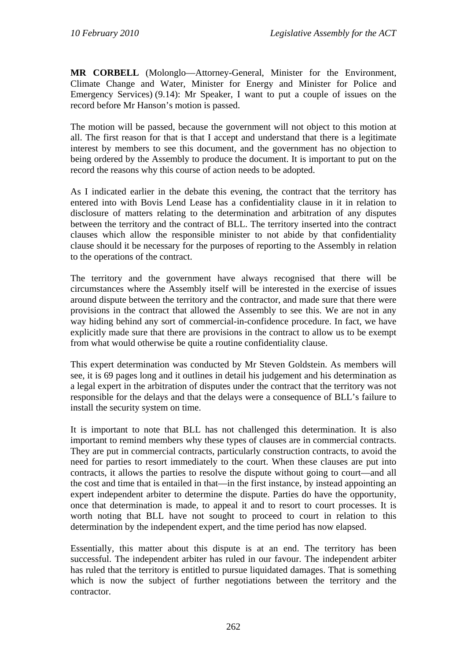**MR CORBELL** (Molonglo—Attorney-General, Minister for the Environment, Climate Change and Water, Minister for Energy and Minister for Police and Emergency Services) (9.14): Mr Speaker, I want to put a couple of issues on the record before Mr Hanson's motion is passed.

The motion will be passed, because the government will not object to this motion at all. The first reason for that is that I accept and understand that there is a legitimate interest by members to see this document, and the government has no objection to being ordered by the Assembly to produce the document. It is important to put on the record the reasons why this course of action needs to be adopted.

As I indicated earlier in the debate this evening, the contract that the territory has entered into with Bovis Lend Lease has a confidentiality clause in it in relation to disclosure of matters relating to the determination and arbitration of any disputes between the territory and the contract of BLL. The territory inserted into the contract clauses which allow the responsible minister to not abide by that confidentiality clause should it be necessary for the purposes of reporting to the Assembly in relation to the operations of the contract.

The territory and the government have always recognised that there will be circumstances where the Assembly itself will be interested in the exercise of issues around dispute between the territory and the contractor, and made sure that there were provisions in the contract that allowed the Assembly to see this. We are not in any way hiding behind any sort of commercial-in-confidence procedure. In fact, we have explicitly made sure that there are provisions in the contract to allow us to be exempt from what would otherwise be quite a routine confidentiality clause.

This expert determination was conducted by Mr Steven Goldstein. As members will see, it is 69 pages long and it outlines in detail his judgement and his determination as a legal expert in the arbitration of disputes under the contract that the territory was not responsible for the delays and that the delays were a consequence of BLL's failure to install the security system on time.

It is important to note that BLL has not challenged this determination. It is also important to remind members why these types of clauses are in commercial contracts. They are put in commercial contracts, particularly construction contracts, to avoid the need for parties to resort immediately to the court. When these clauses are put into contracts, it allows the parties to resolve the dispute without going to court—and all the cost and time that is entailed in that—in the first instance, by instead appointing an expert independent arbiter to determine the dispute. Parties do have the opportunity, once that determination is made, to appeal it and to resort to court processes. It is worth noting that BLL have not sought to proceed to court in relation to this determination by the independent expert, and the time period has now elapsed.

Essentially, this matter about this dispute is at an end. The territory has been successful. The independent arbiter has ruled in our favour. The independent arbiter has ruled that the territory is entitled to pursue liquidated damages. That is something which is now the subject of further negotiations between the territory and the contractor.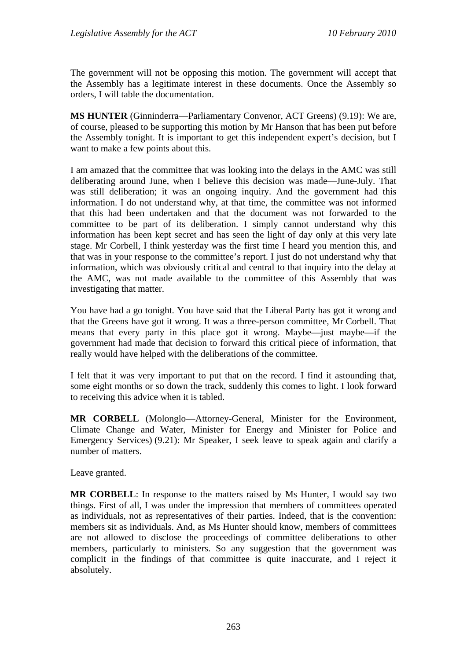The government will not be opposing this motion. The government will accept that the Assembly has a legitimate interest in these documents. Once the Assembly so orders, I will table the documentation.

**MS HUNTER** (Ginninderra—Parliamentary Convenor, ACT Greens) (9.19): We are, of course, pleased to be supporting this motion by Mr Hanson that has been put before the Assembly tonight. It is important to get this independent expert's decision, but I want to make a few points about this.

I am amazed that the committee that was looking into the delays in the AMC was still deliberating around June, when I believe this decision was made—June-July. That was still deliberation; it was an ongoing inquiry. And the government had this information. I do not understand why, at that time, the committee was not informed that this had been undertaken and that the document was not forwarded to the committee to be part of its deliberation. I simply cannot understand why this information has been kept secret and has seen the light of day only at this very late stage. Mr Corbell, I think yesterday was the first time I heard you mention this, and that was in your response to the committee's report. I just do not understand why that information, which was obviously critical and central to that inquiry into the delay at the AMC, was not made available to the committee of this Assembly that was investigating that matter.

You have had a go tonight. You have said that the Liberal Party has got it wrong and that the Greens have got it wrong. It was a three-person committee, Mr Corbell. That means that every party in this place got it wrong. Maybe—just maybe—if the government had made that decision to forward this critical piece of information, that really would have helped with the deliberations of the committee.

I felt that it was very important to put that on the record. I find it astounding that, some eight months or so down the track, suddenly this comes to light. I look forward to receiving this advice when it is tabled.

**MR CORBELL** (Molonglo—Attorney-General, Minister for the Environment, Climate Change and Water, Minister for Energy and Minister for Police and Emergency Services) (9.21): Mr Speaker, I seek leave to speak again and clarify a number of matters.

Leave granted.

**MR CORBELL:** In response to the matters raised by Ms Hunter, I would say two things. First of all, I was under the impression that members of committees operated as individuals, not as representatives of their parties. Indeed, that is the convention: members sit as individuals. And, as Ms Hunter should know, members of committees are not allowed to disclose the proceedings of committee deliberations to other members, particularly to ministers. So any suggestion that the government was complicit in the findings of that committee is quite inaccurate, and I reject it absolutely.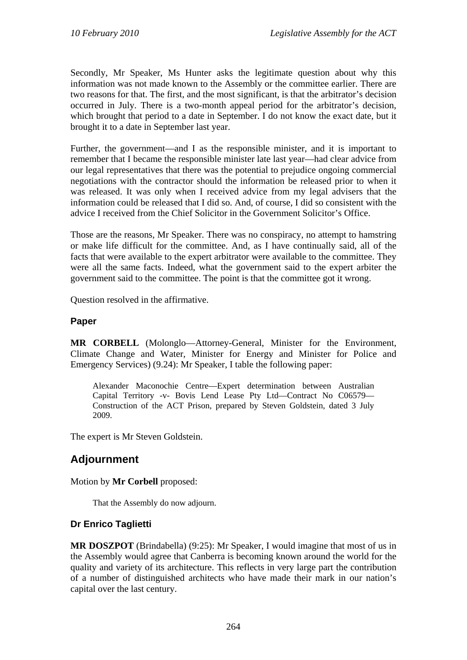Secondly, Mr Speaker, Ms Hunter asks the legitimate question about why this information was not made known to the Assembly or the committee earlier. There are two reasons for that. The first, and the most significant, is that the arbitrator's decision occurred in July. There is a two-month appeal period for the arbitrator's decision, which brought that period to a date in September. I do not know the exact date, but it brought it to a date in September last year.

Further, the government—and I as the responsible minister, and it is important to remember that I became the responsible minister late last year—had clear advice from our legal representatives that there was the potential to prejudice ongoing commercial negotiations with the contractor should the information be released prior to when it was released. It was only when I received advice from my legal advisers that the information could be released that I did so. And, of course, I did so consistent with the advice I received from the Chief Solicitor in the Government Solicitor's Office.

Those are the reasons, Mr Speaker. There was no conspiracy, no attempt to hamstring or make life difficult for the committee. And, as I have continually said, all of the facts that were available to the expert arbitrator were available to the committee. They were all the same facts. Indeed, what the government said to the expert arbiter the government said to the committee. The point is that the committee got it wrong.

Question resolved in the affirmative.

## **Paper**

**MR CORBELL** (Molonglo—Attorney-General, Minister for the Environment, Climate Change and Water, Minister for Energy and Minister for Police and Emergency Services) (9.24): Mr Speaker, I table the following paper:

Alexander Maconochie Centre—Expert determination between Australian Capital Territory -v- Bovis Lend Lease Pty Ltd—Contract No C06579— Construction of the ACT Prison, prepared by Steven Goldstein, dated 3 July 2009.

The expert is Mr Steven Goldstein.

# **Adjournment**

#### Motion by **Mr Corbell** proposed:

That the Assembly do now adjourn.

## **Dr Enrico Taglietti**

**MR DOSZPOT** (Brindabella) (9:25): Mr Speaker, I would imagine that most of us in the Assembly would agree that Canberra is becoming known around the world for the quality and variety of its architecture. This reflects in very large part the contribution of a number of distinguished architects who have made their mark in our nation's capital over the last century.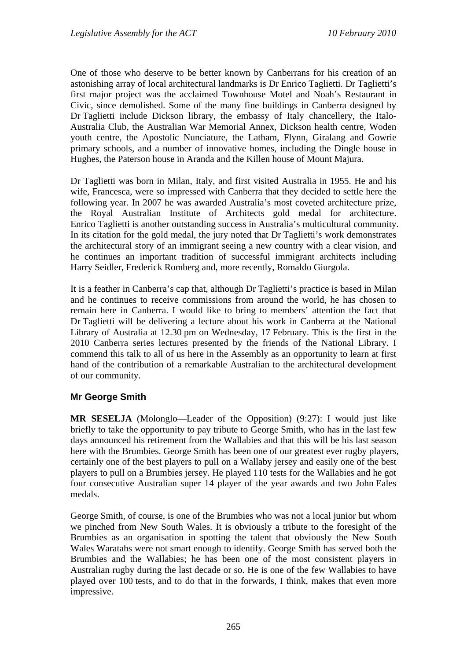One of those who deserve to be better known by Canberrans for his creation of an astonishing array of local architectural landmarks is Dr Enrico Taglietti. Dr Taglietti's first major project was the acclaimed Townhouse Motel and Noah's Restaurant in Civic, since demolished. Some of the many fine buildings in Canberra designed by Dr Taglietti include Dickson library, the embassy of Italy chancellery, the Italo-Australia Club, the Australian War Memorial Annex, Dickson health centre, Woden youth centre, the Apostolic Nunciature, the Latham, Flynn, Giralang and Gowrie primary schools, and a number of innovative homes, including the Dingle house in Hughes, the Paterson house in Aranda and the Killen house of Mount Majura.

Dr Taglietti was born in Milan, Italy, and first visited Australia in 1955. He and his wife, Francesca, were so impressed with Canberra that they decided to settle here the following year. In 2007 he was awarded Australia's most coveted architecture prize, the Royal Australian Institute of Architects gold medal for architecture. Enrico Taglietti is another outstanding success in Australia's multicultural community. In its citation for the gold medal, the jury noted that Dr Taglietti's work demonstrates the architectural story of an immigrant seeing a new country with a clear vision, and he continues an important tradition of successful immigrant architects including Harry Seidler, Frederick Romberg and, more recently, Romaldo Giurgola.

It is a feather in Canberra's cap that, although Dr Taglietti's practice is based in Milan and he continues to receive commissions from around the world, he has chosen to remain here in Canberra. I would like to bring to members' attention the fact that Dr Taglietti will be delivering a lecture about his work in Canberra at the National Library of Australia at 12.30 pm on Wednesday, 17 February. This is the first in the 2010 Canberra series lectures presented by the friends of the National Library. I commend this talk to all of us here in the Assembly as an opportunity to learn at first hand of the contribution of a remarkable Australian to the architectural development of our community.

#### **Mr George Smith**

**MR SESELJA** (Molonglo—Leader of the Opposition) (9:27): I would just like briefly to take the opportunity to pay tribute to George Smith, who has in the last few days announced his retirement from the Wallabies and that this will be his last season here with the Brumbies. George Smith has been one of our greatest ever rugby players, certainly one of the best players to pull on a Wallaby jersey and easily one of the best players to pull on a Brumbies jersey. He played 110 tests for the Wallabies and he got four consecutive Australian super 14 player of the year awards and two John Eales medals.

George Smith, of course, is one of the Brumbies who was not a local junior but whom we pinched from New South Wales. It is obviously a tribute to the foresight of the Brumbies as an organisation in spotting the talent that obviously the New South Wales Waratahs were not smart enough to identify. George Smith has served both the Brumbies and the Wallabies; he has been one of the most consistent players in Australian rugby during the last decade or so. He is one of the few Wallabies to have played over 100 tests, and to do that in the forwards, I think, makes that even more impressive.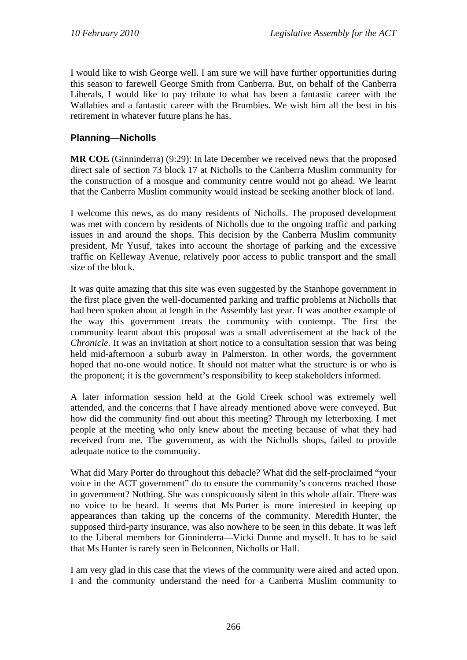I would like to wish George well. I am sure we will have further opportunities during this season to farewell George Smith from Canberra. But, on behalf of the Canberra Liberals, I would like to pay tribute to what has been a fantastic career with the Wallabies and a fantastic career with the Brumbies. We wish him all the best in his retirement in whatever future plans he has.

# **Planning—Nicholls**

**MR COE** (Ginninderra) (9:29): In late December we received news that the proposed direct sale of section 73 block 17 at Nicholls to the Canberra Muslim community for the construction of a mosque and community centre would not go ahead. We learnt that the Canberra Muslim community would instead be seeking another block of land.

I welcome this news, as do many residents of Nicholls. The proposed development was met with concern by residents of Nicholls due to the ongoing traffic and parking issues in and around the shops. This decision by the Canberra Muslim community president, Mr Yusuf, takes into account the shortage of parking and the excessive traffic on Kelleway Avenue, relatively poor access to public transport and the small size of the block.

It was quite amazing that this site was even suggested by the Stanhope government in the first place given the well-documented parking and traffic problems at Nicholls that had been spoken about at length in the Assembly last year. It was another example of the way this government treats the community with contempt. The first the community learnt about this proposal was a small advertisement at the back of the *Chronicle*. It was an invitation at short notice to a consultation session that was being held mid-afternoon a suburb away in Palmerston. In other words, the government hoped that no-one would notice. It should not matter what the structure is or who is the proponent; it is the government's responsibility to keep stakeholders informed.

A later information session held at the Gold Creek school was extremely well attended, and the concerns that I have already mentioned above were conveyed. But how did the community find out about this meeting? Through my letterboxing. I met people at the meeting who only knew about the meeting because of what they had received from me. The government, as with the Nicholls shops, failed to provide adequate notice to the community.

What did Mary Porter do throughout this debacle? What did the self-proclaimed "your voice in the ACT government" do to ensure the community's concerns reached those in government? Nothing. She was conspicuously silent in this whole affair. There was no voice to be heard. It seems that Ms Porter is more interested in keeping up appearances than taking up the concerns of the community. Meredith Hunter, the supposed third-party insurance, was also nowhere to be seen in this debate. It was left to the Liberal members for Ginninderra—Vicki Dunne and myself. It has to be said that Ms Hunter is rarely seen in Belconnen, Nicholls or Hall.

I am very glad in this case that the views of the community were aired and acted upon. I and the community understand the need for a Canberra Muslim community to